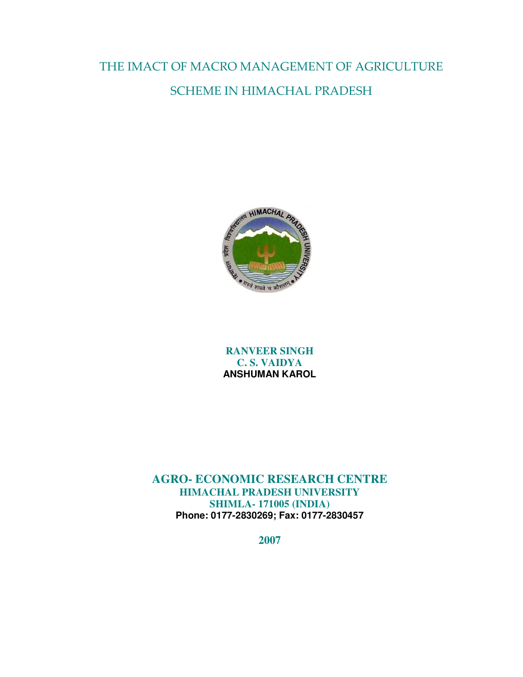THE IMACT OF MACRO MANAGEMENT OF AGRICULTURE SCHEME IN HIMACHAL PRADESH



**RANVEER SINGH C. S. VAIDYA ANSHUMAN KAROL**

**AGRO- ECONOMIC RESEARCH CENTRE HIMACHAL PRADESH UNIVERSITY SHIMLA- 171005 (INDIA) Phone: 0177-2830269; Fax: 0177-2830457**

**2007**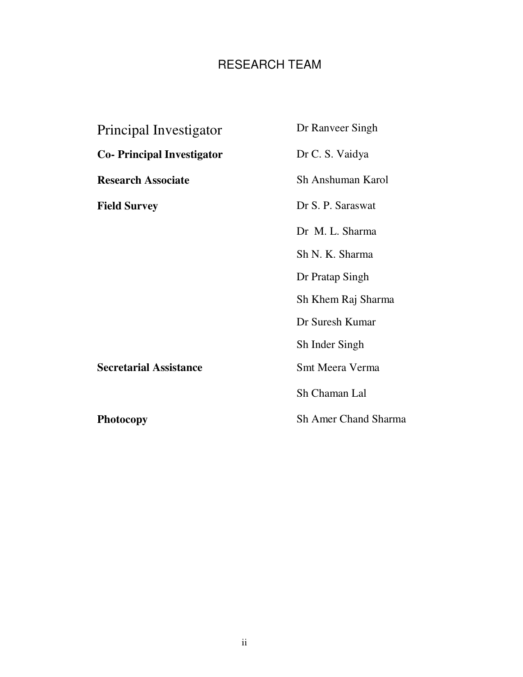## RESEARCH TEAM

| Principal Investigator           | Dr Ranveer Singh            |
|----------------------------------|-----------------------------|
| <b>Co-Principal Investigator</b> | Dr C. S. Vaidya             |
| <b>Research Associate</b>        | Sh Anshuman Karol           |
| <b>Field Survey</b>              | Dr S. P. Saraswat           |
|                                  | Dr M. L. Sharma             |
|                                  | Sh N. K. Sharma             |
|                                  | Dr Pratap Singh             |
|                                  | Sh Khem Raj Sharma          |
|                                  | Dr Suresh Kumar             |
|                                  | Sh Inder Singh              |
| <b>Secretarial Assistance</b>    | Smt Meera Verma             |
|                                  | Sh Chaman Lal               |
| <b>Photocopy</b>                 | <b>Sh Amer Chand Sharma</b> |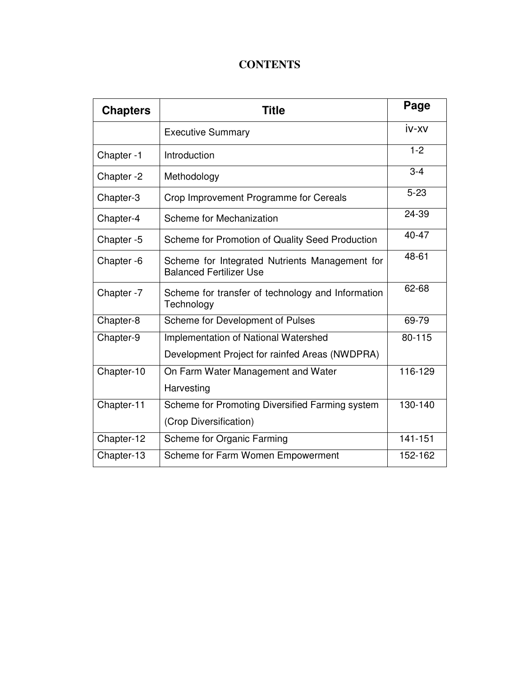### **CONTENTS**

| <b>Chapters</b> | <b>Title</b>                                                                     | Page      |
|-----------------|----------------------------------------------------------------------------------|-----------|
|                 | <b>Executive Summary</b>                                                         | iv-xv     |
| Chapter-1       | Introduction                                                                     | $1 - 2$   |
| Chapter -2      | Methodology                                                                      | $3 - 4$   |
| Chapter-3       | Crop Improvement Programme for Cereals                                           | $5 - 23$  |
| Chapter-4       | Scheme for Mechanization                                                         | 24-39     |
| Chapter -5      | Scheme for Promotion of Quality Seed Production                                  | $40 - 47$ |
| Chapter -6      | Scheme for Integrated Nutrients Management for<br><b>Balanced Fertilizer Use</b> | 48-61     |
| Chapter -7      | Scheme for transfer of technology and Information<br>Technology                  | 62-68     |
| Chapter-8       | Scheme for Development of Pulses                                                 | 69-79     |
| Chapter-9       | Implementation of National Watershed                                             | 80-115    |
|                 | Development Project for rainfed Areas (NWDPRA)                                   |           |
| Chapter-10      | On Farm Water Management and Water                                               | 116-129   |
|                 | Harvesting                                                                       |           |
| Chapter-11      | Scheme for Promoting Diversified Farming system                                  | 130-140   |
|                 | (Crop Diversification)                                                           |           |
| Chapter-12      | Scheme for Organic Farming                                                       | 141-151   |
| Chapter-13      | Scheme for Farm Women Empowerment                                                | 152-162   |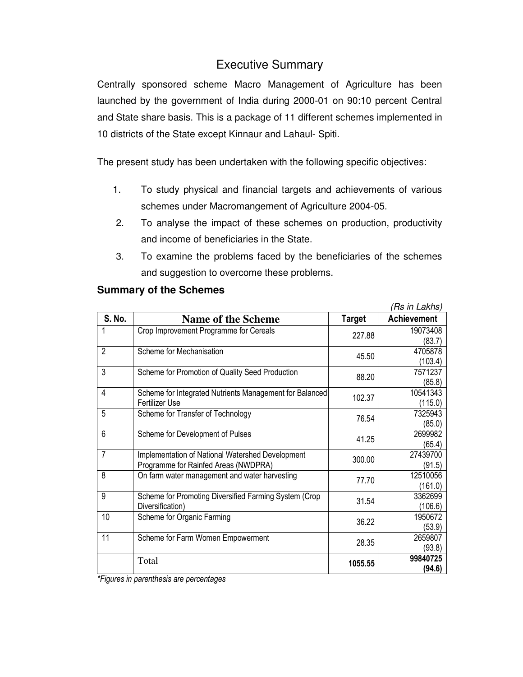### Executive Summary

Centrally sponsored scheme Macro Management of Agriculture has been launched by the government of India during 2000-01 on 90:10 percent Central and State share basis. This is a package of 11 different schemes implemented in 10 districts of the State except Kinnaur and Lahaul- Spiti.

The present study has been undertaken with the following specific objectives:

- 1. To study physical and financial targets and achievements of various schemes under Macromangement of Agriculture 2004-05.
- 2. To analyse the impact of these schemes on production, productivity and income of beneficiaries in the State.
- 3. To examine the problems faced by the beneficiaries of the schemes and suggestion to overcome these problems.

|                |                                                         |               | (Rs in Lakhs)      |
|----------------|---------------------------------------------------------|---------------|--------------------|
| <b>S. No.</b>  | <b>Name of the Scheme</b>                               | <b>Target</b> | <b>Achievement</b> |
| 1              | Crop Improvement Programme for Cereals                  | 227.88        | 19073408           |
|                |                                                         |               | (83.7)             |
| $\overline{2}$ | Scheme for Mechanisation                                | 45.50         | 4705878            |
|                |                                                         |               | (103.4)            |
| 3              | Scheme for Promotion of Quality Seed Production         | 88.20         | 7571237            |
|                |                                                         |               | (85.8)             |
| 4              | Scheme for Integrated Nutrients Management for Balanced |               | 10541343           |
|                | Fertilizer Use                                          | 102.37        | (115.0)            |
| 5              | Scheme for Transfer of Technology                       | 76.54         | 7325943            |
|                |                                                         |               | (85.0)             |
| 6              | Scheme for Development of Pulses                        | 41.25         | 2699982            |
|                |                                                         |               | (65.4)             |
| $\overline{7}$ | Implementation of National Watershed Development        | 300.00        | 27439700           |
|                | Programme for Rainfed Areas (NWDPRA)                    |               | (91.5)             |
| 8              | On farm water management and water harvesting           | 77.70         | 12510056           |
|                |                                                         |               | (161.0)            |
| 9              | Scheme for Promoting Diversified Farming System (Crop   | 31.54         | 3362699            |
|                | Diversification)                                        |               | (106.6)            |
| 10             | Scheme for Organic Farming                              | 36.22         | 1950672            |
|                |                                                         |               | (53.9)             |
| 11             | Scheme for Farm Women Empowerment                       | 28.35         | 2659807            |
|                |                                                         |               | (93.8)             |
|                | Total                                                   | 1055.55       | 99840725           |
|                |                                                         |               | (94.6)             |

#### **Summary of the Schemes**

*\*Figures in parenthesis are percentages*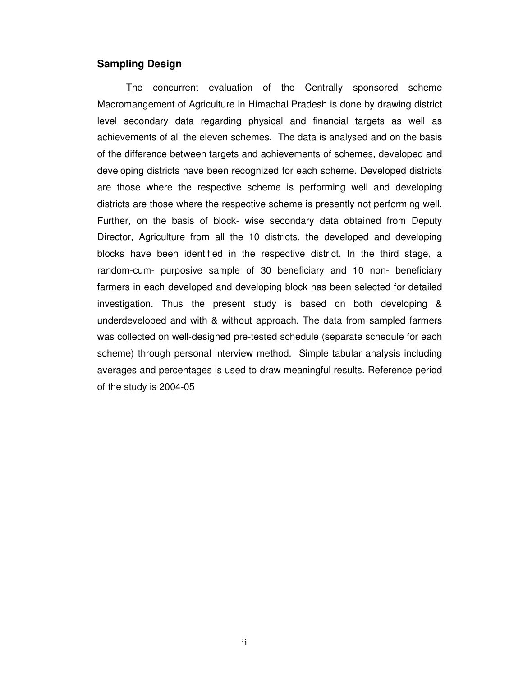#### **Sampling Design**

The concurrent evaluation of the Centrally sponsored scheme Macromangement of Agriculture in Himachal Pradesh is done by drawing district level secondary data regarding physical and financial targets as well as achievements of all the eleven schemes. The data is analysed and on the basis of the difference between targets and achievements of schemes, developed and developing districts have been recognized for each scheme. Developed districts are those where the respective scheme is performing well and developing districts are those where the respective scheme is presently not performing well. Further, on the basis of block- wise secondary data obtained from Deputy Director, Agriculture from all the 10 districts, the developed and developing blocks have been identified in the respective district. In the third stage, a random-cum- purposive sample of 30 beneficiary and 10 non- beneficiary farmers in each developed and developing block has been selected for detailed investigation. Thus the present study is based on both developing & underdeveloped and with & without approach. The data from sampled farmers was collected on well-designed pre-tested schedule (separate schedule for each scheme) through personal interview method. Simple tabular analysis including averages and percentages is used to draw meaningful results. Reference period of the study is 2004-05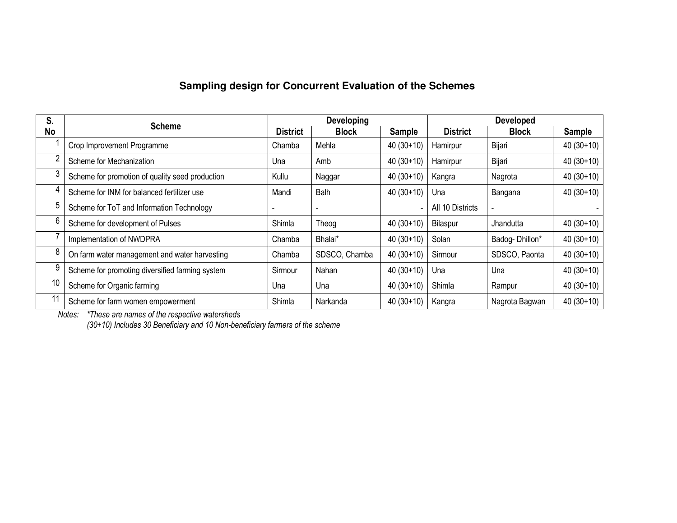### **Sampling design for Concurrent Evaluation of the Schemes**

| S. | <b>Scheme</b>                                   |                 | Developing    |               | <b>Developed</b> |                |             |
|----|-------------------------------------------------|-----------------|---------------|---------------|------------------|----------------|-------------|
| No |                                                 | <b>District</b> | <b>Block</b>  | <b>Sample</b> | <b>District</b>  | <b>Block</b>   | Sample      |
|    | Crop Improvement Programme                      | Chamba          | Mehla         | $40(30+10)$   | Hamirpur         | Bijari         | $40(30+10)$ |
|    | Scheme for Mechanization                        | Una             | Amb           | $40(30+10)$   | Hamirpur         | Bijari         | $40(30+10)$ |
|    | Scheme for promotion of quality seed production | Kullu           | Naggar        | $40(30+10)$   | Kangra           | Nagrota        | $40(30+10)$ |
|    | Scheme for INM for balanced fertilizer use      | Mandi           | Balh          | $40(30+10)$   | Una              | Bangana        | $40(30+10)$ |
|    | Scheme for ToT and Information Technology       |                 |               |               | All 10 Districts |                |             |
|    | Scheme for development of Pulses                | Shimla          | Theog         | $40(30+10)$   | Bilaspur         | Jhandutta      | $40(30+10)$ |
|    | Implementation of NWDPRA                        | Chamba          | Bhalai*       | $40(30+10)$   | Solan            | Badog-Dhillon* | $40(30+10)$ |
|    | On farm water management and water harvesting   | Chamba          | SDSCO, Chamba | $40(30+10)$   | Sirmour          | SDSCO, Paonta  | $40(30+10)$ |
| 9  | Scheme for promoting diversified farming system | Sirmour         | Nahan         | $40(30+10)$   | Una              | Una            | $40(30+10)$ |
| 10 | Scheme for Organic farming                      | Una             | Una           | $40(30+10)$   | Shimla           | Rampur         | $40(30+10)$ |
| 11 | Scheme for farm women empowerment               | Shimla          | Narkanda      | $40(30+10)$   | Kangra           | Nagrota Bagwan | $40(30+10)$ |

*Notes: \*These are names of the respective watersheds (30+10) Includes 30 Beneficiary and 10 Non-beneficiary farmers of the scheme*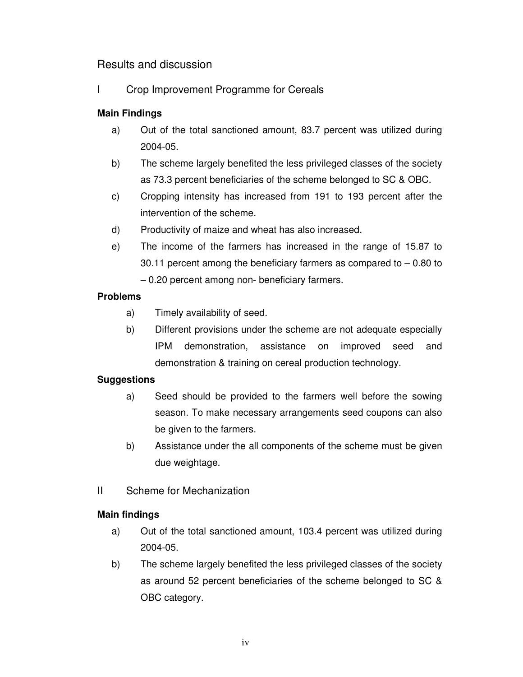### Results and discussion

I Crop Improvement Programme for Cereals

#### **Main Findings**

- a) Out of the total sanctioned amount, 83.7 percent was utilized during 2004-05.
- b) The scheme largely benefited the less privileged classes of the society as 73.3 percent beneficiaries of the scheme belonged to SC & OBC.
- c) Cropping intensity has increased from 191 to 193 percent after the intervention of the scheme.
- d) Productivity of maize and wheat has also increased.
- e) The income of the farmers has increased in the range of 15.87 to 30.11 percent among the beneficiary farmers as compared to  $-0.80$  to – 0.20 percent among non- beneficiary farmers.

#### **Problems**

- a) Timely availability of seed.
- b) Different provisions under the scheme are not adequate especially IPM demonstration, assistance on improved seed and demonstration & training on cereal production technology.

#### **Suggestions**

- a) Seed should be provided to the farmers well before the sowing season. To make necessary arrangements seed coupons can also be given to the farmers.
- b) Assistance under the all components of the scheme must be given due weightage.
- II Scheme for Mechanization

#### **Main findings**

- a) Out of the total sanctioned amount, 103.4 percent was utilized during 2004-05.
- b) The scheme largely benefited the less privileged classes of the society as around 52 percent beneficiaries of the scheme belonged to SC & OBC category.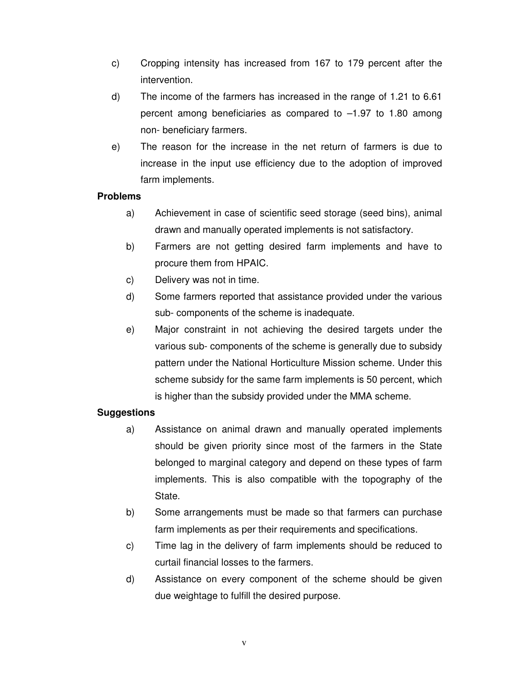- c) Cropping intensity has increased from 167 to 179 percent after the intervention.
- d) The income of the farmers has increased in the range of 1.21 to 6.61 percent among beneficiaries as compared to –1.97 to 1.80 among non- beneficiary farmers.
- e) The reason for the increase in the net return of farmers is due to increase in the input use efficiency due to the adoption of improved farm implements.

- a) Achievement in case of scientific seed storage (seed bins), animal drawn and manually operated implements is not satisfactory.
- b) Farmers are not getting desired farm implements and have to procure them from HPAIC.
- c) Delivery was not in time.
- d) Some farmers reported that assistance provided under the various sub- components of the scheme is inadequate.
- e) Major constraint in not achieving the desired targets under the various sub- components of the scheme is generally due to subsidy pattern under the National Horticulture Mission scheme. Under this scheme subsidy for the same farm implements is 50 percent, which is higher than the subsidy provided under the MMA scheme.

#### **Suggestions**

- a) Assistance on animal drawn and manually operated implements should be given priority since most of the farmers in the State belonged to marginal category and depend on these types of farm implements. This is also compatible with the topography of the State.
- b) Some arrangements must be made so that farmers can purchase farm implements as per their requirements and specifications.
- c) Time lag in the delivery of farm implements should be reduced to curtail financial losses to the farmers.
- d) Assistance on every component of the scheme should be given due weightage to fulfill the desired purpose.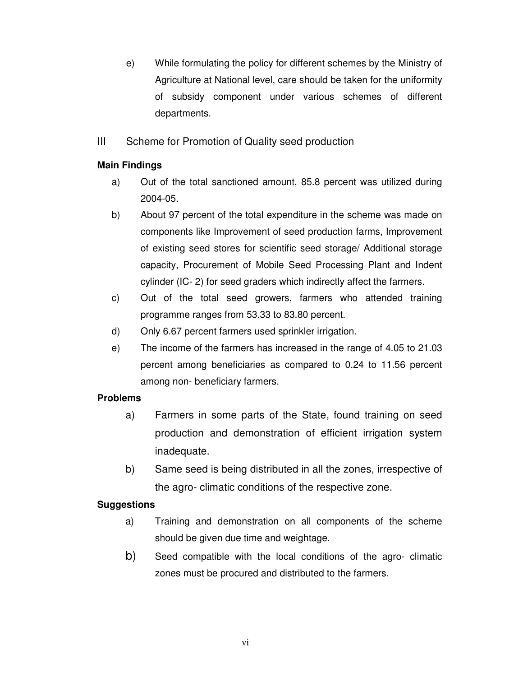- e) While formulating the policy for different schemes by the Ministry of Agriculture at National level, care should be taken for the uniformity of subsidy component under various schemes of different departments.
- III Scheme for Promotion of Quality seed production

#### **Main Findings**

- a) Out of the total sanctioned amount, 85.8 percent was utilized during 2004-05.
- b) About 97 percent of the total expenditure in the scheme was made on components like Improvement of seed production farms, Improvement of existing seed stores for scientific seed storage/ Additional storage capacity, Procurement of Mobile Seed Processing Plant and Indent cylinder (IC- 2) for seed graders which indirectly affect the farmers.
- c) Out of the total seed growers, farmers who attended training programme ranges from 53.33 to 83.80 percent.
- d) Only 6.67 percent farmers used sprinkler irrigation.
- e) The income of the farmers has increased in the range of 4.05 to 21.03 percent among beneficiaries as compared to 0.24 to 11.56 percent among non- beneficiary farmers.

### **Problems**

- a) Farmers in some parts of the State, found training on seed production and demonstration of efficient irrigation system inadequate.
- b) Same seed is being distributed in all the zones, irrespective of the agro- climatic conditions of the respective zone.

#### **Suggestions**

- a) Training and demonstration on all components of the scheme should be given due time and weightage.
- b) Seed compatible with the local conditions of the agro- climatic zones must be procured and distributed to the farmers.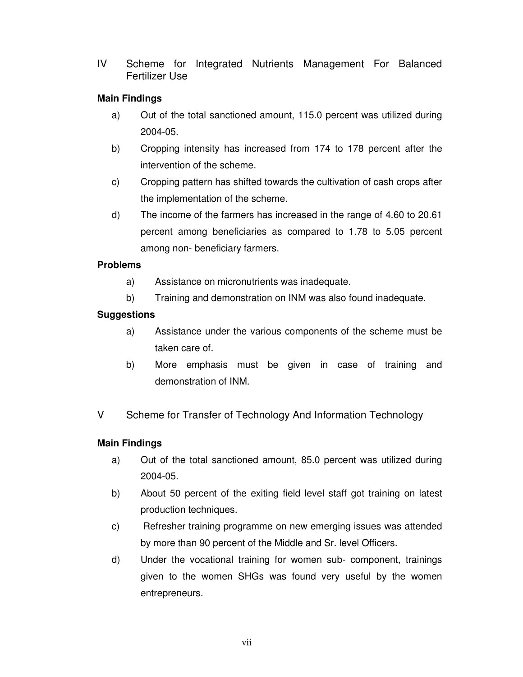IV Scheme for Integrated Nutrients Management For Balanced Fertilizer Use

#### **Main Findings**

- a) Out of the total sanctioned amount, 115.0 percent was utilized during 2004-05.
- b) Cropping intensity has increased from 174 to 178 percent after the intervention of the scheme.
- c) Cropping pattern has shifted towards the cultivation of cash crops after the implementation of the scheme.
- d) The income of the farmers has increased in the range of 4.60 to 20.61 percent among beneficiaries as compared to 1.78 to 5.05 percent among non- beneficiary farmers.

#### **Problems**

- a) Assistance on micronutrients was inadequate.
- b) Training and demonstration on INM was also found inadequate.

#### **Suggestions**

- a) Assistance under the various components of the scheme must be taken care of.
- b) More emphasis must be given in case of training and demonstration of INM.
- V Scheme for Transfer of Technology And Information Technology

#### **Main Findings**

- a) Out of the total sanctioned amount, 85.0 percent was utilized during 2004-05.
- b) About 50 percent of the exiting field level staff got training on latest production techniques.
- c) Refresher training programme on new emerging issues was attended by more than 90 percent of the Middle and Sr. level Officers.
- d) Under the vocational training for women sub- component, trainings given to the women SHGs was found very useful by the women entrepreneurs.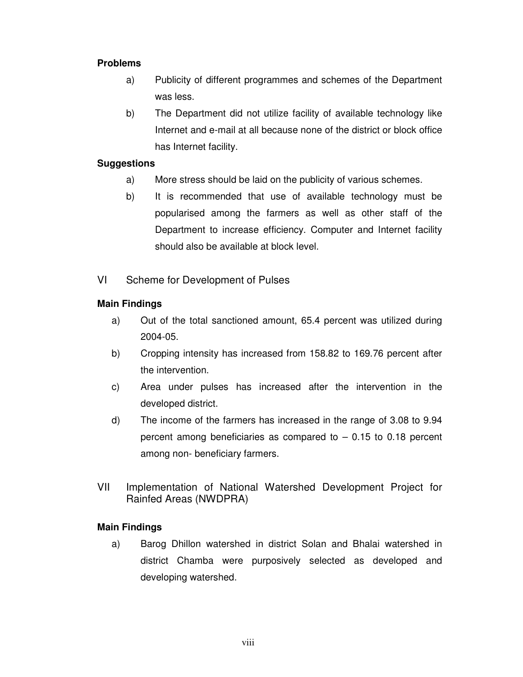- a) Publicity of different programmes and schemes of the Department was less.
- b) The Department did not utilize facility of available technology like Internet and e-mail at all because none of the district or block office has Internet facility.

#### **Suggestions**

- a) More stress should be laid on the publicity of various schemes.
- b) It is recommended that use of available technology must be popularised among the farmers as well as other staff of the Department to increase efficiency. Computer and Internet facility should also be available at block level.
- VI Scheme for Development of Pulses

#### **Main Findings**

- a) Out of the total sanctioned amount, 65.4 percent was utilized during 2004-05.
- b) Cropping intensity has increased from 158.82 to 169.76 percent after the intervention.
- c) Area under pulses has increased after the intervention in the developed district.
- d) The income of the farmers has increased in the range of 3.08 to 9.94 percent among beneficiaries as compared to  $-0.15$  to 0.18 percent among non- beneficiary farmers.
- VII Implementation of National Watershed Development Project for Rainfed Areas (NWDPRA)

#### **Main Findings**

a) Barog Dhillon watershed in district Solan and Bhalai watershed in district Chamba were purposively selected as developed and developing watershed.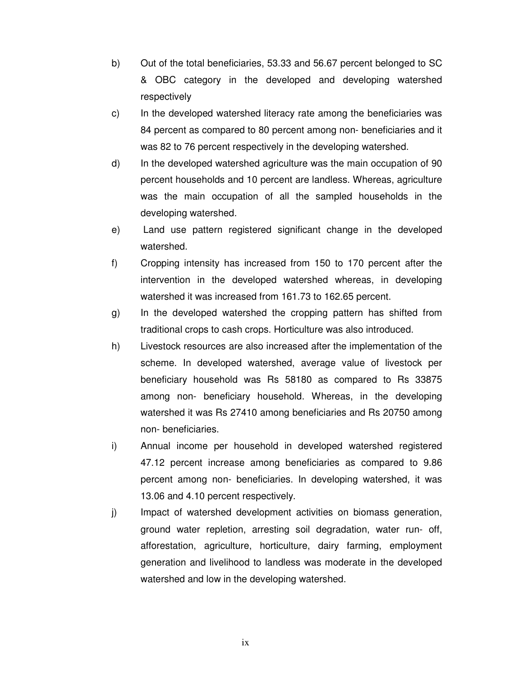- b) Out of the total beneficiaries, 53.33 and 56.67 percent belonged to SC & OBC category in the developed and developing watershed respectively
- c) In the developed watershed literacy rate among the beneficiaries was 84 percent as compared to 80 percent among non- beneficiaries and it was 82 to 76 percent respectively in the developing watershed.
- d) In the developed watershed agriculture was the main occupation of 90 percent households and 10 percent are landless. Whereas, agriculture was the main occupation of all the sampled households in the developing watershed.
- e) Land use pattern registered significant change in the developed watershed.
- f) Cropping intensity has increased from 150 to 170 percent after the intervention in the developed watershed whereas, in developing watershed it was increased from 161.73 to 162.65 percent.
- g) In the developed watershed the cropping pattern has shifted from traditional crops to cash crops. Horticulture was also introduced.
- h) Livestock resources are also increased after the implementation of the scheme. In developed watershed, average value of livestock per beneficiary household was Rs 58180 as compared to Rs 33875 among non- beneficiary household. Whereas, in the developing watershed it was Rs 27410 among beneficiaries and Rs 20750 among non- beneficiaries.
- i) Annual income per household in developed watershed registered 47.12 percent increase among beneficiaries as compared to 9.86 percent among non- beneficiaries. In developing watershed, it was 13.06 and 4.10 percent respectively.
- j) Impact of watershed development activities on biomass generation, ground water repletion, arresting soil degradation, water run- off, afforestation, agriculture, horticulture, dairy farming, employment generation and livelihood to landless was moderate in the developed watershed and low in the developing watershed.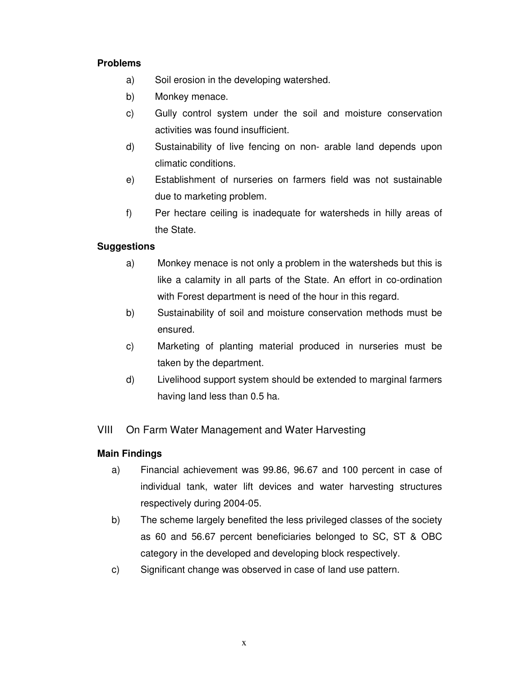- a) Soil erosion in the developing watershed.
- b) Monkey menace.
- c) Gully control system under the soil and moisture conservation activities was found insufficient.
- d) Sustainability of live fencing on non- arable land depends upon climatic conditions.
- e) Establishment of nurseries on farmers field was not sustainable due to marketing problem.
- f) Per hectare ceiling is inadequate for watersheds in hilly areas of the State.

#### **Suggestions**

- a) Monkey menace is not only a problem in the watersheds but this is like a calamity in all parts of the State. An effort in co-ordination with Forest department is need of the hour in this regard.
- b) Sustainability of soil and moisture conservation methods must be ensured.
- c) Marketing of planting material produced in nurseries must be taken by the department.
- d) Livelihood support system should be extended to marginal farmers having land less than 0.5 ha.

#### VIII On Farm Water Management and Water Harvesting

#### **Main Findings**

- a) Financial achievement was 99.86, 96.67 and 100 percent in case of individual tank, water lift devices and water harvesting structures respectively during 2004-05.
- b) The scheme largely benefited the less privileged classes of the society as 60 and 56.67 percent beneficiaries belonged to SC, ST & OBC category in the developed and developing block respectively.
- c) Significant change was observed in case of land use pattern.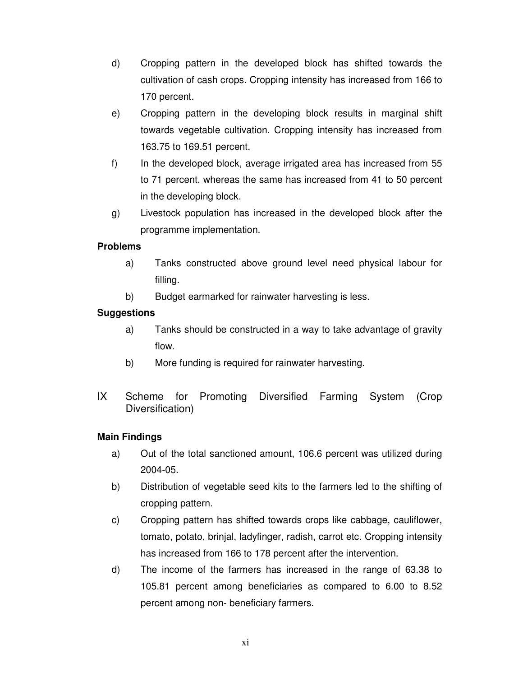- d) Cropping pattern in the developed block has shifted towards the cultivation of cash crops. Cropping intensity has increased from 166 to 170 percent.
- e) Cropping pattern in the developing block results in marginal shift towards vegetable cultivation. Cropping intensity has increased from 163.75 to 169.51 percent.
- f) In the developed block, average irrigated area has increased from 55 to 71 percent, whereas the same has increased from 41 to 50 percent in the developing block.
- g) Livestock population has increased in the developed block after the programme implementation.

- a) Tanks constructed above ground level need physical labour for filling.
- b) Budget earmarked for rainwater harvesting is less.

#### **Suggestions**

- a) Tanks should be constructed in a way to take advantage of gravity flow.
- b) More funding is required for rainwater harvesting.
- IX Scheme for Promoting Diversified Farming System (Crop Diversification)

#### **Main Findings**

- a) Out of the total sanctioned amount, 106.6 percent was utilized during 2004-05.
- b) Distribution of vegetable seed kits to the farmers led to the shifting of cropping pattern.
- c) Cropping pattern has shifted towards crops like cabbage, cauliflower, tomato, potato, brinjal, ladyfinger, radish, carrot etc. Cropping intensity has increased from 166 to 178 percent after the intervention.
- d) The income of the farmers has increased in the range of 63.38 to 105.81 percent among beneficiaries as compared to 6.00 to 8.52 percent among non- beneficiary farmers.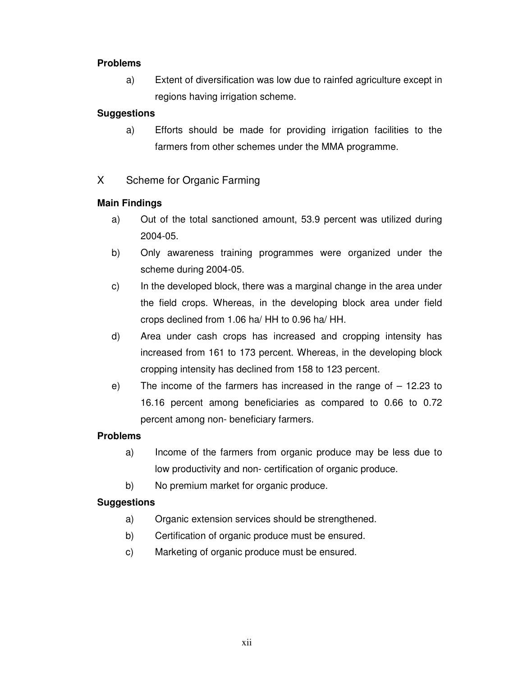a) Extent of diversification was low due to rainfed agriculture except in regions having irrigation scheme.

#### **Suggestions**

- a) Efforts should be made for providing irrigation facilities to the farmers from other schemes under the MMA programme.
- X Scheme for Organic Farming

#### **Main Findings**

- a) Out of the total sanctioned amount, 53.9 percent was utilized during 2004-05.
- b) Only awareness training programmes were organized under the scheme during 2004-05.
- c) In the developed block, there was a marginal change in the area under the field crops. Whereas, in the developing block area under field crops declined from 1.06 ha/ HH to 0.96 ha/ HH.
- d) Area under cash crops has increased and cropping intensity has increased from 161 to 173 percent. Whereas, in the developing block cropping intensity has declined from 158 to 123 percent.
- e) The income of the farmers has increased in the range of  $-12.23$  to 16.16 percent among beneficiaries as compared to 0.66 to 0.72 percent among non- beneficiary farmers.

#### **Problems**

- a) Income of the farmers from organic produce may be less due to low productivity and non- certification of organic produce.
- b) No premium market for organic produce.

#### **Suggestions**

- a) Organic extension services should be strengthened.
- b) Certification of organic produce must be ensured.
- c) Marketing of organic produce must be ensured.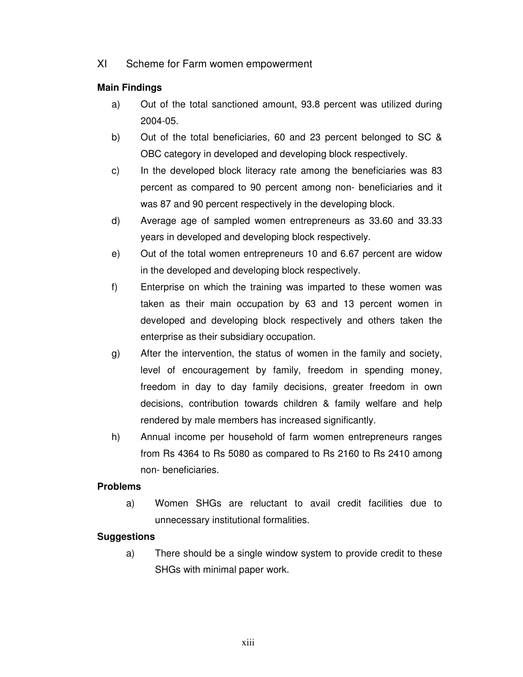XI Scheme for Farm women empowerment

#### **Main Findings**

- a) Out of the total sanctioned amount, 93.8 percent was utilized during 2004-05.
- b) Out of the total beneficiaries, 60 and 23 percent belonged to SC & OBC category in developed and developing block respectively.
- c) In the developed block literacy rate among the beneficiaries was 83 percent as compared to 90 percent among non- beneficiaries and it was 87 and 90 percent respectively in the developing block.
- d) Average age of sampled women entrepreneurs as 33.60 and 33.33 years in developed and developing block respectively.
- e) Out of the total women entrepreneurs 10 and 6.67 percent are widow in the developed and developing block respectively.
- f) Enterprise on which the training was imparted to these women was taken as their main occupation by 63 and 13 percent women in developed and developing block respectively and others taken the enterprise as their subsidiary occupation.
- g) After the intervention, the status of women in the family and society, level of encouragement by family, freedom in spending money, freedom in day to day family decisions, greater freedom in own decisions, contribution towards children & family welfare and help rendered by male members has increased significantly.
- h) Annual income per household of farm women entrepreneurs ranges from Rs 4364 to Rs 5080 as compared to Rs 2160 to Rs 2410 among non- beneficiaries.

#### **Problems**

a) Women SHGs are reluctant to avail credit facilities due to unnecessary institutional formalities.

#### **Suggestions**

a) There should be a single window system to provide credit to these SHGs with minimal paper work.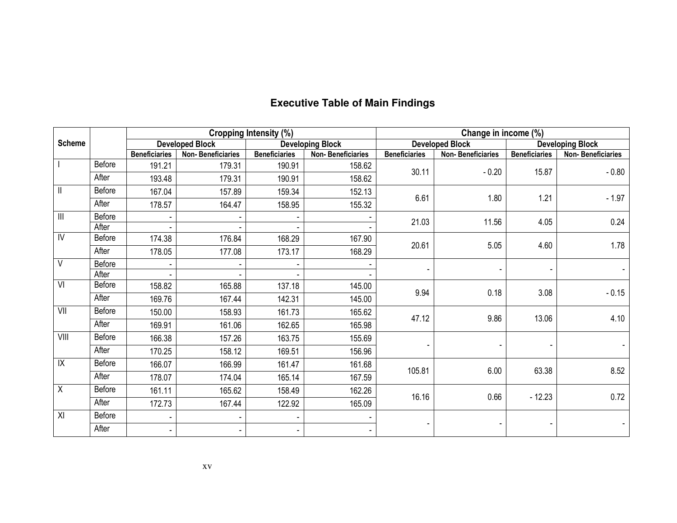|               |        |                      |                          | <b>Cropping Intensity (%)</b> |                          | Change in income (%) |                          |                      |                          |  |
|---------------|--------|----------------------|--------------------------|-------------------------------|--------------------------|----------------------|--------------------------|----------------------|--------------------------|--|
| <b>Scheme</b> |        |                      | <b>Developed Block</b>   |                               | <b>Developing Block</b>  |                      | <b>Developed Block</b>   |                      | <b>Developing Block</b>  |  |
|               |        | <b>Beneficiaries</b> | <b>Non-Beneficiaries</b> | <b>Beneficiaries</b>          | <b>Non-Beneficiaries</b> | <b>Beneficiaries</b> | <b>Non-Beneficiaries</b> | <b>Beneficiaries</b> | <b>Non-Beneficiaries</b> |  |
|               | Before | 191.21               | 179.31                   | 190.91                        | 158.62                   | 30.11                | $-0.20$                  | 15.87                | $-0.80$                  |  |
|               | After  | 193.48               | 179.31                   | 190.91                        | 158.62                   |                      |                          |                      |                          |  |
| $\mathbf{  }$ | Before | 167.04               | 157.89                   | 159.34                        | 152.13                   | 6.61                 | 1.80                     | 1.21                 |                          |  |
|               | After  | 178.57               | 164.47                   | 158.95                        | 155.32                   |                      |                          |                      | $-1.97$                  |  |
| $\  \cdot \ $ | Before |                      |                          |                               |                          | 21.03                | 11.56                    | 4.05                 | 0.24                     |  |
|               | After  |                      |                          |                               |                          |                      |                          |                      |                          |  |
| IV            | Before | 174.38               | 176.84                   | 168.29                        | 167.90                   | 20.61                | 5.05                     | 4.60                 | 1.78                     |  |
|               | After  | 178.05               | 177.08                   | 173.17                        | 168.29                   |                      |                          |                      |                          |  |
| V             | Before |                      |                          |                               |                          |                      |                          |                      |                          |  |
|               | After  |                      |                          |                               |                          |                      |                          |                      |                          |  |
| VI            | Before | 158.82               | 165.88                   | 137.18                        | 145.00                   | 9.94                 | 0.18                     | 3.08                 | $-0.15$                  |  |
|               | After  | 169.76               | 167.44                   | 142.31                        | 145.00                   |                      |                          |                      |                          |  |
| VII           | Before | 150.00               | 158.93                   | 161.73                        | 165.62                   | 47.12                | 9.86                     | 13.06                | 4.10                     |  |
|               | After  | 169.91               | 161.06                   | 162.65                        | 165.98                   |                      |                          |                      |                          |  |
| VIII          | Before | 166.38               | 157.26                   | 163.75                        | 155.69                   |                      |                          |                      |                          |  |
|               | After  | 170.25               | 158.12                   | 169.51                        | 156.96                   |                      |                          |                      |                          |  |
| X             | Before | 166.07               | 166.99                   | 161.47                        | 161.68                   |                      |                          |                      |                          |  |
|               | After  | 178.07               | 174.04                   | 165.14                        | 167.59                   | 105.81               | 6.00                     | 63.38                | 8.52                     |  |
| X             | Before | 161.11               | 165.62                   | 158.49                        | 162.26                   |                      |                          |                      |                          |  |
|               | After  | 172.73               | 167.44                   | 122.92                        | 165.09                   | 16.16                | 0.66                     | $-12.23$             | 0.72                     |  |
| XI            | Before |                      | ۰                        |                               |                          |                      |                          |                      |                          |  |
|               | After  |                      | $\blacksquare$           |                               |                          |                      |                          |                      |                          |  |

#### **Executive Table of Main Findings**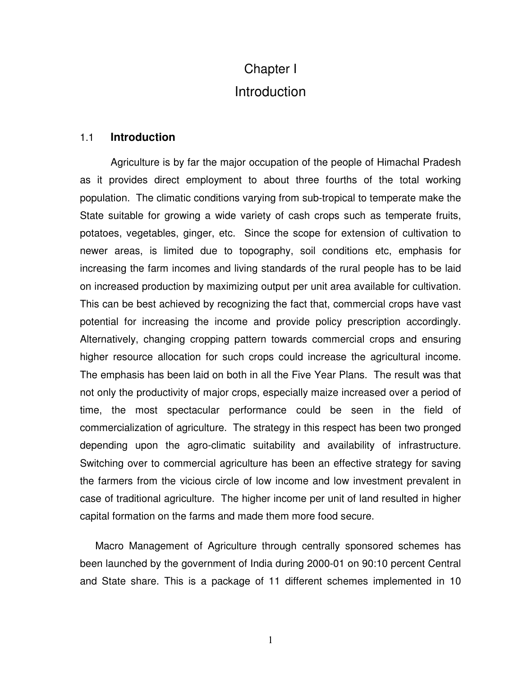# Chapter I **Introduction**

#### 1.1 **Introduction**

Agriculture is by far the major occupation of the people of Himachal Pradesh as it provides direct employment to about three fourths of the total working population. The climatic conditions varying from sub-tropical to temperate make the State suitable for growing a wide variety of cash crops such as temperate fruits, potatoes, vegetables, ginger, etc. Since the scope for extension of cultivation to newer areas, is limited due to topography, soil conditions etc, emphasis for increasing the farm incomes and living standards of the rural people has to be laid on increased production by maximizing output per unit area available for cultivation. This can be best achieved by recognizing the fact that, commercial crops have vast potential for increasing the income and provide policy prescription accordingly. Alternatively, changing cropping pattern towards commercial crops and ensuring higher resource allocation for such crops could increase the agricultural income. The emphasis has been laid on both in all the Five Year Plans. The result was that not only the productivity of major crops, especially maize increased over a period of time, the most spectacular performance could be seen in the field of commercialization of agriculture. The strategy in this respect has been two pronged depending upon the agro-climatic suitability and availability of infrastructure. Switching over to commercial agriculture has been an effective strategy for saving the farmers from the vicious circle of low income and low investment prevalent in case of traditional agriculture. The higher income per unit of land resulted in higher capital formation on the farms and made them more food secure.

Macro Management of Agriculture through centrally sponsored schemes has been launched by the government of India during 2000-01 on 90:10 percent Central and State share. This is a package of 11 different schemes implemented in 10

1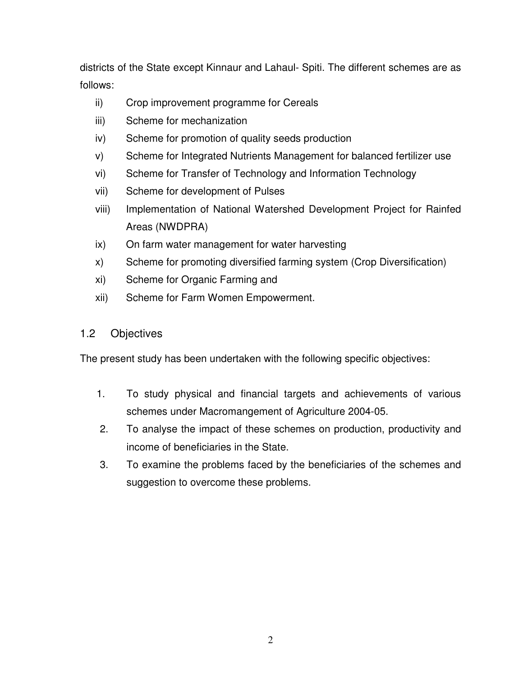districts of the State except Kinnaur and Lahaul- Spiti. The different schemes are as follows:

- ii) Crop improvement programme for Cereals
- iii) Scheme for mechanization
- iv) Scheme for promotion of quality seeds production
- v) Scheme for Integrated Nutrients Management for balanced fertilizer use
- vi) Scheme for Transfer of Technology and Information Technology
- vii) Scheme for development of Pulses
- viii) Implementation of National Watershed Development Project for Rainfed Areas (NWDPRA)
- ix) On farm water management for water harvesting
- x) Scheme for promoting diversified farming system (Crop Diversification)
- xi) Scheme for Organic Farming and
- xii) Scheme for Farm Women Empowerment.

### 1.2 Objectives

The present study has been undertaken with the following specific objectives:

- 1. To study physical and financial targets and achievements of various schemes under Macromangement of Agriculture 2004-05.
- 2. To analyse the impact of these schemes on production, productivity and income of beneficiaries in the State.
- 3. To examine the problems faced by the beneficiaries of the schemes and suggestion to overcome these problems.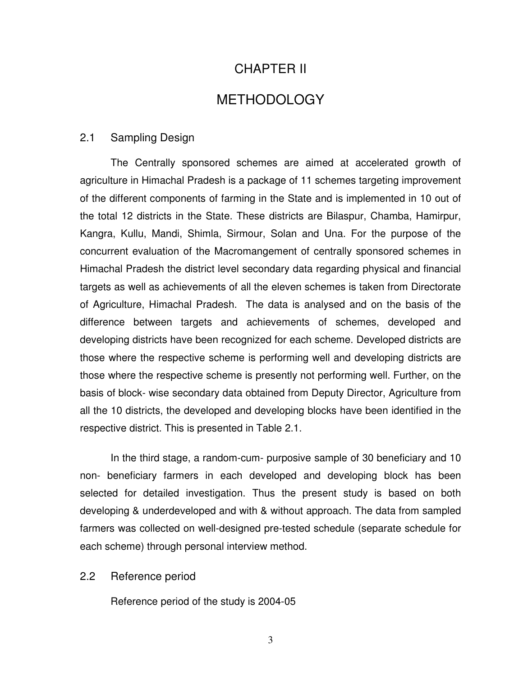### CHAPTER II

### METHODOLOGY

#### 2.1 Sampling Design

The Centrally sponsored schemes are aimed at accelerated growth of agriculture in Himachal Pradesh is a package of 11 schemes targeting improvement of the different components of farming in the State and is implemented in 10 out of the total 12 districts in the State. These districts are Bilaspur, Chamba, Hamirpur, Kangra, Kullu, Mandi, Shimla, Sirmour, Solan and Una. For the purpose of the concurrent evaluation of the Macromangement of centrally sponsored schemes in Himachal Pradesh the district level secondary data regarding physical and financial targets as well as achievements of all the eleven schemes is taken from Directorate of Agriculture, Himachal Pradesh. The data is analysed and on the basis of the difference between targets and achievements of schemes, developed and developing districts have been recognized for each scheme. Developed districts are those where the respective scheme is performing well and developing districts are those where the respective scheme is presently not performing well. Further, on the basis of block- wise secondary data obtained from Deputy Director, Agriculture from all the 10 districts, the developed and developing blocks have been identified in the respective district. This is presented in Table 2.1.

In the third stage, a random-cum- purposive sample of 30 beneficiary and 10 non- beneficiary farmers in each developed and developing block has been selected for detailed investigation. Thus the present study is based on both developing & underdeveloped and with & without approach. The data from sampled farmers was collected on well-designed pre-tested schedule (separate schedule for each scheme) through personal interview method.

#### 2.2 Reference period

Reference period of the study is 2004-05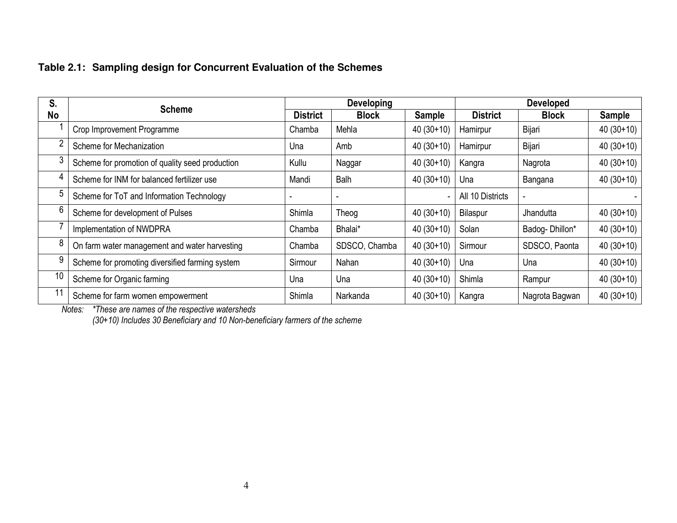### **Table 2.1: Sampling design for Concurrent Evaluation of the Schemes**

| S. | <b>Scheme</b>                                   |                 | <b>Developing</b> |             | <b>Developed</b> |                |               |
|----|-------------------------------------------------|-----------------|-------------------|-------------|------------------|----------------|---------------|
| No |                                                 | <b>District</b> | <b>Block</b>      | Sample      | <b>District</b>  | <b>Block</b>   | <b>Sample</b> |
|    | Crop Improvement Programme                      | Chamba          | Mehla             | $40(30+10)$ | Hamirpur         | Bijari         | $40(30+10)$   |
| ∩  | Scheme for Mechanization                        | Una             | Amb               | $40(30+10)$ | Hamirpur         | Bijari         | $40(30+10)$   |
|    | Scheme for promotion of quality seed production | Kullu           | Naggar            | $40(30+10)$ | Kangra           | Nagrota        | $40(30+10)$   |
|    | Scheme for INM for balanced fertilizer use      | Mandi           | Balh              | $40(30+10)$ | Una              | Bangana        | $40(30+10)$   |
| 5  | Scheme for ToT and Information Technology       |                 |                   |             | All 10 Districts |                |               |
| 6  | Scheme for development of Pulses                | Shimla          | Theog             | $40(30+10)$ | Bilaspur         | Jhandutta      | $40(30+10)$   |
|    | Implementation of NWDPRA                        | Chamba          | Bhalai*           | $40(30+10)$ | Solan            | Badog-Dhillon* | $40(30+10)$   |
| 8  | On farm water management and water harvesting   | Chamba          | SDSCO, Chamba     | $40(30+10)$ | Sirmour          | SDSCO, Paonta  | $40(30+10)$   |
| 9  | Scheme for promoting diversified farming system | Sirmour         | Nahan             | $40(30+10)$ | Una              | Una            | $40(30+10)$   |
| 10 | Scheme for Organic farming                      | Una             | Una               | $40(30+10)$ | Shimla           | Rampur         | $40(30+10)$   |
| 11 | Scheme for farm women empowerment               | Shimla          | Narkanda          | $40(30+10)$ | Kangra           | Nagrota Bagwan | $40(30+10)$   |

*Notes: \*These are names of the respective watersheds (30+10) Includes 30 Beneficiary and 10 Non-beneficiary farmers of the scheme*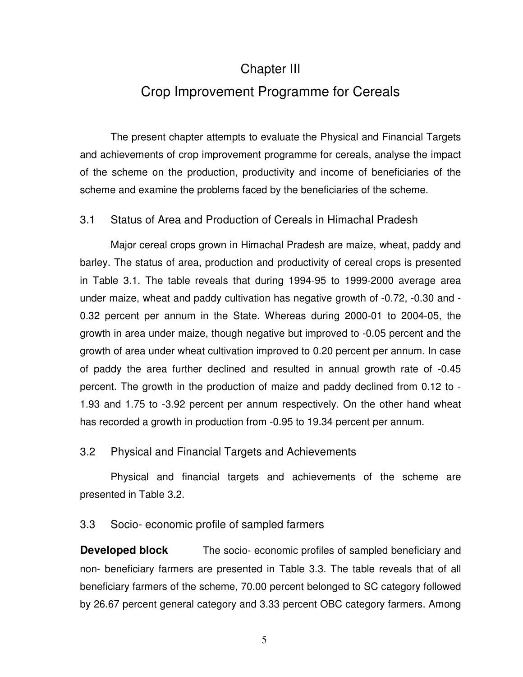### Chapter III

## Crop Improvement Programme for Cereals

The present chapter attempts to evaluate the Physical and Financial Targets and achievements of crop improvement programme for cereals, analyse the impact of the scheme on the production, productivity and income of beneficiaries of the scheme and examine the problems faced by the beneficiaries of the scheme.

#### 3.1 Status of Area and Production of Cereals in Himachal Pradesh

Major cereal crops grown in Himachal Pradesh are maize, wheat, paddy and barley. The status of area, production and productivity of cereal crops is presented in Table 3.1. The table reveals that during 1994-95 to 1999-2000 average area under maize, wheat and paddy cultivation has negative growth of -0.72, -0.30 and - 0.32 percent per annum in the State. Whereas during 2000-01 to 2004-05, the growth in area under maize, though negative but improved to -0.05 percent and the growth of area under wheat cultivation improved to 0.20 percent per annum. In case of paddy the area further declined and resulted in annual growth rate of -0.45 percent. The growth in the production of maize and paddy declined from 0.12 to - 1.93 and 1.75 to -3.92 percent per annum respectively. On the other hand wheat has recorded a growth in production from -0.95 to 19.34 percent per annum.

#### 3.2 Physical and Financial Targets and Achievements

Physical and financial targets and achievements of the scheme are presented in Table 3.2.

#### 3.3 Socio- economic profile of sampled farmers

**Developed block** The socio- economic profiles of sampled beneficiary and non- beneficiary farmers are presented in Table 3.3. The table reveals that of all beneficiary farmers of the scheme, 70.00 percent belonged to SC category followed by 26.67 percent general category and 3.33 percent OBC category farmers. Among

5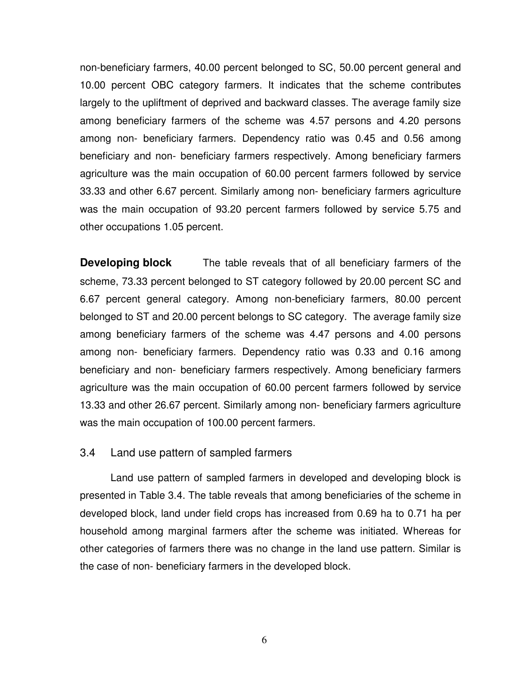non-beneficiary farmers, 40.00 percent belonged to SC, 50.00 percent general and 10.00 percent OBC category farmers. It indicates that the scheme contributes largely to the upliftment of deprived and backward classes. The average family size among beneficiary farmers of the scheme was 4.57 persons and 4.20 persons among non- beneficiary farmers. Dependency ratio was 0.45 and 0.56 among beneficiary and non- beneficiary farmers respectively. Among beneficiary farmers agriculture was the main occupation of 60.00 percent farmers followed by service 33.33 and other 6.67 percent. Similarly among non- beneficiary farmers agriculture was the main occupation of 93.20 percent farmers followed by service 5.75 and other occupations 1.05 percent.

**Developing block** The table reveals that of all beneficiary farmers of the scheme, 73.33 percent belonged to ST category followed by 20.00 percent SC and 6.67 percent general category. Among non-beneficiary farmers, 80.00 percent belonged to ST and 20.00 percent belongs to SC category. The average family size among beneficiary farmers of the scheme was 4.47 persons and 4.00 persons among non- beneficiary farmers. Dependency ratio was 0.33 and 0.16 among beneficiary and non- beneficiary farmers respectively. Among beneficiary farmers agriculture was the main occupation of 60.00 percent farmers followed by service 13.33 and other 26.67 percent. Similarly among non- beneficiary farmers agriculture was the main occupation of 100.00 percent farmers.

#### 3.4 Land use pattern of sampled farmers

Land use pattern of sampled farmers in developed and developing block is presented in Table 3.4. The table reveals that among beneficiaries of the scheme in developed block, land under field crops has increased from 0.69 ha to 0.71 ha per household among marginal farmers after the scheme was initiated. Whereas for other categories of farmers there was no change in the land use pattern. Similar is the case of non- beneficiary farmers in the developed block.

6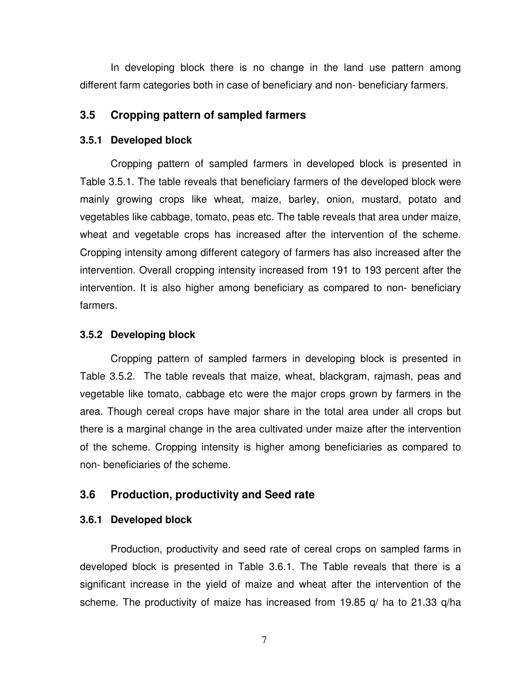In developing block there is no change in the land use pattern among different farm categories both in case of beneficiary and non- beneficiary farmers.

#### **3.5 Cropping pattern of sampled farmers**

#### **3.5.1 Developed block**

 Cropping pattern of sampled farmers in developed block is presented in Table 3.5.1. The table reveals that beneficiary farmers of the developed block were mainly growing crops like wheat, maize, barley, onion, mustard, potato and vegetables like cabbage, tomato, peas etc. The table reveals that area under maize, wheat and vegetable crops has increased after the intervention of the scheme. Cropping intensity among different category of farmers has also increased after the intervention. Overall cropping intensity increased from 191 to 193 percent after the intervention. It is also higher among beneficiary as compared to non- beneficiary farmers.

#### **3.5.2 Developing block**

Cropping pattern of sampled farmers in developing block is presented in Table 3.5.2. The table reveals that maize, wheat, blackgram, rajmash, peas and vegetable like tomato, cabbage etc were the major crops grown by farmers in the area. Though cereal crops have major share in the total area under all crops but there is a marginal change in the area cultivated under maize after the intervention of the scheme. Cropping intensity is higher among beneficiaries as compared to non- beneficiaries of the scheme.

#### **3.6 Production, productivity and Seed rate**

#### **3.6.1 Developed block**

Production, productivity and seed rate of cereal crops on sampled farms in developed block is presented in Table 3.6.1. The Table reveals that there is a significant increase in the yield of maize and wheat after the intervention of the scheme. The productivity of maize has increased from 19.85 q/ ha to 21.33 q/ha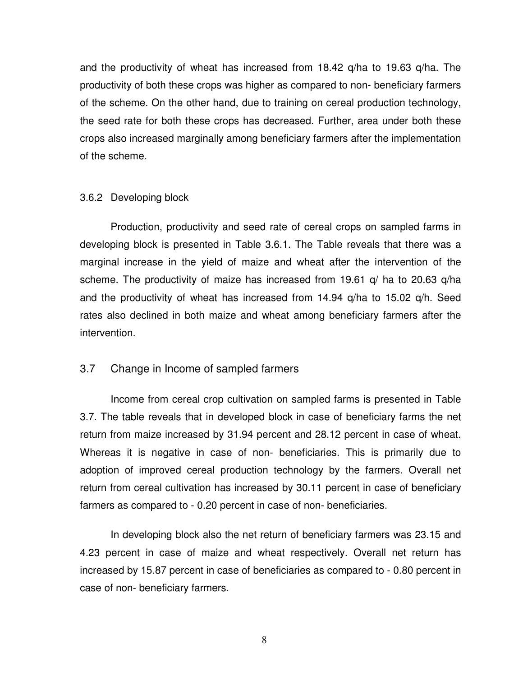and the productivity of wheat has increased from 18.42 q/ha to 19.63 q/ha. The productivity of both these crops was higher as compared to non- beneficiary farmers of the scheme. On the other hand, due to training on cereal production technology, the seed rate for both these crops has decreased. Further, area under both these crops also increased marginally among beneficiary farmers after the implementation of the scheme.

#### 3.6.2 Developing block

 Production, productivity and seed rate of cereal crops on sampled farms in developing block is presented in Table 3.6.1. The Table reveals that there was a marginal increase in the yield of maize and wheat after the intervention of the scheme. The productivity of maize has increased from 19.61 q/ ha to 20.63 q/ha and the productivity of wheat has increased from 14.94 q/ha to 15.02 q/h. Seed rates also declined in both maize and wheat among beneficiary farmers after the intervention.

#### 3.7 Change in Income of sampled farmers

Income from cereal crop cultivation on sampled farms is presented in Table 3.7. The table reveals that in developed block in case of beneficiary farms the net return from maize increased by 31.94 percent and 28.12 percent in case of wheat. Whereas it is negative in case of non- beneficiaries. This is primarily due to adoption of improved cereal production technology by the farmers. Overall net return from cereal cultivation has increased by 30.11 percent in case of beneficiary farmers as compared to - 0.20 percent in case of non- beneficiaries.

In developing block also the net return of beneficiary farmers was 23.15 and 4.23 percent in case of maize and wheat respectively. Overall net return has increased by 15.87 percent in case of beneficiaries as compared to - 0.80 percent in case of non- beneficiary farmers.

8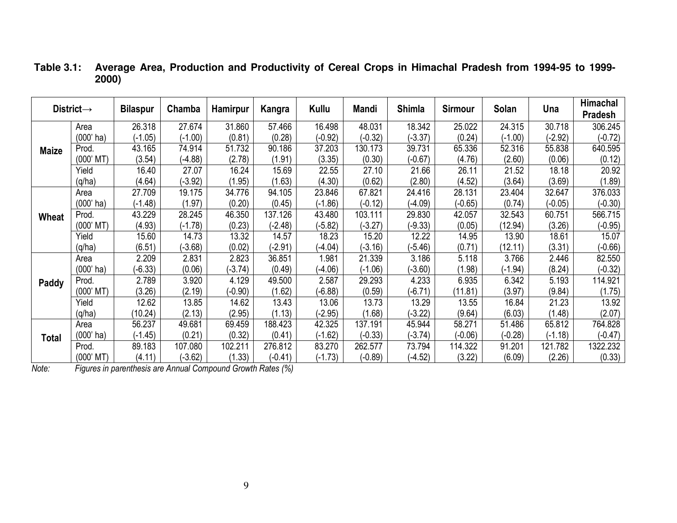|              | District $\rightarrow$ | <b>Bilaspur</b> | Chamba    | <b>Hamirpur</b> | Kangra    | Kullu     | Mandi     | <b>Shimla</b> | <b>Sirmour</b> | Solan     | Una       | Himachal<br><b>Pradesh</b> |
|--------------|------------------------|-----------------|-----------|-----------------|-----------|-----------|-----------|---------------|----------------|-----------|-----------|----------------------------|
|              | Area                   | 26.318          | 27.674    | 31.860          | 57.466    | 16.498    | 48.031    | 18.342        | 25.022         | 24.315    | 30.718    | 306.245                    |
|              | $(000'$ ha)            | $(-1.05)$       | $(-1.00)$ | (0.81)          | (0.28)    | $(-0.92)$ | $(-0.32)$ | $-3.37$       | (0.24)         | $(-1.00)$ | $(-2.92)$ | $(-0.72)$                  |
| <b>Maize</b> | Prod.                  | 43.165          | 74.914    | 51.732          | 90.186    | 37.203    | 130.173   | 39.731        | 65.336         | 52.316    | 55.838    | 640.595                    |
|              | $(000'$ MT)            | (3.54)          | $(-4.88)$ | (2.78)          | (1.91)    | (3.35)    | (0.30)    | $(-0.67)$     | (4.76)         | (2.60)    | (0.06)    | (0.12)                     |
|              | Yield                  | 16.40           | 27.07     | 16.24           | 15.69     | 22.55     | 27.10     | 21.66         | 26.11          | 21.52     | 18.18     | 20.92                      |
|              | (q/ha)                 | (4.64)          | $-3.92$   | (1.95)          | (1.63)    | (4.30)    | (0.62)    | (2.80)        | (4.52)         | (3.64)    | (3.69)    | (1.89)                     |
|              | Area                   | 27.709          | 19.175    | 34.776          | 94.105    | 23.846    | 67.821    | 24.416        | 28.131         | 23.404    | 32.647    | 376.033                    |
| Wheat        | $(000'$ ha)            | $(-1.48)$       | (1.97)    | (0.20)          | (0.45)    | $(-1.86)$ | $(-0.12)$ | $(-4.09)$     | $(-0.65)$      | (0.74)    | $(-0.05)$ | $(-0.30)$                  |
|              | Prod.                  | 43.229          | 28.245    | 46.350          | 137.126   | 43.480    | 103.111   | 29.830        | 42.057         | 32.543    | 60.751    | 566.715                    |
|              | $(000'$ MT $)$         | (4.93)          | $(-1.78)$ | (0.23)          | $(-2.48)$ | $-5.82$   | $-3.27$   | $-9.33$       | (0.05)         | (12.94)   | (3.26)    | $(-0.95)$                  |
|              | Yield                  | 15.60           | 14.73     | 13.32           | 14.57     | 18.23     | 15.20     | 12.22         | 14.95          | 13.90     | 18.61     | 15.07                      |
|              | (q/ha)                 | (6.51)          | $(-3.68)$ | (0.02)          | $-2.91)$  | $(-4.04)$ | $-3.16$   | $-5.46$       | (0.71)         | (12.11)   | (3.31)    | $(-0.66)$                  |
|              | Area                   | 2.209           | 2.831     | 2.823           | 36.851    | .981      | 21.339    | 3.186         | 5.118          | 3.766     | 2.446     | 82.550                     |
|              | $(000'$ ha)            | $(-6.33)$       | (0.06)    | $(-3.74)$       | (0.49)    | $(-4.06)$ | $(-1.06)$ | $-3.60$ )     | (1.98)         | $(-1.94)$ | (8.24)    | $(-0.32)$                  |
| Paddy        | Prod.                  | 2.789           | 3.920     | 4.129           | 49.500    | 2.587     | 29.293    | 4.233         | 6.935          | 6.342     | 5.193     | 114.921                    |
|              | $(000'$ MT)            | (3.26)          | (2.19)    | $(-0.90)$       | (1.62)    | $(-6.88)$ | (0.59)    | $(-6.71)$     | (11.81)        | (3.97)    | (9.84)    | (1.75)                     |
|              | Yield                  | 12.62           | 13.85     | 14.62           | 13.43     | 13.06     | 13.73     | 13.29         | 13.55          | 16.84     | 21.23     | 13.92                      |
|              | (q/ha)                 | (10.24)         | (2.13)    | (2.95)          | (1.13)    | $-2.95)$  | (1.68)    | $-3.22$       | (9.64)         | (6.03)    | (1.48)    | (2.07)                     |
|              | Area                   | 56.237          | 49.681    | 69.459          | 188.423   | 42.325    | 137.191   | 45.944        | 58.271         | 51.486    | 65.812    | 764.828                    |
| Total        | $(000'$ ha)            | $(-1.45)$       | (0.21)    | (0.32)          | (0.41)    | $(-1.62)$ | $(-0.33)$ | $-3.74)$      | $(-0.06)$      | $(-0.28)$ | $(-1.18)$ | $(-0.47)$                  |
|              | Prod.                  | 89.183          | 107.080   | 102.211         | 276.812   | 83.270    | 262.577   | 73.794        | 114.322        | 91.201    | 121.782   | 1322.232                   |
|              | $(000'$ MT $)$         | (4.11)          | $(-3.62)$ | (1.33)          | $(-0.41)$ | $(-1.73)$ | $(-0.89)$ | $(-4.52)$     | (3.22)         | (6.09)    | (2.26)    | (0.33)                     |

#### **Table 3.1: Average Area, Production and Productivity of Cereal Crops in Himachal Pradesh from 1994-95 to 1999- 2000)**

(000' MT) (4.11) (-3.62) (1.33) (-0.41) *Note: Figures in parenthesis are Annual Compound Growth Rates (%)*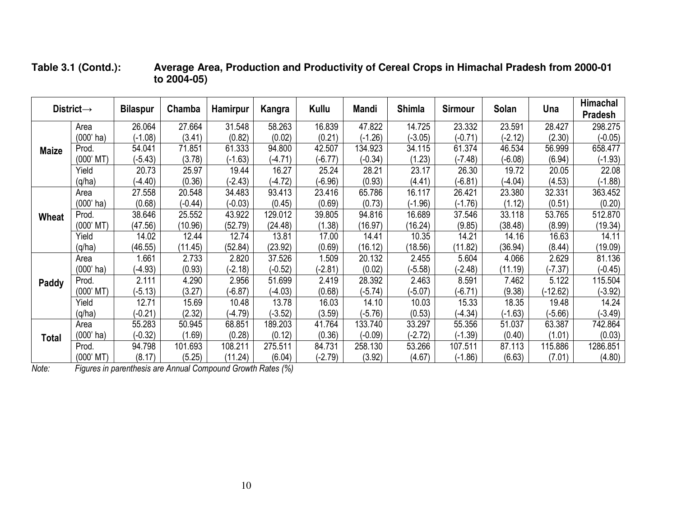|              | District $\rightarrow$ | <b>Bilaspur</b> | Chamba    | Hamirpur  | Kangra    | Kullu     | Mandi     | <b>Shimla</b> | <b>Sirmour</b> | Solan     | Una        | Himachal<br>Pradesh |
|--------------|------------------------|-----------------|-----------|-----------|-----------|-----------|-----------|---------------|----------------|-----------|------------|---------------------|
|              | Area                   | 26.064          | 27.664    | 31.548    | 58.263    | 16.839    | 47.822    | 14.725        | 23.332         | 23.591    | 28.427     | 298.275             |
|              | $(000'$ ha)            | $(-1.08)$       | (3.41)    | (0.82)    | (0.02)    | (0.21)    | $-1.26$   | $-3.05$ )     | $(-0.71)$      | $(-2.12)$ | (2.30)     | $(-0.05)$           |
| <b>Maize</b> | Prod.                  | 54.041          | 71.851    | 61.333    | 94.800    | 42.507    | 134.923   | 34.115        | 61.374         | 46.534    | 56.999     | 658.477             |
|              | $(000'$ MT $)$         | $(-5.43)$       | (3.78)    | $(-1.63)$ | $(-4.71)$ | $(-6.77)$ | $(-0.34)$ | (1.23)        | $(-7.48)$      | $(-6.08)$ | (6.94)     | $(-1.93)$           |
|              | Yield                  | 20.73           | 25.97     | 19.44     | 16.27     | 25.24     | 28.21     | 23.17         | 26.30          | 19.72     | 20.05      | 22.08               |
|              | (q/ha)                 | $-4.40$         | (0.36)    | $(-2.43)$ | $(-4.72)$ | $(-6.96)$ | (0.93)    | (4.41)        | $(-6.81)$      | $-4.04)$  | (4.53)     | $(-1.88)$           |
|              | Area                   | 27.558          | 20.548    | 34.483    | 93.413    | 23.416    | 65.786    | 16.117        | 26.421         | 23.380    | 32.331     | 363.452             |
| Wheat        | $(000'$ ha)            | (0.68)          | $(-0.44)$ | $(-0.03)$ | (0.45)    | (0.69)    | (0.73)    | $(-1.96)$     | $(-1.76)$      | (1.12)    | (0.51)     | (0.20)              |
|              | Prod.                  | 38.646          | 25.552    | 43.922    | 129.012   | 39.805    | 94.816    | 16.689        | 37.546         | 33.118    | 53.765     | 512.870             |
|              | $(000'$ MT $)$         | (47.56)         | (10.96)   | (52.79)   | (24.48)   | (1.38)    | (16.97)   | (16.24)       | (9.85)         | (38.48)   | (8.99)     | (19.34)             |
|              | Yield                  | 14.02           | 12.44     | 12.74     | 13.81     | 17.00     | 14.41     | 10.35         | 14.21          | 14.16     | 16.63      | 14.11               |
|              | (q/ha)                 | (46.55)         | (11.45)   | (52.84)   | (23.92)   | (0.69)    | (16.12)   | (18.56)       | (11.82)        | (36.94)   | (8.44)     | (19.09)             |
|              | Area                   | 1.661           | 2.733     | 2.820     | 37.526    | 1.509     | 20.132    | 2.455         | 5.604          | 4.066     | 2.629      | 81.136              |
|              | $(000'$ ha)            | $(-4.93)$       | (0.93)    | $(-2.18)$ | $(-0.52)$ | $(-2.81)$ | (0.02)    | $-5.58)$      | $(-2.48)$      | (11.19)   | $(-7.37)$  | $(-0.45)$           |
| Paddy        | Prod.                  | 2.111           | 4.290     | 2.956     | 51.699    | 2.419     | 28.392    | 2.463         | 8.591          | 7.462     | 5.122      | 115.504             |
|              | $(000'$ MT $)$         | $(-5.13)$       | (3.27)    | $(-6.87)$ | $(-4.03)$ | (0.68)    | $-5.74)$  | $-5.07$ )     | $(-6.71)$      | (9.38)    | $(-12.62)$ | $-3.92$             |
|              | Yield                  | 12.71           | 15.69     | 10.48     | 13.78     | 16.03     | 14.10     | 10.03         | 15.33          | 18.35     | 19.48      | 14.24               |
|              | (q/ha)                 | $(-0.21)$       | (2.32)    | $(-4.79)$ | $(-3.52)$ | (3.59)    | $-5.76$   | (0.53)        | $(-4.34)$      | $(-1.63)$ | $(-5.66)$  | $(-3.49)$           |
|              | Area                   | 55.283          | 50.945    | 68.851    | 189.203   | 41.764    | 133.740   | 33.297        | 55.356         | 51.037    | 63.387     | 742.864             |
| <b>Total</b> | $(000'$ ha)            | $(-0.32)$       | (1.69)    | (0.28)    | (0.12)    | (0.36)    | $(-0.09)$ | $(-2.72)$     | $(-1.39)$      | (0.40)    | (1.01)     | (0.03)              |
|              | Prod.                  | 94.798          | 101.693   | 108.211   | 275.511   | 84.731    | 258.130   | 53.266        | 107.511        | 87.113    | 115.886    | 1286.851            |
|              | $(000'$ MT $)$         | (8.17)          | (5.25)    | (11.24)   | (6.04)    | $(-2.79)$ | (3.92)    | (4.67)        | $(-1.86)$      | (6.63)    | (7.01)     | (4.80)              |

**Table 3.1 (Contd.): Average Area, Production and Productivity of Cereal Crops in Himachal Pradesh from 2000-01 to 2004-05)** 

(000' MT) (8.17) (5.25) (11.24) (6.04) *Note: Figures in parenthesis are Annual Compound Growth Rates (%)*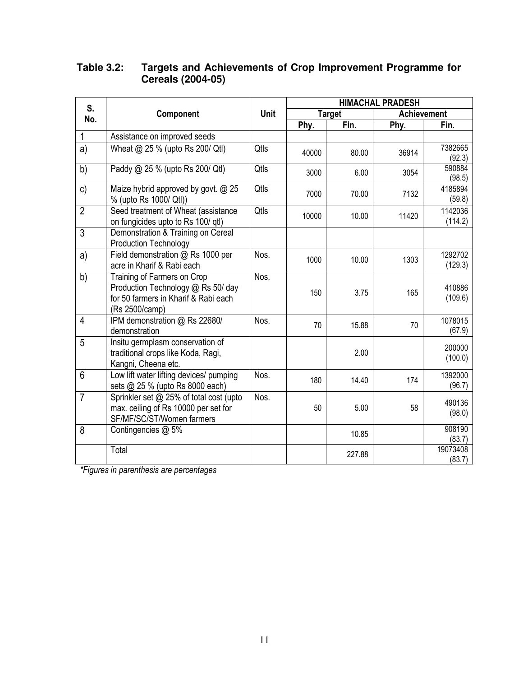| Table 3.2: | Targets and Achievements of Crop Improvement Programme for |
|------------|------------------------------------------------------------|
|            | <b>Cereals (2004-05)</b>                                   |

| S.             |                                                                                                                             |      | <b>HIMACHAL PRADESH</b> |               |                    |                    |  |
|----------------|-----------------------------------------------------------------------------------------------------------------------------|------|-------------------------|---------------|--------------------|--------------------|--|
| No.            | Component                                                                                                                   | Unit |                         | <b>Target</b> | <b>Achievement</b> |                    |  |
|                |                                                                                                                             |      | Phy.                    | Fin.          | Phy.               | Fin.               |  |
| 1              | Assistance on improved seeds                                                                                                |      |                         |               |                    |                    |  |
| a)             | Wheat @ 25 % (upto Rs 200/ Qtl)                                                                                             | Qtls | 40000                   | 80.00         | 36914              | 7382665<br>(92.3)  |  |
| b)             | Paddy @ 25 % (upto Rs 200/ Qtl)                                                                                             | Qtls | 3000                    | 6.00          | 3054               | 590884<br>(98.5)   |  |
| c)             | Maize hybrid approved by govt. @ 25<br>% (upto Rs 1000/ Qtl))                                                               | Qtls | 7000                    | 70.00         | 7132               | 4185894<br>(59.8)  |  |
| $\overline{2}$ | Seed treatment of Wheat (assistance<br>on fungicides upto to Rs 100/ qtl)                                                   | Qtls | 10000                   | 10.00         | 11420              | 1142036<br>(114.2) |  |
| 3              | Demonstration & Training on Cereal<br><b>Production Technology</b>                                                          |      |                         |               |                    |                    |  |
| a)             | Field demonstration @ Rs 1000 per<br>acre in Kharif & Rabi each                                                             | Nos. | 1000                    | 10.00         | 1303               | 1292702<br>(129.3) |  |
| b)             | Training of Farmers on Crop<br>Production Technology @ Rs 50/ day<br>for 50 farmers in Kharif & Rabi each<br>(Rs 2500/camp) | Nos. | 150                     | 3.75          | 165                | 410886<br>(109.6)  |  |
| 4              | IPM demonstration @ Rs 22680/<br>demonstration                                                                              | Nos. | 70                      | 15.88         | 70                 | 1078015<br>(67.9)  |  |
| 5              | Insitu germplasm conservation of<br>traditional crops like Koda, Ragi,<br>Kangni, Cheena etc.                               |      |                         | 2.00          |                    | 200000<br>(100.0)  |  |
| 6              | Low lift water lifting devices/ pumping<br>sets @ 25 % (upto Rs 8000 each)                                                  | Nos. | 180                     | 14.40         | 174                | 1392000<br>(96.7)  |  |
| $\overline{7}$ | Sprinkler set @ 25% of total cost (upto<br>max. ceiling of Rs 10000 per set for<br>SF/MF/SC/ST/Women farmers                | Nos. | 50                      | 5.00          | 58                 | 490136<br>(98.0)   |  |
| 8              | Contingencies @ 5%                                                                                                          |      |                         | 10.85         |                    | 908190<br>(83.7)   |  |
|                | Total                                                                                                                       |      |                         | 227.88        |                    | 19073408<br>(83.7) |  |

*\*Figures in parenthesis are percentages*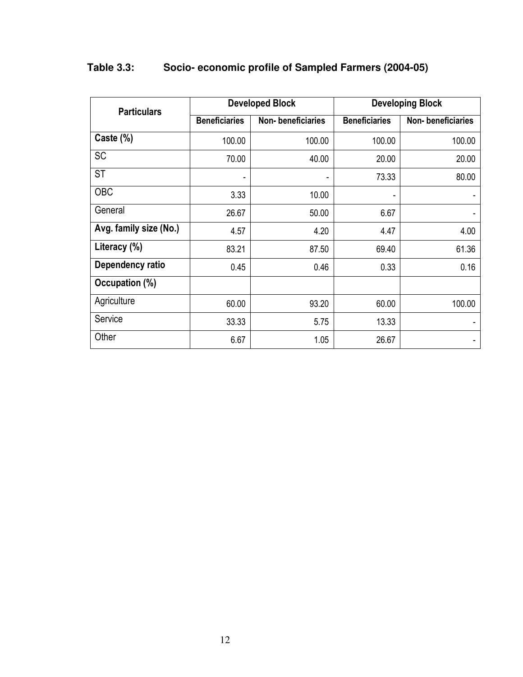| <b>Particulars</b>     |                      | <b>Developed Block</b> | <b>Developing Block</b> |                   |  |
|------------------------|----------------------|------------------------|-------------------------|-------------------|--|
|                        | <b>Beneficiaries</b> | Non-beneficiaries      | <b>Beneficiaries</b>    | Non-beneficiaries |  |
| Caste (%)              | 100.00               | 100.00                 | 100.00                  | 100.00            |  |
| <b>SC</b>              | 70.00                | 40.00                  | 20.00                   | 20.00             |  |
| <b>ST</b>              | ٠                    | ۰                      | 73.33                   | 80.00             |  |
| <b>OBC</b>             | 3.33                 | 10.00                  | ۰                       |                   |  |
| General                | 26.67                | 50.00                  | 6.67                    |                   |  |
| Avg. family size (No.) | 4.57                 | 4.20                   | 4.47                    | 4.00              |  |
| Literacy (%)           | 83.21                | 87.50                  | 69.40                   | 61.36             |  |
| Dependency ratio       | 0.45                 | 0.46                   | 0.33                    | 0.16              |  |
| Occupation (%)         |                      |                        |                         |                   |  |
| Agriculture            | 60.00                | 93.20                  | 60.00                   | 100.00            |  |
| Service                | 33.33                | 5.75                   | 13.33                   |                   |  |
| Other                  | 6.67                 | 1.05                   | 26.67                   |                   |  |

## **Table 3.3: Socio- economic profile of Sampled Farmers (2004-05)**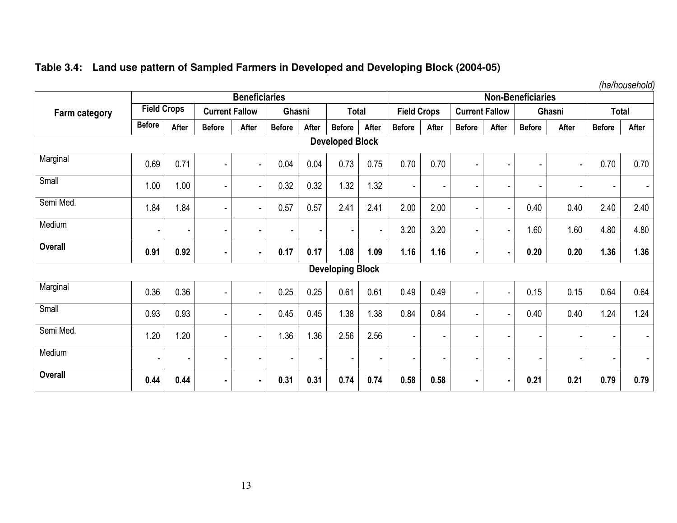|  |  |  |  | Table 3.4: Land use pattern of Sampled Farmers in Developed and Developing Block (2004-05) |
|--|--|--|--|--------------------------------------------------------------------------------------------|
|--|--|--|--|--------------------------------------------------------------------------------------------|

*(ha/household)* 

|                        | <b>Beneficiaries</b> |                          |                       |                |               |                          |                          | <b>Non-Beneficiaries</b> |                    |       |                          |                |               |                |                          |                          |
|------------------------|----------------------|--------------------------|-----------------------|----------------|---------------|--------------------------|--------------------------|--------------------------|--------------------|-------|--------------------------|----------------|---------------|----------------|--------------------------|--------------------------|
| <b>Farm category</b>   | <b>Field Crops</b>   |                          | <b>Current Fallow</b> |                |               | Ghasni                   |                          | <b>Total</b>             | <b>Field Crops</b> |       | <b>Current Fallow</b>    |                | Ghasni        |                | <b>Total</b>             |                          |
|                        | <b>Before</b>        | After                    | <b>Before</b>         | After          | <b>Before</b> | After                    | <b>Before</b>            | After                    | <b>Before</b>      | After | <b>Before</b>            | After          | <b>Before</b> | After          | <b>Before</b>            | After                    |
| <b>Developed Block</b> |                      |                          |                       |                |               |                          |                          |                          |                    |       |                          |                |               |                |                          |                          |
| Marginal               | 0.69                 | 0.71                     | $\blacksquare$        |                | 0.04          | 0.04                     | 0.73                     | 0.75                     | 0.70               | 0.70  | $\blacksquare$           |                |               | $\blacksquare$ | 0.70                     | 0.70                     |
| Small                  | 1.00                 | 1.00                     |                       |                | 0.32          | 0.32                     | 1.32                     | 1.32                     |                    |       | $\blacksquare$           |                |               | ٠              |                          |                          |
| Semi Med.              | 1.84                 | .84                      | $\blacksquare$        | ٠              | 0.57          | 0.57                     | 2.41                     | 2.41                     | 2.00               | 2.00  | $\overline{\phantom{a}}$ |                | 0.40          | 0.40           | 2.40                     | 2.40                     |
| Medium                 | ٠                    |                          |                       |                |               | $\overline{\phantom{a}}$ | $\overline{\phantom{a}}$ |                          | 3.20               | 3.20  | $\overline{\phantom{a}}$ |                | 1.60          | 1.60           | 4.80                     | 4.80                     |
| <b>Overall</b>         | 0.91                 | 0.92                     | $\blacksquare$        | ٠              | 0.17          | 0.17                     | 1.08                     | 1.09                     | 1.16               | 1.16  | $\blacksquare$           | $\blacksquare$ | 0.20          | 0.20           | 1.36                     | 1.36                     |
|                        |                      |                          |                       |                |               |                          | <b>Developing Block</b>  |                          |                    |       |                          |                |               |                |                          |                          |
| Marginal               | 0.36                 | 0.36                     | $\blacksquare$        | ۰              | 0.25          | 0.25                     | 0.61                     | 0.61                     | 0.49               | 0.49  | $\overline{\phantom{a}}$ |                | 0.15          | 0.15           | 0.64                     | 0.64                     |
| Small                  | 0.93                 | 0.93                     |                       |                | 0.45          | 0.45                     | 1.38                     | 1.38                     | 0.84               | 0.84  | $\blacksquare$           |                | 0.40          | 0.40           | 1.24                     | 1.24                     |
| Semi Med.              | 1.20                 | .20                      | $\blacksquare$        | ٠              | 1.36          | 1.36                     | 2.56                     | 2.56                     |                    | ۰     | $\overline{\phantom{a}}$ |                |               | ٠              | $\overline{\phantom{a}}$ | $\overline{\phantom{a}}$ |
| Medium                 | ٠                    | $\overline{\phantom{a}}$ |                       |                |               | $\blacksquare$           | $\overline{\phantom{a}}$ | $\sim$                   |                    | ٠     | $\overline{\phantom{a}}$ |                |               | ٠              |                          | $\overline{\phantom{a}}$ |
| <b>Overall</b>         | 0.44                 | 0.44                     | $\blacksquare$        | $\blacksquare$ | 0.31          | 0.31                     | 0.74                     | 0.74                     | 0.58               | 0.58  | $\blacksquare$           | ۰.             | 0.21          | 0.21           | 0.79                     | 0.79                     |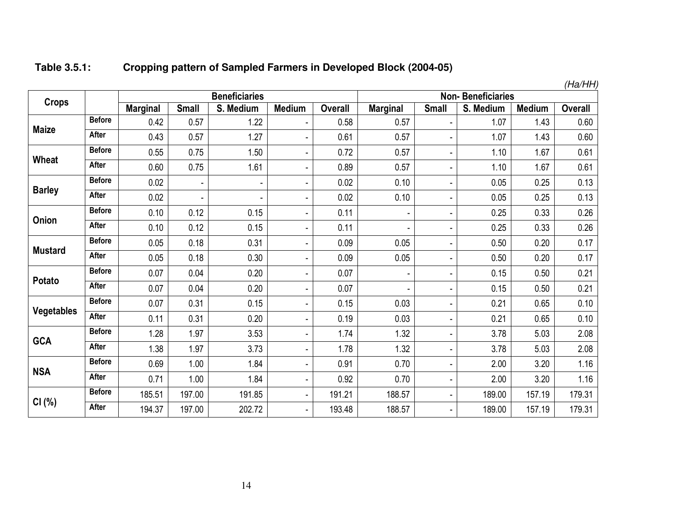| Table 3.5.1: | Cropping pattern of Sampled Farmers in Developed Block (2004-05) |
|--------------|------------------------------------------------------------------|
|--------------|------------------------------------------------------------------|

|                   |               |                 |                          |                      |                          |                |                 |              |                          | (Ha/HH)       |                |
|-------------------|---------------|-----------------|--------------------------|----------------------|--------------------------|----------------|-----------------|--------------|--------------------------|---------------|----------------|
| <b>Crops</b>      |               |                 |                          | <b>Beneficiaries</b> |                          |                |                 |              | <b>Non-Beneficiaries</b> |               |                |
|                   |               | <b>Marginal</b> | <b>Small</b>             | S. Medium            | <b>Medium</b>            | <b>Overall</b> | <b>Marginal</b> | <b>Small</b> | S. Medium                | <b>Medium</b> | <b>Overall</b> |
| <b>Maize</b>      | <b>Before</b> | 0.42            | 0.57                     | 1.22                 | ٠                        | 0.58           | 0.57            |              | 1.07                     | 1.43          | 0.60           |
|                   | After         | 0.43            | 0.57                     | 1.27                 | $\blacksquare$           | 0.61           | 0.57            |              | 1.07                     | 1.43          | 0.60           |
| Wheat             | <b>Before</b> | 0.55            | 0.75                     | 1.50                 | $\overline{\phantom{0}}$ | 0.72           | 0.57            | ÷.           | 1.10                     | 1.67          | 0.61           |
|                   | <b>After</b>  | 0.60            | 0.75                     | 1.61                 | $\overline{\phantom{0}}$ | 0.89           | 0.57            | ۰            | 1.10                     | 1.67          | 0.61           |
| <b>Barley</b>     | <b>Before</b> | 0.02            | $\overline{\phantom{a}}$ | ٠                    | ۰                        | 0.02           | 0.10            |              | 0.05                     | 0.25          | 0.13           |
|                   | After         | 0.02            | $\blacksquare$           | ٠                    | ٠                        | 0.02           | 0.10            | ä,           | 0.05                     | 0.25          | 0.13           |
| Onion             | <b>Before</b> | 0.10            | 0.12                     | 0.15                 | -                        | 0.11           |                 |              | 0.25                     | 0.33          | 0.26           |
|                   | <b>After</b>  | 0.10            | 0.12                     | 0.15                 | $\overline{\phantom{0}}$ | 0.11           |                 |              | 0.25                     | 0.33          | 0.26           |
| <b>Mustard</b>    | <b>Before</b> | 0.05            | 0.18                     | 0.31                 | ٠                        | 0.09           | 0.05            | ä,           | 0.50                     | 0.20          | 0.17           |
|                   | After         | 0.05            | 0.18                     | 0.30                 | $\blacksquare$           | 0.09           | 0.05            | ä,           | 0.50                     | 0.20          | 0.17           |
| Potato            | <b>Before</b> | 0.07            | 0.04                     | 0.20                 | $\overline{\phantom{0}}$ | 0.07           |                 |              | 0.15                     | 0.50          | 0.21           |
|                   | <b>After</b>  | 0.07            | 0.04                     | 0.20                 | $\overline{\phantom{0}}$ | 0.07           |                 | ä,           | 0.15                     | 0.50          | 0.21           |
|                   | <b>Before</b> | 0.07            | 0.31                     | 0.15                 | ٠                        | 0.15           | 0.03            |              | 0.21                     | 0.65          | 0.10           |
| <b>Vegetables</b> | <b>After</b>  | 0.11            | 0.31                     | 0.20                 | $\blacksquare$           | 0.19           | 0.03            | ä,           | 0.21                     | 0.65          | 0.10           |
| <b>GCA</b>        | <b>Before</b> | 1.28            | 1.97                     | 3.53                 | $\overline{\phantom{0}}$ | 1.74           | 1.32            |              | 3.78                     | 5.03          | 2.08           |
|                   | <b>After</b>  | 1.38            | 1.97                     | 3.73                 | $\blacksquare$           | 1.78           | 1.32            | ä,           | 3.78                     | 5.03          | 2.08           |
|                   | <b>Before</b> | 0.69            | 1.00                     | 1.84                 | ٠                        | 0.91           | 0.70            | ۰            | 2.00                     | 3.20          | 1.16           |
| <b>NSA</b>        | After         | 0.71            | 1.00                     | 1.84                 | -                        | 0.92           | 0.70            |              | 2.00                     | 3.20          | 1.16           |
|                   | <b>Before</b> | 185.51          | 197.00                   | 191.85               | ٠                        | 191.21         | 188.57          | ä,           | 189.00                   | 157.19        | 179.31         |
| CI(%)             | <b>After</b>  | 194.37          | 197.00                   | 202.72               | -                        | 193.48         | 188.57          |              | 189.00                   | 157.19        | 179.31         |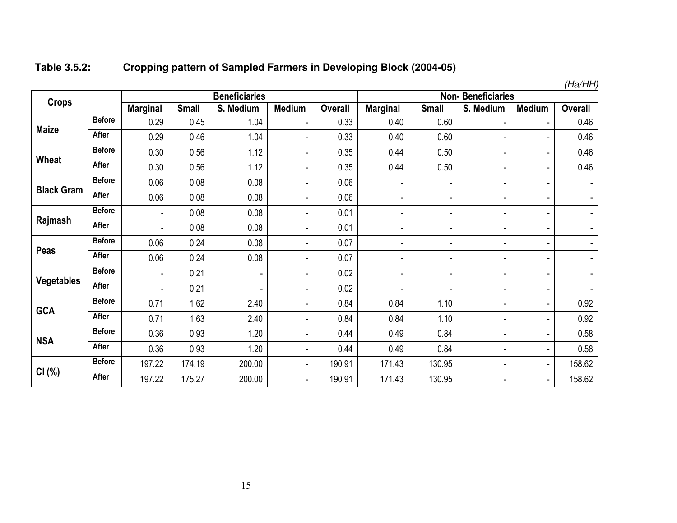#### **Table 3.5.2:Cropping pattern of Sampled Farmers in Developing Block (2004-05)**

|                   |               |                 |              | <b>Beneficiaries</b> |                |                |                 | <b>Non-Beneficiaries</b> |                | (na/nn)       |                |
|-------------------|---------------|-----------------|--------------|----------------------|----------------|----------------|-----------------|--------------------------|----------------|---------------|----------------|
| <b>Crops</b>      |               | <b>Marginal</b> | <b>Small</b> | S. Medium            | <b>Medium</b>  | <b>Overall</b> | <b>Marginal</b> | <b>Small</b>             | S. Medium      | <b>Medium</b> | <b>Overall</b> |
| <b>Maize</b>      | <b>Before</b> | 0.29            | 0.45         | 1.04                 |                | 0.33           | 0.40            | 0.60                     | $\blacksquare$ | ۰             | 0.46           |
|                   | After         | 0.29            | 0.46         | 1.04                 |                | 0.33           | 0.40            | 0.60                     | ٠              | ۰             | 0.46           |
| Wheat             | <b>Before</b> | 0.30            | 0.56         | 1.12                 |                | 0.35           | 0.44            | 0.50                     | $\blacksquare$ | ۰             | 0.46           |
|                   | <b>After</b>  | 0.30            | 0.56         | 1.12                 | -              | 0.35           | 0.44            | 0.50                     | $\blacksquare$ | ۰             | 0.46           |
|                   | <b>Before</b> | 0.06            | 0.08         | 0.08                 | -              | 0.06           |                 | -                        | $\blacksquare$ | ۰             |                |
| <b>Black Gram</b> | <b>After</b>  | 0.06            | 0.08         | 0.08                 |                | 0.06           |                 | ۰                        | ٠              | ۰             |                |
| Rajmash           | <b>Before</b> |                 | 0.08         | 0.08                 |                | 0.01           |                 | -                        | ٠              | ۰             |                |
|                   | After         | ۰               | 0.08         | 0.08                 | ۰              | 0.01           |                 | ۰                        | ٠              | ٠             |                |
|                   | <b>Before</b> | 0.06            | 0.24         | 0.08                 | -              | 0.07           |                 | -                        | ٠              | ۰             |                |
| Peas              | After         | 0.06            | 0.24         | 0.08                 |                | 0.07           |                 | ۰                        | ٠              | ۰             |                |
|                   | <b>Before</b> | ٠               | 0.21         | ٠                    | -              | 0.02           |                 | ٠                        | $\blacksquare$ | ۰             |                |
| <b>Vegetables</b> | <b>After</b>  | ٠               | 0.21         | -                    | -              | 0.02           |                 | $\overline{\phantom{a}}$ | $\blacksquare$ | ۰             |                |
|                   | <b>Before</b> | 0.71            | 1.62         | 2.40                 |                | 0.84           | 0.84            | 1.10                     | ٠              | ۰             | 0.92           |
| <b>GCA</b>        | After         | 0.71            | 1.63         | 2.40                 | $\blacksquare$ | 0.84           | 0.84            | 1.10                     | ٠              | ٠             | 0.92           |
|                   | <b>Before</b> | 0.36            | 0.93         | 1.20                 | -              | 0.44           | 0.49            | 0.84                     | ٠              | ۰             | 0.58           |
| <b>NSA</b>        | After         | 0.36            | 0.93         | 1.20                 | ۰              | 0.44           | 0.49            | 0.84                     | ٠              | ٠             | 0.58           |
|                   | <b>Before</b> | 197.22          | 174.19       | 200.00               | -              | 190.91         | 171.43          | 130.95                   | ٠              | ۰             | 158.62         |
| CI(%)             | After         | 197.22          | 175.27       | 200.00               | ۰              | 190.91         | 171.43          | 130.95                   | ٠              | ۰             | 158.62         |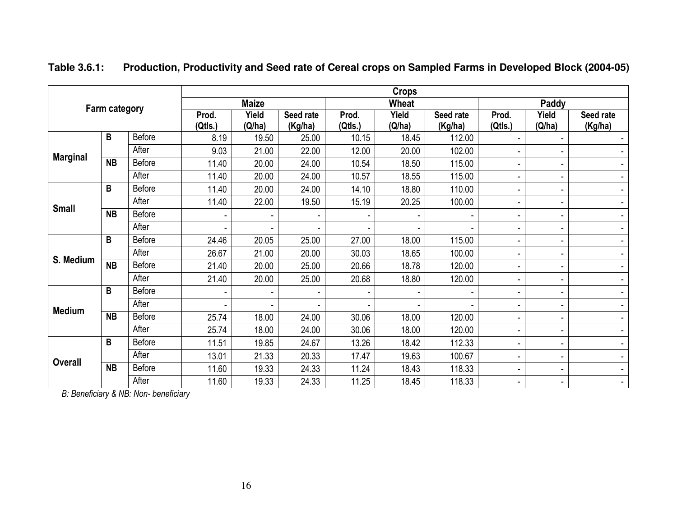|                      |                 |               | <b>Crops</b>     |                 |                      |                          |                 |                      |                          |                 |                              |  |  |
|----------------------|-----------------|---------------|------------------|-----------------|----------------------|--------------------------|-----------------|----------------------|--------------------------|-----------------|------------------------------|--|--|
|                      |                 |               |                  | <b>Maize</b>    |                      |                          | Wheat           |                      |                          | Paddy           |                              |  |  |
| <b>Farm category</b> |                 |               | Prod.<br>(Qtls.) | Yield<br>(Q/ha) | Seed rate<br>(Kg/ha) | Prod.<br>(Qtls.)         | Yield<br>(Q/ha) | Seed rate<br>(Kg/ha) | Prod.<br>(Qtls.)         | Yield<br>(Q/ha) | Seed rate<br>(Kg/ha)         |  |  |
|                      | B               | Before        | 8.19             | 19.50           | 25.00                | 10.15                    | 18.45           | 112.00               |                          |                 | $\overline{\phantom{a}}$     |  |  |
|                      |                 | After         | 9.03             | 21.00           | 22.00                | 12.00                    | 20.00           | 102.00               |                          | ٠               |                              |  |  |
| <b>Marginal</b>      | <b>NB</b>       | <b>Before</b> | 11.40            | 20.00           | 24.00                | 10.54                    | 18.50           | 115.00               | $\blacksquare$           | ٠               | ٠                            |  |  |
|                      |                 | After         | 11.40            | 20.00           | 24.00                | 10.57                    | 18.55           | 115.00               |                          | ٠               | ٠                            |  |  |
|                      | B               | Before        | 11.40            | 20.00           | 24.00                | 14.10                    | 18.80           | 110.00               |                          | ٠               | ۰                            |  |  |
| <b>Small</b>         |                 | After         | 11.40            | 22.00           | 19.50                | 15.19                    | 20.25           | 100.00               | ٠                        | ٠               | $\blacksquare$               |  |  |
|                      | <b>NB</b>       | <b>Before</b> |                  | ۰               |                      | $\overline{\phantom{a}}$ |                 |                      | $\overline{\phantom{a}}$ | ٠               | $\blacksquare$               |  |  |
|                      |                 | After         |                  |                 |                      |                          |                 |                      |                          | ٠               | $\overline{\phantom{a}}$     |  |  |
|                      | B               | Before        | 24.46            | 20.05           | 25.00                | 27.00                    | 18.00           | 115.00               | ٠                        | ٠               | $\overline{\phantom{a}}$     |  |  |
| S. Medium            |                 | After         | 26.67            | 21.00           | 20.00                | 30.03                    | 18.65           | 100.00               |                          | ٠               | $\qquad \qquad \blacksquare$ |  |  |
|                      | <b>NB</b>       | <b>Before</b> | 21.40            | 20.00           | 25.00                | 20.66                    | 18.78           | 120.00               | ٠                        | $\sim$          | ٠                            |  |  |
|                      |                 | After         | 21.40            | 20.00           | 25.00                | 20.68                    | 18.80           | 120.00               |                          | ٠               | ٠                            |  |  |
|                      | B               | <b>Before</b> |                  | ٠               |                      |                          |                 |                      |                          | $\sim$          | $\blacksquare$               |  |  |
| <b>Medium</b>        |                 | After         |                  | ٠               |                      |                          |                 |                      | $\overline{\phantom{0}}$ | ٠               | $\overline{\phantom{a}}$     |  |  |
|                      | $\overline{NB}$ | <b>Before</b> | 25.74            | 18.00           | 24.00                | 30.06                    | 18.00           | 120.00               | $\overline{\phantom{a}}$ | ٠               | $\blacksquare$               |  |  |
|                      |                 | After         | 25.74            | 18.00           | 24.00                | 30.06                    | 18.00           | 120.00               |                          | ٠               | $\blacksquare$               |  |  |
|                      | B               | Before        | 11.51            | 19.85           | 24.67                | 13.26                    | 18.42           | 112.33               |                          | ٠               | $\overline{\phantom{a}}$     |  |  |
|                      |                 | After         | 13.01            | 21.33           | 20.33                | 17.47                    | 19.63           | 100.67               | ٠                        | ٠               | $\blacksquare$               |  |  |
| <b>Overall</b>       | <b>NB</b>       | <b>Before</b> | 11.60            | 19.33           | 24.33                | 11.24                    | 18.43           | 118.33               |                          | ٠               | $\overline{\phantom{a}}$     |  |  |
|                      |                 | After         | 11.60            | 19.33           | 24.33                | 11.25                    | 18.45           | 118.33               |                          | ۰.              |                              |  |  |

**Table 3.6.1: Production, Productivity and Seed rate of Cereal crops on Sampled Farms in Developed Block (2004-05)** 

*B: Beneficiary & NB: Non- beneficiary*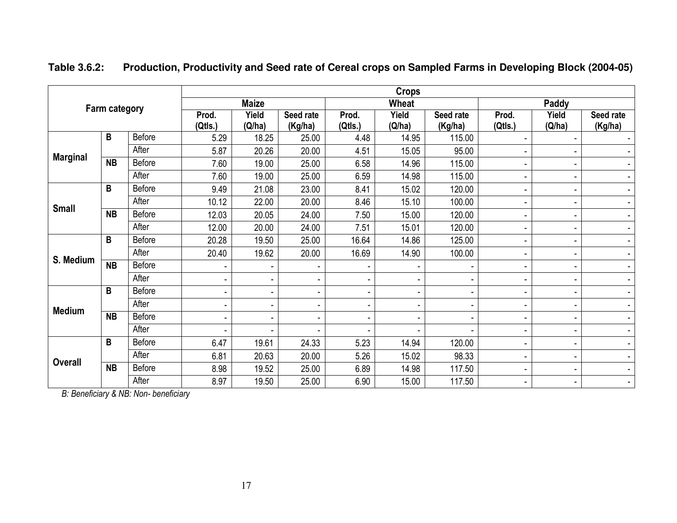|                 |           |               | <b>Crops</b>             |                          |                              |                  |                 |                          |                  |                 |                      |  |  |  |
|-----------------|-----------|---------------|--------------------------|--------------------------|------------------------------|------------------|-----------------|--------------------------|------------------|-----------------|----------------------|--|--|--|
|                 |           |               |                          | <b>Maize</b>             |                              |                  | Wheat           |                          |                  | Paddy           |                      |  |  |  |
| Farm category   |           |               | Prod.<br>(Qtls.)         | Yield<br>(Q/ha)          | Seed rate<br>(Kg/ha)         | Prod.<br>(Qtls.) | Yield<br>(Q/ha) | Seed rate<br>(Kg/ha)     | Prod.<br>(Qtls.) | Yield<br>(Q/ha) | Seed rate<br>(Kg/ha) |  |  |  |
|                 | B         | <b>Before</b> | 5.29                     | 18.25                    | 25.00                        | 4.48             | 14.95           | 115.00                   |                  |                 |                      |  |  |  |
|                 |           | After         | 5.87                     | 20.26                    | 20.00                        | 4.51             | 15.05           | 95.00                    |                  |                 |                      |  |  |  |
| <b>Marginal</b> | <b>NB</b> | <b>Before</b> | 7.60                     | 19.00                    | 25.00                        | 6.58             | 14.96           | 115.00                   |                  |                 | $\sim$               |  |  |  |
|                 |           | After         | 7.60                     | 19.00                    | 25.00                        | 6.59             | 14.98           | 115.00                   |                  |                 | $\sim$               |  |  |  |
| B               |           | <b>Before</b> | 9.49                     | 21.08                    | 23.00                        | 8.41             | 15.02           | 120.00                   |                  |                 | $\blacksquare$       |  |  |  |
| <b>Small</b>    |           | After         | 10.12                    | 22.00                    | 20.00                        | 8.46             | 15.10           | 100.00                   |                  |                 | $\blacksquare$       |  |  |  |
|                 | <b>NB</b> | Before        | 12.03                    | 20.05                    | 24.00                        | 7.50             | 15.00           | 120.00                   |                  | $\overline{a}$  | $\blacksquare$       |  |  |  |
|                 |           | After         | 12.00                    | 20.00                    | 24.00                        | 7.51             | 15.01           | 120.00                   |                  |                 | $\blacksquare$       |  |  |  |
| B               |           | Before        | 20.28                    | 19.50                    | 25.00                        | 16.64            | 14.86           | 125.00                   |                  |                 | $\blacksquare$       |  |  |  |
| S. Medium       |           | After         | 20.40                    | 19.62                    | 20.00                        | 16.69            | 14.90           | 100.00                   |                  |                 | $\blacksquare$       |  |  |  |
|                 | <b>NB</b> | Before        | $\overline{\phantom{a}}$ | $\overline{\phantom{a}}$ | -                            |                  |                 |                          |                  |                 | $\blacksquare$       |  |  |  |
|                 |           | After         | $\overline{\phantom{a}}$ | $\overline{\phantom{a}}$ | $\qquad \qquad \blacksquare$ |                  |                 |                          |                  |                 | $\blacksquare$       |  |  |  |
|                 | B         | Before        | $\blacksquare$           | $\overline{\phantom{a}}$ | $\overline{\phantom{a}}$     |                  |                 | ٠                        |                  |                 | $\blacksquare$       |  |  |  |
| <b>Medium</b>   |           | After         | $\overline{\phantom{a}}$ | $\overline{\phantom{a}}$ | $\overline{\phantom{a}}$     | $\blacksquare$   | -               | $\overline{\phantom{a}}$ |                  |                 | $\blacksquare$       |  |  |  |
|                 | <b>NB</b> | Before        | $\overline{\phantom{a}}$ | $\overline{\phantom{a}}$ | $\overline{\phantom{a}}$     |                  | $\blacksquare$  | $\blacksquare$           |                  |                 | $\blacksquare$       |  |  |  |
|                 |           | After         | $\blacksquare$           | $\blacksquare$           | $\blacksquare$               |                  | ۰               |                          |                  |                 | $\blacksquare$       |  |  |  |
|                 | B         | <b>Before</b> | 6.47                     | 19.61                    | 24.33                        | 5.23             | 14.94           | 120.00                   |                  |                 | $\blacksquare$       |  |  |  |
| <b>Overall</b>  |           | After         | 6.81                     | 20.63                    | 20.00                        | 5.26             | 15.02           | 98.33                    |                  |                 |                      |  |  |  |
|                 | <b>NB</b> | <b>Before</b> | 8.98                     | 19.52                    | 25.00                        | 6.89             | 14.98           | 117.50                   |                  |                 | $\blacksquare$       |  |  |  |
|                 |           | After         | 8.97                     | 19.50                    | 25.00                        | 6.90             | 15.00           | 117.50                   |                  |                 | $\blacksquare$       |  |  |  |

**Table 3.6.2: Production, Productivity and Seed rate of Cereal crops on Sampled Farms in Developing Block (2004-05)** 

*B: Beneficiary & NB: Non- beneficiary*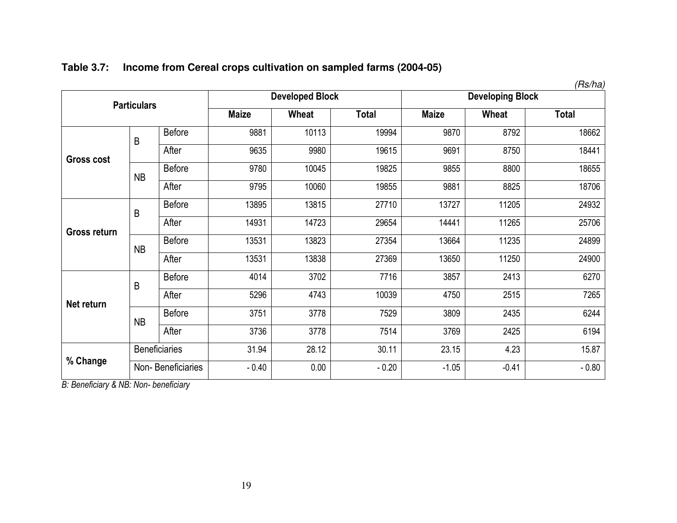|                     |                    |                      |              |                        |              |              |                         | (Rs/ha)      |
|---------------------|--------------------|----------------------|--------------|------------------------|--------------|--------------|-------------------------|--------------|
|                     | <b>Particulars</b> |                      |              | <b>Developed Block</b> |              |              | <b>Developing Block</b> |              |
|                     |                    |                      | <b>Maize</b> | Wheat                  | <b>Total</b> | <b>Maize</b> | Wheat                   | <b>Total</b> |
|                     | B                  | <b>Before</b>        | 9881         | 10113                  | 19994        | 9870         | 8792                    | 18662        |
| <b>Gross cost</b>   |                    | After                | 9635         | 9980                   | 19615        | 9691         | 8750                    | 18441        |
|                     | <b>NB</b>          | <b>Before</b>        | 9780         | 10045                  | 19825        | 9855         | 8800                    | 18655        |
|                     |                    | After                | 9795         | 10060                  | 19855        | 9881         | 8825                    | 18706        |
| <b>Gross return</b> | B                  | <b>Before</b>        | 13895        | 13815                  | 27710        | 13727        | 11205                   | 24932        |
|                     |                    | After                | 14931        | 14723                  | 29654        | 14441        | 11265                   | 25706        |
|                     | <b>NB</b>          | <b>Before</b>        | 13531        | 13823                  | 27354        | 13664        | 11235                   | 24899        |
|                     |                    | After                | 13531        | 13838                  | 27369        | 13650        | 11250                   | 24900        |
|                     | B                  | <b>Before</b>        | 4014         | 3702                   | 7716         | 3857         | 2413                    | 6270         |
| Net return          |                    | After                | 5296         | 4743                   | 10039        | 4750         | 2515                    | 7265         |
|                     | <b>NB</b>          | <b>Before</b>        | 3751         | 3778                   | 7529         | 3809         | 2435                    | 6244         |
|                     |                    | After                | 3736         | 3778                   | 7514         | 3769         | 2425                    | 6194         |
|                     |                    | <b>Beneficiaries</b> | 31.94        | 28.12                  | 30.11        | 23.15        | 4.23                    | 15.87        |
| % Change            | Non-Beneficiaries  |                      | $-0.40$      | 0.00                   | $-0.20$      | $-1.05$      | $-0.41$                 | $-0.80$      |

### **Table 3.7: Income from Cereal crops cultivation on sampled farms (2004-05)**

*B: Beneficiary & NB: Non- beneficiary*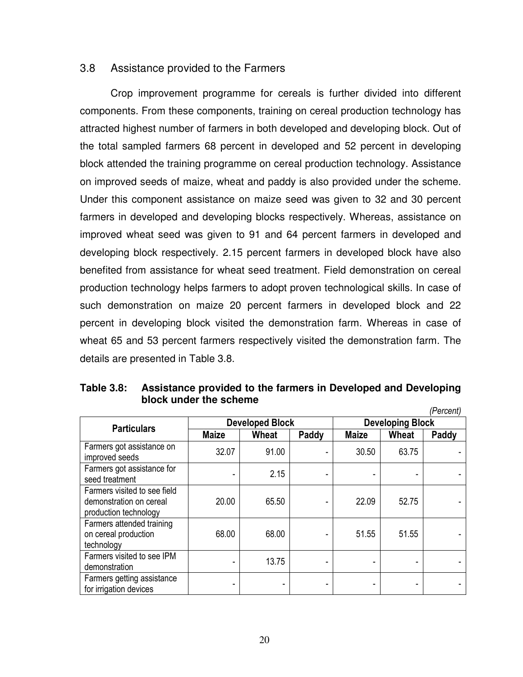#### 3.8 Assistance provided to the Farmers

 Crop improvement programme for cereals is further divided into different components. From these components, training on cereal production technology has attracted highest number of farmers in both developed and developing block. Out of the total sampled farmers 68 percent in developed and 52 percent in developing block attended the training programme on cereal production technology. Assistance on improved seeds of maize, wheat and paddy is also provided under the scheme. Under this component assistance on maize seed was given to 32 and 30 percent farmers in developed and developing blocks respectively. Whereas, assistance on improved wheat seed was given to 91 and 64 percent farmers in developed and developing block respectively. 2.15 percent farmers in developed block have also benefited from assistance for wheat seed treatment. Field demonstration on cereal production technology helps farmers to adopt proven technological skills. In case of such demonstration on maize 20 percent farmers in developed block and 22 percent in developing block visited the demonstration farm. Whereas in case of wheat 65 and 53 percent farmers respectively visited the demonstration farm. The details are presented in Table 3.8.

| Table 3.8: | Assistance provided to the farmers in Developed and Developing |
|------------|----------------------------------------------------------------|
|            | block under the scheme                                         |
|            | (Percent)                                                      |

|                                                                                  |              |                        |       | .            |                         |       |  |  |
|----------------------------------------------------------------------------------|--------------|------------------------|-------|--------------|-------------------------|-------|--|--|
| <b>Particulars</b>                                                               |              | <b>Developed Block</b> |       |              | <b>Developing Block</b> |       |  |  |
|                                                                                  | <b>Maize</b> | Wheat                  | Paddy | <b>Maize</b> | Wheat                   | Paddy |  |  |
| Farmers got assistance on<br>improved seeds                                      | 32.07        | 91.00                  |       | 30.50        | 63.75                   |       |  |  |
| Farmers got assistance for<br>seed treatment                                     |              | 2.15                   |       |              |                         |       |  |  |
| Farmers visited to see field<br>demonstration on cereal<br>production technology | 20.00        | 65.50                  |       | 22.09        | 52.75                   |       |  |  |
| Farmers attended training<br>on cereal production<br>technology                  | 68.00        | 68.00                  |       | 51.55        | 51.55                   |       |  |  |
| Farmers visited to see IPM<br>demonstration                                      |              | 13.75                  |       |              |                         |       |  |  |
| Farmers getting assistance<br>for irrigation devices                             |              |                        |       |              |                         |       |  |  |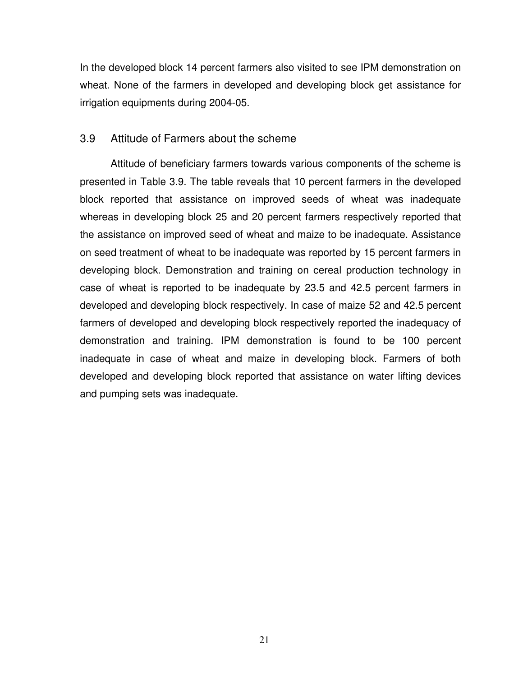In the developed block 14 percent farmers also visited to see IPM demonstration on wheat. None of the farmers in developed and developing block get assistance for irrigation equipments during 2004-05.

### 3.9 Attitude of Farmers about the scheme

Attitude of beneficiary farmers towards various components of the scheme is presented in Table 3.9. The table reveals that 10 percent farmers in the developed block reported that assistance on improved seeds of wheat was inadequate whereas in developing block 25 and 20 percent farmers respectively reported that the assistance on improved seed of wheat and maize to be inadequate. Assistance on seed treatment of wheat to be inadequate was reported by 15 percent farmers in developing block. Demonstration and training on cereal production technology in case of wheat is reported to be inadequate by 23.5 and 42.5 percent farmers in developed and developing block respectively. In case of maize 52 and 42.5 percent farmers of developed and developing block respectively reported the inadequacy of demonstration and training. IPM demonstration is found to be 100 percent inadequate in case of wheat and maize in developing block. Farmers of both developed and developing block reported that assistance on water lifting devices and pumping sets was inadequate.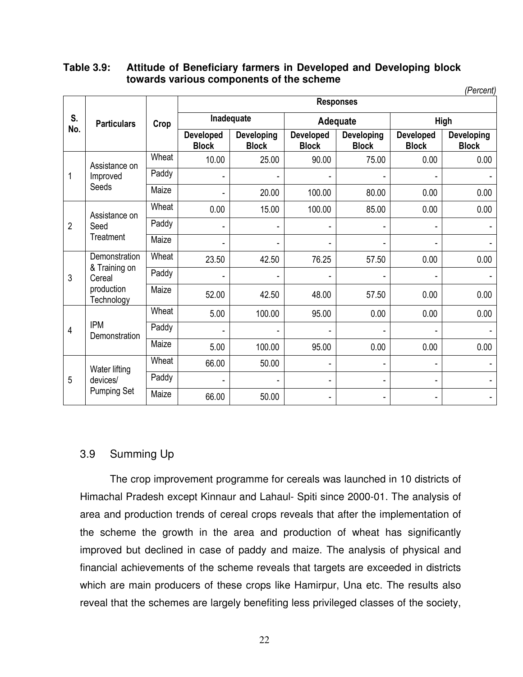#### **Table 3.9: Attitude of Beneficiary farmers in Developed and Developing block towards various components of the scheme**  *(Percent)*

|                |                             |       |                           |                                   | ,, o, oo, it,<br><b>Responses</b><br>Adequate<br><b>High</b><br><b>Developed</b><br>Developed<br><b>Developing</b><br><b>Developing</b><br><b>Block</b><br><b>Block</b><br><b>Block</b><br><b>Block</b><br>90.00<br>75.00<br>0.00<br>0.00<br>100.00<br>80.00<br>0.00<br>0.00<br>100.00<br>85.00<br>0.00<br>0.00<br>76.25<br>57.50<br>0.00<br>0.00<br>48.00<br>0.00<br>0.00<br>57.50 |      |      |                                                                            |
|----------------|-----------------------------|-------|---------------------------|-----------------------------------|-------------------------------------------------------------------------------------------------------------------------------------------------------------------------------------------------------------------------------------------------------------------------------------------------------------------------------------------------------------------------------------|------|------|----------------------------------------------------------------------------|
| S.<br>No.      | <b>Particulars</b>          | Crop  |                           | Inadequate                        |                                                                                                                                                                                                                                                                                                                                                                                     |      |      | 0.00<br>0.00<br>$\overline{\phantom{a}}$<br>$\overline{\phantom{a}}$<br>ä, |
|                |                             |       | Developed<br><b>Block</b> | <b>Developing</b><br><b>Block</b> |                                                                                                                                                                                                                                                                                                                                                                                     |      |      |                                                                            |
|                | Assistance on               | Wheat | 10.00                     | 25.00                             |                                                                                                                                                                                                                                                                                                                                                                                     |      |      |                                                                            |
| 1              | Improved                    | Paddy |                           |                                   |                                                                                                                                                                                                                                                                                                                                                                                     |      |      |                                                                            |
|                | Seeds                       | Maize |                           | 20.00                             |                                                                                                                                                                                                                                                                                                                                                                                     |      |      |                                                                            |
|                | Assistance on               | Wheat | 0.00                      | 15.00                             |                                                                                                                                                                                                                                                                                                                                                                                     |      |      |                                                                            |
| $\overline{2}$ | Seed                        | Paddy |                           |                                   |                                                                                                                                                                                                                                                                                                                                                                                     |      |      |                                                                            |
|                | Treatment                   | Maize |                           |                                   |                                                                                                                                                                                                                                                                                                                                                                                     |      |      |                                                                            |
|                | Demonstration               | Wheat | 23.50                     | 42.50                             |                                                                                                                                                                                                                                                                                                                                                                                     |      |      |                                                                            |
| 3              | & Training on<br>Cereal     | Paddy |                           |                                   |                                                                                                                                                                                                                                                                                                                                                                                     |      |      |                                                                            |
|                | production<br>Technology    | Maize | 52.00                     | 42.50                             |                                                                                                                                                                                                                                                                                                                                                                                     |      |      |                                                                            |
|                |                             | Wheat | 5.00                      | 100.00                            | 95.00                                                                                                                                                                                                                                                                                                                                                                               | 0.00 | 0.00 |                                                                            |
| 4              | <b>IPM</b><br>Demonstration | Paddy |                           |                                   |                                                                                                                                                                                                                                                                                                                                                                                     |      |      |                                                                            |
|                |                             | Maize | 5.00                      | 100.00                            | 95.00                                                                                                                                                                                                                                                                                                                                                                               | 0.00 | 0.00 |                                                                            |
|                | Water lifting               | Wheat | 66.00                     | 50.00                             | ۰                                                                                                                                                                                                                                                                                                                                                                                   |      |      |                                                                            |
| 5              | devices/                    | Paddy |                           |                                   | ۰                                                                                                                                                                                                                                                                                                                                                                                   |      |      |                                                                            |
|                | <b>Pumping Set</b>          | Maize | 66.00                     | 50.00                             | ۰                                                                                                                                                                                                                                                                                                                                                                                   |      |      |                                                                            |

### 3.9 Summing Up

 The crop improvement programme for cereals was launched in 10 districts of Himachal Pradesh except Kinnaur and Lahaul- Spiti since 2000-01. The analysis of area and production trends of cereal crops reveals that after the implementation of the scheme the growth in the area and production of wheat has significantly improved but declined in case of paddy and maize. The analysis of physical and financial achievements of the scheme reveals that targets are exceeded in districts which are main producers of these crops like Hamirpur, Una etc. The results also reveal that the schemes are largely benefiting less privileged classes of the society,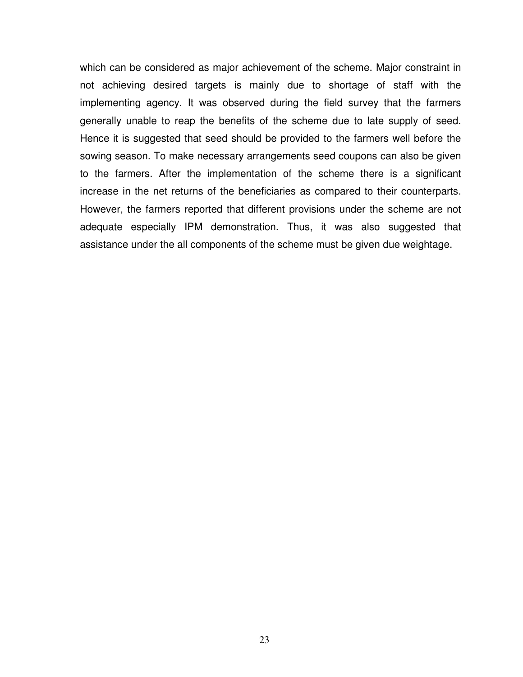which can be considered as major achievement of the scheme. Major constraint in not achieving desired targets is mainly due to shortage of staff with the implementing agency. It was observed during the field survey that the farmers generally unable to reap the benefits of the scheme due to late supply of seed. Hence it is suggested that seed should be provided to the farmers well before the sowing season. To make necessary arrangements seed coupons can also be given to the farmers. After the implementation of the scheme there is a significant increase in the net returns of the beneficiaries as compared to their counterparts. However, the farmers reported that different provisions under the scheme are not adequate especially IPM demonstration. Thus, it was also suggested that assistance under the all components of the scheme must be given due weightage.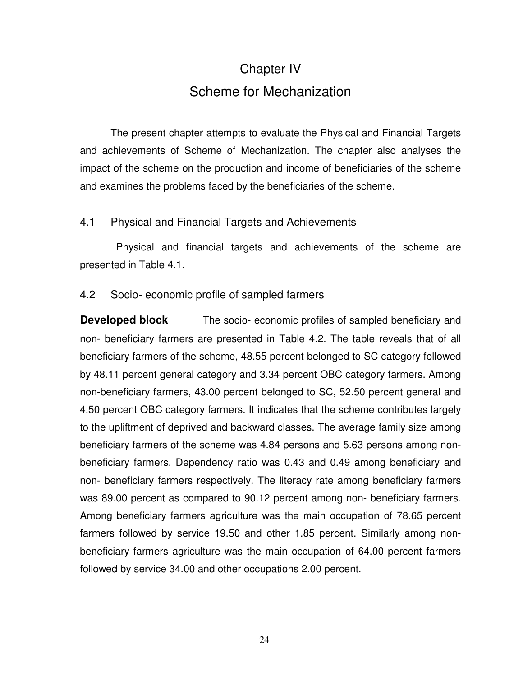# Chapter IV Scheme for Mechanization

The present chapter attempts to evaluate the Physical and Financial Targets and achievements of Scheme of Mechanization. The chapter also analyses the impact of the scheme on the production and income of beneficiaries of the scheme and examines the problems faced by the beneficiaries of the scheme.

### 4.1 Physical and Financial Targets and Achievements

 Physical and financial targets and achievements of the scheme are presented in Table 4.1.

### 4.2 Socio- economic profile of sampled farmers

**Developed block** The socio- economic profiles of sampled beneficiary and non- beneficiary farmers are presented in Table 4.2. The table reveals that of all beneficiary farmers of the scheme, 48.55 percent belonged to SC category followed by 48.11 percent general category and 3.34 percent OBC category farmers. Among non-beneficiary farmers, 43.00 percent belonged to SC, 52.50 percent general and 4.50 percent OBC category farmers. It indicates that the scheme contributes largely to the upliftment of deprived and backward classes. The average family size among beneficiary farmers of the scheme was 4.84 persons and 5.63 persons among nonbeneficiary farmers. Dependency ratio was 0.43 and 0.49 among beneficiary and non- beneficiary farmers respectively. The literacy rate among beneficiary farmers was 89.00 percent as compared to 90.12 percent among non- beneficiary farmers. Among beneficiary farmers agriculture was the main occupation of 78.65 percent farmers followed by service 19.50 and other 1.85 percent. Similarly among nonbeneficiary farmers agriculture was the main occupation of 64.00 percent farmers followed by service 34.00 and other occupations 2.00 percent.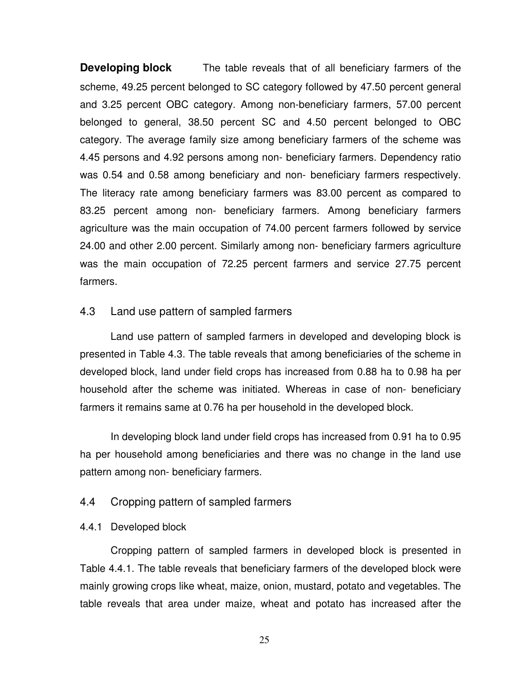**Developing block** The table reveals that of all beneficiary farmers of the scheme, 49.25 percent belonged to SC category followed by 47.50 percent general and 3.25 percent OBC category. Among non-beneficiary farmers, 57.00 percent belonged to general, 38.50 percent SC and 4.50 percent belonged to OBC category. The average family size among beneficiary farmers of the scheme was 4.45 persons and 4.92 persons among non- beneficiary farmers. Dependency ratio was 0.54 and 0.58 among beneficiary and non- beneficiary farmers respectively. The literacy rate among beneficiary farmers was 83.00 percent as compared to 83.25 percent among non- beneficiary farmers. Among beneficiary farmers agriculture was the main occupation of 74.00 percent farmers followed by service 24.00 and other 2.00 percent. Similarly among non- beneficiary farmers agriculture was the main occupation of 72.25 percent farmers and service 27.75 percent farmers.

### 4.3 Land use pattern of sampled farmers

Land use pattern of sampled farmers in developed and developing block is presented in Table 4.3. The table reveals that among beneficiaries of the scheme in developed block, land under field crops has increased from 0.88 ha to 0.98 ha per household after the scheme was initiated. Whereas in case of non- beneficiary farmers it remains same at 0.76 ha per household in the developed block.

In developing block land under field crops has increased from 0.91 ha to 0.95 ha per household among beneficiaries and there was no change in the land use pattern among non- beneficiary farmers.

### 4.4 Cropping pattern of sampled farmers

### 4.4.1 Developed block

Cropping pattern of sampled farmers in developed block is presented in Table 4.4.1. The table reveals that beneficiary farmers of the developed block were mainly growing crops like wheat, maize, onion, mustard, potato and vegetables. The table reveals that area under maize, wheat and potato has increased after the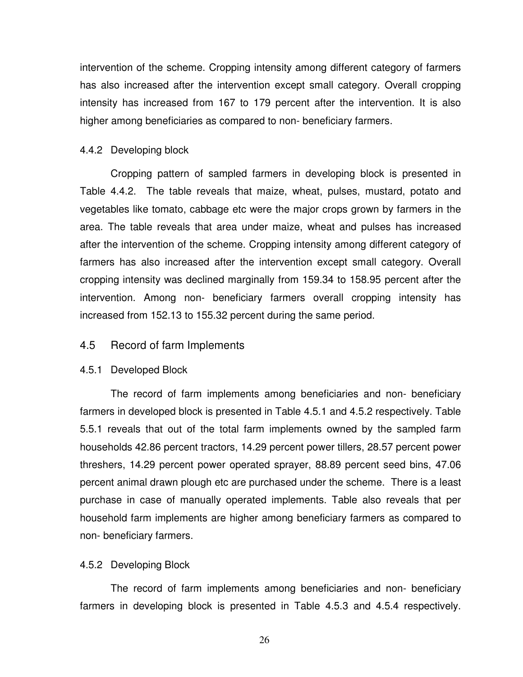intervention of the scheme. Cropping intensity among different category of farmers has also increased after the intervention except small category. Overall cropping intensity has increased from 167 to 179 percent after the intervention. It is also higher among beneficiaries as compared to non- beneficiary farmers.

### 4.4.2 Developing block

Cropping pattern of sampled farmers in developing block is presented in Table 4.4.2. The table reveals that maize, wheat, pulses, mustard, potato and vegetables like tomato, cabbage etc were the major crops grown by farmers in the area. The table reveals that area under maize, wheat and pulses has increased after the intervention of the scheme. Cropping intensity among different category of farmers has also increased after the intervention except small category. Overall cropping intensity was declined marginally from 159.34 to 158.95 percent after the intervention. Among non- beneficiary farmers overall cropping intensity has increased from 152.13 to 155.32 percent during the same period.

### 4.5 Record of farm Implements

#### 4.5.1 Developed Block

The record of farm implements among beneficiaries and non- beneficiary farmers in developed block is presented in Table 4.5.1 and 4.5.2 respectively. Table 5.5.1 reveals that out of the total farm implements owned by the sampled farm households 42.86 percent tractors, 14.29 percent power tillers, 28.57 percent power threshers, 14.29 percent power operated sprayer, 88.89 percent seed bins, 47.06 percent animal drawn plough etc are purchased under the scheme. There is a least purchase in case of manually operated implements. Table also reveals that per household farm implements are higher among beneficiary farmers as compared to non- beneficiary farmers.

#### 4.5.2 Developing Block

The record of farm implements among beneficiaries and non- beneficiary farmers in developing block is presented in Table 4.5.3 and 4.5.4 respectively.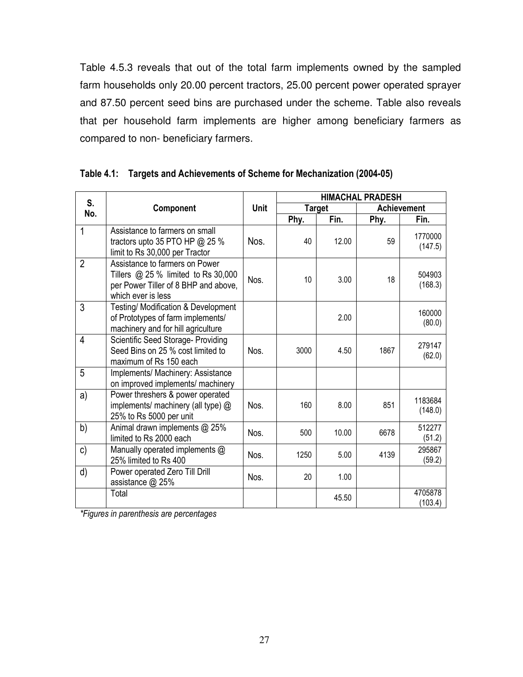Table 4.5.3 reveals that out of the total farm implements owned by the sampled farm households only 20.00 percent tractors, 25.00 percent power operated sprayer and 87.50 percent seed bins are purchased under the scheme. Table also reveals that per household farm implements are higher among beneficiary farmers as compared to non- beneficiary farmers.

| S.             |                                                                                                                                       |      |      |               | <b>HIMACHAL PRADESH</b> |                    |
|----------------|---------------------------------------------------------------------------------------------------------------------------------------|------|------|---------------|-------------------------|--------------------|
| No.            | Component                                                                                                                             | Unit |      | <b>Target</b> |                         | <b>Achievement</b> |
|                |                                                                                                                                       |      | Phy. | Fin.          | Phy.                    | Fin.               |
| 1              | Assistance to farmers on small<br>tractors upto 35 PTO HP @ 25 %<br>limit to Rs 30,000 per Tractor                                    | Nos. | 40   | 12.00         | 59                      | 1770000<br>(147.5) |
| $\overline{2}$ | Assistance to farmers on Power<br>Tillers $@$ 25 % limited to Rs 30,000<br>per Power Tiller of 8 BHP and above,<br>which ever is less | Nos. | 10   | 3.00          | 18                      | 504903<br>(168.3)  |
| 3              | <b>Testing/ Modification &amp; Development</b><br>of Prototypes of farm implements/<br>machinery and for hill agriculture             |      |      | 2.00          |                         | 160000<br>(80.0)   |
| 4              | Scientific Seed Storage- Providing<br>Seed Bins on 25 % cost limited to<br>maximum of Rs 150 each                                     | Nos. | 3000 | 4.50          | 1867                    | 279147<br>(62.0)   |
| 5              | Implements/ Machinery: Assistance<br>on improved implements/ machinery                                                                |      |      |               |                         |                    |
| a)             | Power threshers & power operated<br>implements/ machinery (all type) @<br>25% to Rs 5000 per unit                                     | Nos. | 160  | 8.00          | 851                     | 1183684<br>(148.0) |
| b)             | Animal drawn implements @ 25%<br>limited to Rs 2000 each                                                                              | Nos. | 500  | 10.00         | 6678                    | 512277<br>(51.2)   |
| c)             | Manually operated implements @<br>25% limited to Rs 400                                                                               | Nos. | 1250 | 5.00          | 4139                    | 295867<br>(59.2)   |
| d)             | Power operated Zero Till Drill<br>assistance @ 25%                                                                                    | Nos. | 20   | 1.00          |                         |                    |
|                | Total                                                                                                                                 |      |      | 45.50         |                         | 4705878<br>(103.4) |

### **Table 4.1: Targets and Achievements of Scheme for Mechanization (2004-05)**

*\*Figures in parenthesis are percentages*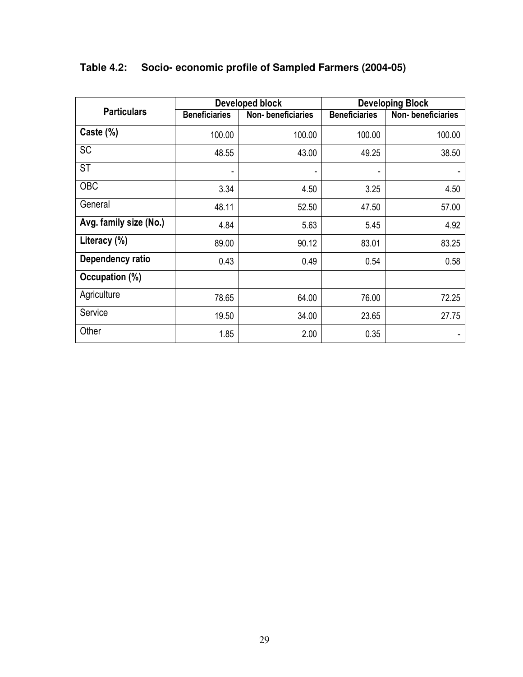|                        |                      | Developed block   |                      | <b>Developing Block</b> |
|------------------------|----------------------|-------------------|----------------------|-------------------------|
| <b>Particulars</b>     | <b>Beneficiaries</b> | Non-beneficiaries | <b>Beneficiaries</b> | Non-beneficiaries       |
| Caste $(\%)$           | 100.00               | 100.00            | 100.00               | 100.00                  |
| <b>SC</b>              | 48.55                | 43.00             | 49.25                | 38.50                   |
| <b>ST</b>              | ۰                    | ٠                 | -                    |                         |
| <b>OBC</b>             | 3.34                 | 4.50              | 3.25                 | 4.50                    |
| General                | 48.11                | 52.50             | 47.50                | 57.00                   |
| Avg. family size (No.) | 4.84                 | 5.63              | 5.45                 | 4.92                    |
| Literacy (%)           | 89.00                | 90.12             | 83.01                | 83.25                   |
| Dependency ratio       | 0.43                 | 0.49              | 0.54                 | 0.58                    |
| Occupation (%)         |                      |                   |                      |                         |
| Agriculture            | 78.65                | 64.00             | 76.00                | 72.25                   |
| Service                | 19.50                | 34.00             | 23.65                | 27.75                   |
| Other                  | 1.85                 | 2.00              | 0.35                 |                         |

## **Table 4.2: Socio- economic profile of Sampled Farmers (2004-05)**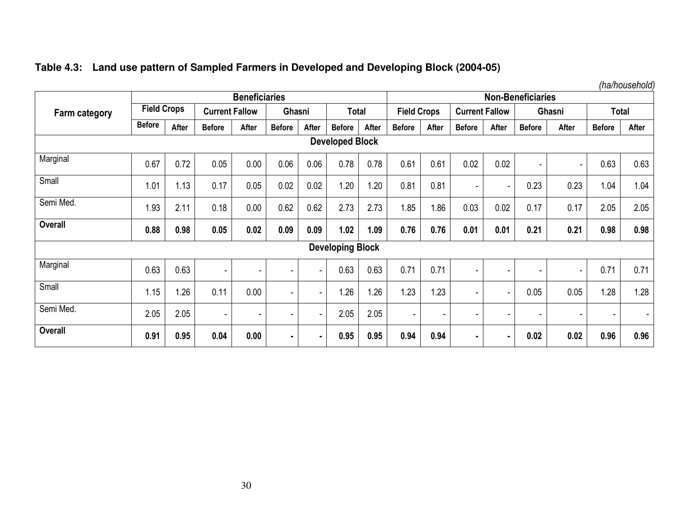|  |  |  |  | Table 4.3: Land use pattern of Sampled Farmers in Developed and Developing Block (2004-05) |  |
|--|--|--|--|--------------------------------------------------------------------------------------------|--|
|--|--|--|--|--------------------------------------------------------------------------------------------|--|

*(ha/household)* 

|                        |                    |       |                          | <b>Beneficiaries</b> |                          |                |                         |       |                    |       |                          |                          | <b>Non-Beneficiaries</b> |                |               | <b>Total</b><br>After<br>0.63<br>0.63<br>1.04<br>1.04<br>2.05<br>2.05<br>0.98<br>0.98<br>0.71<br>0.71 |  |  |
|------------------------|--------------------|-------|--------------------------|----------------------|--------------------------|----------------|-------------------------|-------|--------------------|-------|--------------------------|--------------------------|--------------------------|----------------|---------------|-------------------------------------------------------------------------------------------------------|--|--|
| <b>Farm category</b>   | <b>Field Crops</b> |       | <b>Current Fallow</b>    |                      | Ghasni                   |                | <b>Total</b>            |       | <b>Field Crops</b> |       | <b>Current Fallow</b>    |                          |                          | Ghasni         |               |                                                                                                       |  |  |
|                        | <b>Before</b>      | After | <b>Before</b>            | After                | <b>Before</b>            | After          | <b>Before</b>           | After | <b>Before</b>      | After | <b>Before</b>            | After                    | <b>Before</b>            | After          | <b>Before</b> |                                                                                                       |  |  |
| <b>Developed Block</b> |                    |       |                          |                      |                          |                |                         |       |                    |       |                          |                          |                          |                |               |                                                                                                       |  |  |
| Marginal               | 0.67               | 0.72  | 0.05                     | 0.00                 | 0.06                     | 0.06           | 0.78                    | 0.78  | 0.61               | 0.61  | 0.02                     | 0.02                     | $\overline{\phantom{a}}$ | ٠              |               |                                                                                                       |  |  |
| Small                  | 1.01               | 1.13  | 0.17                     | 0.05                 | 0.02                     | 0.02           | 1.20                    | .20   | 0.81               | 0.81  | $\overline{\phantom{0}}$ | ٠                        | 0.23                     | 0.23           |               |                                                                                                       |  |  |
| Semi Med.              | 1.93               | 2.11  | 0.18                     | 0.00                 | 0.62                     | 0.62           | 2.73                    | 2.73  | 1.85               | 1.86  | 0.03                     | 0.02                     | 0.17                     | 0.17           |               |                                                                                                       |  |  |
| <b>Overall</b>         | 0.88               | 0.98  | 0.05                     | 0.02                 | 0.09                     | 0.09           | 1.02                    | 1.09  | 0.76               | 0.76  | 0.01                     | 0.01                     | 0.21                     | 0.21           |               |                                                                                                       |  |  |
|                        |                    |       |                          |                      |                          |                | <b>Developing Block</b> |       |                    |       |                          |                          |                          |                |               |                                                                                                       |  |  |
| Marginal               | 0.63               | 0.63  |                          |                      |                          | $\blacksquare$ | 0.63                    | 0.63  | 0.71               | 0.71  | $\blacksquare$           |                          |                          |                |               |                                                                                                       |  |  |
| Small                  | 1.15               | .26   | 0.11                     | 0.00                 | $\overline{\phantom{a}}$ | $\blacksquare$ | .26                     | .26   | 1.23               | 1.23  | $\overline{\phantom{0}}$ | $\overline{\phantom{a}}$ | 0.05                     | 0.05           | 1.28          | 1.28                                                                                                  |  |  |
| Semi Med.              | 2.05               | 2.05  | $\overline{\phantom{a}}$ | ۰                    | $\overline{\phantom{a}}$ | $\blacksquare$ | 2.05                    | 2.05  | $\sim$             | ٠     | -                        | $\overline{\phantom{0}}$ |                          | $\blacksquare$ | ۰             | $\overline{\phantom{a}}$                                                                              |  |  |
| <b>Overall</b>         | 0.91               | 0.95  | 0.04                     | 0.00                 | $\blacksquare$           | $\blacksquare$ | 0.95                    | 0.95  | 0.94               | 0.94  | ٠.                       |                          | 0.02                     | 0.02           | 0.96          | 0.96                                                                                                  |  |  |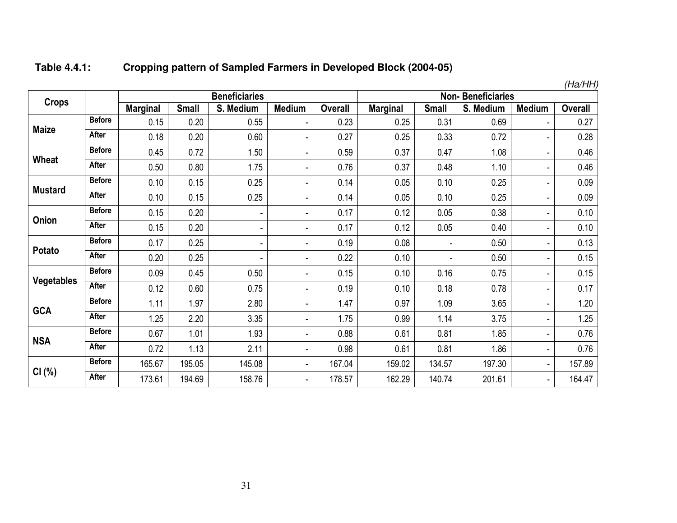|                |               |                 |              |                      |                              |                |                 |              |                          |                          | (Ha/HH)        |
|----------------|---------------|-----------------|--------------|----------------------|------------------------------|----------------|-----------------|--------------|--------------------------|--------------------------|----------------|
| <b>Crops</b>   |               |                 |              | <b>Beneficiaries</b> |                              |                |                 |              | <b>Non-Beneficiaries</b> |                          |                |
|                |               | <b>Marginal</b> | <b>Small</b> | S. Medium            | <b>Medium</b>                | <b>Overall</b> | <b>Marginal</b> | <b>Small</b> | S. Medium                | <b>Medium</b>            | <b>Overall</b> |
|                | <b>Before</b> | 0.15            | 0.20         | 0.55                 | -                            | 0.23           | 0.25            | 0.31         | 0.69                     | $\overline{\phantom{a}}$ | 0.27           |
| <b>Maize</b>   | <b>After</b>  | 0.18            | 0.20         | 0.60                 | $\blacksquare$               | 0.27           | 0.25            | 0.33         | 0.72                     | ÷                        | 0.28           |
| Wheat          | <b>Before</b> | 0.45            | 0.72         | 1.50                 | ۰                            | 0.59           | 0.37            | 0.47         | 1.08                     | ٠                        | 0.46           |
|                | <b>After</b>  | 0.50            | 0.80         | 1.75                 | $\overline{\phantom{0}}$     | 0.76           | 0.37            | 0.48         | 1.10                     | ۰                        | 0.46           |
| <b>Mustard</b> | <b>Before</b> | 0.10            | 0.15         | 0.25                 | ۰                            | 0.14           | 0.05            | 0.10         | 0.25                     | ۰                        | 0.09           |
|                | After         | 0.10            | 0.15         | 0.25                 | Ξ.                           | 0.14           | 0.05            | 0.10         | 0.25                     | ٠                        | 0.09           |
| Onion          | <b>Before</b> | 0.15            | 0.20         | ۰                    | $\overline{\phantom{a}}$     | 0.17           | 0.12            | 0.05         | 0.38                     | $\frac{1}{2}$            | 0.10           |
|                | After         | 0.15            | 0.20         | ٠                    | $\qquad \qquad \blacksquare$ | 0.17           | 0.12            | 0.05         | 0.40                     | ۰                        | 0.10           |
|                | <b>Before</b> | 0.17            | 0.25         | -                    | -                            | 0.19           | 0.08            |              | 0.50                     | ۰                        | 0.13           |
| Potato         | <b>After</b>  | 0.20            | 0.25         | ۰                    | -                            | 0.22           | 0.10            |              | 0.50                     | ۰                        | 0.15           |
| Vegetables     | <b>Before</b> | 0.09            | 0.45         | 0.50                 | $\blacksquare$               | 0.15           | 0.10            | 0.16         | 0.75                     | ۰                        | 0.15           |
|                | <b>After</b>  | 0.12            | 0.60         | 0.75                 | Ξ.                           | 0.19           | 0.10            | 0.18         | 0.78                     | ۰                        | 0.17           |
| <b>GCA</b>     | <b>Before</b> | 1.11            | 1.97         | 2.80                 | $\overline{\phantom{a}}$     | 1.47           | 0.97            | 1.09         | 3.65                     | ä,                       | 1.20           |
|                | After         | 1.25            | 2.20         | 3.35                 | $\overline{\phantom{a}}$     | 1.75           | 0.99            | 1.14         | 3.75                     | ۰                        | 1.25           |
|                | <b>Before</b> | 0.67            | 1.01         | 1.93                 | $\overline{\phantom{0}}$     | 0.88           | 0.61            | 0.81         | 1.85                     | ٠                        | 0.76           |
| <b>NSA</b>     | <b>After</b>  | 0.72            | 1.13         | 2.11                 | $\overline{\phantom{a}}$     | 0.98           | 0.61            | 0.81         | 1.86                     | $\blacksquare$           | 0.76           |
|                | <b>Before</b> | 165.67          | 195.05       | 145.08               | ۰                            | 167.04         | 159.02          | 134.57       | 197.30                   | $\overline{\phantom{a}}$ | 157.89         |
| CI(%)          | <b>After</b>  | 173.61          | 194.69       | 158.76               | $\overline{\phantom{0}}$     | 178.57         | 162.29          | 140.74       | 201.61                   | $\blacksquare$           | 164.47         |

#### **Table 4.4.1:Cropping pattern of Sampled Farmers in Developed Block (2004-05)**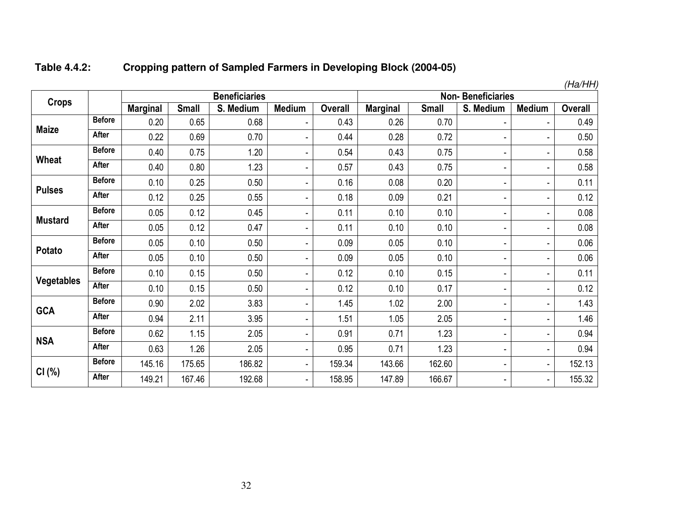#### **Table 4.4.2:Cropping pattern of Sampled Farmers in Developing Block (2004-05)**

|                   |               |                 |              | <b>Beneficiaries</b> |                          |                |                 |              | <b>Non-Beneficiaries</b> |                | (Пa/ПП,        |
|-------------------|---------------|-----------------|--------------|----------------------|--------------------------|----------------|-----------------|--------------|--------------------------|----------------|----------------|
| <b>Crops</b>      |               | <b>Marginal</b> | <b>Small</b> | S. Medium            | <b>Medium</b>            | <b>Overall</b> | <b>Marginal</b> | <b>Small</b> | S. Medium                | <b>Medium</b>  | <b>Overall</b> |
|                   | <b>Before</b> | 0.20            | 0.65         | 0.68                 | $\overline{\phantom{a}}$ | 0.43           | 0.26            | 0.70         | ٠                        |                | 0.49           |
| <b>Maize</b>      | After         | 0.22            | 0.69         | 0.70                 | $\overline{\phantom{0}}$ | 0.44           | 0.28            | 0.72         | ٠                        |                | 0.50           |
|                   | <b>Before</b> | 0.40            | 0.75         | 1.20                 | $\blacksquare$           | 0.54           | 0.43            | 0.75         | ٠                        | ٠              | 0.58           |
| Wheat             | <b>After</b>  | 0.40            | 0.80         | 1.23                 | -                        | 0.57           | 0.43            | 0.75         | ٠                        | ۰              | 0.58           |
|                   | <b>Before</b> | 0.10            | 0.25         | 0.50                 | -                        | 0.16           | 0.08            | 0.20         | ٠                        | Ξ.             | 0.11           |
| <b>Pulses</b>     | <b>After</b>  | 0.12            | 0.25         | 0.55                 | $\blacksquare$           | 0.18           | 0.09            | 0.21         | ٠                        | ۰              | 0.12           |
|                   | <b>Before</b> | 0.05            | 0.12         | 0.45                 | $\overline{\phantom{a}}$ | 0.11           | 0.10            | 0.10         | ٠                        | -              | 0.08           |
| <b>Mustard</b>    | After         | 0.05            | 0.12         | 0.47                 | ۰                        | 0.11           | 0.10            | 0.10         | ٠                        | Ξ.             | 0.08           |
|                   | <b>Before</b> | 0.05            | 0.10         | 0.50                 | -                        | 0.09           | 0.05            | 0.10         | ۰                        | ä,             | 0.06           |
| <b>Potato</b>     | After         | 0.05            | 0.10         | 0.50                 | ۰                        | 0.09           | 0.05            | 0.10         | ۰                        | Ξ.             | 0.06           |
|                   | <b>Before</b> | 0.10            | 0.15         | 0.50                 | $\overline{\phantom{a}}$ | 0.12           | 0.10            | 0.15         | ۰                        | ٠              | 0.11           |
| <b>Vegetables</b> | After         | 0.10            | 0.15         | 0.50                 | $\overline{\phantom{a}}$ | 0.12           | 0.10            | 0.17         | ٠                        | Ξ.             | 0.12           |
|                   | <b>Before</b> | 0.90            | 2.02         | 3.83                 | Ξ.                       | 1.45           | 1.02            | 2.00         | ٠                        | Ξ.             | 1.43           |
| <b>GCA</b>        | After         | 0.94            | 2.11         | 3.95                 | Ξ.                       | 1.51           | 1.05            | 2.05         | ٠                        |                | 1.46           |
|                   | <b>Before</b> | 0.62            | 1.15         | 2.05                 | $\overline{\phantom{a}}$ | 0.91           | 0.71            | 1.23         | ٠                        | Ξ.             | 0.94           |
| <b>NSA</b>        | <b>After</b>  | 0.63            | 1.26         | 2.05                 | $\overline{\phantom{a}}$ | 0.95           | 0.71            | 1.23         | ۰                        | Ξ.             | 0.94           |
|                   | <b>Before</b> | 145.16          | 175.65       | 186.82               | Ξ.                       | 159.34         | 143.66          | 162.60       | ٠                        | ۳.             | 152.13         |
| CI(%)             | After         | 149.21          | 167.46       | 192.68               | $\overline{\phantom{a}}$ | 158.95         | 147.89          | 166.67       | ٠                        | $\blacksquare$ | 155.32         |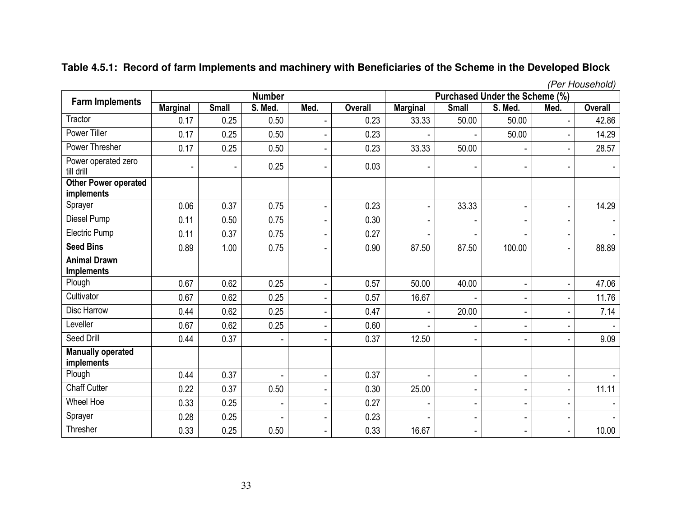|                                           |                 |                |                |                |                |                          |                |                                       |                          | (Per Household) |
|-------------------------------------------|-----------------|----------------|----------------|----------------|----------------|--------------------------|----------------|---------------------------------------|--------------------------|-----------------|
| <b>Farm Implements</b>                    |                 |                | <b>Number</b>  |                |                |                          |                | <b>Purchased Under the Scheme (%)</b> |                          |                 |
|                                           | <b>Marginal</b> | <b>Small</b>   | S. Med.        | Med.           | <b>Overall</b> | <b>Marginal</b>          | <b>Small</b>   | S. Med.                               | Med.                     | <b>Overall</b>  |
| Tractor                                   | 0.17            | 0.25           | 0.50           |                | 0.23           | 33.33                    | 50.00          | 50.00                                 |                          | 42.86           |
| <b>Power Tiller</b>                       | 0.17            | 0.25           | 0.50           |                | 0.23           |                          |                | 50.00                                 | $\blacksquare$           | 14.29           |
| Power Thresher                            | 0.17            | 0.25           | 0.50           |                | 0.23           | 33.33                    | 50.00          | ٠                                     | $\blacksquare$           | 28.57           |
| Power operated zero<br>till drill         | ٠               | $\blacksquare$ | 0.25           | $\blacksquare$ | 0.03           | -                        | ۰              | $\blacksquare$                        | ٠                        |                 |
| Other Power operated<br><i>implements</i> |                 |                |                |                |                |                          |                |                                       |                          |                 |
| Sprayer                                   | 0.06            | 0.37           | 0.75           | $\sim$         | 0.23           | $\blacksquare$           | 33.33          | $\blacksquare$                        | $\blacksquare$           | 14.29           |
| Diesel Pump                               | 0.11            | 0.50           | 0.75           | $\blacksquare$ | 0.30           | $\overline{\phantom{a}}$ |                | $\overline{\phantom{a}}$              | $\overline{a}$           |                 |
| Electric Pump                             | 0.11            | 0.37           | 0.75           |                | 0.27           |                          |                | ٠                                     | $\overline{\phantom{a}}$ | $\mathbf{r}$    |
| <b>Seed Bins</b>                          | 0.89            | 1.00           | 0.75           | ÷.             | 0.90           | 87.50                    | 87.50          | 100.00                                | $\blacksquare$           | 88.89           |
| <b>Animal Drawn</b><br><b>Implements</b>  |                 |                |                |                |                |                          |                |                                       |                          |                 |
| Plough                                    | 0.67            | 0.62           | 0.25           | ÷.             | 0.57           | 50.00                    | 40.00          | ÷.                                    | $\blacksquare$           | 47.06           |
| Cultivator                                | 0.67            | 0.62           | 0.25           | ÷              | 0.57           | 16.67                    |                | ٠                                     | $\overline{\phantom{a}}$ | 11.76           |
| Disc Harrow                               | 0.44            | 0.62           | 0.25           | ۰              | 0.47           | $\blacksquare$           | 20.00          | ٠                                     | ٠                        | 7.14            |
| Leveller                                  | 0.67            | 0.62           | 0.25           | $\blacksquare$ | 0.60           | $\blacksquare$           | ÷              | ٠                                     | $\overline{a}$           |                 |
| Seed Drill                                | 0.44            | 0.37           |                |                | 0.37           | 12.50                    | ä,             | ٠                                     | $\overline{\phantom{a}}$ | 9.09            |
| <b>Manually operated</b><br>implements    |                 |                |                |                |                |                          |                |                                       |                          |                 |
| Plough                                    | 0.44            | 0.37           | $\blacksquare$ | $\blacksquare$ | 0.37           |                          | ÷              | ÷                                     | $\overline{\phantom{a}}$ |                 |
| <b>Chaff Cutter</b>                       | 0.22            | 0.37           | 0.50           |                | 0.30           | 25.00                    | ۰              | ٠                                     | $\blacksquare$           | 11.11           |
| Wheel Hoe                                 | 0.33            | 0.25           | ÷,             | ÷              | 0.27           | $\blacksquare$           | ä,             | $\blacksquare$                        | $\blacksquare$           |                 |
| Sprayer                                   | 0.28            | 0.25           | $\sim$         | $\blacksquare$ | 0.23           |                          | ÷              | ٠                                     | $\overline{\phantom{a}}$ | $\overline{a}$  |
| Thresher                                  | 0.33            | 0.25           | 0.50           | $\blacksquare$ | 0.33           | 16.67                    | $\blacksquare$ | ٠                                     | ٠                        | 10.00           |

### **Table 4.5.1: Record of farm Implements and machinery with Beneficiaries of the Scheme in the Developed Block**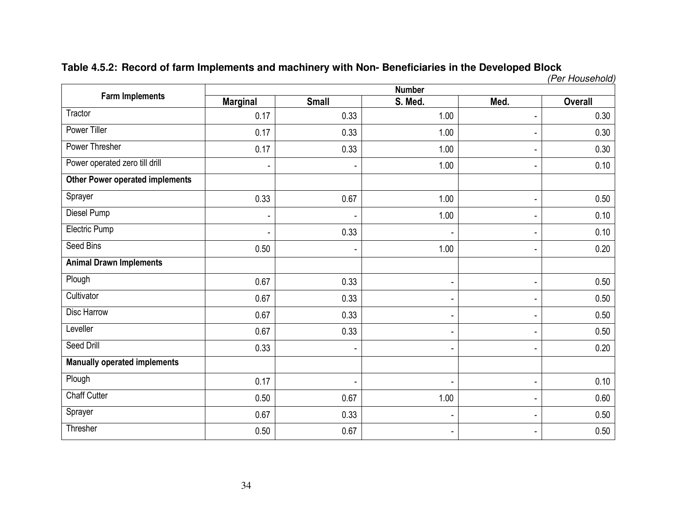### **Table 4.5.2: Record of farm Implements and machinery with Non- Beneficiaries in the Developed Block**

(Per Household)

| <b>Farm Implements</b>                 |                          |                | <b>Number</b> |                          |                |
|----------------------------------------|--------------------------|----------------|---------------|--------------------------|----------------|
|                                        | <b>Marginal</b>          | <b>Small</b>   | S. Med.       | Med.                     | <b>Overall</b> |
| Tractor                                | 0.17                     | 0.33           | 1.00          | $\blacksquare$           | 0.30           |
| <b>Power Tiller</b>                    | 0.17                     | 0.33           | 1.00          | -                        | 0.30           |
| <b>Power Thresher</b>                  | 0.17                     | 0.33           | 1.00          | $\overline{\phantom{0}}$ | 0.30           |
| Power operated zero till drill         | $\overline{\phantom{a}}$ | ٠              | 1.00          | -                        | 0.10           |
| <b>Other Power operated implements</b> |                          |                |               |                          |                |
| Sprayer                                | 0.33                     | 0.67           | 1.00          | $\blacksquare$           | 0.50           |
| Diesel Pump                            | $\overline{\phantom{a}}$ |                | 1.00          | -                        | 0.10           |
| <b>Electric Pump</b>                   | $\blacksquare$           | 0.33           |               | $\overline{\phantom{a}}$ | 0.10           |
| Seed Bins                              | 0.50                     | ٠              | 1.00          | -                        | 0.20           |
| <b>Animal Drawn Implements</b>         |                          |                |               |                          |                |
| Plough                                 | 0.67                     | 0.33           |               | $\blacksquare$           | 0.50           |
| Cultivator                             | 0.67                     | 0.33           |               | $\overline{\phantom{0}}$ | 0.50           |
| Disc Harrow                            | 0.67                     | 0.33           |               | -                        | 0.50           |
| Leveller                               | 0.67                     | 0.33           |               | $\overline{\phantom{0}}$ | 0.50           |
| Seed Drill                             | 0.33                     |                |               | -                        | 0.20           |
| <b>Manually operated implements</b>    |                          |                |               |                          |                |
| Plough                                 | 0.17                     | $\blacksquare$ |               | $\overline{\phantom{0}}$ | 0.10           |
| <b>Chaff Cutter</b>                    | 0.50                     | 0.67           | 1.00          | $\overline{\phantom{a}}$ | 0.60           |
| Sprayer                                | 0.67                     | 0.33           |               | $\blacksquare$           | 0.50           |
| Thresher                               | 0.50                     | 0.67           |               | $\blacksquare$           | 0.50           |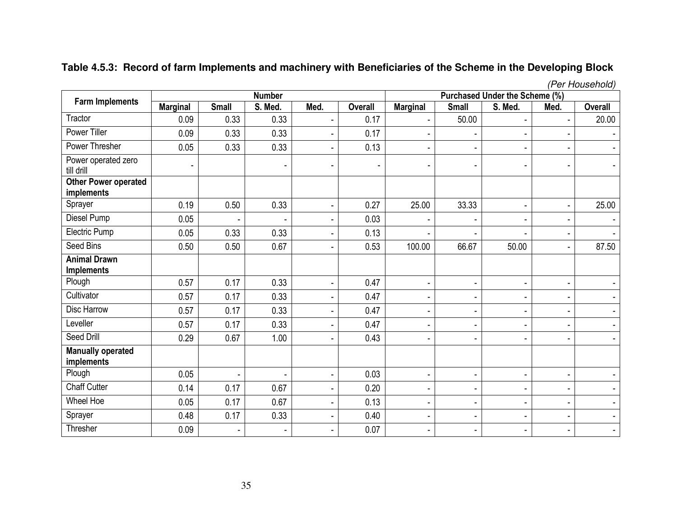|                                           |                 |                |                |                |                          |                          |                          |                                |                          | (Per Household)          |
|-------------------------------------------|-----------------|----------------|----------------|----------------|--------------------------|--------------------------|--------------------------|--------------------------------|--------------------------|--------------------------|
|                                           |                 |                | <b>Number</b>  |                |                          |                          |                          | Purchased Under the Scheme (%) |                          |                          |
| <b>Farm Implements</b>                    | <b>Marginal</b> | <b>Small</b>   | S. Med.        | Med.           | <b>Overall</b>           | <b>Marginal</b>          | <b>Small</b>             | S. Med.                        | Med.                     | <b>Overall</b>           |
| Tractor                                   | 0.09            | 0.33           | 0.33           | $\blacksquare$ | 0.17                     | $\blacksquare$           | 50.00                    | $\blacksquare$                 | $\blacksquare$           | 20.00                    |
| <b>Power Tiller</b>                       | 0.09            | 0.33           | 0.33           | $\blacksquare$ | 0.17                     |                          |                          | $\overline{\phantom{a}}$       |                          |                          |
| Power Thresher                            | 0.05            | 0.33           | 0.33           | $\blacksquare$ | 0.13                     | $\blacksquare$           |                          | $\blacksquare$                 |                          | $\sim$                   |
| Power operated zero<br>till drill         | ٠               |                | $\blacksquare$ | $\blacksquare$ | $\overline{\phantom{a}}$ | $\blacksquare$           | $\blacksquare$           | $\blacksquare$                 | $\blacksquare$           |                          |
| Other Power operated<br><i>implements</i> |                 |                |                |                |                          |                          |                          |                                |                          |                          |
| Sprayer                                   | 0.19            | 0.50           | 0.33           | $\blacksquare$ | 0.27                     | 25.00                    | 33.33                    | $\blacksquare$                 | $\blacksquare$           | 25.00                    |
| Diesel Pump                               | 0.05            |                |                | $\blacksquare$ | 0.03                     |                          |                          | $\sim$                         | $\blacksquare$           |                          |
| Electric Pump                             | 0.05            | 0.33           | 0.33           | $\blacksquare$ | 0.13                     |                          |                          |                                |                          | $\sim$                   |
| Seed Bins                                 | 0.50            | 0.50           | 0.67           | $\blacksquare$ | 0.53                     | 100.00                   | 66.67                    | 50.00                          | $\blacksquare$           | 87.50                    |
| <b>Animal Drawn</b><br><b>Implements</b>  |                 |                |                |                |                          |                          |                          |                                |                          |                          |
| Plough                                    | 0.57            | 0.17           | 0.33           | $\blacksquare$ | 0.47                     | $\blacksquare$           |                          | $\overline{\phantom{a}}$       | ٠                        |                          |
| Cultivator                                | 0.57            | 0.17           | 0.33           | $\blacksquare$ | 0.47                     | $\blacksquare$           | ٠                        | $\blacksquare$                 | $\blacksquare$           |                          |
| Disc Harrow                               | 0.57            | 0.17           | 0.33           | $\blacksquare$ | 0.47                     | $\blacksquare$           | $\blacksquare$           | $\blacksquare$                 | $\blacksquare$           |                          |
| Leveller                                  | 0.57            | 0.17           | 0.33           | $\blacksquare$ | 0.47                     | $\blacksquare$           | $\blacksquare$           | $\blacksquare$                 | $\blacksquare$           |                          |
| Seed Drill                                | 0.29            | 0.67           | 1.00           | $\blacksquare$ | 0.43                     |                          | $\blacksquare$           | $\blacksquare$                 |                          |                          |
| <b>Manually operated</b><br>implements    |                 |                |                |                |                          |                          |                          |                                |                          |                          |
| Plough                                    | 0.05            | $\blacksquare$ | $\blacksquare$ | $\blacksquare$ | 0.03                     | $\overline{\phantom{a}}$ | $\blacksquare$           | $\blacksquare$                 | $\blacksquare$           | ÷                        |
| <b>Chaff Cutter</b>                       | 0.14            | 0.17           | 0.67           | $\blacksquare$ | 0.20                     |                          |                          | $\blacksquare$                 | $\blacksquare$           |                          |
| Wheel Hoe                                 | 0.05            | 0.17           | 0.67           | $\blacksquare$ | 0.13                     | $\blacksquare$           |                          | $\blacksquare$                 | ٠                        | $\blacksquare$           |
| Sprayer                                   | 0.48            | 0.17           | 0.33           | $\mathbf{r}$   | 0.40                     |                          |                          | $\sim$                         | ٠                        |                          |
| Thresher                                  | 0.09            | $\blacksquare$ | $\blacksquare$ | $\sim$         | 0.07                     | $\blacksquare$           | $\overline{\phantom{a}}$ | $\overline{\phantom{0}}$       | $\overline{\phantom{0}}$ | $\overline{\phantom{0}}$ |

### **Table 4.5.3: Record of farm Implements and machinery with Beneficiaries of the Scheme in the Developing Block**

35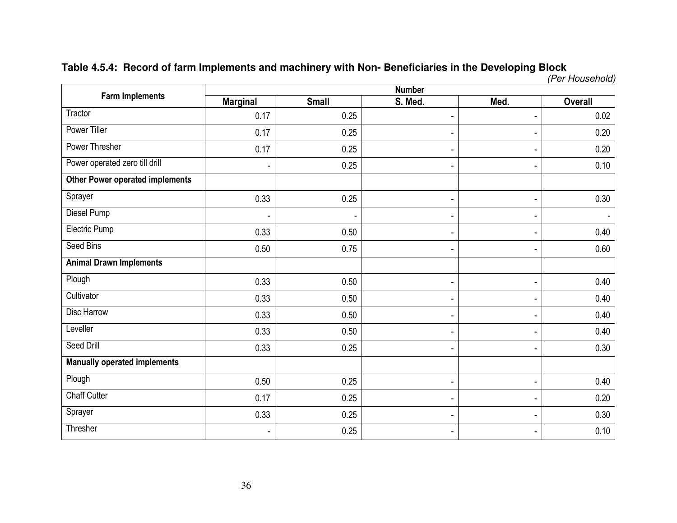# **Table 4.5.4: Record of farm Implements and machinery with Non- Beneficiaries in the Developing Block**  (Per Household)

| <b>Farm Implements</b>                 |                          |              | <b>Number</b>            |                          |                |
|----------------------------------------|--------------------------|--------------|--------------------------|--------------------------|----------------|
|                                        | <b>Marginal</b>          | <b>Small</b> | S. Med.                  | Med.                     | <b>Overall</b> |
| Tractor                                | 0.17                     | 0.25         | $\blacksquare$           | $\blacksquare$           | 0.02           |
| Power Tiller                           | 0.17                     | 0.25         |                          | $\blacksquare$           | 0.20           |
| <b>Power Thresher</b>                  | 0.17                     | 0.25         |                          | $\blacksquare$           | 0.20           |
| Power operated zero till drill         | $\overline{\phantom{a}}$ | 0.25         |                          | $\overline{\phantom{0}}$ | 0.10           |
| <b>Other Power operated implements</b> |                          |              |                          |                          |                |
| Sprayer                                | 0.33                     | 0.25         | $\overline{\phantom{a}}$ | $\overline{\phantom{a}}$ | 0.30           |
| Diesel Pump                            |                          |              |                          | $\overline{\phantom{a}}$ |                |
| Electric Pump                          | 0.33                     | 0.50         |                          | -                        | 0.40           |
| Seed Bins                              | 0.50                     | 0.75         |                          | $\overline{\phantom{0}}$ | 0.60           |
| <b>Animal Drawn Implements</b>         |                          |              |                          |                          |                |
| Plough                                 | 0.33                     | 0.50         |                          | $\overline{\phantom{a}}$ | 0.40           |
| Cultivator                             | 0.33                     | 0.50         |                          | $\overline{\phantom{a}}$ | 0.40           |
| Disc Harrow                            | 0.33                     | 0.50         |                          | $\overline{\phantom{a}}$ | 0.40           |
| Leveller                               | 0.33                     | 0.50         |                          | $\overline{\phantom{0}}$ | 0.40           |
| Seed Drill                             | 0.33                     | 0.25         |                          | $\overline{\phantom{0}}$ | 0.30           |
| <b>Manually operated implements</b>    |                          |              |                          |                          |                |
| Plough                                 | 0.50                     | 0.25         |                          | ٠                        | 0.40           |
| <b>Chaff Cutter</b>                    | 0.17                     | 0.25         |                          | $\blacksquare$           | 0.20           |
| Sprayer                                | 0.33                     | 0.25         |                          | $\overline{\phantom{a}}$ | 0.30           |
| Thresher                               | $\blacksquare$           | 0.25         |                          | ۰                        | 0.10           |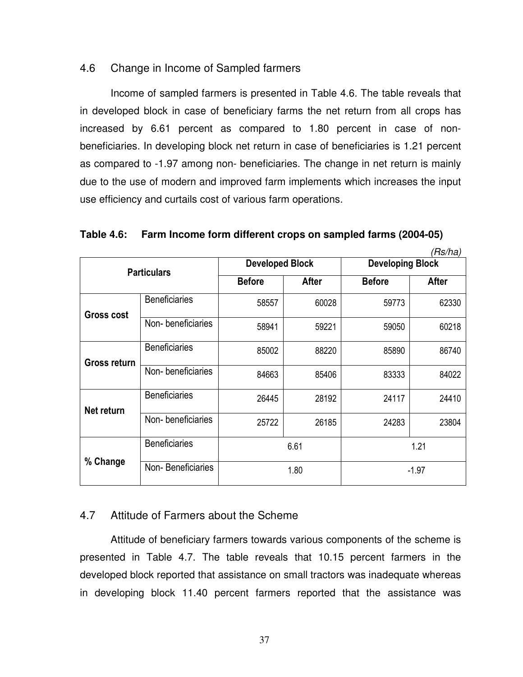### 4.6 Change in Income of Sampled farmers

Income of sampled farmers is presented in Table 4.6. The table reveals that in developed block in case of beneficiary farms the net return from all crops has increased by 6.61 percent as compared to 1.80 percent in case of nonbeneficiaries. In developing block net return in case of beneficiaries is 1.21 percent as compared to -1.97 among non- beneficiaries. The change in net return is mainly due to the use of modern and improved farm implements which increases the input use efficiency and curtails cost of various farm operations.

**Table 4.6: Farm Income form different crops on sampled farms (2004-05)** 

|                   |                      |                        |              |                         | (Rs/ha) |  |
|-------------------|----------------------|------------------------|--------------|-------------------------|---------|--|
|                   | <b>Particulars</b>   | <b>Developed Block</b> |              | <b>Developing Block</b> |         |  |
|                   |                      | <b>Before</b>          | <b>After</b> | <b>Before</b>           | After   |  |
| <b>Gross cost</b> | <b>Beneficiaries</b> | 58557                  | 60028        | 59773                   | 62330   |  |
|                   | Non-beneficiaries    | 58941                  | 59221        | 59050                   | 60218   |  |
| Gross return      | <b>Beneficiaries</b> | 85002                  | 88220        | 85890                   | 86740   |  |
|                   | Non-beneficiaries    | 84663                  | 85406        | 83333                   | 84022   |  |
| Net return        | Beneficiaries        | 26445                  | 28192        | 24117                   | 24410   |  |
|                   | Non-beneficiaries    | 25722                  | 26185        | 24283                   | 23804   |  |
|                   | <b>Beneficiaries</b> |                        | 6.61         | 1.21                    |         |  |
| % Change          | Non-Beneficiaries    |                        | 1.80         | $-1.97$                 |         |  |

### 4.7 Attitude of Farmers about the Scheme

Attitude of beneficiary farmers towards various components of the scheme is presented in Table 4.7. The table reveals that 10.15 percent farmers in the developed block reported that assistance on small tractors was inadequate whereas in developing block 11.40 percent farmers reported that the assistance was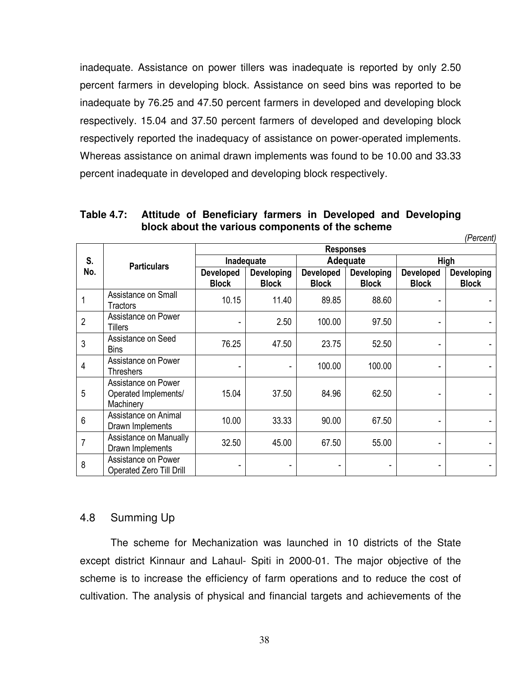inadequate. Assistance on power tillers was inadequate is reported by only 2.50 percent farmers in developing block. Assistance on seed bins was reported to be inadequate by 76.25 and 47.50 percent farmers in developed and developing block respectively. 15.04 and 37.50 percent farmers of developed and developing block respectively reported the inadequacy of assistance on power-operated implements. Whereas assistance on animal drawn implements was found to be 10.00 and 33.33 percent inadequate in developed and developing block respectively.

|                 |                                                          | <b>Responses</b>                 |                                   |                                  |                                   |                                  |                                   |  |  |
|-----------------|----------------------------------------------------------|----------------------------------|-----------------------------------|----------------------------------|-----------------------------------|----------------------------------|-----------------------------------|--|--|
| S.              | <b>Particulars</b>                                       |                                  | Inadequate                        |                                  | Adequate                          | High                             |                                   |  |  |
| No.             |                                                          | <b>Developed</b><br><b>Block</b> | <b>Developing</b><br><b>Block</b> | <b>Developed</b><br><b>Block</b> | <b>Developing</b><br><b>Block</b> | <b>Developed</b><br><b>Block</b> | <b>Developing</b><br><b>Block</b> |  |  |
| 1               | Assistance on Small<br><b>Tractors</b>                   | 10.15                            | 11.40                             | 89.85                            | 88.60                             |                                  |                                   |  |  |
| $\overline{2}$  | Assistance on Power<br><b>Tillers</b>                    |                                  | 2.50                              | 100.00                           | 97.50                             |                                  |                                   |  |  |
| $\mathbf{3}$    | Assistance on Seed<br><b>Bins</b>                        | 76.25                            | 47.50                             | 23.75                            | 52.50                             |                                  |                                   |  |  |
| $\overline{4}$  | Assistance on Power<br><b>Threshers</b>                  |                                  |                                   | 100.00                           | 100.00                            |                                  |                                   |  |  |
| 5               | Assistance on Power<br>Operated Implements/<br>Machinery | 15.04                            | 37.50                             | 84.96                            | 62.50                             |                                  |                                   |  |  |
| $6\phantom{1}6$ | Assistance on Animal<br>Drawn Implements                 | 10.00                            | 33.33                             | 90.00                            | 67.50                             |                                  |                                   |  |  |
| $\overline{7}$  | Assistance on Manually<br>Drawn Implements               | 32.50                            | 45.00                             | 67.50                            | 55.00                             |                                  |                                   |  |  |
| 8               | Assistance on Power<br><b>Operated Zero Till Drill</b>   |                                  |                                   |                                  |                                   |                                  |                                   |  |  |

**Table 4.7: Attitude of Beneficiary farmers in Developed and Developing block about the various components of the scheme** 

*(Percent)* 

### 4.8 Summing Up

 The scheme for Mechanization was launched in 10 districts of the State except district Kinnaur and Lahaul- Spiti in 2000-01. The major objective of the scheme is to increase the efficiency of farm operations and to reduce the cost of cultivation. The analysis of physical and financial targets and achievements of the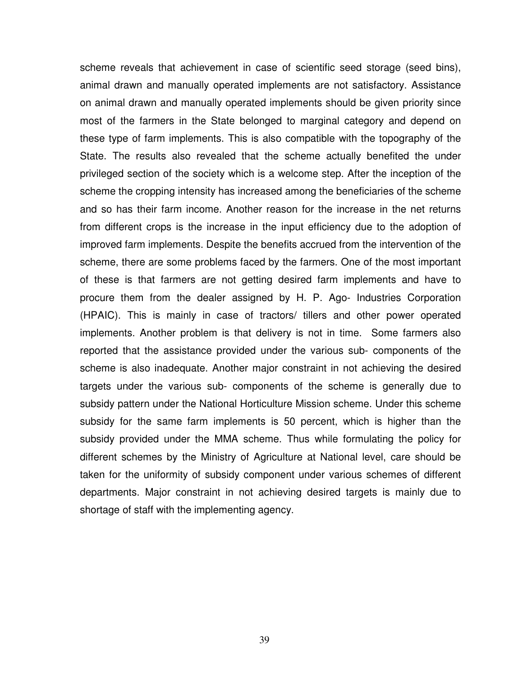scheme reveals that achievement in case of scientific seed storage (seed bins), animal drawn and manually operated implements are not satisfactory. Assistance on animal drawn and manually operated implements should be given priority since most of the farmers in the State belonged to marginal category and depend on these type of farm implements. This is also compatible with the topography of the State. The results also revealed that the scheme actually benefited the under privileged section of the society which is a welcome step. After the inception of the scheme the cropping intensity has increased among the beneficiaries of the scheme and so has their farm income. Another reason for the increase in the net returns from different crops is the increase in the input efficiency due to the adoption of improved farm implements. Despite the benefits accrued from the intervention of the scheme, there are some problems faced by the farmers. One of the most important of these is that farmers are not getting desired farm implements and have to procure them from the dealer assigned by H. P. Ago- Industries Corporation (HPAIC). This is mainly in case of tractors/ tillers and other power operated implements. Another problem is that delivery is not in time. Some farmers also reported that the assistance provided under the various sub- components of the scheme is also inadequate. Another major constraint in not achieving the desired targets under the various sub- components of the scheme is generally due to subsidy pattern under the National Horticulture Mission scheme. Under this scheme subsidy for the same farm implements is 50 percent, which is higher than the subsidy provided under the MMA scheme. Thus while formulating the policy for different schemes by the Ministry of Agriculture at National level, care should be taken for the uniformity of subsidy component under various schemes of different departments. Major constraint in not achieving desired targets is mainly due to shortage of staff with the implementing agency.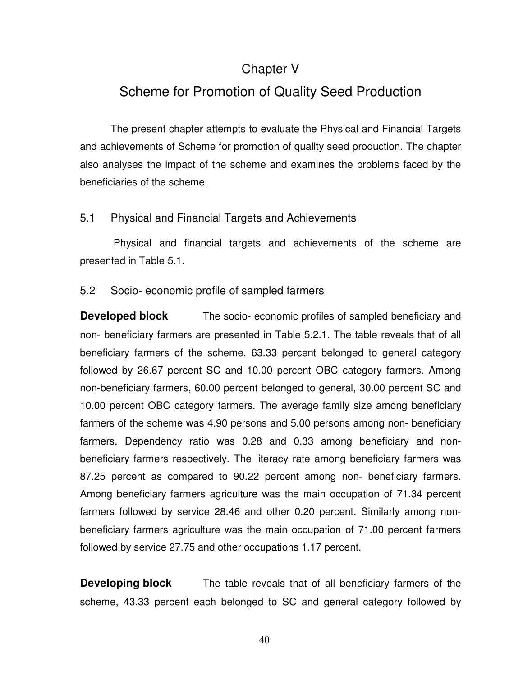### Chapter V

## Scheme for Promotion of Quality Seed Production

 The present chapter attempts to evaluate the Physical and Financial Targets and achievements of Scheme for promotion of quality seed production. The chapter also analyses the impact of the scheme and examines the problems faced by the beneficiaries of the scheme.

### 5.1 Physical and Financial Targets and Achievements

 Physical and financial targets and achievements of the scheme are presented in Table 5.1.

### 5.2 Socio- economic profile of sampled farmers

**Developed block** The socio- economic profiles of sampled beneficiary and non- beneficiary farmers are presented in Table 5.2.1. The table reveals that of all beneficiary farmers of the scheme, 63.33 percent belonged to general category followed by 26.67 percent SC and 10.00 percent OBC category farmers. Among non-beneficiary farmers, 60.00 percent belonged to general, 30.00 percent SC and 10.00 percent OBC category farmers. The average family size among beneficiary farmers of the scheme was 4.90 persons and 5.00 persons among non- beneficiary farmers. Dependency ratio was 0.28 and 0.33 among beneficiary and nonbeneficiary farmers respectively. The literacy rate among beneficiary farmers was 87.25 percent as compared to 90.22 percent among non- beneficiary farmers. Among beneficiary farmers agriculture was the main occupation of 71.34 percent farmers followed by service 28.46 and other 0.20 percent. Similarly among nonbeneficiary farmers agriculture was the main occupation of 71.00 percent farmers followed by service 27.75 and other occupations 1.17 percent.

**Developing block** The table reveals that of all beneficiary farmers of the scheme, 43.33 percent each belonged to SC and general category followed by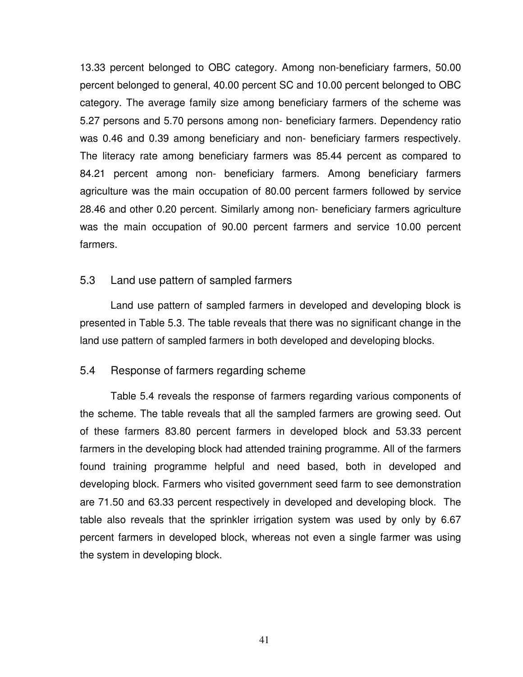13.33 percent belonged to OBC category. Among non-beneficiary farmers, 50.00 percent belonged to general, 40.00 percent SC and 10.00 percent belonged to OBC category. The average family size among beneficiary farmers of the scheme was 5.27 persons and 5.70 persons among non- beneficiary farmers. Dependency ratio was 0.46 and 0.39 among beneficiary and non- beneficiary farmers respectively. The literacy rate among beneficiary farmers was 85.44 percent as compared to 84.21 percent among non- beneficiary farmers. Among beneficiary farmers agriculture was the main occupation of 80.00 percent farmers followed by service 28.46 and other 0.20 percent. Similarly among non- beneficiary farmers agriculture was the main occupation of 90.00 percent farmers and service 10.00 percent farmers.

### 5.3 Land use pattern of sampled farmers

Land use pattern of sampled farmers in developed and developing block is presented in Table 5.3. The table reveals that there was no significant change in the land use pattern of sampled farmers in both developed and developing blocks.

### 5.4 Response of farmers regarding scheme

 Table 5.4 reveals the response of farmers regarding various components of the scheme. The table reveals that all the sampled farmers are growing seed. Out of these farmers 83.80 percent farmers in developed block and 53.33 percent farmers in the developing block had attended training programme. All of the farmers found training programme helpful and need based, both in developed and developing block. Farmers who visited government seed farm to see demonstration are 71.50 and 63.33 percent respectively in developed and developing block. The table also reveals that the sprinkler irrigation system was used by only by 6.67 percent farmers in developed block, whereas not even a single farmer was using the system in developing block.

41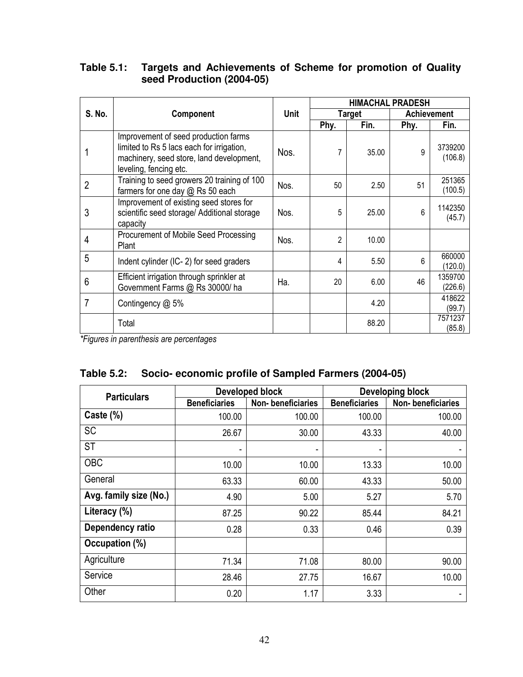### **Table 5.1: Targets and Achievements of Scheme for promotion of Quality seed Production (2004-05)**

|                |                                                                                                                                                         |             | <b>HIMACHAL PRADESH</b> |        |      |                    |  |  |
|----------------|---------------------------------------------------------------------------------------------------------------------------------------------------------|-------------|-------------------------|--------|------|--------------------|--|--|
| <b>S. No.</b>  | Component                                                                                                                                               | <b>Unit</b> |                         | Target |      | <b>Achievement</b> |  |  |
|                |                                                                                                                                                         |             | Phy.                    | Fin.   | Phy. | Fin.               |  |  |
|                | Improvement of seed production farms<br>limited to Rs 5 lacs each for irrigation,<br>machinery, seed store, land development,<br>leveling, fencing etc. | Nos.        | 7                       | 35.00  | q    | 3739200<br>(106.8) |  |  |
| $\overline{2}$ | Training to seed growers 20 training of 100<br>farmers for one day @ Rs 50 each                                                                         | Nos.        | 50                      | 2.50   | 51   | 251365<br>(100.5)  |  |  |
| 3              | Improvement of existing seed stores for<br>scientific seed storage/ Additional storage<br>capacity                                                      | Nos.        | 5                       | 25.00  | 6    | 1142350<br>(45.7)  |  |  |
| 4              | Procurement of Mobile Seed Processing<br>Plant                                                                                                          | Nos.        | 2                       | 10.00  |      |                    |  |  |
| 5              | Indent cylinder (IC-2) for seed graders                                                                                                                 |             | 4                       | 5.50   | 6    | 660000<br>(120.0)  |  |  |
| 6              | Efficient irrigation through sprinkler at<br>Government Farms @ Rs 30000/ ha                                                                            | Ha.         | 20                      | 6.00   | 46   | 1359700<br>(226.6) |  |  |
| 7              | Contingency $@$ 5%                                                                                                                                      |             |                         | 4.20   |      | 418622<br>(99.7)   |  |  |
|                | Total                                                                                                                                                   |             |                         | 88.20  |      | 7571237<br>(85.8)  |  |  |

*\*Figures in parenthesis are percentages* 

### **Table 5.2: Socio- economic profile of Sampled Farmers (2004-05)**

| <b>Particulars</b>     |                      | Developed block   | Developing block     |                   |  |  |  |
|------------------------|----------------------|-------------------|----------------------|-------------------|--|--|--|
|                        | <b>Beneficiaries</b> | Non-beneficiaries | <b>Beneficiaries</b> | Non-beneficiaries |  |  |  |
| Caste $(\%)$           | 100.00               | 100.00            | 100.00               | 100.00            |  |  |  |
| <b>SC</b>              | 26.67                | 30.00             | 43.33                | 40.00             |  |  |  |
| <b>ST</b>              |                      |                   |                      |                   |  |  |  |
| <b>OBC</b>             | 10.00                | 10.00             | 13.33                | 10.00             |  |  |  |
| General                | 63.33                | 60.00             | 43.33                | 50.00             |  |  |  |
| Avg. family size (No.) | 4.90                 | 5.00              | 5.27                 | 5.70              |  |  |  |
| Literacy (%)           | 87.25                | 90.22             | 85.44                | 84.21             |  |  |  |
| Dependency ratio       | 0.28                 | 0.33              | 0.46                 | 0.39              |  |  |  |
| Occupation (%)         |                      |                   |                      |                   |  |  |  |
| Agriculture            | 71.34                | 71.08             | 80.00                | 90.00             |  |  |  |
| Service                | 28.46                | 27.75             | 16.67                | 10.00             |  |  |  |
| Other                  | 0.20                 | 1.17              | 3.33                 |                   |  |  |  |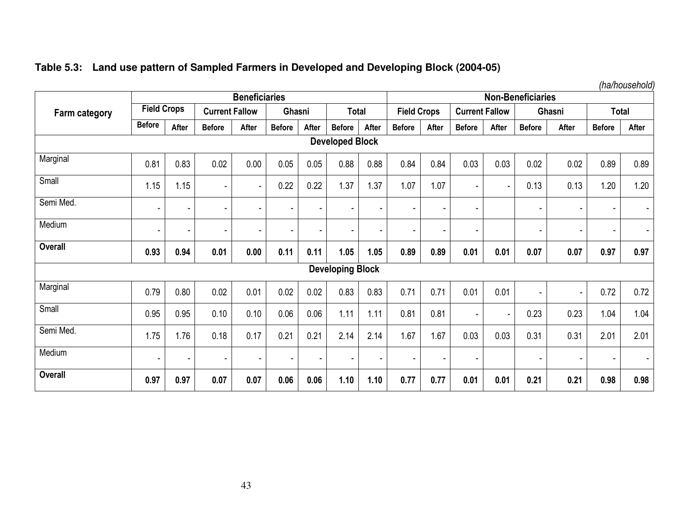|  |  |  |  | Table 5.3: Land use pattern of Sampled Farmers in Developed and Developing Block (2004-05) |  |
|--|--|--|--|--------------------------------------------------------------------------------------------|--|
|--|--|--|--|--------------------------------------------------------------------------------------------|--|

|                      |                |                    |                | <b>Beneficiaries</b>     |                          |                |                         |                          |                    |                          |                       |                | <b>Non-Beneficiaries</b> |                |               | .            |
|----------------------|----------------|--------------------|----------------|--------------------------|--------------------------|----------------|-------------------------|--------------------------|--------------------|--------------------------|-----------------------|----------------|--------------------------|----------------|---------------|--------------|
| <b>Farm category</b> |                | <b>Field Crops</b> |                | <b>Current Fallow</b>    | Ghasni                   |                | <b>Total</b>            |                          | <b>Field Crops</b> |                          | <b>Current Fallow</b> |                | Ghasni                   |                |               | <b>Total</b> |
|                      | <b>Before</b>  | After              | <b>Before</b>  | After                    | <b>Before</b>            | After          | <b>Before</b>           | After                    | <b>Before</b>      | After                    | <b>Before</b>         | After          | <b>Before</b>            | After          | <b>Before</b> | After        |
|                      |                |                    |                |                          |                          |                | <b>Developed Block</b>  |                          |                    |                          |                       |                |                          |                |               |              |
| Marginal             | 0.81           | 0.83               | 0.02           | 0.00                     | 0.05                     | 0.05           | 0.88                    | 0.88                     | 0.84               | 0.84                     | 0.03                  | 0.03           | 0.02                     | 0.02           | 0.89          | 0.89         |
| Small                | 1.15           | 1.15               | $\blacksquare$ | $\sim$                   | 0.22                     | 0.22           | 1.37                    | 1.37                     | 1.07               | 1.07                     | $\overline{a}$        | $\blacksquare$ | 0.13                     | 0.13           | 1.20          | 1.20         |
| Semi Med.            |                | ٠                  | ۰              | ٠                        |                          | $\blacksquare$ | $\blacksquare$          |                          |                    |                          | $\blacksquare$        |                | $\overline{\phantom{a}}$ | ٠              |               |              |
| Medium               |                | ٠                  | $\overline{a}$ | $\overline{\phantom{0}}$ | $\overline{\phantom{a}}$ | $\blacksquare$ | $\blacksquare$          |                          |                    | $\overline{\phantom{a}}$ | $\blacksquare$        |                |                          | ۰              | ٠             |              |
| Overall              | 0.93           | 0.94               | 0.01           | 0.00                     | 0.11                     | 0.11           | 1.05                    | 1.05                     | 0.89               | 0.89                     | 0.01                  | 0.01           | 0.07                     | 0.07           | 0.97          | 0.97         |
|                      |                |                    |                |                          |                          |                | <b>Developing Block</b> |                          |                    |                          |                       |                |                          |                |               |              |
| Marginal             | 0.79           | 0.80               | 0.02           | 0.01                     | 0.02                     | 0.02           | 0.83                    | 0.83                     | 0.71               | 0.71                     | 0.01                  | 0.01           | $\overline{\phantom{0}}$ | $\blacksquare$ | 0.72          | 0.72         |
| Small                | 0.95           | 0.95               | 0.10           | 0.10                     | 0.06                     | 0.06           | 1.11                    | 1.11                     | 0.81               | 0.81                     | $\blacksquare$        | ۰              | 0.23                     | 0.23           | 1.04          | 1.04         |
| Semi Med.            | 1.75           | 1.76               | 0.18           | 0.17                     | 0.21                     | 0.21           | 2.14                    | 2.14                     | 1.67               | 1.67                     | 0.03                  | 0.03           | 0.31                     | 0.31           | 2.01          | 2.01         |
| Medium               | $\blacksquare$ | $\blacksquare$     | ä,             | ٠                        | $\overline{\phantom{0}}$ | $\blacksquare$ | $\blacksquare$          | $\overline{\phantom{a}}$ |                    | $\overline{\phantom{a}}$ | $\blacksquare$        |                | $\overline{\phantom{a}}$ | ٠              | ٠             |              |
| <b>Overall</b>       | 0.97           | 0.97               | 0.07           | 0.07                     | 0.06                     | 0.06           | 1.10                    | 1.10                     | 0.77               | 0.77                     | 0.01                  | 0.01           | 0.21                     | 0.21           | 0.98          | 0.98         |

*(ha/household)*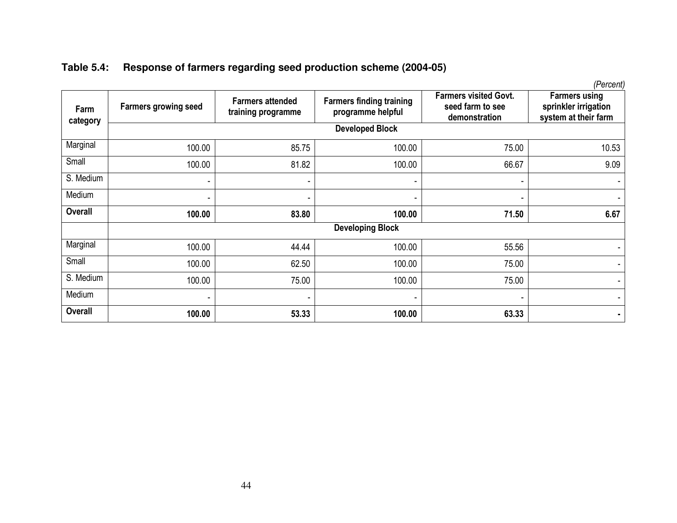|  |  |  | Table 5.4: Response of farmers regarding seed production scheme (2004-05) |
|--|--|--|---------------------------------------------------------------------------|
|--|--|--|---------------------------------------------------------------------------|

| Farm<br>category | <b>Farmers growing seed</b> | <b>Farmers attended</b><br>training programme | <b>Farmers finding training</b><br>programme helpful | <b>Farmers visited Govt.</b><br>seed farm to see<br>demonstration | <b>Farmers using</b><br>sprinkler irrigation<br>system at their farm |
|------------------|-----------------------------|-----------------------------------------------|------------------------------------------------------|-------------------------------------------------------------------|----------------------------------------------------------------------|
|                  |                             |                                               | <b>Developed Block</b>                               |                                                                   |                                                                      |
| Marginal         | 100.00                      | 85.75                                         | 100.00                                               | 75.00                                                             | 10.53                                                                |
| Small            | 100.00                      | 81.82                                         | 100.00                                               | 66.67                                                             | 9.09                                                                 |
| S. Medium        | ٠                           | ٠                                             | $\sim$                                               | ۰                                                                 |                                                                      |
| Medium           | ۰                           |                                               |                                                      |                                                                   |                                                                      |
| <b>Overall</b>   | 100.00                      | 83.80                                         | 100.00                                               | 71.50                                                             | 6.67                                                                 |
|                  |                             |                                               | <b>Developing Block</b>                              |                                                                   |                                                                      |
| Marginal         | 100.00                      | 44.44                                         | 100.00                                               | 55.56                                                             |                                                                      |
| Small            | 100.00                      | 62.50                                         | 100.00                                               | 75.00                                                             |                                                                      |
| S. Medium        | 100.00                      | 75.00                                         | 100.00                                               | 75.00                                                             |                                                                      |
| Medium           | ۰                           | $\overline{\phantom{a}}$                      |                                                      |                                                                   |                                                                      |
| <b>Overall</b>   | 100.00                      | 53.33                                         | 100.00                                               | 63.33                                                             |                                                                      |

*(Percent)*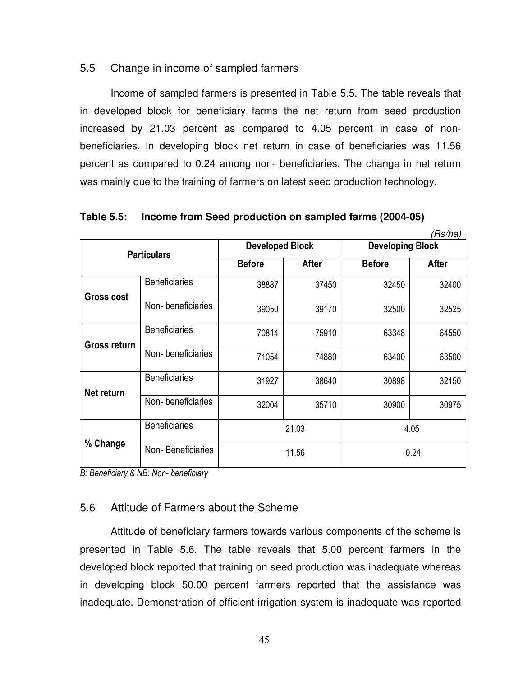### 5.5 Change in income of sampled farmers

 Income of sampled farmers is presented in Table 5.5. The table reveals that in developed block for beneficiary farms the net return from seed production increased by 21.03 percent as compared to 4.05 percent in case of nonbeneficiaries. In developing block net return in case of beneficiaries was 11.56 percent as compared to 0.24 among non- beneficiaries. The change in net return was mainly due to the training of farmers on latest seed production technology.

|                   |                      |                        |              |                         | (Rs/ha)      |  |
|-------------------|----------------------|------------------------|--------------|-------------------------|--------------|--|
|                   | <b>Particulars</b>   | <b>Developed Block</b> |              | <b>Developing Block</b> |              |  |
|                   |                      | <b>Before</b>          | <b>After</b> | <b>Before</b>           | <b>After</b> |  |
| <b>Gross cost</b> | <b>Beneficiaries</b> | 38887                  | 37450        | 32450                   | 32400        |  |
|                   | Non-beneficiaries    | 39050                  | 39170        | 32500                   | 32525        |  |
| Gross return      | <b>Beneficiaries</b> | 70814                  | 75910        | 63348                   | 64550        |  |
|                   | Non-beneficiaries    | 71054                  | 74880        | 63400                   | 63500        |  |
| Net return        | <b>Beneficiaries</b> | 31927                  | 38640        | 30898                   | 32150        |  |
|                   | Non-beneficiaries    | 32004                  | 35710        | 30900                   | 30975        |  |
|                   | <b>Beneficiaries</b> |                        | 21.03        |                         | 4.05         |  |
| % Change          | Non-Beneficiaries    |                        | 11.56        | 0.24                    |              |  |

**Table 5.5: Income from Seed production on sampled farms (2004-05)** 

*B: Beneficiary & NB: Non- beneficiary*

### 5.6 Attitude of Farmers about the Scheme

Attitude of beneficiary farmers towards various components of the scheme is presented in Table 5.6. The table reveals that 5.00 percent farmers in the developed block reported that training on seed production was inadequate whereas in developing block 50.00 percent farmers reported that the assistance was inadequate. Demonstration of efficient irrigation system is inadequate was reported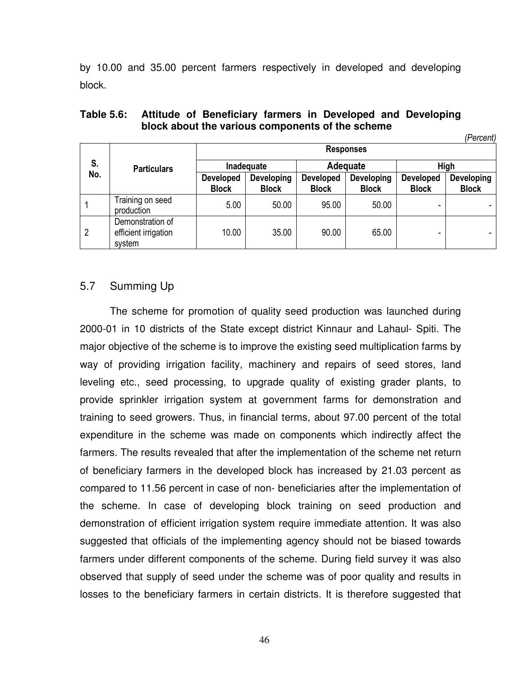by 10.00 and 35.00 percent farmers respectively in developed and developing block.

| Table 5.6: Attitude of Beneficiary farmers in Developed and Developing |           |
|------------------------------------------------------------------------|-----------|
| block about the various components of the scheme                       |           |
|                                                                        | (Parrant) |

| S.<br>No. |                                                    |                                  |                            |                                  | <b>Responses</b>           |                                  | ,, טועטור                         |  |  |  |  |
|-----------|----------------------------------------------------|----------------------------------|----------------------------|----------------------------------|----------------------------|----------------------------------|-----------------------------------|--|--|--|--|
|           | <b>Particulars</b>                                 |                                  | Inadequate                 |                                  | Adequate                   | High                             |                                   |  |  |  |  |
|           |                                                    | <b>Developed</b><br><b>Block</b> | Developing<br><b>Block</b> | <b>Developed</b><br><b>Block</b> | Developing<br><b>Block</b> | <b>Developed</b><br><b>Block</b> | <b>Developing</b><br><b>Block</b> |  |  |  |  |
|           | Training on seed<br>production                     | 5.00                             | 50.00                      | 95.00                            | 50.00                      | -                                |                                   |  |  |  |  |
| 2         | Demonstration of<br>efficient irrigation<br>system | 10.00                            | 35.00                      | 90.00                            | 65.00                      | ۰                                |                                   |  |  |  |  |

# 5.7 Summing Up

 The scheme for promotion of quality seed production was launched during 2000-01 in 10 districts of the State except district Kinnaur and Lahaul- Spiti. The major objective of the scheme is to improve the existing seed multiplication farms by way of providing irrigation facility, machinery and repairs of seed stores, land leveling etc., seed processing, to upgrade quality of existing grader plants, to provide sprinkler irrigation system at government farms for demonstration and training to seed growers. Thus, in financial terms, about 97.00 percent of the total expenditure in the scheme was made on components which indirectly affect the farmers. The results revealed that after the implementation of the scheme net return of beneficiary farmers in the developed block has increased by 21.03 percent as compared to 11.56 percent in case of non- beneficiaries after the implementation of the scheme. In case of developing block training on seed production and demonstration of efficient irrigation system require immediate attention. It was also suggested that officials of the implementing agency should not be biased towards farmers under different components of the scheme. During field survey it was also observed that supply of seed under the scheme was of poor quality and results in losses to the beneficiary farmers in certain districts. It is therefore suggested that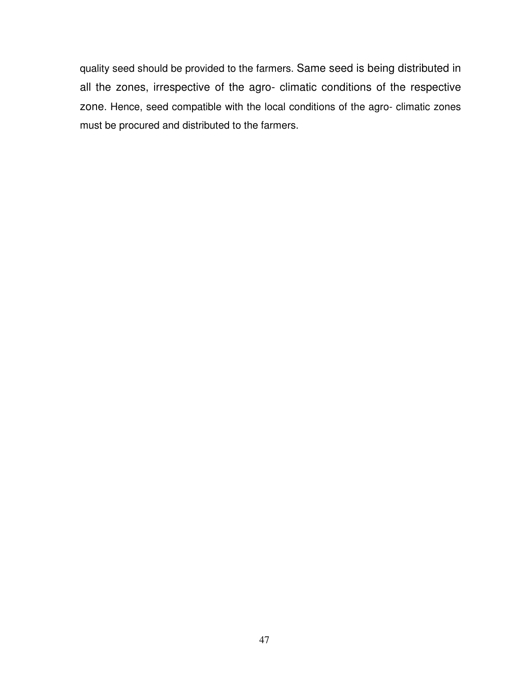quality seed should be provided to the farmers. Same seed is being distributed in all the zones, irrespective of the agro- climatic conditions of the respective zone. Hence, seed compatible with the local conditions of the agro- climatic zones must be procured and distributed to the farmers.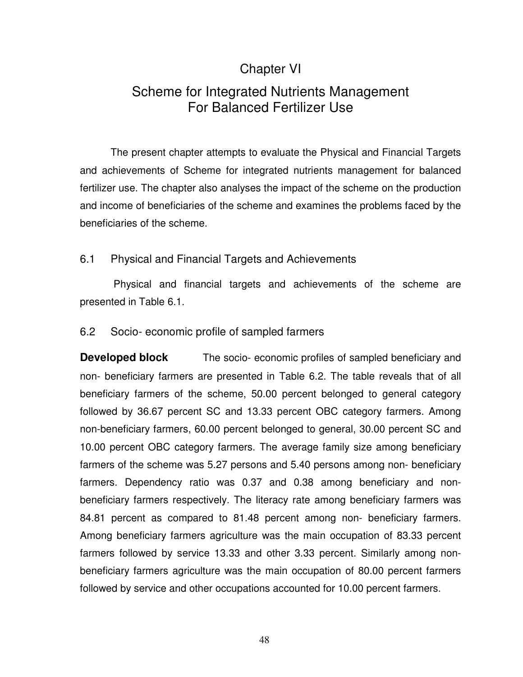### Chapter VI

## Scheme for Integrated Nutrients Management For Balanced Fertilizer Use

 The present chapter attempts to evaluate the Physical and Financial Targets and achievements of Scheme for integrated nutrients management for balanced fertilizer use. The chapter also analyses the impact of the scheme on the production and income of beneficiaries of the scheme and examines the problems faced by the beneficiaries of the scheme.

### 6.1 Physical and Financial Targets and Achievements

 Physical and financial targets and achievements of the scheme are presented in Table 6.1.

### 6.2 Socio- economic profile of sampled farmers

**Developed block** The socio-economic profiles of sampled beneficiary and non- beneficiary farmers are presented in Table 6.2. The table reveals that of all beneficiary farmers of the scheme, 50.00 percent belonged to general category followed by 36.67 percent SC and 13.33 percent OBC category farmers. Among non-beneficiary farmers, 60.00 percent belonged to general, 30.00 percent SC and 10.00 percent OBC category farmers. The average family size among beneficiary farmers of the scheme was 5.27 persons and 5.40 persons among non- beneficiary farmers. Dependency ratio was 0.37 and 0.38 among beneficiary and nonbeneficiary farmers respectively. The literacy rate among beneficiary farmers was 84.81 percent as compared to 81.48 percent among non- beneficiary farmers. Among beneficiary farmers agriculture was the main occupation of 83.33 percent farmers followed by service 13.33 and other 3.33 percent. Similarly among nonbeneficiary farmers agriculture was the main occupation of 80.00 percent farmers followed by service and other occupations accounted for 10.00 percent farmers.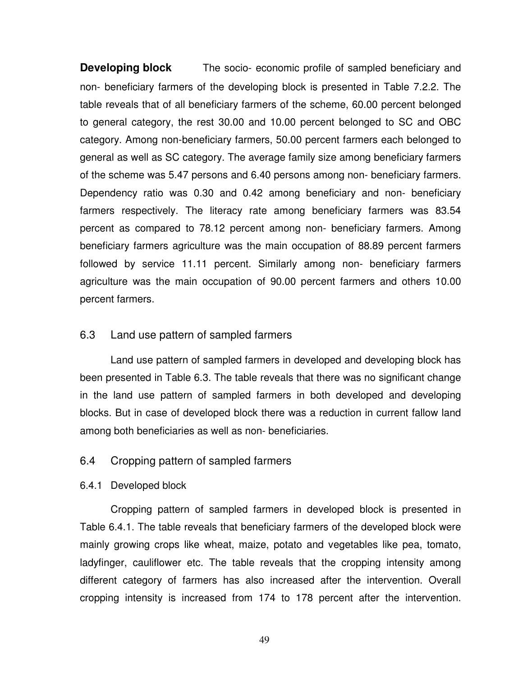**Developing block** The socio-economic profile of sampled beneficiary and non- beneficiary farmers of the developing block is presented in Table 7.2.2. The table reveals that of all beneficiary farmers of the scheme, 60.00 percent belonged to general category, the rest 30.00 and 10.00 percent belonged to SC and OBC category. Among non-beneficiary farmers, 50.00 percent farmers each belonged to general as well as SC category. The average family size among beneficiary farmers of the scheme was 5.47 persons and 6.40 persons among non- beneficiary farmers. Dependency ratio was 0.30 and 0.42 among beneficiary and non- beneficiary farmers respectively. The literacy rate among beneficiary farmers was 83.54 percent as compared to 78.12 percent among non- beneficiary farmers. Among beneficiary farmers agriculture was the main occupation of 88.89 percent farmers followed by service 11.11 percent. Similarly among non- beneficiary farmers agriculture was the main occupation of 90.00 percent farmers and others 10.00 percent farmers.

### 6.3 Land use pattern of sampled farmers

Land use pattern of sampled farmers in developed and developing block has been presented in Table 6.3. The table reveals that there was no significant change in the land use pattern of sampled farmers in both developed and developing blocks. But in case of developed block there was a reduction in current fallow land among both beneficiaries as well as non- beneficiaries.

### 6.4 Cropping pattern of sampled farmers

### 6.4.1 Developed block

Cropping pattern of sampled farmers in developed block is presented in Table 6.4.1. The table reveals that beneficiary farmers of the developed block were mainly growing crops like wheat, maize, potato and vegetables like pea, tomato, ladyfinger, cauliflower etc. The table reveals that the cropping intensity among different category of farmers has also increased after the intervention. Overall cropping intensity is increased from 174 to 178 percent after the intervention.

49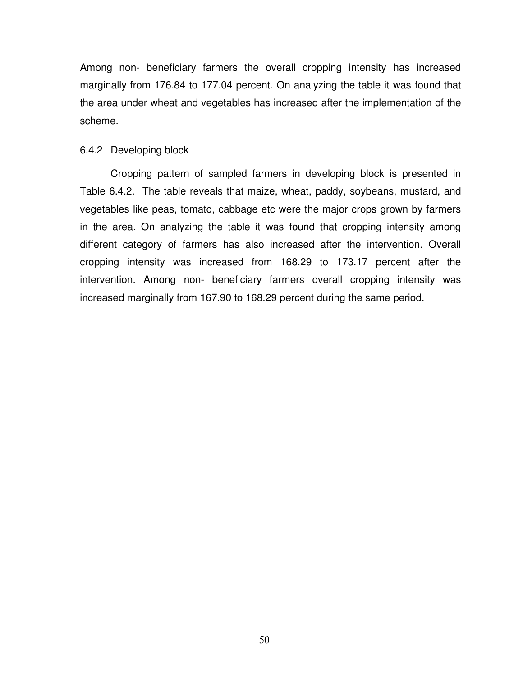Among non- beneficiary farmers the overall cropping intensity has increased marginally from 176.84 to 177.04 percent. On analyzing the table it was found that the area under wheat and vegetables has increased after the implementation of the scheme.

### 6.4.2 Developing block

Cropping pattern of sampled farmers in developing block is presented in Table 6.4.2. The table reveals that maize, wheat, paddy, soybeans, mustard, and vegetables like peas, tomato, cabbage etc were the major crops grown by farmers in the area. On analyzing the table it was found that cropping intensity among different category of farmers has also increased after the intervention. Overall cropping intensity was increased from 168.29 to 173.17 percent after the intervention. Among non- beneficiary farmers overall cropping intensity was increased marginally from 167.90 to 168.29 percent during the same period.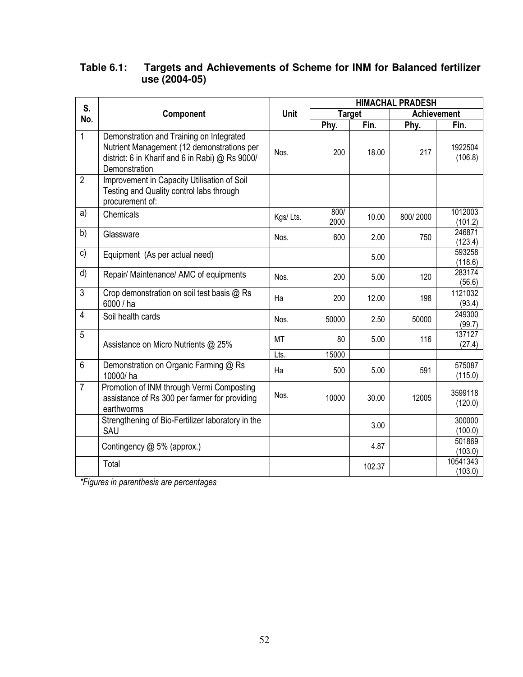### **Table 6.1: Targets and Achievements of Scheme for INM for Balanced fertilizer use (2004-05)**

| S.             |                                                                                                                                                            |          | <b>HIMACHAL PRADESH</b> |        |                    |                     |  |  |
|----------------|------------------------------------------------------------------------------------------------------------------------------------------------------------|----------|-------------------------|--------|--------------------|---------------------|--|--|
| No.            | Component                                                                                                                                                  | Unit     | <b>Target</b>           |        | <b>Achievement</b> |                     |  |  |
|                |                                                                                                                                                            |          | Phy.                    | Fin.   | Phy.               | Fin.                |  |  |
| $\mathbf{1}$   | Demonstration and Training on Integrated<br>Nutrient Management (12 demonstrations per<br>district: 6 in Kharif and 6 in Rabi) @ Rs 9000/<br>Demonstration | Nos.     | 200                     | 18.00  | 217                | 1922504<br>(106.8)  |  |  |
| $\overline{2}$ | Improvement in Capacity Utilisation of Soil<br>Testing and Quality control labs through<br>procurement of:                                                 |          |                         |        |                    |                     |  |  |
| a)             | Chemicals                                                                                                                                                  | Kgs/Lts. | 800/<br>2000            | 10.00  | 800/2000           | 1012003<br>(101.2)  |  |  |
| b)             | Glassware                                                                                                                                                  | Nos.     | 600                     | 2.00   | 750                | 246871<br>(123.4)   |  |  |
| c)             | Equipment (As per actual need)                                                                                                                             |          |                         | 5.00   |                    | 593258<br>(118.6)   |  |  |
| d)             | Repair/ Maintenance/ AMC of equipments                                                                                                                     | Nos.     | 200                     | 5.00   | 120                | 283174<br>(56.6)    |  |  |
| $\overline{3}$ | Crop demonstration on soil test basis @ Rs<br>6000 / ha                                                                                                    | Ha       | 200                     | 12.00  | 198                | 1121032<br>(93.4)   |  |  |
| $\overline{4}$ | Soil health cards                                                                                                                                          | Nos.     | 50000                   | 2.50   | 50000              | 249300<br>(99.7)    |  |  |
| 5              | Assistance on Micro Nutrients @ 25%                                                                                                                        | MT       | 80                      | 5.00   | 116                | 137127<br>(27.4)    |  |  |
|                |                                                                                                                                                            | Lts.     | 15000                   |        |                    |                     |  |  |
| 6              | Demonstration on Organic Farming @ Rs<br>10000/ha                                                                                                          | Ha       | 500                     | 5.00   | 591                | 575087<br>(115.0)   |  |  |
| $\overline{7}$ | Promotion of INM through Vermi Composting<br>assistance of Rs 300 per farmer for providing<br>earthworms                                                   | Nos.     | 10000                   | 30.00  | 12005              | 3599118<br>(120.0)  |  |  |
|                | Strengthening of Bio-Fertilizer laboratory in the<br>SAU                                                                                                   |          |                         | 3.00   |                    | 300000<br>(100.0)   |  |  |
|                | Contingency @ 5% (approx.)                                                                                                                                 |          |                         | 4.87   |                    | 501869<br>(103.0)   |  |  |
|                | Total                                                                                                                                                      |          |                         | 102.37 |                    | 10541343<br>(103.0) |  |  |

*\*Figures in parenthesis are percentages*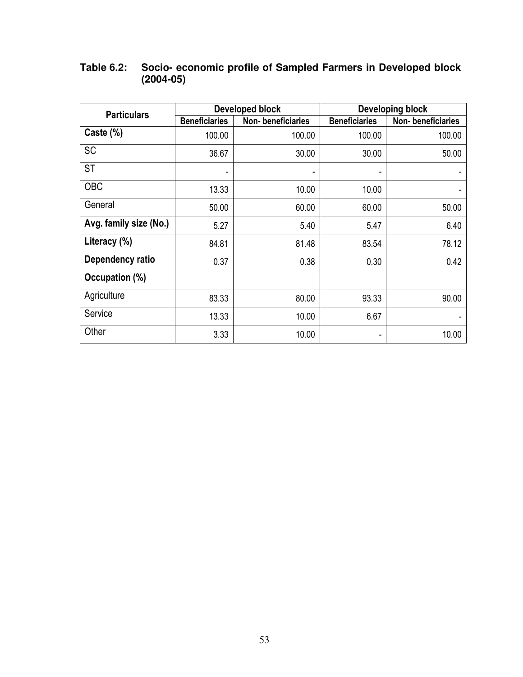| <b>Particulars</b>     |                      | <b>Developed block</b> | <b>Developing block</b> |                   |  |  |
|------------------------|----------------------|------------------------|-------------------------|-------------------|--|--|
|                        | <b>Beneficiaries</b> | Non-beneficiaries      | <b>Beneficiaries</b>    | Non-beneficiaries |  |  |
| Caste $(\%)$           | 100.00               | 100.00                 | 100.00                  | 100.00            |  |  |
| SC                     | 36.67                | 30.00                  | 30.00                   | 50.00             |  |  |
| ST                     | ٠                    |                        |                         |                   |  |  |
| <b>OBC</b>             | 13.33                | 10.00                  | 10.00                   |                   |  |  |
| General                | 50.00                | 60.00                  | 60.00                   | 50.00             |  |  |
| Avg. family size (No.) | 5.27                 | 5.40                   | 5.47                    | 6.40              |  |  |
| Literacy (%)           | 84.81                | 81.48                  | 83.54                   | 78.12             |  |  |
| Dependency ratio       | 0.37                 | 0.38                   | 0.30                    | 0.42              |  |  |
| Occupation (%)         |                      |                        |                         |                   |  |  |
| Agriculture            | 83.33                | 80.00                  | 93.33                   | 90.00             |  |  |
| Service                | 13.33                | 10.00                  | 6.67                    |                   |  |  |
| Other                  | 3.33                 | 10.00                  | ٠                       | 10.00             |  |  |

### **Table 6.2: Socio- economic profile of Sampled Farmers in Developed block (2004-05)**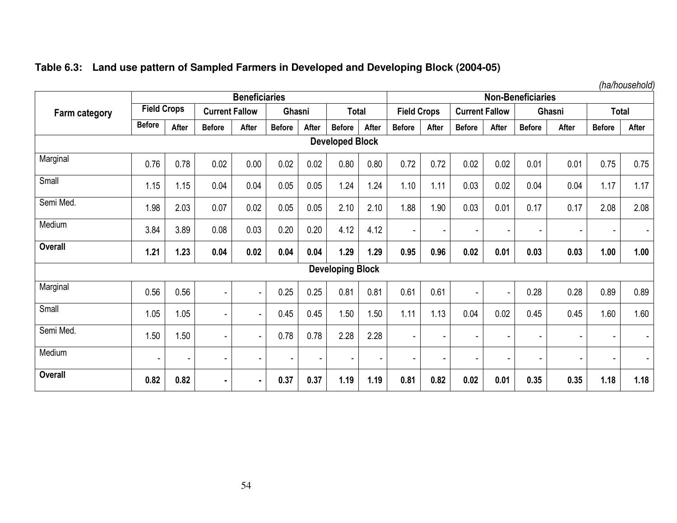|  |  | Table 6.3: Land use pattern of Sampled Farmers in Developed and Developing Block (2004-05) |  |
|--|--|--------------------------------------------------------------------------------------------|--|
|  |  |                                                                                            |  |

*(ha/household)* 

|                        | <b>Beneficiaries</b> |                          |                          |                |               |                          |                          | <b>Non-Beneficiaries</b> |                    |       |                       |                |               |                          |                          |                          |
|------------------------|----------------------|--------------------------|--------------------------|----------------|---------------|--------------------------|--------------------------|--------------------------|--------------------|-------|-----------------------|----------------|---------------|--------------------------|--------------------------|--------------------------|
| <b>Farm category</b>   | <b>Field Crops</b>   |                          | <b>Current Fallow</b>    |                | Ghasni        |                          | <b>Total</b>             |                          | <b>Field Crops</b> |       | <b>Current Fallow</b> |                | Ghasni        |                          | <b>Total</b>             |                          |
|                        | <b>Before</b>        | After                    | <b>Before</b>            | After          | <b>Before</b> | After                    | <b>Before</b>            | After                    | <b>Before</b>      | After | <b>Before</b>         | After          | <b>Before</b> | After                    | <b>Before</b>            | After                    |
| <b>Developed Block</b> |                      |                          |                          |                |               |                          |                          |                          |                    |       |                       |                |               |                          |                          |                          |
| Marginal               | 0.76                 | 0.78                     | 0.02                     | 0.00           | 0.02          | 0.02                     | 0.80                     | 0.80                     | 0.72               | 0.72  | 0.02                  | 0.02           | 0.01          | 0.01                     | 0.75                     | 0.75                     |
| Small                  | 1.15                 | 1.15                     | 0.04                     | 0.04           | 0.05          | 0.05                     | 1.24                     | 1.24                     | 1.10               | 1.11  | 0.03                  | 0.02           | 0.04          | 0.04                     | 1.17                     | 1.17                     |
| Semi Med.              | 1.98                 | 2.03                     | 0.07                     | 0.02           | 0.05          | 0.05                     | 2.10                     | 2.10                     | 1.88               | 1.90  | 0.03                  | 0.01           | 0.17          | 0.17                     | 2.08                     | 2.08                     |
| Medium                 | 3.84                 | 3.89                     | 0.08                     | 0.03           | 0.20          | 0.20                     | 4.12                     | 4.12                     |                    |       |                       |                |               |                          | $\overline{\phantom{a}}$ | $\overline{\phantom{a}}$ |
| <b>Overall</b>         | 1.21                 | 1.23                     | 0.04                     | 0.02           | 0.04          | 0.04                     | 1.29                     | 1.29                     | 0.95               | 0.96  | 0.02                  | 0.01           | 0.03          | 0.03                     | 1.00                     | 1.00                     |
|                        |                      |                          |                          |                |               |                          | <b>Developing Block</b>  |                          |                    |       |                       |                |               |                          |                          |                          |
| Marginal               | 0.56                 | 0.56                     | $\overline{\phantom{a}}$ | ٠              | 0.25          | 0.25                     | 0.81                     | 0.81                     | 0.61               | 0.61  | $\blacksquare$        | $\blacksquare$ | 0.28          | 0.28                     | 0.89                     | 0.89                     |
| Small                  | 1.05                 | 1.05                     |                          |                | 0.45          | 0.45                     | 1.50                     | 1.50                     | 1.11               | 1.13  | 0.04                  | 0.02           | 0.45          | 0.45                     | 1.60                     | 1.60                     |
| Semi Med.              | 1.50                 | 1.50                     | $\overline{\phantom{a}}$ | ٠              | 0.78          | 0.78                     | 2.28                     | 2.28                     | ٠                  |       |                       | $\blacksquare$ |               | $\overline{\phantom{a}}$ | $\overline{\phantom{a}}$ | $\blacksquare$           |
| Medium                 | ٠                    | $\overline{\phantom{a}}$ |                          |                |               | $\overline{\phantom{a}}$ | $\overline{\phantom{a}}$ |                          |                    |       |                       | $\sim$         |               | $\blacksquare$           | $\overline{\phantom{a}}$ | $\overline{\phantom{a}}$ |
| <b>Overall</b>         | 0.82                 | 0.82                     | $\blacksquare$           | $\blacksquare$ | 0.37          | 0.37                     | 1.19                     | 1.19                     | 0.81               | 0.82  | 0.02                  | 0.01           | 0.35          | 0.35                     | 1.18                     | 1.18                     |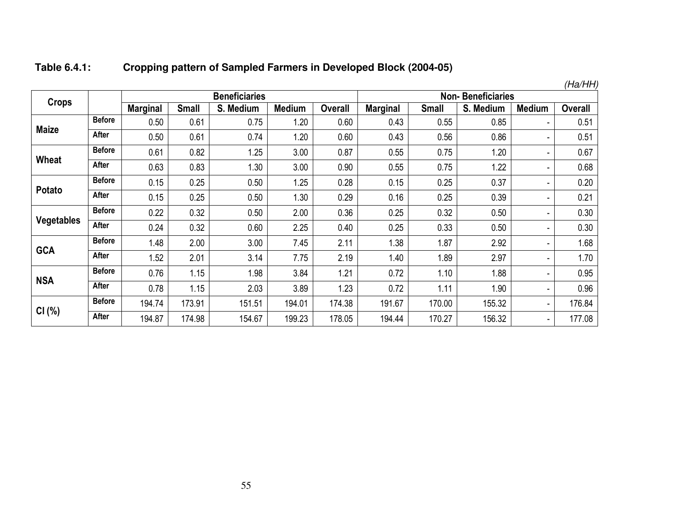| Table 6.4.1: | Cropping pattern of Sampled Farmers in Developed Block (2004-05) |
|--------------|------------------------------------------------------------------|
|--------------|------------------------------------------------------------------|

|                   |               |                 |              |                      |               |                |                          |              |           |                | (Ha/HH)        |  |
|-------------------|---------------|-----------------|--------------|----------------------|---------------|----------------|--------------------------|--------------|-----------|----------------|----------------|--|
| <b>Crops</b>      |               |                 |              | <b>Beneficiaries</b> |               |                | <b>Non-Beneficiaries</b> |              |           |                |                |  |
|                   |               | <b>Marginal</b> | <b>Small</b> | S. Medium            | <b>Medium</b> | <b>Overall</b> | <b>Marginal</b>          | <b>Small</b> | S. Medium | <b>Medium</b>  | <b>Overall</b> |  |
| <b>Maize</b>      | <b>Before</b> | 0.50            | 0.61         | 0.75                 | 1.20          | 0.60           | 0.43                     | 0.55         | 0.85      | $\sim$         | 0.51           |  |
|                   | After         | 0.50            | 0.61         | 0.74                 | 1.20          | 0.60           | 0.43                     | 0.56         | 0.86      | $\blacksquare$ | 0.51           |  |
|                   | <b>Before</b> | 0.61            | 0.82         | 1.25                 | 3.00          | 0.87           | 0.55                     | 0.75         | 1.20      | ۰.             | 0.67           |  |
| <b>Wheat</b>      | After         | 0.63            | 0.83         | 1.30                 | 3.00          | 0.90           | 0.55                     | 0.75         | 1.22      | ٠              | 0.68           |  |
| Potato            | <b>Before</b> | 0.15            | 0.25         | 0.50                 | 1.25          | 0.28           | 0.15                     | 0.25         | 0.37      | $\sim$         | 0.20           |  |
|                   | After         | 0.15            | 0.25         | 0.50                 | 1.30          | 0.29           | 0.16                     | 0.25         | 0.39      | ٠              | 0.21           |  |
|                   | <b>Before</b> | 0.22            | 0.32         | 0.50                 | 2.00          | 0.36           | 0.25                     | 0.32         | 0.50      | ٠              | 0.30           |  |
| <b>Vegetables</b> | After         | 0.24            | 0.32         | 0.60                 | 2.25          | 0.40           | 0.25                     | 0.33         | 0.50      | ۰.             | 0.30           |  |
|                   | <b>Before</b> | 1.48            | 2.00         | 3.00                 | 7.45          | 2.11           | 1.38                     | 1.87         | 2.92      | ٠              | 1.68           |  |
| <b>GCA</b>        | After         | 1.52            | 2.01         | 3.14                 | 7.75          | 2.19           | 1.40                     | 1.89         | 2.97      | ۰.             | 1.70           |  |
|                   | <b>Before</b> | 0.76            | 1.15         | 1.98                 | 3.84          | 1.21           | 0.72                     | 1.10         | 1.88      | ۰.             | 0.95           |  |
| <b>NSA</b>        | After         | 0.78            | 1.15         | 2.03                 | 3.89          | 1.23           | 0.72                     | 1.11         | 1.90      | $\sim$         | 0.96           |  |
|                   | <b>Before</b> | 194.74          | 173.91       | 151.51               | 194.01        | 174.38         | 191.67                   | 170.00       | 155.32    | $\sim$         | 176.84         |  |
| CI(%)             | <b>After</b>  | 194.87          | 174.98       | 154.67               | 199.23        | 178.05         | 194.44                   | 170.27       | 156.32    | $\sim$         | 177.08         |  |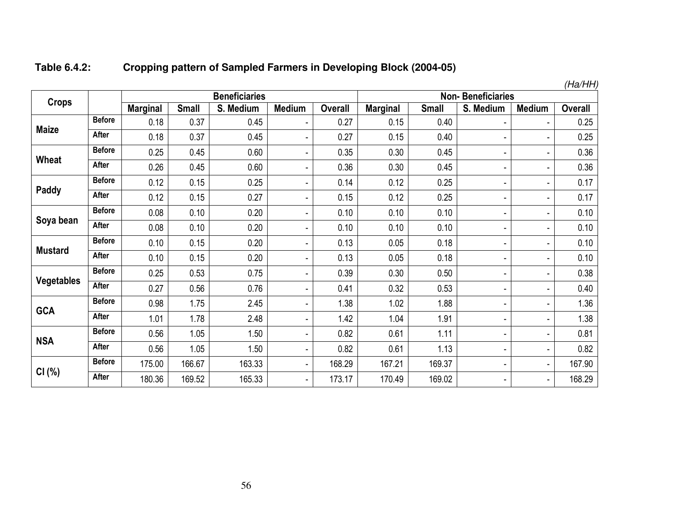#### **Table 6.4.2:Cropping pattern of Sampled Farmers in Developing Block (2004-05)**

| <b>Crops</b>      |               |                 |              | <b>Beneficiaries</b> |                              | талт<br><b>Non-Beneficiaries</b> |                 |              |           |                          |                |
|-------------------|---------------|-----------------|--------------|----------------------|------------------------------|----------------------------------|-----------------|--------------|-----------|--------------------------|----------------|
|                   |               | <b>Marginal</b> | <b>Small</b> | S. Medium            | <b>Medium</b>                | <b>Overall</b>                   | <b>Marginal</b> | <b>Small</b> | S. Medium | <b>Medium</b>            | <b>Overall</b> |
| <b>Maize</b>      | <b>Before</b> | 0.18            | 0.37         | 0.45                 | $\overline{\phantom{a}}$     | 0.27                             | 0.15            | 0.40         | ٠         |                          | 0.25           |
|                   | <b>After</b>  | 0.18            | 0.37         | 0.45                 | ۰                            | 0.27                             | 0.15            | 0.40         | ۰         |                          | 0.25           |
|                   | <b>Before</b> | 0.25            | 0.45         | 0.60                 | $\overline{\phantom{0}}$     | 0.35                             | 0.30            | 0.45         | ٠         | Ξ.                       | 0.36           |
| Wheat             | After         | 0.26            | 0.45         | 0.60                 | $\overline{\phantom{0}}$     | 0.36                             | 0.30            | 0.45         | ٠         | ä,                       | 0.36           |
|                   | <b>Before</b> | 0.12            | 0.15         | 0.25                 | ٠                            | 0.14                             | 0.12            | 0.25         | ٠         | ۰                        | 0.17           |
| Paddy             | After         | 0.12            | 0.15         | 0.27                 | ٠                            | 0.15                             | 0.12            | 0.25         | ۰         | ۰                        | 0.17           |
|                   | <b>Before</b> | 0.08            | 0.10         | 0.20                 | $\blacksquare$               | 0.10                             | 0.10            | 0.10         | ٠         | ۰                        | 0.10           |
| Soya bean         | After         | 0.08            | 0.10         | 0.20                 | $\qquad \qquad \blacksquare$ | 0.10                             | 0.10            | 0.10         | ٠         | ۰                        | 0.10           |
|                   | <b>Before</b> | 0.10            | 0.15         | 0.20                 | $\overline{\phantom{a}}$     | 0.13                             | 0.05            | 0.18         | ۰         | ۰                        | 0.10           |
| <b>Mustard</b>    | After         | 0.10            | 0.15         | 0.20                 | $\overline{\phantom{a}}$     | 0.13                             | 0.05            | 0.18         | ٠         | ۰                        | 0.10           |
|                   | <b>Before</b> | 0.25            | 0.53         | 0.75                 | $\overline{\phantom{a}}$     | 0.39                             | 0.30            | 0.50         | ۰         | $\overline{\phantom{a}}$ | 0.38           |
| <b>Vegetables</b> | <b>After</b>  | 0.27            | 0.56         | 0.76                 | $\overline{\phantom{a}}$     | 0.41                             | 0.32            | 0.53         | ۰         | ÷                        | 0.40           |
|                   | <b>Before</b> | 0.98            | 1.75         | 2.45                 | $\overline{\phantom{a}}$     | 1.38                             | 1.02            | 1.88         | ٠         | ۰                        | 1.36           |
| <b>GCA</b>        | After         | 1.01            | 1.78         | 2.48                 | ٠                            | 1.42                             | 1.04            | 1.91         | ٠         | ۰                        | 1.38           |
|                   | <b>Before</b> | 0.56            | 1.05         | 1.50                 | -                            | 0.82                             | 0.61            | 1.11         | ٠         | ٠                        | 0.81           |
| <b>NSA</b>        | After         | 0.56            | 1.05         | 1.50                 | $\blacksquare$               | 0.82                             | 0.61            | 1.13         | ۰         | ۰                        | 0.82           |
|                   | <b>Before</b> | 175.00          | 166.67       | 163.33               | $\overline{\phantom{0}}$     | 168.29                           | 167.21          | 169.37       | ۰         | $\overline{\phantom{a}}$ | 167.90         |
| CI(%)             | After         | 180.36          | 169.52       | 165.33               |                              | 173.17                           | 170.49          | 169.02       | ۰         | ٠                        | 168.29         |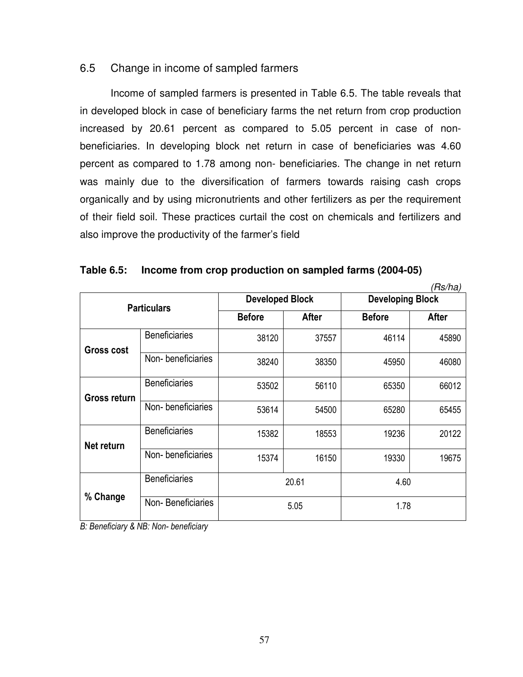### 6.5 Change in income of sampled farmers

Income of sampled farmers is presented in Table 6.5. The table reveals that in developed block in case of beneficiary farms the net return from crop production increased by 20.61 percent as compared to 5.05 percent in case of nonbeneficiaries. In developing block net return in case of beneficiaries was 4.60 percent as compared to 1.78 among non- beneficiaries. The change in net return was mainly due to the diversification of farmers towards raising cash crops organically and by using micronutrients and other fertilizers as per the requirement of their field soil. These practices curtail the cost on chemicals and fertilizers and also improve the productivity of the farmer's field

|                   |                                                  |               |                                                   |               | (Rs/ha) |  |
|-------------------|--------------------------------------------------|---------------|---------------------------------------------------|---------------|---------|--|
|                   | <b>Particulars</b>                               |               | <b>Developed Block</b><br><b>Developing Block</b> |               |         |  |
|                   |                                                  | <b>Before</b> | <b>After</b>                                      | <b>Before</b> | After   |  |
| <b>Gross cost</b> | <b>Beneficiaries</b>                             | 38120         | 37557                                             | 46114         | 45890   |  |
|                   | Non-beneficiaries                                | 38240         | 38350                                             | 45950         | 46080   |  |
| Gross return      | <b>Beneficiaries</b>                             | 53502         | 56110                                             | 65350         | 66012   |  |
|                   | Non-beneficiaries                                | 53614         | 54500                                             | 65280         | 65455   |  |
| Net return        | <b>Beneficiaries</b>                             | 15382         | 18553                                             | 19236         | 20122   |  |
|                   | Non-beneficiaries                                | 15374         | 16150                                             | 19330         | 19675   |  |
|                   | <b>Beneficiaries</b>                             |               | 20.61                                             |               | 4.60    |  |
| % Change          | Non-Beneficiaries<br>$0 \text{ N}$ $0 \text{ N}$ |               | 5.05                                              | 1.78          |         |  |

|  | Table 6.5: Income from crop production on sampled farms (2004-05) |  |  |  |
|--|-------------------------------------------------------------------|--|--|--|
|--|-------------------------------------------------------------------|--|--|--|

*B: Beneficiary & NB: Non- beneficiary*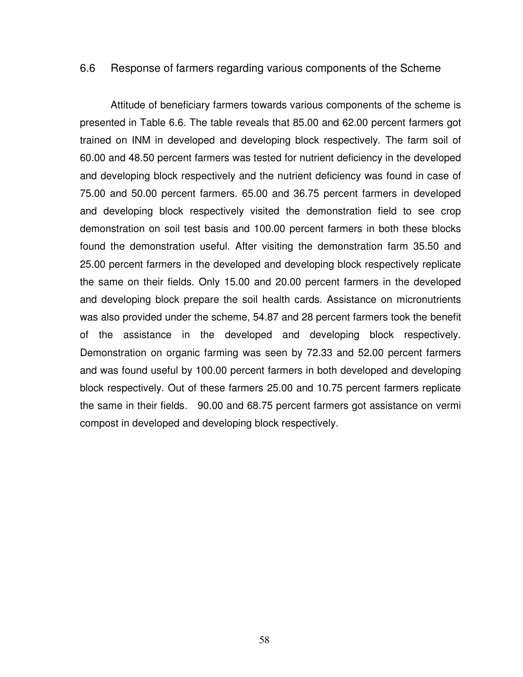#### 6.6 Response of farmers regarding various components of the Scheme

 Attitude of beneficiary farmers towards various components of the scheme is presented in Table 6.6. The table reveals that 85.00 and 62.00 percent farmers got trained on INM in developed and developing block respectively. The farm soil of 60.00 and 48.50 percent farmers was tested for nutrient deficiency in the developed and developing block respectively and the nutrient deficiency was found in case of 75.00 and 50.00 percent farmers. 65.00 and 36.75 percent farmers in developed and developing block respectively visited the demonstration field to see crop demonstration on soil test basis and 100.00 percent farmers in both these blocks found the demonstration useful. After visiting the demonstration farm 35.50 and 25.00 percent farmers in the developed and developing block respectively replicate the same on their fields. Only 15.00 and 20.00 percent farmers in the developed and developing block prepare the soil health cards. Assistance on micronutrients was also provided under the scheme, 54.87 and 28 percent farmers took the benefit of the assistance in the developed and developing block respectively. Demonstration on organic farming was seen by 72.33 and 52.00 percent farmers and was found useful by 100.00 percent farmers in both developed and developing block respectively. Out of these farmers 25.00 and 10.75 percent farmers replicate the same in their fields. 90.00 and 68.75 percent farmers got assistance on vermi compost in developed and developing block respectively.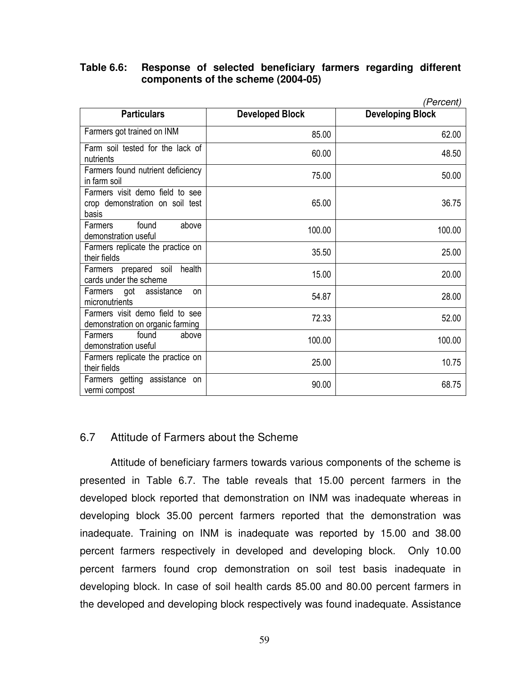#### **Table 6.6: Response of selected beneficiary farmers regarding different components of the scheme (2004-05)**

|                                                                             |                        | (Percent)               |
|-----------------------------------------------------------------------------|------------------------|-------------------------|
| <b>Particulars</b>                                                          | <b>Developed Block</b> | <b>Developing Block</b> |
| Farmers got trained on INM                                                  | 85.00                  | 62.00                   |
| Farm soil tested for the lack of<br>nutrients                               | 60.00                  | 48.50                   |
| Farmers found nutrient deficiency<br>in farm soil                           | 75.00                  | 50.00                   |
| Farmers visit demo field to see<br>crop demonstration on soil test<br>basis | 65.00                  | 36.75                   |
| found<br><b>Farmers</b><br>above<br>demonstration useful                    | 100.00                 | 100.00                  |
| Farmers replicate the practice on<br>their fields                           | 35.50                  | 25.00                   |
| Farmers prepared soil<br>health<br>cards under the scheme                   | 15.00                  | 20.00                   |
| Farmers got assistance<br><b>on</b><br>micronutrients                       | 54.87                  | 28.00                   |
| Farmers visit demo field to see<br>demonstration on organic farming         | 72.33                  | 52.00                   |
| found<br>Farmers<br>above<br>demonstration useful                           | 100.00                 | 100.00                  |
| Farmers replicate the practice on<br>their fields                           | 25.00                  | 10.75                   |
| Farmers getting assistance on<br>vermi compost                              | 90.00                  | 68.75                   |

# 6.7 Attitude of Farmers about the Scheme

 Attitude of beneficiary farmers towards various components of the scheme is presented in Table 6.7. The table reveals that 15.00 percent farmers in the developed block reported that demonstration on INM was inadequate whereas in developing block 35.00 percent farmers reported that the demonstration was inadequate. Training on INM is inadequate was reported by 15.00 and 38.00 percent farmers respectively in developed and developing block. Only 10.00 percent farmers found crop demonstration on soil test basis inadequate in developing block. In case of soil health cards 85.00 and 80.00 percent farmers in the developed and developing block respectively was found inadequate. Assistance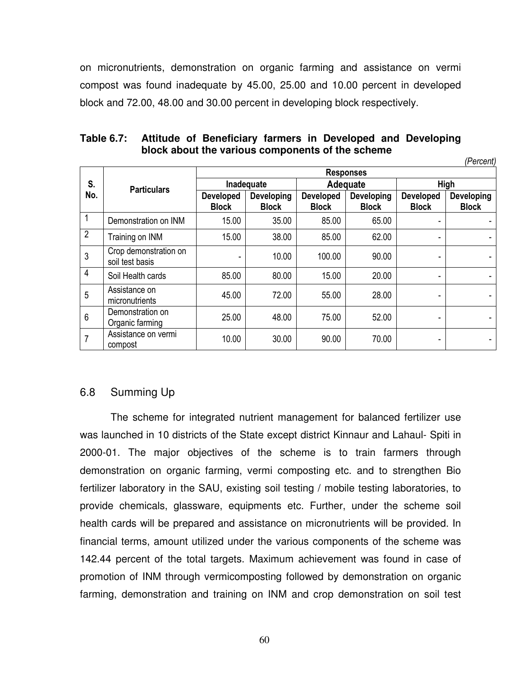on micronutrients, demonstration on organic farming and assistance on vermi compost was found inadequate by 45.00, 25.00 and 10.00 percent in developed block and 72.00, 48.00 and 30.00 percent in developing block respectively.

|                |                                          |                                  |                            |                                  |                                   |                                  | (Percent)                  |  |  |  |
|----------------|------------------------------------------|----------------------------------|----------------------------|----------------------------------|-----------------------------------|----------------------------------|----------------------------|--|--|--|
|                |                                          |                                  | <b>Responses</b>           |                                  |                                   |                                  |                            |  |  |  |
| S.             | <b>Particulars</b>                       |                                  | Inadequate                 |                                  | Adequate                          | High                             |                            |  |  |  |
| No.            |                                          | <b>Developed</b><br><b>Block</b> | Developing<br><b>Block</b> | <b>Developed</b><br><b>Block</b> | <b>Developing</b><br><b>Block</b> | <b>Developed</b><br><b>Block</b> | Developing<br><b>Block</b> |  |  |  |
|                | Demonstration on INM                     | 15.00                            | 35.00                      | 85.00                            | 65.00                             |                                  |                            |  |  |  |
| $\overline{2}$ | Training on INM                          | 15.00                            | 38.00                      | 85.00                            | 62.00                             |                                  |                            |  |  |  |
| 3              | Crop demonstration on<br>soil test basis |                                  | 10.00                      | 100.00                           | 90.00                             | ۰                                |                            |  |  |  |
| 4              | Soil Health cards                        | 85.00                            | 80.00                      | 15.00                            | 20.00                             |                                  |                            |  |  |  |
| 5              | Assistance on<br>micronutrients          | 45.00                            | 72.00                      | 55.00                            | 28.00                             | ٠                                | ۰                          |  |  |  |
| 6              | Demonstration on<br>Organic farming      | 25.00                            | 48.00                      | 75.00                            | 52.00                             |                                  |                            |  |  |  |
| 7              | Assistance on vermi<br>compost           | 10.00                            | 30.00                      | 90.00                            | 70.00                             | ۰                                |                            |  |  |  |

### **Table 6.7: Attitude of Beneficiary farmers in Developed and Developing block about the various components of the scheme**

6.8 Summing Up

The scheme for integrated nutrient management for balanced fertilizer use was launched in 10 districts of the State except district Kinnaur and Lahaul- Spiti in 2000-01. The major objectives of the scheme is to train farmers through demonstration on organic farming, vermi composting etc. and to strengthen Bio fertilizer laboratory in the SAU, existing soil testing / mobile testing laboratories, to provide chemicals, glassware, equipments etc. Further, under the scheme soil health cards will be prepared and assistance on micronutrients will be provided. In financial terms, amount utilized under the various components of the scheme was 142.44 percent of the total targets. Maximum achievement was found in case of promotion of INM through vermicomposting followed by demonstration on organic farming, demonstration and training on INM and crop demonstration on soil test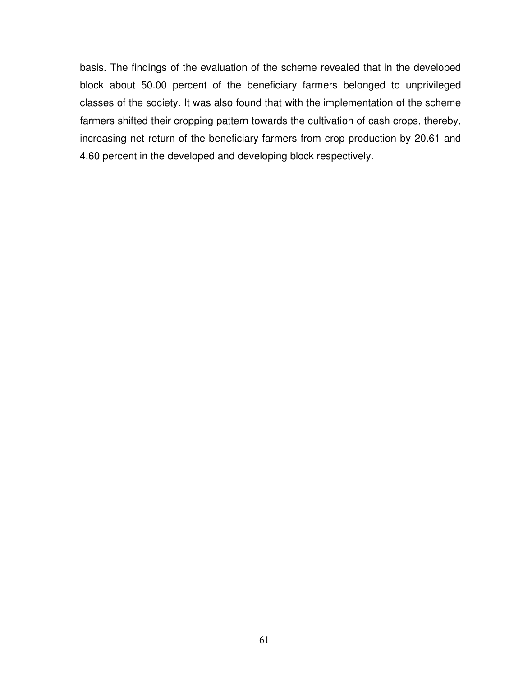basis. The findings of the evaluation of the scheme revealed that in the developed block about 50.00 percent of the beneficiary farmers belonged to unprivileged classes of the society. It was also found that with the implementation of the scheme farmers shifted their cropping pattern towards the cultivation of cash crops, thereby, increasing net return of the beneficiary farmers from crop production by 20.61 and 4.60 percent in the developed and developing block respectively.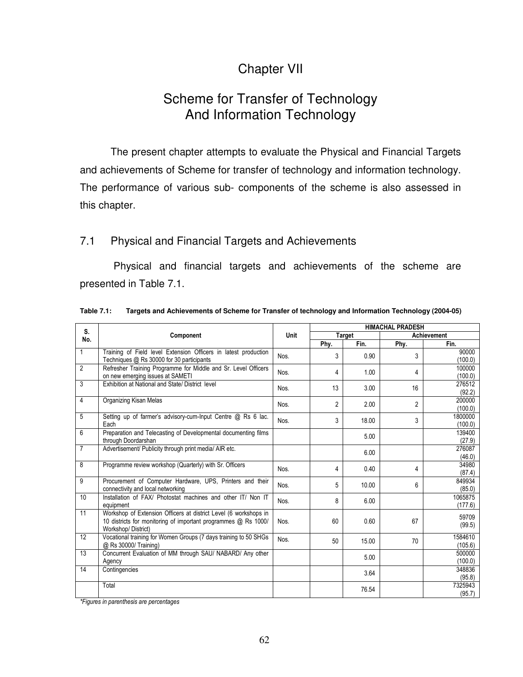# Chapter VII

# Scheme for Transfer of Technology And Information Technology

 The present chapter attempts to evaluate the Physical and Financial Targets and achievements of Scheme for transfer of technology and information technology. The performance of various sub- components of the scheme is also assessed in this chapter.

### 7.1 Physical and Financial Targets and Achievements

 Physical and financial targets and achievements of the scheme are presented in Table 7.1.

| S.             |                                                                                                                                                          |      | <b>HIMACHAL PRADESH</b> |               |                |                    |  |
|----------------|----------------------------------------------------------------------------------------------------------------------------------------------------------|------|-------------------------|---------------|----------------|--------------------|--|
| No.            | Component                                                                                                                                                | Unit |                         | <b>Target</b> |                | Achievement        |  |
|                |                                                                                                                                                          |      | Phy.                    | Fin.          | Phy.           | Fin.               |  |
| $\mathbf{1}$   | Training of Field level Extension Officers in latest production<br>Techniques @ Rs 30000 for 30 participants                                             | Nos. | 3                       | 0.90          | 3              | 90000<br>(100.0)   |  |
| $\overline{2}$ | Refresher Training Programme for Middle and Sr. Level Officers<br>on new emerging issues at SAMETI                                                       | Nos. | 4                       | 1.00          | 4              | 100000<br>(100.0)  |  |
| 3              | Exhibition at National and State/ District level                                                                                                         | Nos. | 13                      | 3.00          | 16             | 276512<br>(92.2)   |  |
| 4              | <b>Organizing Kisan Melas</b>                                                                                                                            | Nos. | $\overline{2}$          | 2.00          | $\overline{2}$ | 200000<br>(100.0)  |  |
| 5              | Setting up of farmer's advisory-cum-Input Centre @ Rs 6 lac.<br>Each                                                                                     | Nos. | 3                       | 18.00         | 3              | 1800000<br>(100.0) |  |
| 6              | Preparation and Telecasting of Developmental documenting films<br>through Doordarshan                                                                    |      |                         | 5.00          |                | 139400<br>(27.9)   |  |
| $\overline{7}$ | Advertisement/ Publicity through print media/ AIR etc.                                                                                                   |      |                         | 6.00          |                | 276087<br>(46.0)   |  |
| 8              | Programme review workshop (Quarterly) with Sr. Officers                                                                                                  | Nos. | 4                       | 0.40          | 4              | 34980<br>(87.4)    |  |
| 9              | Procurement of Computer Hardware, UPS, Printers and their<br>connectivity and local networking                                                           | Nos. | 5                       | 10.00         | 6              | 849934<br>(85.0)   |  |
| 10             | Installation of FAX/ Photostat machines and other IT/ Non IT<br>equipment                                                                                | Nos. | 8                       | 6.00          |                | 1065875<br>(177.6) |  |
| 11             | Workshop of Extension Officers at district Level (6 workshops in<br>10 districts for monitoring of important programmes @ Rs 1000/<br>Workshop/District) | Nos. | 60                      | 0.60          | 67             | 59709<br>(99.5)    |  |
| 12             | Vocational training for Women Groups (7 days training to 50 SHGs<br>@ Rs 30000/ Training)                                                                | Nos. | 50                      | 15.00         | 70             | 1584610<br>(105.6) |  |
| 13             | Concurrent Evaluation of MM through SAU/ NABARD/ Any other<br>Agency                                                                                     |      |                         | 5.00          |                | 500000<br>(100.0)  |  |
| 14             | Contingencies                                                                                                                                            |      |                         | 3.64          |                | 348836<br>(95.8)   |  |
|                | Total                                                                                                                                                    |      |                         | 76.54         |                | 7325943<br>(95.7)  |  |

**Table 7.1: Targets and Achievements of Scheme for Transfer of technology and Information Technology (2004-05)** 

*\*Figures in parenthesis are percentages*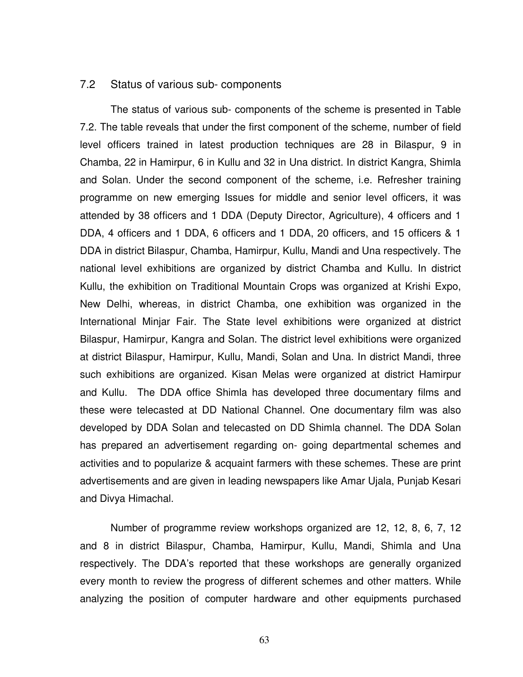#### 7.2 Status of various sub- components

 The status of various sub- components of the scheme is presented in Table 7.2. The table reveals that under the first component of the scheme, number of field level officers trained in latest production techniques are 28 in Bilaspur, 9 in Chamba, 22 in Hamirpur, 6 in Kullu and 32 in Una district. In district Kangra, Shimla and Solan. Under the second component of the scheme, i.e. Refresher training programme on new emerging Issues for middle and senior level officers, it was attended by 38 officers and 1 DDA (Deputy Director, Agriculture), 4 officers and 1 DDA, 4 officers and 1 DDA, 6 officers and 1 DDA, 20 officers, and 15 officers & 1 DDA in district Bilaspur, Chamba, Hamirpur, Kullu, Mandi and Una respectively. The national level exhibitions are organized by district Chamba and Kullu. In district Kullu, the exhibition on Traditional Mountain Crops was organized at Krishi Expo, New Delhi, whereas, in district Chamba, one exhibition was organized in the International Minjar Fair. The State level exhibitions were organized at district Bilaspur, Hamirpur, Kangra and Solan. The district level exhibitions were organized at district Bilaspur, Hamirpur, Kullu, Mandi, Solan and Una. In district Mandi, three such exhibitions are organized. Kisan Melas were organized at district Hamirpur and Kullu. The DDA office Shimla has developed three documentary films and these were telecasted at DD National Channel. One documentary film was also developed by DDA Solan and telecasted on DD Shimla channel. The DDA Solan has prepared an advertisement regarding on- going departmental schemes and activities and to popularize & acquaint farmers with these schemes. These are print advertisements and are given in leading newspapers like Amar Ujala, Punjab Kesari and Divya Himachal.

 Number of programme review workshops organized are 12, 12, 8, 6, 7, 12 and 8 in district Bilaspur, Chamba, Hamirpur, Kullu, Mandi, Shimla and Una respectively. The DDA's reported that these workshops are generally organized every month to review the progress of different schemes and other matters. While analyzing the position of computer hardware and other equipments purchased

63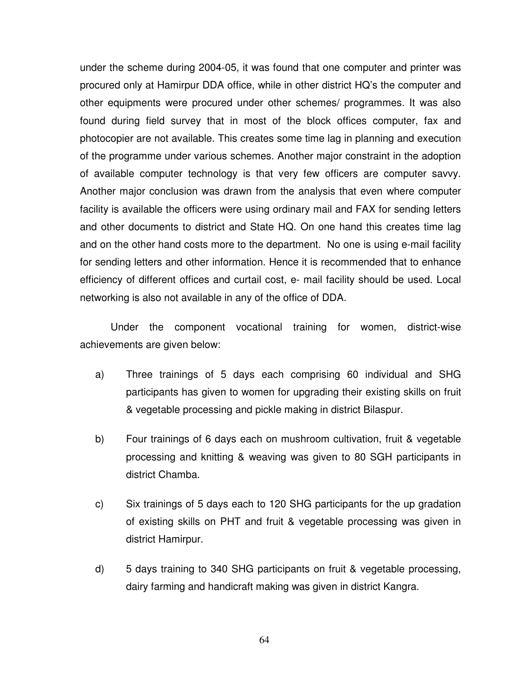under the scheme during 2004-05, it was found that one computer and printer was procured only at Hamirpur DDA office, while in other district HQ's the computer and other equipments were procured under other schemes/ programmes. It was also found during field survey that in most of the block offices computer, fax and photocopier are not available. This creates some time lag in planning and execution of the programme under various schemes. Another major constraint in the adoption of available computer technology is that very few officers are computer savvy. Another major conclusion was drawn from the analysis that even where computer facility is available the officers were using ordinary mail and FAX for sending letters and other documents to district and State HQ. On one hand this creates time lag and on the other hand costs more to the department. No one is using e-mail facility for sending letters and other information. Hence it is recommended that to enhance efficiency of different offices and curtail cost, e- mail facility should be used. Local networking is also not available in any of the office of DDA.

 Under the component vocational training for women, district-wise achievements are given below:

- a) Three trainings of 5 days each comprising 60 individual and SHG participants has given to women for upgrading their existing skills on fruit & vegetable processing and pickle making in district Bilaspur.
- b) Four trainings of 6 days each on mushroom cultivation, fruit & vegetable processing and knitting & weaving was given to 80 SGH participants in district Chamba.
- c) Six trainings of 5 days each to 120 SHG participants for the up gradation of existing skills on PHT and fruit & vegetable processing was given in district Hamirpur.
- d) 5 days training to 340 SHG participants on fruit & vegetable processing, dairy farming and handicraft making was given in district Kangra.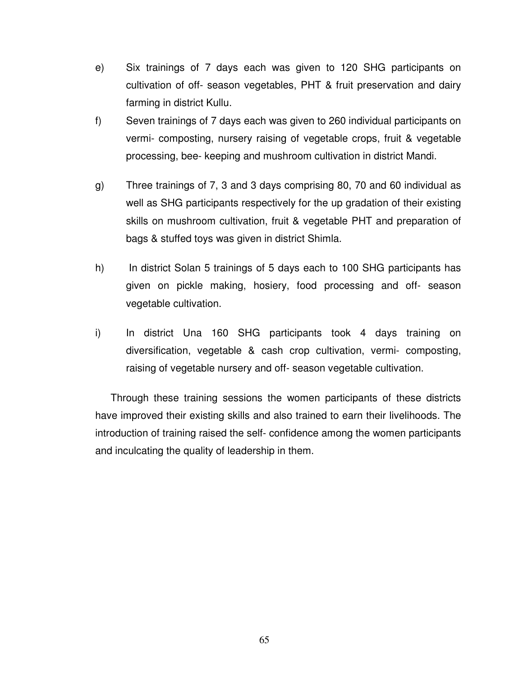- e) Six trainings of 7 days each was given to 120 SHG participants on cultivation of off- season vegetables, PHT & fruit preservation and dairy farming in district Kullu.
- f) Seven trainings of 7 days each was given to 260 individual participants on vermi- composting, nursery raising of vegetable crops, fruit & vegetable processing, bee- keeping and mushroom cultivation in district Mandi.
- g) Three trainings of 7, 3 and 3 days comprising 80, 70 and 60 individual as well as SHG participants respectively for the up gradation of their existing skills on mushroom cultivation, fruit & vegetable PHT and preparation of bags & stuffed toys was given in district Shimla.
- h) In district Solan 5 trainings of 5 days each to 100 SHG participants has given on pickle making, hosiery, food processing and off- season vegetable cultivation.
- i) In district Una 160 SHG participants took 4 days training on diversification, vegetable & cash crop cultivation, vermi- composting, raising of vegetable nursery and off- season vegetable cultivation.

 Through these training sessions the women participants of these districts have improved their existing skills and also trained to earn their livelihoods. The introduction of training raised the self- confidence among the women participants and inculcating the quality of leadership in them.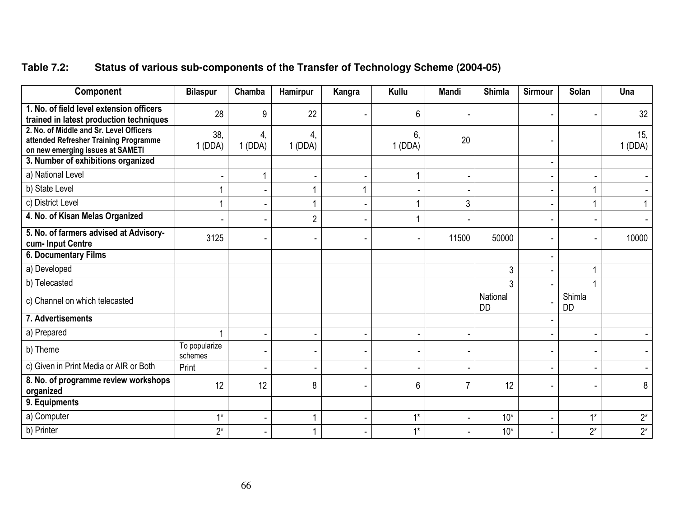| Table 7.2: | Status of various sub-components of the Transfer of Technology Scheme (2004-05) |  |
|------------|---------------------------------------------------------------------------------|--|
|------------|---------------------------------------------------------------------------------|--|

| Component                                                                                                            | <b>Bilaspur</b>          | Chamba       | Hamirpur                 | Kangra         | Kullu        | Mandi          | Shimla                | <b>Sirmour</b> | <b>Solan</b>        | Una           |
|----------------------------------------------------------------------------------------------------------------------|--------------------------|--------------|--------------------------|----------------|--------------|----------------|-----------------------|----------------|---------------------|---------------|
| 1. No. of field level extension officers<br>trained in latest production techniques                                  | 28                       | 9            | 22                       |                | 6            |                |                       |                |                     | 32            |
| 2. No. of Middle and Sr. Level Officers<br>attended Refresher Training Programme<br>on new emerging issues at SAMETI | 38,<br>1(DDA)            | 4,<br>1(DDA) | 4,<br>1(DDA)             |                | 6.<br>1(DDA) | 20             |                       |                |                     | 15,<br>1(DDA) |
| 3. Number of exhibitions organized                                                                                   |                          |              |                          |                |              |                |                       |                |                     |               |
| a) National Level                                                                                                    |                          |              |                          |                |              |                |                       |                |                     |               |
| b) State Level                                                                                                       |                          |              |                          | 1              |              |                |                       |                |                     |               |
| c) District Level                                                                                                    |                          |              |                          |                |              | 3              |                       |                |                     |               |
| 4. No. of Kisan Melas Organized                                                                                      |                          |              | $\overline{2}$           |                |              |                |                       |                |                     |               |
| 5. No. of farmers advised at Advisory-<br>cum-Input Centre                                                           | 3125                     |              |                          |                |              | 11500          | 50000                 |                |                     | 10000         |
| 6. Documentary Films                                                                                                 |                          |              |                          |                |              |                |                       |                |                     |               |
| a) Developed                                                                                                         |                          |              |                          |                |              |                | 3                     |                |                     |               |
| b) Telecasted                                                                                                        |                          |              |                          |                |              |                | 3                     |                |                     |               |
| c) Channel on which telecasted                                                                                       |                          |              |                          |                |              |                | National<br><b>DD</b> |                | Shimla<br><b>DD</b> |               |
| 7. Advertisements                                                                                                    |                          |              |                          |                |              |                |                       |                |                     |               |
| a) Prepared                                                                                                          |                          |              |                          |                |              |                |                       |                |                     |               |
| b) Theme                                                                                                             | To popularize<br>schemes |              |                          |                |              |                |                       |                |                     |               |
| c) Given in Print Media or AIR or Both                                                                               | Print                    |              | $\overline{\phantom{a}}$ | $\blacksquare$ |              | $\blacksquare$ |                       | ۰              |                     |               |
| 8. No. of programme review workshops<br>organized                                                                    | 12                       | 12           | 8                        |                | 6            |                | 12                    |                |                     | 8             |
| 9. Equipments                                                                                                        |                          |              |                          |                |              |                |                       |                |                     |               |
| a) Computer                                                                                                          | $4*$                     |              |                          | ä,             | $1*$         |                | $10*$                 |                | $1*$                | $2^*$         |
| b) Printer                                                                                                           | $2^*$                    |              |                          | ٠              | $1*$         |                | $10*$                 |                | $2^*$               | $2^*$         |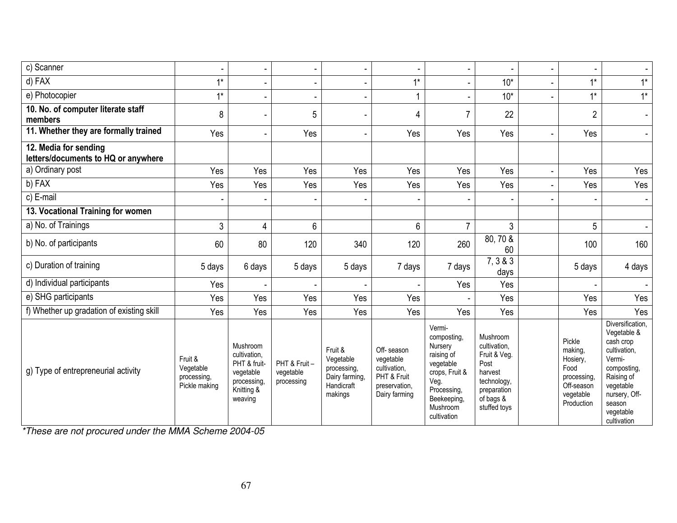| c) Scanner                                                   |                                                      |                                                                                              |                                         |                                                                                |                                                                                          |                                                                                                                                                |                                                                                                                        |                                                                                               |                                                                                                                                                                         |
|--------------------------------------------------------------|------------------------------------------------------|----------------------------------------------------------------------------------------------|-----------------------------------------|--------------------------------------------------------------------------------|------------------------------------------------------------------------------------------|------------------------------------------------------------------------------------------------------------------------------------------------|------------------------------------------------------------------------------------------------------------------------|-----------------------------------------------------------------------------------------------|-------------------------------------------------------------------------------------------------------------------------------------------------------------------------|
| $d)$ FAX                                                     | $1*$                                                 |                                                                                              |                                         |                                                                                | $1*$                                                                                     |                                                                                                                                                | $10*$                                                                                                                  | $1*$                                                                                          | $1^*$                                                                                                                                                                   |
| e) Photocopier                                               | $1*$                                                 |                                                                                              |                                         |                                                                                |                                                                                          |                                                                                                                                                | $10*$                                                                                                                  | $1*$                                                                                          | $1^*$                                                                                                                                                                   |
| 10. No. of computer literate staff<br>members                | 8                                                    |                                                                                              | 5                                       |                                                                                | 4                                                                                        | $\overline{7}$                                                                                                                                 | 22                                                                                                                     | $\overline{c}$                                                                                | $\blacksquare$                                                                                                                                                          |
| 11. Whether they are formally trained                        | Yes                                                  |                                                                                              | Yes                                     |                                                                                | Yes                                                                                      | Yes                                                                                                                                            | Yes                                                                                                                    | Yes                                                                                           | $\overline{\phantom{a}}$                                                                                                                                                |
| 12. Media for sending<br>letters/documents to HQ or anywhere |                                                      |                                                                                              |                                         |                                                                                |                                                                                          |                                                                                                                                                |                                                                                                                        |                                                                                               |                                                                                                                                                                         |
| a) Ordinary post                                             | Yes                                                  | Yes                                                                                          | Yes                                     | Yes                                                                            | Yes                                                                                      | Yes                                                                                                                                            | Yes                                                                                                                    | Yes                                                                                           | Yes                                                                                                                                                                     |
| b) FAX                                                       | Yes                                                  | Yes                                                                                          | Yes                                     | Yes                                                                            | Yes                                                                                      | Yes                                                                                                                                            | Yes                                                                                                                    | Yes                                                                                           | Yes                                                                                                                                                                     |
| c) E-mail                                                    |                                                      |                                                                                              |                                         |                                                                                |                                                                                          |                                                                                                                                                |                                                                                                                        |                                                                                               |                                                                                                                                                                         |
| 13. Vocational Training for women                            |                                                      |                                                                                              |                                         |                                                                                |                                                                                          |                                                                                                                                                |                                                                                                                        |                                                                                               |                                                                                                                                                                         |
| a) No. of Trainings                                          | 3                                                    | 4                                                                                            | 6                                       |                                                                                | 6                                                                                        | $\overline{7}$                                                                                                                                 | 3                                                                                                                      | 5                                                                                             | $\blacksquare$                                                                                                                                                          |
| b) No. of participants                                       | 60                                                   | 80                                                                                           | 120                                     | 340                                                                            | 120                                                                                      | 260                                                                                                                                            | $80, 70\overline{8}$<br>60                                                                                             | 100                                                                                           | 160                                                                                                                                                                     |
| c) Duration of training                                      | 5 days                                               | 6 days                                                                                       | 5 days                                  | 5 days                                                                         | 7 days                                                                                   | 7 days                                                                                                                                         | 7, 3 & 3<br>days                                                                                                       | 5 days                                                                                        | 4 days                                                                                                                                                                  |
| d) Individual participants                                   | Yes                                                  |                                                                                              |                                         |                                                                                |                                                                                          | Yes                                                                                                                                            | Yes                                                                                                                    |                                                                                               |                                                                                                                                                                         |
| e) SHG participants                                          | Yes                                                  | Yes                                                                                          | Yes                                     | Yes                                                                            | Yes                                                                                      |                                                                                                                                                | Yes                                                                                                                    | Yes                                                                                           | Yes                                                                                                                                                                     |
| f) Whether up gradation of existing skill                    | Yes                                                  | Yes                                                                                          | Yes                                     | Yes                                                                            | Yes                                                                                      | Yes                                                                                                                                            | Yes                                                                                                                    | Yes                                                                                           | Yes                                                                                                                                                                     |
| g) Type of entrepreneurial activity                          | Fruit &<br>Vegetable<br>processing,<br>Pickle making | Mushroom<br>cultivation.<br>PHT & fruit-<br>vegetable<br>processing<br>Knitting &<br>weaving | PHT & Fruit-<br>vegetable<br>processing | Fruit &<br>Vegetable<br>processing,<br>Dairy farming,<br>Handicraft<br>makings | Off-season<br>vegetable<br>cultivation,<br>PHT & Fruit<br>preservation,<br>Dairy farming | Vermi-<br>composting,<br>Nursery<br>raising of<br>vegetable<br>crops, Fruit &<br>Veg.<br>Processing,<br>Beekeeping,<br>Mushroom<br>cultivation | Mushroom<br>cultivation,<br>Fruit & Veg.<br>Post<br>harvest<br>technology,<br>preparation<br>of bags &<br>stuffed toys | Pickle<br>making,<br>Hosiery,<br>Food<br>processing,<br>Off-season<br>vegetable<br>Production | Diversification,<br>Vegetable &<br>cash crop<br>cultivation,<br>Vermi-<br>composting,<br>Raising of<br>vegetable<br>nursery, Off-<br>season<br>vegetable<br>cultivation |

\*These are not procured under the MMA Scheme 2004-05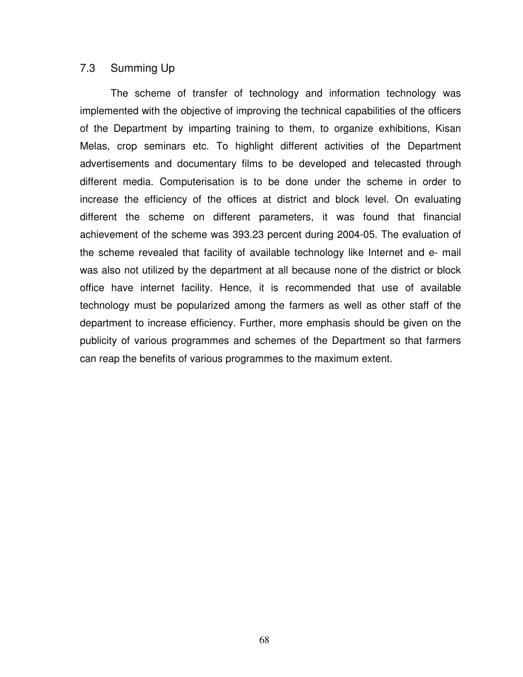#### 7.3 Summing Up

The scheme of transfer of technology and information technology was implemented with the objective of improving the technical capabilities of the officers of the Department by imparting training to them, to organize exhibitions, Kisan Melas, crop seminars etc. To highlight different activities of the Department advertisements and documentary films to be developed and telecasted through different media. Computerisation is to be done under the scheme in order to increase the efficiency of the offices at district and block level. On evaluating different the scheme on different parameters, it was found that financial achievement of the scheme was 393.23 percent during 2004-05. The evaluation of the scheme revealed that facility of available technology like Internet and e- mail was also not utilized by the department at all because none of the district or block office have internet facility. Hence, it is recommended that use of available technology must be popularized among the farmers as well as other staff of the department to increase efficiency. Further, more emphasis should be given on the publicity of various programmes and schemes of the Department so that farmers can reap the benefits of various programmes to the maximum extent.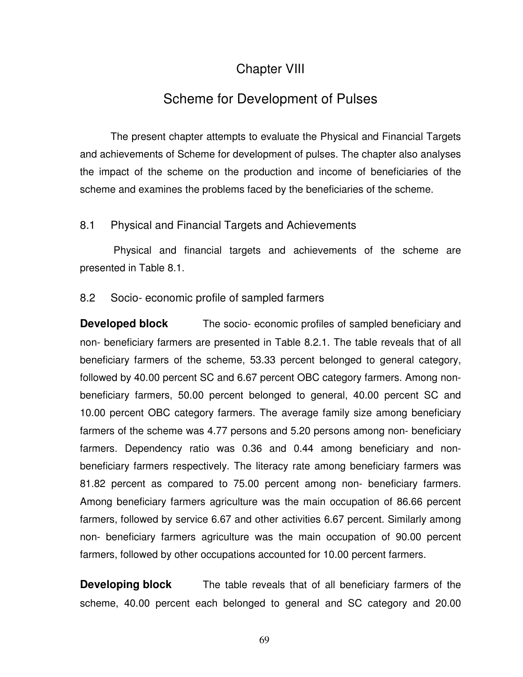# Chapter VIII

# Scheme for Development of Pulses

 The present chapter attempts to evaluate the Physical and Financial Targets and achievements of Scheme for development of pulses. The chapter also analyses the impact of the scheme on the production and income of beneficiaries of the scheme and examines the problems faced by the beneficiaries of the scheme.

# 8.1 Physical and Financial Targets and Achievements

 Physical and financial targets and achievements of the scheme are presented in Table 8.1.

### 8.2 Socio- economic profile of sampled farmers

**Developed block** The socio- economic profiles of sampled beneficiary and non- beneficiary farmers are presented in Table 8.2.1. The table reveals that of all beneficiary farmers of the scheme, 53.33 percent belonged to general category, followed by 40.00 percent SC and 6.67 percent OBC category farmers. Among nonbeneficiary farmers, 50.00 percent belonged to general, 40.00 percent SC and 10.00 percent OBC category farmers. The average family size among beneficiary farmers of the scheme was 4.77 persons and 5.20 persons among non- beneficiary farmers. Dependency ratio was 0.36 and 0.44 among beneficiary and nonbeneficiary farmers respectively. The literacy rate among beneficiary farmers was 81.82 percent as compared to 75.00 percent among non- beneficiary farmers. Among beneficiary farmers agriculture was the main occupation of 86.66 percent farmers, followed by service 6.67 and other activities 6.67 percent. Similarly among non- beneficiary farmers agriculture was the main occupation of 90.00 percent farmers, followed by other occupations accounted for 10.00 percent farmers.

**Developing block** The table reveals that of all beneficiary farmers of the scheme, 40.00 percent each belonged to general and SC category and 20.00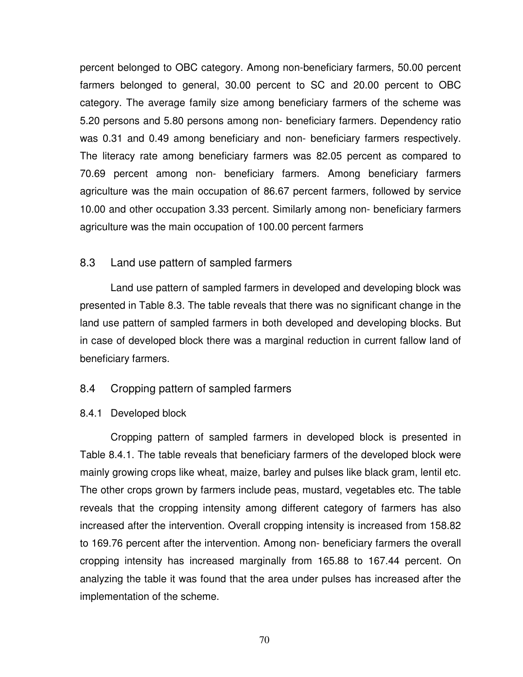percent belonged to OBC category. Among non-beneficiary farmers, 50.00 percent farmers belonged to general, 30.00 percent to SC and 20.00 percent to OBC category. The average family size among beneficiary farmers of the scheme was 5.20 persons and 5.80 persons among non- beneficiary farmers. Dependency ratio was 0.31 and 0.49 among beneficiary and non- beneficiary farmers respectively. The literacy rate among beneficiary farmers was 82.05 percent as compared to 70.69 percent among non- beneficiary farmers. Among beneficiary farmers agriculture was the main occupation of 86.67 percent farmers, followed by service 10.00 and other occupation 3.33 percent. Similarly among non- beneficiary farmers agriculture was the main occupation of 100.00 percent farmers

### 8.3 Land use pattern of sampled farmers

Land use pattern of sampled farmers in developed and developing block was presented in Table 8.3. The table reveals that there was no significant change in the land use pattern of sampled farmers in both developed and developing blocks. But in case of developed block there was a marginal reduction in current fallow land of beneficiary farmers.

#### 8.4 Cropping pattern of sampled farmers

#### 8.4.1 Developed block

Cropping pattern of sampled farmers in developed block is presented in Table 8.4.1. The table reveals that beneficiary farmers of the developed block were mainly growing crops like wheat, maize, barley and pulses like black gram, lentil etc. The other crops grown by farmers include peas, mustard, vegetables etc. The table reveals that the cropping intensity among different category of farmers has also increased after the intervention. Overall cropping intensity is increased from 158.82 to 169.76 percent after the intervention. Among non- beneficiary farmers the overall cropping intensity has increased marginally from 165.88 to 167.44 percent. On analyzing the table it was found that the area under pulses has increased after the implementation of the scheme.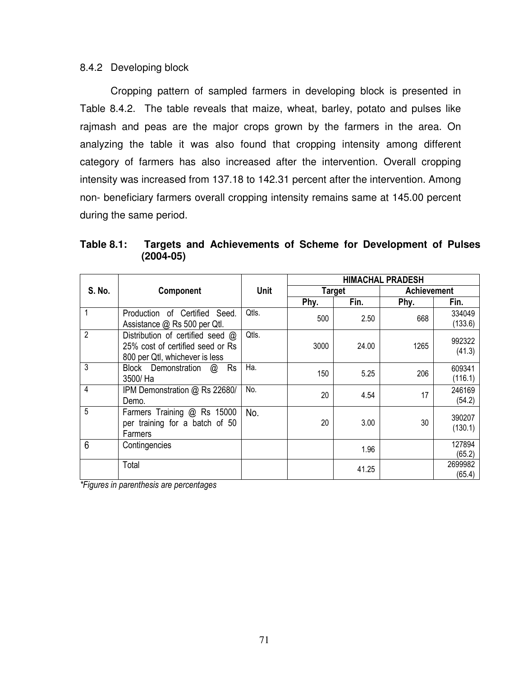#### 8.4.2 Developing block

Cropping pattern of sampled farmers in developing block is presented in Table 8.4.2. The table reveals that maize, wheat, barley, potato and pulses like rajmash and peas are the major crops grown by the farmers in the area. On analyzing the table it was also found that cropping intensity among different category of farmers has also increased after the intervention. Overall cropping intensity was increased from 137.18 to 142.31 percent after the intervention. Among non- beneficiary farmers overall cropping intensity remains same at 145.00 percent during the same period.

| Table 8.1: |               | Targets and Achievements of Scheme for Development of Pulses |  |  |  |
|------------|---------------|--------------------------------------------------------------|--|--|--|
|            | $(2004 - 05)$ |                                                              |  |  |  |

|                |                                                                                                        |             | <b>HIMACHAL PRADESH</b> |       |                    |                   |
|----------------|--------------------------------------------------------------------------------------------------------|-------------|-------------------------|-------|--------------------|-------------------|
| S. No.         | Component                                                                                              | <b>Unit</b> | <b>Target</b>           |       | <b>Achievement</b> |                   |
|                |                                                                                                        |             | Phy.                    | Fin.  | Phy.               | Fin.              |
|                | Production of Certified Seed.<br>Assistance @ Rs 500 per Qtl.                                          | Qtls.       | 500                     | 2.50  | 668                | 334049<br>(133.6) |
| $\overline{2}$ | Distribution of certified seed @<br>25% cost of certified seed or Rs<br>800 per Qtl, whichever is less | Qtls.       | 3000                    | 24.00 | 1265               | 992322<br>(41.3)  |
| 3              | Rs<br>Block Demonstration<br>$\omega$<br>3500/ Ha                                                      | Ha.         | 150                     | 5.25  | 206                | 609341<br>(116.1) |
| 4              | IPM Demonstration @ Rs 22680/<br>Demo.                                                                 | No.         | 20                      | 4.54  | 17                 | 246169<br>(54.2)  |
| 5              | Farmers Training @ Rs 15000<br>per training for a batch of 50<br>Farmers                               | No.         | 20                      | 3.00  | 30                 | 390207<br>(130.1) |
| 6              | Contingencies                                                                                          |             |                         | 1.96  |                    | 127894<br>(65.2)  |
|                | Total                                                                                                  |             |                         | 41.25 |                    | 2699982<br>(65.4) |

*\*Figures in parenthesis are percentages*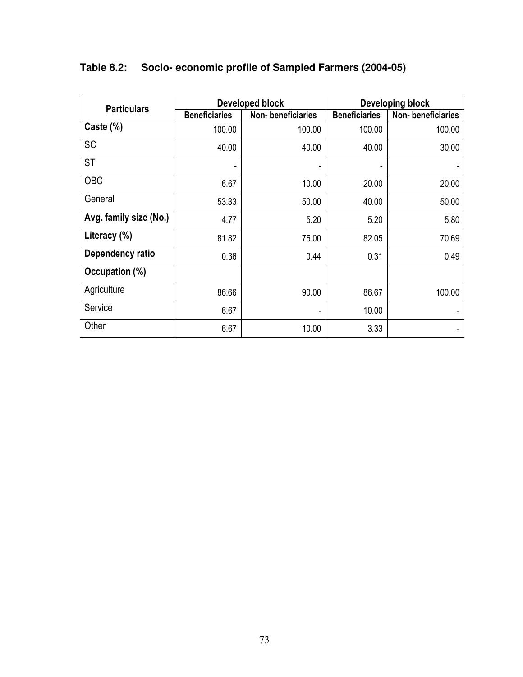| <b>Particulars</b>     |                      | Developed block          | <b>Developing block</b> |                   |  |  |
|------------------------|----------------------|--------------------------|-------------------------|-------------------|--|--|
|                        | <b>Beneficiaries</b> | <b>Non-beneficiaries</b> | <b>Beneficiaries</b>    | Non-beneficiaries |  |  |
| Caste (%)              | 100.00               | 100.00                   | 100.00                  | 100.00            |  |  |
| <b>SC</b>              | 40.00                | 40.00                    | 40.00                   | 30.00             |  |  |
| ST                     |                      |                          |                         |                   |  |  |
| <b>OBC</b>             | 6.67                 | 10.00                    | 20.00                   | 20.00             |  |  |
| General                | 53.33                | 50.00                    | 40.00                   | 50.00             |  |  |
| Avg. family size (No.) | 4.77                 | 5.20                     | 5.20                    | 5.80              |  |  |
| Literacy (%)           | 81.82                | 75.00                    | 82.05                   | 70.69             |  |  |
| Dependency ratio       | 0.36                 | 0.44                     | 0.31                    | 0.49              |  |  |
| Occupation (%)         |                      |                          |                         |                   |  |  |
| Agriculture            | 86.66                | 90.00                    | 86.67                   | 100.00            |  |  |
| Service                | 6.67                 |                          | 10.00                   |                   |  |  |
| Other                  | 6.67                 | 10.00                    | 3.33                    | ٠                 |  |  |

# **Table 8.2: Socio- economic profile of Sampled Farmers (2004-05)**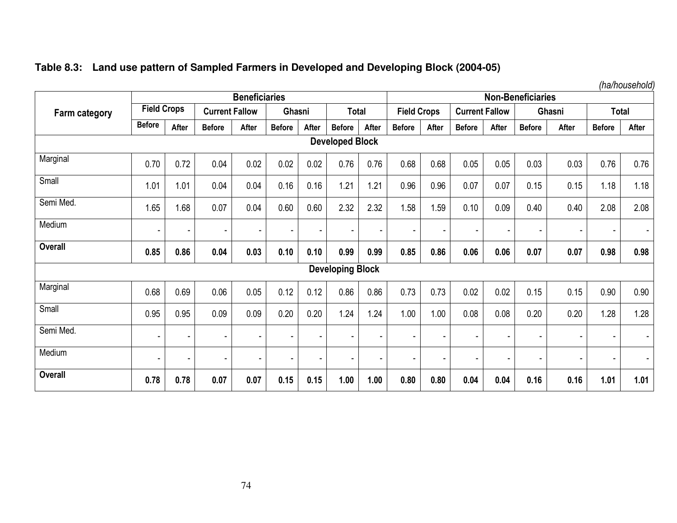|  |  |  |  | Table 8.3: Land use pattern of Sampled Farmers in Developed and Developing Block (2004-05) |
|--|--|--|--|--------------------------------------------------------------------------------------------|
|--|--|--|--|--------------------------------------------------------------------------------------------|

*(ha/household)* 

| <b>Beneficiaries</b> |                    |                          |                          |                | <b>Non-Beneficiaries</b> |                          |                          |       |                    |       |                       |        |                          |                |                          |                |
|----------------------|--------------------|--------------------------|--------------------------|----------------|--------------------------|--------------------------|--------------------------|-------|--------------------|-------|-----------------------|--------|--------------------------|----------------|--------------------------|----------------|
| Farm category        | <b>Field Crops</b> |                          | <b>Current Fallow</b>    |                | Ghasni                   |                          | <b>Total</b>             |       | <b>Field Crops</b> |       | <b>Current Fallow</b> |        |                          | Ghasni         |                          | <b>Total</b>   |
|                      | <b>Before</b>      | After                    | <b>Before</b>            | After          | <b>Before</b>            | After                    | <b>Before</b>            | After | <b>Before</b>      | After | <b>Before</b>         | After  | <b>Before</b>            | After          | <b>Before</b>            | After          |
|                      |                    |                          |                          |                |                          |                          | <b>Developed Block</b>   |       |                    |       |                       |        |                          |                |                          |                |
| Marginal             | 0.70               | 0.72                     | 0.04                     | 0.02           | 0.02                     | 0.02                     | 0.76                     | 0.76  | 0.68               | 0.68  | 0.05                  | 0.05   | 0.03                     | 0.03           | 0.76                     | 0.76           |
| Small                | 1.01               | 1.01                     | 0.04                     | 0.04           | 0.16                     | 0.16                     | 1.21                     | 1.21  | 0.96               | 0.96  | 0.07                  | 0.07   | 0.15                     | 0.15           | 1.18                     | 1.18           |
| Semi Med.            | 1.65               | 1.68                     | 0.07                     | 0.04           | 0.60                     | 0.60                     | 2.32                     | 2.32  | 1.58               | 1.59  | 0.10                  | 0.09   | 0.40                     | 0.40           | 2.08                     | 2.08           |
| Medium               | ٠                  | $\overline{\phantom{a}}$ |                          |                |                          | $\blacksquare$           | ۰                        |       |                    |       | $\blacksquare$        |        |                          |                | $\sim$                   |                |
| Overall              | 0.85               | 0.86                     | 0.04                     | 0.03           | 0.10                     | 0.10                     | 0.99                     | 0.99  | 0.85               | 0.86  | 0.06                  | 0.06   | 0.07                     | 0.07           | 0.98                     | 0.98           |
|                      |                    |                          |                          |                |                          |                          | <b>Developing Block</b>  |       |                    |       |                       |        |                          |                |                          |                |
| Marginal             | 0.68               | 0.69                     | 0.06                     | 0.05           | 0.12                     | 0.12                     | 0.86                     | 0.86  | 0.73               | 0.73  | 0.02                  | 0.02   | 0.15                     | 0.15           | 0.90                     | 0.90           |
| Small                | 0.95               | 0.95                     | 0.09                     | 0.09           | 0.20                     | 0.20                     | 1.24                     | 1.24  | 1.00               | 1.00  | 0.08                  | 0.08   | 0.20                     | 0.20           | 1.28                     | 1.28           |
| Semi Med.            | ٠                  | $\overline{\phantom{a}}$ | $\overline{\phantom{a}}$ | $\overline{a}$ | $\overline{\phantom{a}}$ | $\overline{\phantom{a}}$ | $\overline{\phantom{a}}$ | ٠     |                    | ٠     | $\overline{a}$        | $\sim$ | $\blacksquare$           | $\blacksquare$ | $\overline{\phantom{a}}$ | $\blacksquare$ |
| Medium               | ٠                  | $\overline{\phantom{a}}$ |                          | ٠              | $\overline{\phantom{a}}$ | $\overline{\phantom{a}}$ | $\overline{\phantom{a}}$ | ٠     |                    | ٠     | $\overline{a}$        |        | $\overline{\phantom{0}}$ | $\blacksquare$ | $\overline{\phantom{a}}$ | $\blacksquare$ |
| <b>Overall</b>       | 0.78               | 0.78                     | 0.07                     | 0.07           | 0.15                     | 0.15                     | 1.00                     | 1.00  | 0.80               | 0.80  | 0.04                  | 0.04   | 0.16                     | 0.16           | 1.01                     | 1.01           |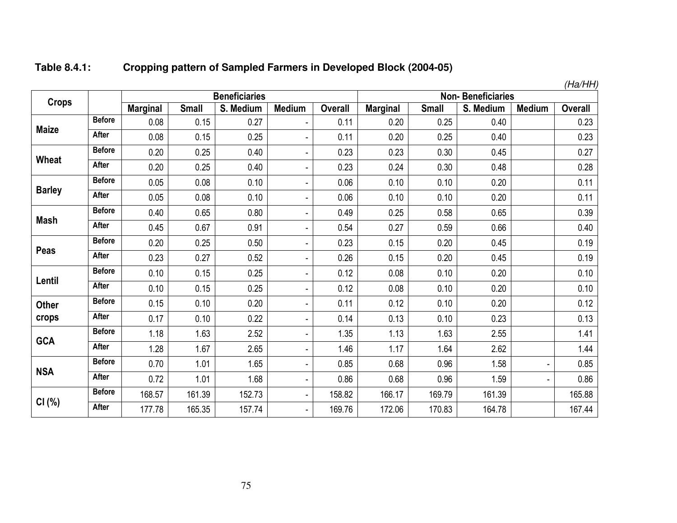| Table 8.4.1: | Cropping pattern of Sampled Farmers in Developed Block (2004-05) |
|--------------|------------------------------------------------------------------|
|--------------|------------------------------------------------------------------|

|               |               |                 |              |                      |                          |                |                 |              |                          |                | (Ha/HH)        |
|---------------|---------------|-----------------|--------------|----------------------|--------------------------|----------------|-----------------|--------------|--------------------------|----------------|----------------|
| <b>Crops</b>  |               |                 |              | <b>Beneficiaries</b> |                          |                |                 |              | <b>Non-Beneficiaries</b> |                |                |
|               |               | <b>Marginal</b> | <b>Small</b> | S. Medium            | <b>Medium</b>            | <b>Overall</b> | <b>Marginal</b> | <b>Small</b> | S. Medium                | <b>Medium</b>  | <b>Overall</b> |
| <b>Maize</b>  | <b>Before</b> | 0.08            | 0.15         | 0.27                 | $\overline{a}$           | 0.11           | 0.20            | 0.25         | 0.40                     |                | 0.23           |
|               | <b>After</b>  | 0.08            | 0.15         | 0.25                 | ٠                        | 0.11           | 0.20            | 0.25         | 0.40                     |                | 0.23           |
|               | <b>Before</b> | 0.20            | 0.25         | 0.40                 | ä,                       | 0.23           | 0.23            | 0.30         | 0.45                     |                | 0.27           |
| <b>Wheat</b>  | After         | 0.20            | 0.25         | 0.40                 | $\overline{\phantom{0}}$ | 0.23           | 0.24            | 0.30         | 0.48                     |                | 0.28           |
|               | <b>Before</b> | 0.05            | 0.08         | 0.10                 | ٠                        | 0.06           | 0.10            | 0.10         | 0.20                     |                | 0.11           |
| <b>Barley</b> | After         | 0.05            | 0.08         | 0.10                 | $\overline{\phantom{0}}$ | 0.06           | 0.10            | 0.10         | 0.20                     |                | 0.11           |
|               | <b>Before</b> | 0.40            | 0.65         | 0.80                 | ٠                        | 0.49           | 0.25            | 0.58         | 0.65                     |                | 0.39           |
| Mash          | After         | 0.45            | 0.67         | 0.91                 | $\overline{\phantom{0}}$ | 0.54           | 0.27            | 0.59         | 0.66                     |                | 0.40           |
|               | <b>Before</b> | 0.20            | 0.25         | 0.50                 | ä,                       | 0.23           | 0.15            | 0.20         | 0.45                     |                | 0.19           |
| Peas          | After         | 0.23            | 0.27         | 0.52                 | $\overline{\phantom{0}}$ | 0.26           | 0.15            | 0.20         | 0.45                     |                | 0.19           |
| Lentil        | <b>Before</b> | 0.10            | 0.15         | 0.25                 | $\frac{1}{2}$            | 0.12           | 0.08            | 0.10         | 0.20                     |                | 0.10           |
|               | <b>After</b>  | 0.10            | 0.15         | 0.25                 | $\overline{\phantom{0}}$ | 0.12           | 0.08            | 0.10         | 0.20                     |                | 0.10           |
| <b>Other</b>  | <b>Before</b> | 0.15            | 0.10         | 0.20                 | $\blacksquare$           | 0.11           | 0.12            | 0.10         | 0.20                     |                | 0.12           |
| crops         | After         | 0.17            | 0.10         | 0.22                 | $\overline{\phantom{0}}$ | 0.14           | 0.13            | 0.10         | 0.23                     |                | 0.13           |
|               | <b>Before</b> | 1.18            | 1.63         | 2.52                 | $\overline{\phantom{0}}$ | 1.35           | 1.13            | 1.63         | 2.55                     |                | 1.41           |
| <b>GCA</b>    | After         | 1.28            | 1.67         | 2.65                 | ä,                       | 1.46           | 1.17            | 1.64         | 2.62                     |                | 1.44           |
|               | <b>Before</b> | 0.70            | 1.01         | 1.65                 | $\blacksquare$           | 0.85           | 0.68            | 0.96         | 1.58                     | $\blacksquare$ | 0.85           |
| <b>NSA</b>    | After         | 0.72            | 1.01         | 1.68                 | $\overline{\phantom{a}}$ | 0.86           | 0.68            | 0.96         | 1.59                     | $\blacksquare$ | 0.86           |
|               | <b>Before</b> | 168.57          | 161.39       | 152.73               | $\blacksquare$           | 158.82         | 166.17          | 169.79       | 161.39                   |                | 165.88         |
| CI(%)         | <b>After</b>  | 177.78          | 165.35       | 157.74               | $\blacksquare$           | 169.76         | 172.06          | 170.83       | 164.78                   |                | 167.44         |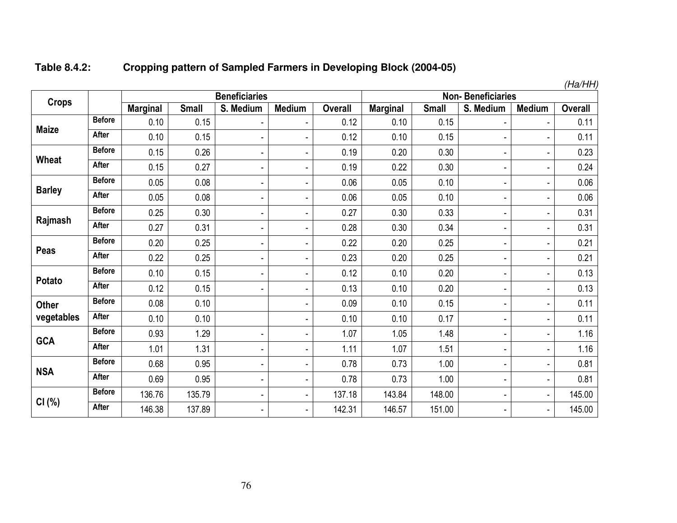| Table 8.4.2: | <b>Cropping pattern of Sampled Farmers in Developing Block (2004-05)</b> |
|--------------|--------------------------------------------------------------------------|
|--------------|--------------------------------------------------------------------------|

|               |               |                 |              |                          |                          |                |                 |              |                              |                | (Ha/HH)        |
|---------------|---------------|-----------------|--------------|--------------------------|--------------------------|----------------|-----------------|--------------|------------------------------|----------------|----------------|
| <b>Crops</b>  |               |                 |              | <b>Beneficiaries</b>     |                          |                |                 |              | <b>Non-Beneficiaries</b>     |                |                |
|               |               | <b>Marginal</b> | <b>Small</b> | S. Medium                | <b>Medium</b>            | <b>Overall</b> | <b>Marginal</b> | <b>Small</b> | S. Medium                    | <b>Medium</b>  | <b>Overall</b> |
| <b>Maize</b>  | <b>Before</b> | 0.10            | 0.15         | $\overline{\phantom{a}}$ |                          | 0.12           | 0.10            | 0.15         |                              |                | 0.11           |
|               | After         | 0.10            | 0.15         | $\blacksquare$           |                          | 0.12           | 0.10            | 0.15         |                              | ÷,             | 0.11           |
| Wheat         | <b>Before</b> | 0.15            | 0.26         | $\blacksquare$           | $\overline{a}$           | 0.19           | 0.20            | 0.30         | $\overline{a}$               | ä,             | 0.23           |
|               | <b>After</b>  | 0.15            | 0.27         | $\overline{\phantom{a}}$ | ٠                        | 0.19           | 0.22            | 0.30         | $\qquad \qquad \blacksquare$ | ٠              | 0.24           |
|               | <b>Before</b> | 0.05            | 0.08         | $\blacksquare$           |                          | 0.06           | 0.05            | 0.10         |                              | ۰              | 0.06           |
| <b>Barley</b> | After         | 0.05            | 0.08         | $\blacksquare$           | $\overline{a}$           | 0.06           | 0.05            | 0.10         | $\overline{a}$               | ٠              | 0.06           |
|               | <b>Before</b> | 0.25            | 0.30         | $\blacksquare$           | ä,                       | 0.27           | 0.30            | 0.33         | ٠                            | ٠              | 0.31           |
| Rajmash       | <b>After</b>  | 0.27            | 0.31         | $\blacksquare$           | $\blacksquare$           | 0.28           | 0.30            | 0.34         | ä,                           | ä,             | 0.31           |
|               | <b>Before</b> | 0.20            | 0.25         | $\blacksquare$           | $\overline{a}$           | 0.22           | 0.20            | 0.25         | ä,                           | ٠              | 0.21           |
| Peas          | After         | 0.22            | 0.25         | $\blacksquare$           | ä,                       | 0.23           | 0.20            | 0.25         | $\blacksquare$               | ۰              | 0.21           |
| <b>Potato</b> | <b>Before</b> | 0.10            | 0.15         | $\blacksquare$           | -                        | 0.12           | 0.10            | 0.20         | $\qquad \qquad \blacksquare$ | ٠              | 0.13           |
|               | <b>After</b>  | 0.12            | 0.15         | $\blacksquare$           | ۰                        | 0.13           | 0.10            | 0.20         |                              | ä,             | 0.13           |
| <b>Other</b>  | <b>Before</b> | 0.08            | 0.10         |                          | $\overline{a}$           | 0.09           | 0.10            | 0.15         | $\blacksquare$               | ۰              | 0.11           |
| vegetables    | <b>After</b>  | 0.10            | 0.10         |                          | $\overline{a}$           | 0.10           | 0.10            | 0.17         | $\overline{a}$               | ٠              | 0.11           |
|               | <b>Before</b> | 0.93            | 1.29         | $\overline{\phantom{a}}$ | ä,                       | 1.07           | 1.05            | 1.48         | $\blacksquare$               | ä,             | 1.16           |
| <b>GCA</b>    | After         | 1.01            | 1.31         | $\blacksquare$           | $\blacksquare$           | 1.11           | 1.07            | 1.51         | $\blacksquare$               | ۰              | 1.16           |
|               | <b>Before</b> | 0.68            | 0.95         | $\blacksquare$           | $\overline{a}$           | 0.78           | 0.73            | 1.00         | $\blacksquare$               | ۰              | 0.81           |
| <b>NSA</b>    | After         | 0.69            | 0.95         | $\blacksquare$           | ä,                       | 0.78           | 0.73            | 1.00         | -                            | $\blacksquare$ | 0.81           |
|               | <b>Before</b> | 136.76          | 135.79       | $\blacksquare$           | ä,                       | 137.18         | 143.84          | 148.00       |                              | $\sim$         | 145.00         |
| CI(%)         | <b>After</b>  | 146.38          | 137.89       | $\blacksquare$           | $\overline{\phantom{a}}$ | 142.31         | 146.57          | 151.00       | $\overline{\phantom{0}}$     | $\blacksquare$ | 145.00         |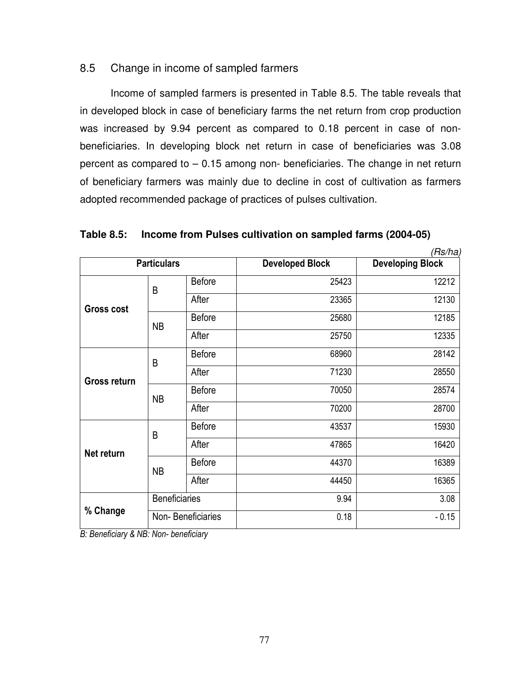# 8.5 Change in income of sampled farmers

Income of sampled farmers is presented in Table 8.5. The table reveals that in developed block in case of beneficiary farms the net return from crop production was increased by 9.94 percent as compared to 0.18 percent in case of nonbeneficiaries. In developing block net return in case of beneficiaries was 3.08 percent as compared to – 0.15 among non- beneficiaries. The change in net return of beneficiary farmers was mainly due to decline in cost of cultivation as farmers adopted recommended package of practices of pulses cultivation.

**Table 8.5: Income from Pulses cultivation on sampled farms (2004-05)** 

|                   |                      |                   |                        | (Rs/ha)                 |
|-------------------|----------------------|-------------------|------------------------|-------------------------|
|                   | <b>Particulars</b>   |                   | <b>Developed Block</b> | <b>Developing Block</b> |
|                   | B                    | <b>Before</b>     | 25423                  | 12212                   |
| <b>Gross cost</b> |                      | After             | 23365                  | 12130                   |
|                   | <b>NB</b>            | <b>Before</b>     | 25680                  | 12185                   |
|                   |                      | After             | 25750                  | 12335                   |
|                   | B                    | <b>Before</b>     | 68960                  | 28142                   |
| Gross return      |                      | After             | 71230                  | 28550                   |
|                   | <b>NB</b>            | <b>Before</b>     | 70050                  | 28574                   |
|                   |                      | After             | 70200                  | 28700                   |
|                   | B                    | <b>Before</b>     | 43537                  | 15930                   |
| Net return        |                      | After             | 47865                  | 16420                   |
|                   | <b>NB</b>            | <b>Before</b>     | 44370                  | 16389                   |
|                   |                      | After             | 44450                  | 16365                   |
|                   | <b>Beneficiaries</b> |                   | 9.94                   | 3.08                    |
| % Change          |                      | Non-Beneficiaries | 0.18                   | $-0.15$                 |

*B: Beneficiary & NB: Non- beneficiary*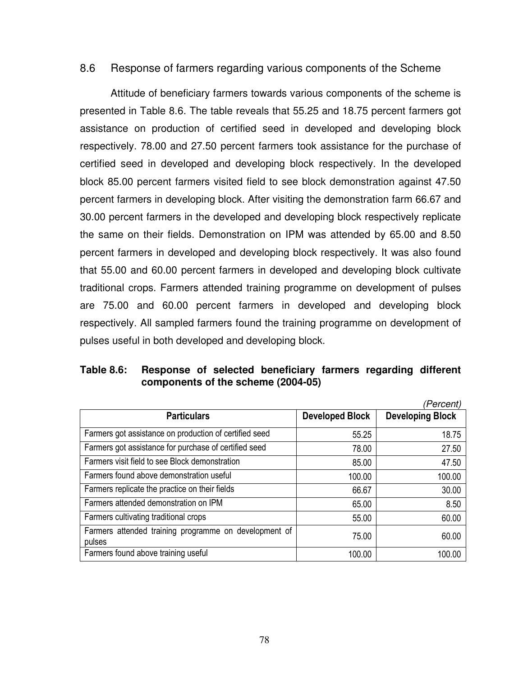### 8.6 Response of farmers regarding various components of the Scheme

 Attitude of beneficiary farmers towards various components of the scheme is presented in Table 8.6. The table reveals that 55.25 and 18.75 percent farmers got assistance on production of certified seed in developed and developing block respectively. 78.00 and 27.50 percent farmers took assistance for the purchase of certified seed in developed and developing block respectively. In the developed block 85.00 percent farmers visited field to see block demonstration against 47.50 percent farmers in developing block. After visiting the demonstration farm 66.67 and 30.00 percent farmers in the developed and developing block respectively replicate the same on their fields. Demonstration on IPM was attended by 65.00 and 8.50 percent farmers in developed and developing block respectively. It was also found that 55.00 and 60.00 percent farmers in developed and developing block cultivate traditional crops. Farmers attended training programme on development of pulses are 75.00 and 60.00 percent farmers in developed and developing block respectively. All sampled farmers found the training programme on development of pulses useful in both developed and developing block.

### **Table 8.6: Response of selected beneficiary farmers regarding different components of the scheme (2004-05)**

|                                                                 |                        | (Percent)               |
|-----------------------------------------------------------------|------------------------|-------------------------|
| <b>Particulars</b>                                              | <b>Developed Block</b> | <b>Developing Block</b> |
| Farmers got assistance on production of certified seed          | 55.25                  | 18.75                   |
| Farmers got assistance for purchase of certified seed           | 78.00                  | 27.50                   |
| Farmers visit field to see Block demonstration                  | 85.00                  | 47.50                   |
| Farmers found above demonstration useful                        | 100.00                 | 100.00                  |
| Farmers replicate the practice on their fields                  | 66.67                  | 30.00                   |
| Farmers attended demonstration on IPM                           | 65.00                  | 8.50                    |
| Farmers cultivating traditional crops                           | 55.00                  | 60.00                   |
| Farmers attended training programme on development of<br>pulses | 75.00                  | 60.00                   |
| Farmers found above training useful                             | 100.00                 | 100.00                  |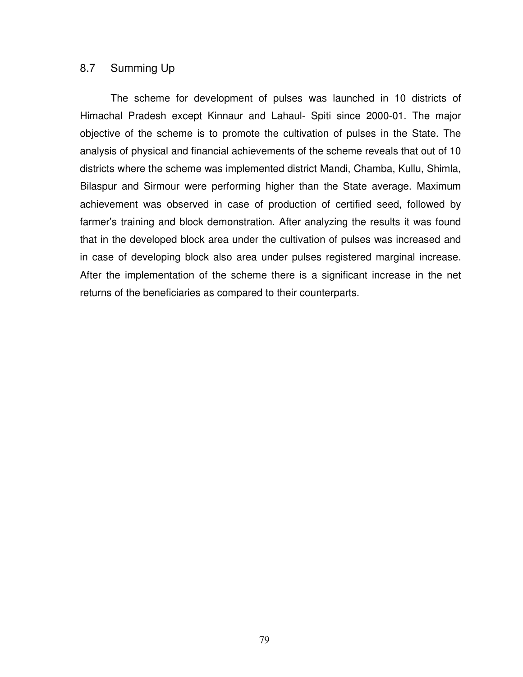#### 8.7 Summing Up

The scheme for development of pulses was launched in 10 districts of Himachal Pradesh except Kinnaur and Lahaul- Spiti since 2000-01. The major objective of the scheme is to promote the cultivation of pulses in the State. The analysis of physical and financial achievements of the scheme reveals that out of 10 districts where the scheme was implemented district Mandi, Chamba, Kullu, Shimla, Bilaspur and Sirmour were performing higher than the State average. Maximum achievement was observed in case of production of certified seed, followed by farmer's training and block demonstration. After analyzing the results it was found that in the developed block area under the cultivation of pulses was increased and in case of developing block also area under pulses registered marginal increase. After the implementation of the scheme there is a significant increase in the net returns of the beneficiaries as compared to their counterparts.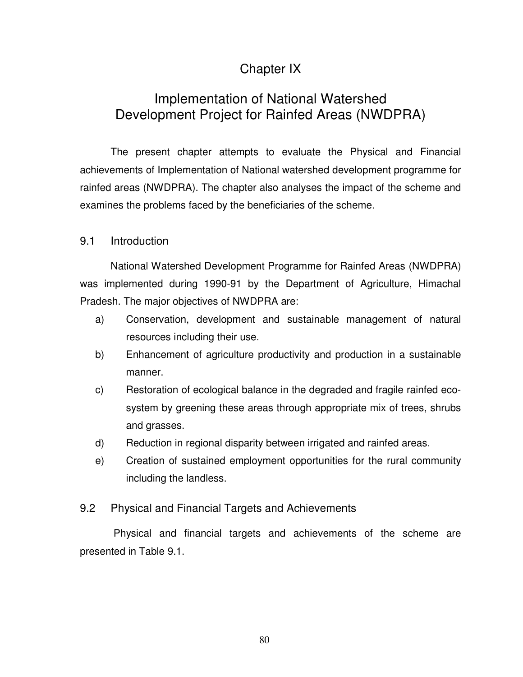# Chapter IX

# Implementation of National Watershed Development Project for Rainfed Areas (NWDPRA)

 The present chapter attempts to evaluate the Physical and Financial achievements of Implementation of National watershed development programme for rainfed areas (NWDPRA). The chapter also analyses the impact of the scheme and examines the problems faced by the beneficiaries of the scheme.

# 9.1 Introduction

 National Watershed Development Programme for Rainfed Areas (NWDPRA) was implemented during 1990-91 by the Department of Agriculture, Himachal Pradesh. The major objectives of NWDPRA are:

- a) Conservation, development and sustainable management of natural resources including their use.
- b) Enhancement of agriculture productivity and production in a sustainable manner.
- c) Restoration of ecological balance in the degraded and fragile rainfed ecosystem by greening these areas through appropriate mix of trees, shrubs and grasses.
- d) Reduction in regional disparity between irrigated and rainfed areas.
- e) Creation of sustained employment opportunities for the rural community including the landless.

#### 9.2 Physical and Financial Targets and Achievements

 Physical and financial targets and achievements of the scheme are presented in Table 9.1.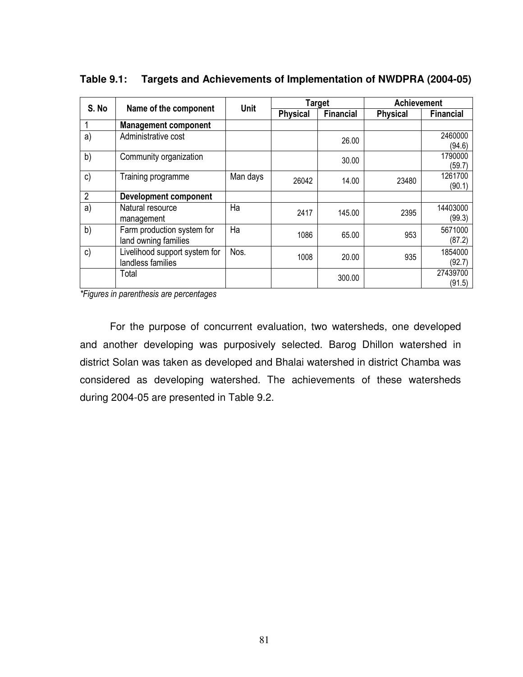|                | S. No<br>Name of the component                     |             |                 | <b>Target</b>    | <b>Achievement</b> |                    |  |
|----------------|----------------------------------------------------|-------------|-----------------|------------------|--------------------|--------------------|--|
|                |                                                    | <b>Unit</b> | <b>Physical</b> | <b>Financial</b> | <b>Physical</b>    | <b>Financial</b>   |  |
|                | <b>Management component</b>                        |             |                 |                  |                    |                    |  |
| a)             | Administrative cost                                |             |                 | 26.00            |                    | 2460000<br>(94.6)  |  |
| b)             | Community organization                             |             |                 | 30.00            |                    | 1790000<br>(59.7)  |  |
| $\mathsf{c}$   | Training programme                                 | Man days    | 26042           | 14.00            | 23480              | 1261700<br>(90.1)  |  |
| $\overline{2}$ | <b>Development component</b>                       |             |                 |                  |                    |                    |  |
| a)             | Natural resource<br>management                     | Ha          | 2417            | 145.00           | 2395               | 14403000<br>(99.3) |  |
| b)             | Farm production system for<br>land owning families | Ha          | 1086            | 65.00            | 953                | 5671000<br>(87.2)  |  |
| c)             | Livelihood support system for<br>landless families | Nos.        | 1008            | 20.00            | 935                | 1854000<br>(92.7)  |  |
|                | Total                                              |             |                 | 300.00           |                    | 27439700<br>(91.5) |  |

**Table 9.1: Targets and Achievements of Implementation of NWDPRA (2004-05)** 

*\*Figures in parenthesis are percentages* 

 For the purpose of concurrent evaluation, two watersheds, one developed and another developing was purposively selected. Barog Dhillon watershed in district Solan was taken as developed and Bhalai watershed in district Chamba was considered as developing watershed. The achievements of these watersheds during 2004-05 are presented in Table 9.2.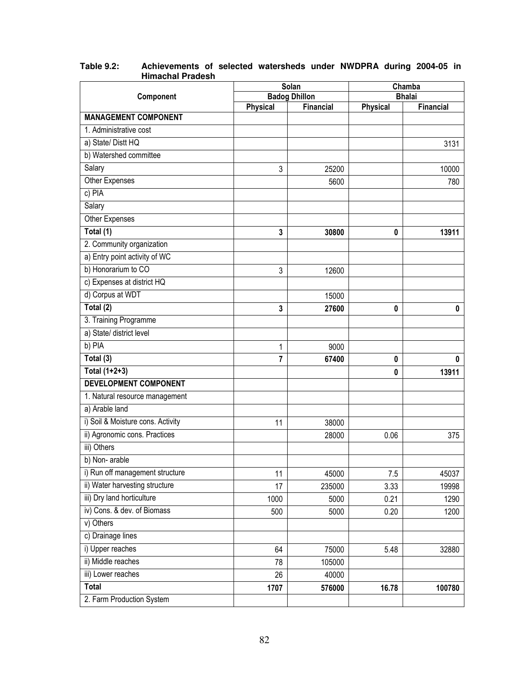|                                   |                 | Solan                | Chamba          |               |  |
|-----------------------------------|-----------------|----------------------|-----------------|---------------|--|
| Component                         |                 | <b>Badog Dhillon</b> |                 | <b>Bhalai</b> |  |
| <b>MANAGEMENT COMPONENT</b>       | <b>Physical</b> | Financial            | <b>Physical</b> | Financial     |  |
| 1. Administrative cost            |                 |                      |                 |               |  |
| a) State/ Distt HQ                |                 |                      |                 | 3131          |  |
| b) Watershed committee            |                 |                      |                 |               |  |
| Salary                            | 3               | 25200                |                 | 10000         |  |
| <b>Other Expenses</b>             |                 | 5600                 |                 | 780           |  |
| c) PIA                            |                 |                      |                 |               |  |
| Salary                            |                 |                      |                 |               |  |
| Other Expenses                    |                 |                      |                 |               |  |
| Total (1)                         | 3               | 30800                | $\pmb{0}$       | 13911         |  |
| 2. Community organization         |                 |                      |                 |               |  |
| a) Entry point activity of WC     |                 |                      |                 |               |  |
| b) Honorarium to CO               | 3               | 12600                |                 |               |  |
| c) Expenses at district HQ        |                 |                      |                 |               |  |
| d) Corpus at WDT                  |                 | 15000                |                 |               |  |
| Total (2)                         | 3               | 27600                | 0               | $\mathbf{0}$  |  |
| 3. Training Programme             |                 |                      |                 |               |  |
| a) State/ district level          |                 |                      |                 |               |  |
| b) PIA                            | 1               | 9000                 |                 |               |  |
| Total (3)                         | 7               | 67400                | 0               | 0             |  |
| Total $(1+2+3)$                   |                 |                      | 0               | 13911         |  |
| <b>DEVELOPMENT COMPONENT</b>      |                 |                      |                 |               |  |
| 1. Natural resource management    |                 |                      |                 |               |  |
| a) Arable land                    |                 |                      |                 |               |  |
| i) Soil & Moisture cons. Activity | 11              | 38000                |                 |               |  |
| ii) Agronomic cons. Practices     |                 | 28000                | 0.06            | 375           |  |
| iii) Others                       |                 |                      |                 |               |  |
| b) Non-arable                     |                 |                      |                 |               |  |
| i) Run off management structure   | 11              | 45000                | 7.5             | 45037         |  |
| ii) Water harvesting structure    | 17              | 235000               | 3.33            | 19998         |  |
| iii) Dry land horticulture        | 1000            | 5000                 | 0.21            | 1290          |  |
| iv) Cons. & dev. of Biomass       | 500             | 5000                 | 0.20            | 1200          |  |
| v) Others                         |                 |                      |                 |               |  |
| c) Drainage lines                 |                 |                      |                 |               |  |
| i) Upper reaches                  | 64              | 75000                | 5.48            | 32880         |  |
| ii) Middle reaches                | 78              | 105000               |                 |               |  |
| iii) Lower reaches                | 26              | 40000                |                 |               |  |
| <b>Total</b>                      | 1707            | 576000               | 16.78           | 100780        |  |
| 2. Farm Production System         |                 |                      |                 |               |  |

#### **Table 9.2: Achievements of selected watersheds under NWDPRA during 2004-05 in Himachal Pradesh**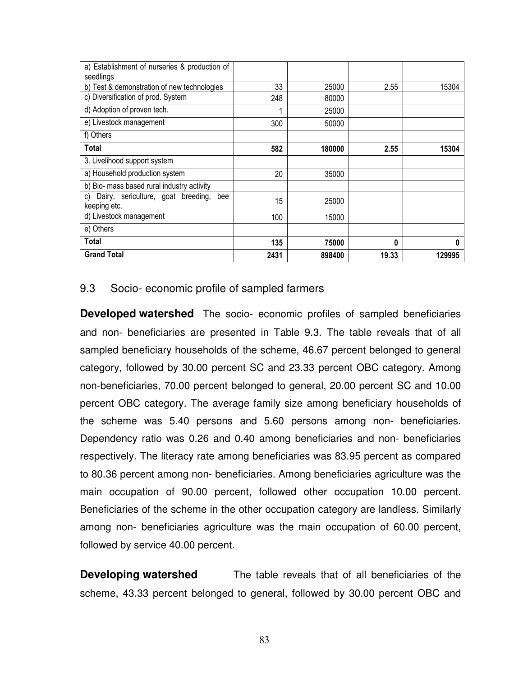| a) Establishment of nurseries & production of<br>seedlings      |      |        |       |        |
|-----------------------------------------------------------------|------|--------|-------|--------|
| b) Test & demonstration of new technologies                     | 33   | 25000  | 2.55  | 15304  |
| c) Diversification of prod. System                              | 248  | 80000  |       |        |
| d) Adoption of proven tech.                                     | 1    | 25000  |       |        |
| e) Livestock management                                         | 300  | 50000  |       |        |
| f) Others                                                       |      |        |       |        |
| Total                                                           | 582  | 180000 | 2.55  | 15304  |
| 3. Livelihood support system                                    |      |        |       |        |
| a) Household production system                                  | 20   | 35000  |       |        |
| b) Bio- mass based rural industry activity                      |      |        |       |        |
| Dairy, sericulture, goat breeding,<br>bee<br>C)<br>keeping etc. | 15   | 25000  |       |        |
| d) Livestock management                                         | 100  | 15000  |       |        |
| e) Others                                                       |      |        |       |        |
| Total                                                           | 135  | 75000  | 0     | 0      |
| <b>Grand Total</b>                                              | 2431 | 898400 | 19.33 | 129995 |

# 9.3 Socio- economic profile of sampled farmers

**Developed watershed** The socio- economic profiles of sampled beneficiaries and non- beneficiaries are presented in Table 9.3. The table reveals that of all sampled beneficiary households of the scheme, 46.67 percent belonged to general category, followed by 30.00 percent SC and 23.33 percent OBC category. Among non-beneficiaries, 70.00 percent belonged to general, 20.00 percent SC and 10.00 percent OBC category. The average family size among beneficiary households of the scheme was 5.40 persons and 5.60 persons among non- beneficiaries. Dependency ratio was 0.26 and 0.40 among beneficiaries and non- beneficiaries respectively. The literacy rate among beneficiaries was 83.95 percent as compared to 80.36 percent among non- beneficiaries. Among beneficiaries agriculture was the main occupation of 90.00 percent, followed other occupation 10.00 percent. Beneficiaries of the scheme in the other occupation category are landless. Similarly among non- beneficiaries agriculture was the main occupation of 60.00 percent, followed by service 40.00 percent.

**Developing watershed** The table reveals that of all beneficiaries of the scheme, 43.33 percent belonged to general, followed by 30.00 percent OBC and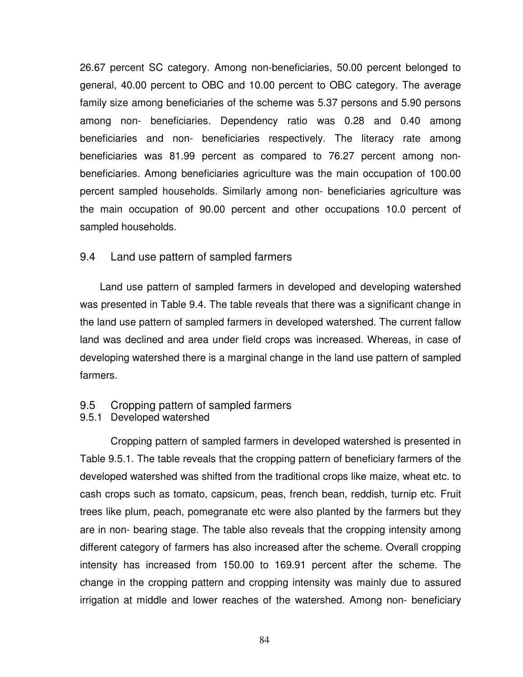26.67 percent SC category. Among non-beneficiaries, 50.00 percent belonged to general, 40.00 percent to OBC and 10.00 percent to OBC category. The average family size among beneficiaries of the scheme was 5.37 persons and 5.90 persons among non- beneficiaries. Dependency ratio was 0.28 and 0.40 among beneficiaries and non- beneficiaries respectively. The literacy rate among beneficiaries was 81.99 percent as compared to 76.27 percent among nonbeneficiaries. Among beneficiaries agriculture was the main occupation of 100.00 percent sampled households. Similarly among non- beneficiaries agriculture was the main occupation of 90.00 percent and other occupations 10.0 percent of sampled households.

#### 9.4 Land use pattern of sampled farmers

 Land use pattern of sampled farmers in developed and developing watershed was presented in Table 9.4. The table reveals that there was a significant change in the land use pattern of sampled farmers in developed watershed. The current fallow land was declined and area under field crops was increased. Whereas, in case of developing watershed there is a marginal change in the land use pattern of sampled farmers.

# 9.5 Cropping pattern of sampled farmers

#### 9.5.1 Developed watershed

 Cropping pattern of sampled farmers in developed watershed is presented in Table 9.5.1. The table reveals that the cropping pattern of beneficiary farmers of the developed watershed was shifted from the traditional crops like maize, wheat etc. to cash crops such as tomato, capsicum, peas, french bean, reddish, turnip etc. Fruit trees like plum, peach, pomegranate etc were also planted by the farmers but they are in non- bearing stage. The table also reveals that the cropping intensity among different category of farmers has also increased after the scheme. Overall cropping intensity has increased from 150.00 to 169.91 percent after the scheme. The change in the cropping pattern and cropping intensity was mainly due to assured irrigation at middle and lower reaches of the watershed. Among non- beneficiary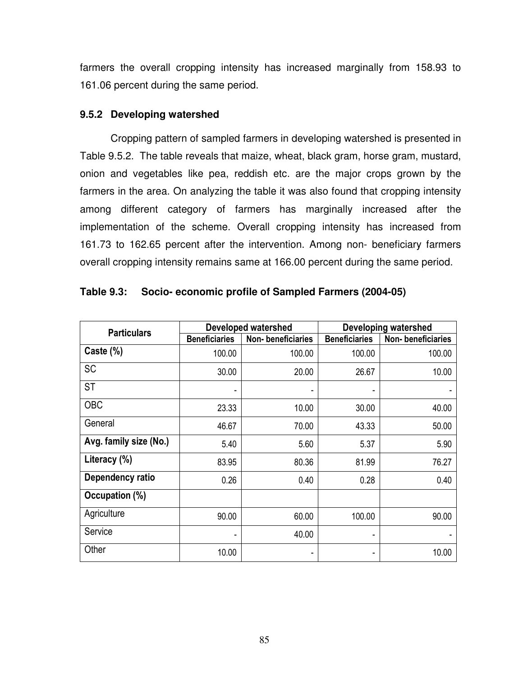farmers the overall cropping intensity has increased marginally from 158.93 to 161.06 percent during the same period.

### **9.5.2 Developing watershed**

Cropping pattern of sampled farmers in developing watershed is presented in Table 9.5.2. The table reveals that maize, wheat, black gram, horse gram, mustard, onion and vegetables like pea, reddish etc. are the major crops grown by the farmers in the area. On analyzing the table it was also found that cropping intensity among different category of farmers has marginally increased after the implementation of the scheme. Overall cropping intensity has increased from 161.73 to 162.65 percent after the intervention. Among non- beneficiary farmers overall cropping intensity remains same at 166.00 percent during the same period.

| <b>Particulars</b>     |                      | <b>Developed watershed</b> | <b>Developing watershed</b> |                   |  |  |
|------------------------|----------------------|----------------------------|-----------------------------|-------------------|--|--|
|                        | <b>Beneficiaries</b> | Non-beneficiaries          | <b>Beneficiaries</b>        | Non-beneficiaries |  |  |
| Caste (%)              | 100.00               | 100.00                     | 100.00                      | 100.00            |  |  |
| <b>SC</b>              | 30.00                | 20.00                      | 26.67                       | 10.00             |  |  |
| <b>ST</b>              |                      |                            |                             |                   |  |  |
| <b>OBC</b>             | 23.33                | 10.00                      | 30.00                       | 40.00             |  |  |
| General                | 46.67                | 70.00                      | 43.33                       | 50.00             |  |  |
| Avg. family size (No.) | 5.40                 | 5.60                       | 5.37                        | 5.90              |  |  |
| Literacy (%)           | 83.95                | 80.36                      | 81.99                       | 76.27             |  |  |
| Dependency ratio       | 0.26                 | 0.40                       | 0.28                        | 0.40              |  |  |
| Occupation (%)         |                      |                            |                             |                   |  |  |
| Agriculture            | 90.00                | 60.00                      | 100.00                      | 90.00             |  |  |
| Service                |                      | 40.00                      | ۰                           |                   |  |  |
| Other                  | 10.00                | ۰                          | ۰                           | 10.00             |  |  |

| Table 9.3: Socio- economic profile of Sampled Farmers (2004-05) |
|-----------------------------------------------------------------|
|-----------------------------------------------------------------|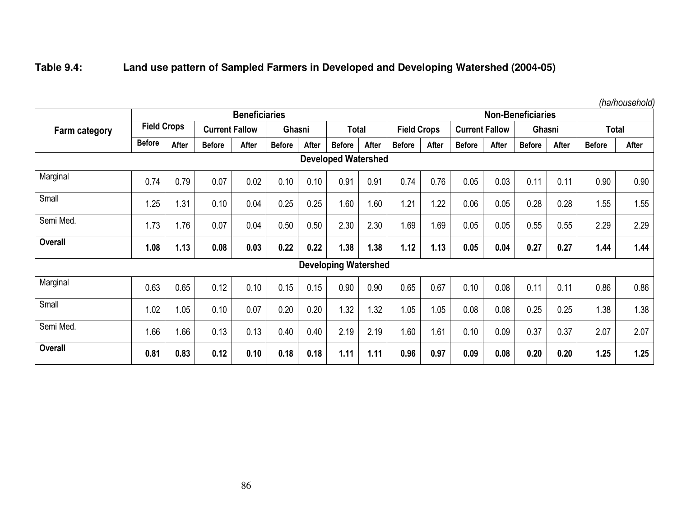# **Table 9.4: Land use pattern of Sampled Farmers in Developed and Developing Watershed (2004-05)**

|                            |                      |       |                       |       |               |       |                             |                          |                    |       |                       |       |               |       |               | <i><u>HarTouschold</u></i> |
|----------------------------|----------------------|-------|-----------------------|-------|---------------|-------|-----------------------------|--------------------------|--------------------|-------|-----------------------|-------|---------------|-------|---------------|----------------------------|
|                            | <b>Beneficiaries</b> |       |                       |       |               |       |                             | <b>Non-Beneficiaries</b> |                    |       |                       |       |               |       |               |                            |
| Farm category              | <b>Field Crops</b>   |       | <b>Current Fallow</b> |       | Ghasni        |       | Total                       |                          | <b>Field Crops</b> |       | <b>Current Fallow</b> |       | Ghasni        |       | <b>Total</b>  |                            |
|                            | <b>Before</b>        | After | <b>Before</b>         | After | <b>Before</b> | After | <b>Before</b>               | After                    | <b>Before</b>      | After | <b>Before</b>         | After | <b>Before</b> | After | <b>Before</b> | <b>After</b>               |
| <b>Developed Watershed</b> |                      |       |                       |       |               |       |                             |                          |                    |       |                       |       |               |       |               |                            |
| Marginal                   | 0.74                 | 0.79  | 0.07                  | 0.02  | 0.10          | 0.10  | 0.91                        | 0.91                     | 0.74               | 0.76  | 0.05                  | 0.03  | 0.11          | 0.11  | 0.90          | 0.90                       |
| Small                      | 1.25                 | 1.31  | 0.10                  | 0.04  | 0.25          | 0.25  | 1.60                        | 1.60                     | 1.21               | 1.22  | 0.06                  | 0.05  | 0.28          | 0.28  | 1.55          | 1.55                       |
| Semi Med.                  | 1.73                 | 1.76  | 0.07                  | 0.04  | 0.50          | 0.50  | 2.30                        | 2.30                     | 1.69               | 1.69  | 0.05                  | 0.05  | 0.55          | 0.55  | 2.29          | 2.29                       |
| <b>Overall</b>             | 1.08                 | 1.13  | 0.08                  | 0.03  | 0.22          | 0.22  | 1.38                        | 1.38                     | 1.12               | 1.13  | 0.05                  | 0.04  | 0.27          | 0.27  | 1.44          | 1.44                       |
|                            |                      |       |                       |       |               |       | <b>Developing Watershed</b> |                          |                    |       |                       |       |               |       |               |                            |
| Marginal                   | 0.63                 | 0.65  | 0.12                  | 0.10  | 0.15          | 0.15  | 0.90                        | 0.90                     | 0.65               | 0.67  | 0.10                  | 0.08  | 0.11          | 0.11  | 0.86          | 0.86                       |
| Small                      | 1.02                 | 1.05  | 0.10                  | 0.07  | 0.20          | 0.20  | 1.32                        | 1.32                     | 1.05               | 1.05  | 0.08                  | 0.08  | 0.25          | 0.25  | 1.38          | 1.38                       |
| Semi Med.                  | 1.66                 | 1.66  | 0.13                  | 0.13  | 0.40          | 0.40  | 2.19                        | 2.19                     | 1.60               | 1.61  | 0.10                  | 0.09  | 0.37          | 0.37  | 2.07          | 2.07                       |
| <b>Overall</b>             | 0.81                 | 0.83  | 0.12                  | 0.10  | 0.18          | 0.18  | 1.11                        | 1.11                     | 0.96               | 0.97  | 0.09                  | 0.08  | 0.20          | 0.20  | 1.25          | 1.25                       |

*(ha/household)*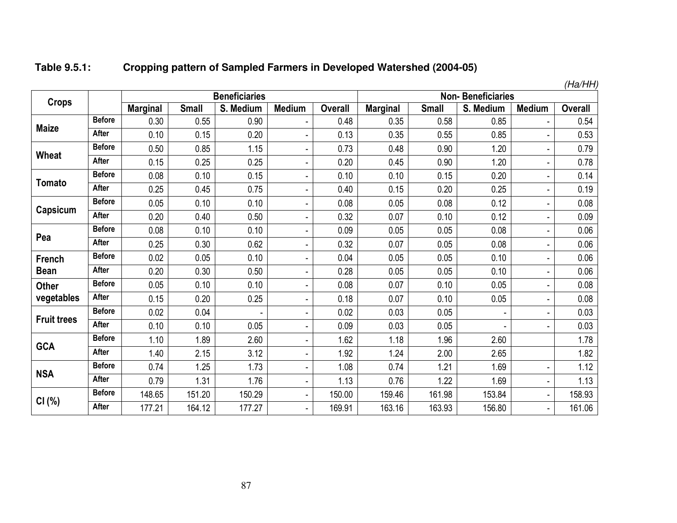#### **Table 9.5.1:Cropping pattern of Sampled Farmers in Developed Watershed (2004-05)**

|                    |               |                 |              | <b>Beneficiaries</b> |                |                | глалпп<br><b>Non-Beneficiaries</b> |              |           |               |                |  |
|--------------------|---------------|-----------------|--------------|----------------------|----------------|----------------|------------------------------------|--------------|-----------|---------------|----------------|--|
| <b>Crops</b>       |               |                 |              |                      |                |                |                                    |              |           |               |                |  |
|                    |               | <b>Marginal</b> | <b>Small</b> | S. Medium            | <b>Medium</b>  | <b>Overall</b> | <b>Marginal</b>                    | <b>Small</b> | S. Medium | <b>Medium</b> | <b>Overall</b> |  |
| <b>Maize</b>       | <b>Before</b> | 0.30            | 0.55         | 0.90                 | $\blacksquare$ | 0.48           | 0.35                               | 0.58         | 0.85      |               | 0.54           |  |
|                    | <b>After</b>  | 0.10            | 0.15         | 0.20                 |                | 0.13           | 0.35                               | 0.55         | 0.85      |               | 0.53           |  |
| Wheat              | <b>Before</b> | 0.50            | 0.85         | 1.15                 |                | 0.73           | 0.48                               | 0.90         | 1.20      | ÷,            | 0.79           |  |
|                    | <b>After</b>  | 0.15            | 0.25         | 0.25                 |                | 0.20           | 0.45                               | 0.90         | 1.20      |               | 0.78           |  |
|                    | <b>Before</b> | 0.08            | 0.10         | 0.15                 |                | 0.10           | 0.10                               | 0.15         | 0.20      |               | 0.14           |  |
| <b>Tomato</b>      | <b>After</b>  | 0.25            | 0.45         | 0.75                 |                | 0.40           | 0.15                               | 0.20         | 0.25      |               | 0.19           |  |
|                    | <b>Before</b> | 0.05            | 0.10         | 0.10                 | L,             | 0.08           | 0.05                               | 0.08         | 0.12      |               | 0.08           |  |
| Capsicum           | <b>After</b>  | 0.20            | 0.40         | 0.50                 |                | 0.32           | 0.07                               | 0.10         | 0.12      |               | 0.09           |  |
|                    | <b>Before</b> | 0.08            | 0.10         | 0.10                 |                | 0.09           | 0.05                               | 0.05         | 0.08      |               | 0.06           |  |
| Pea                | <b>After</b>  | 0.25            | 0.30         | 0.62                 |                | 0.32           | 0.07                               | 0.05         | 0.08      |               | 0.06           |  |
| French             | <b>Before</b> | 0.02            | 0.05         | 0.10                 |                | 0.04           | 0.05                               | 0.05         | 0.10      | ٠             | 0.06           |  |
| <b>Bean</b>        | <b>After</b>  | 0.20            | 0.30         | 0.50                 | ä,             | 0.28           | 0.05                               | 0.05         | 0.10      | ä,            | 0.06           |  |
| <b>Other</b>       | <b>Before</b> | 0.05            | 0.10         | 0.10                 | ä,             | 0.08           | 0.07                               | 0.10         | 0.05      | L,            | 0.08           |  |
| vegetables         | <b>After</b>  | 0.15            | 0.20         | 0.25                 |                | 0.18           | 0.07                               | 0.10         | 0.05      | ä,            | 0.08           |  |
|                    | <b>Before</b> | 0.02            | 0.04         |                      |                | 0.02           | 0.03                               | 0.05         |           | ä,            | 0.03           |  |
| <b>Fruit trees</b> | <b>After</b>  | 0.10            | 0.10         | 0.05                 |                | 0.09           | 0.03                               | 0.05         |           |               | 0.03           |  |
| <b>GCA</b>         | <b>Before</b> | 1.10            | 1.89         | 2.60                 |                | 1.62           | 1.18                               | 1.96         | 2.60      |               | 1.78           |  |
|                    | After         | 1.40            | 2.15         | 3.12                 |                | 1.92           | 1.24                               | 2.00         | 2.65      |               | 1.82           |  |
|                    | <b>Before</b> | 0.74            | 1.25         | 1.73                 | ä,             | 1.08           | 0.74                               | 1.21         | 1.69      |               | 1.12           |  |
| <b>NSA</b>         | <b>After</b>  | 0.79            | 1.31         | 1.76                 |                | 1.13           | 0.76                               | 1.22         | 1.69      |               | 1.13           |  |
|                    | <b>Before</b> | 148.65          | 151.20       | 150.29               |                | 150.00         | 159.46                             | 161.98       | 153.84    | ٠             | 158.93         |  |
| CI(%)              | <b>After</b>  | 177.21          | 164.12       | 177.27               | ä,             | 169.91         | 163.16                             | 163.93       | 156.80    |               | 161.06         |  |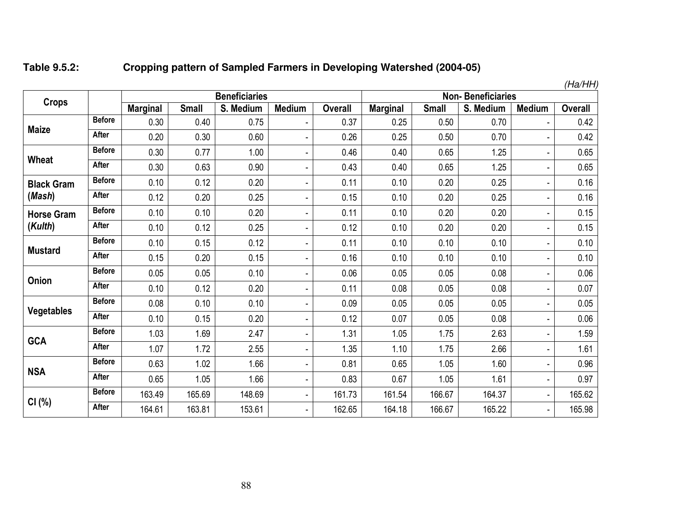#### **Table 9.5.2:Cropping pattern of Sampled Farmers in Developing Watershed (2004-05)**

|                   |               |                 |              |                      |                          |                |                 |              |           |                          | (Ha/HH         |
|-------------------|---------------|-----------------|--------------|----------------------|--------------------------|----------------|-----------------|--------------|-----------|--------------------------|----------------|
| <b>Crops</b>      |               |                 |              | <b>Beneficiaries</b> | <b>Non-Beneficiaries</b> |                |                 |              |           |                          |                |
|                   |               | <b>Marginal</b> | <b>Small</b> | S. Medium            | <b>Medium</b>            | <b>Overall</b> | <b>Marginal</b> | <b>Small</b> | S. Medium | <b>Medium</b>            | <b>Overall</b> |
|                   | <b>Before</b> | 0.30            | 0.40         | 0.75                 |                          | 0.37           | 0.25            | 0.50         | 0.70      | $\overline{\phantom{a}}$ | 0.42           |
| <b>Maize</b>      | <b>After</b>  | 0.20            | 0.30         | 0.60                 |                          | 0.26           | 0.25            | 0.50         | 0.70      | ٠                        | 0.42           |
| Wheat             | <b>Before</b> | 0.30            | 0.77         | 1.00                 | $\overline{a}$           | 0.46           | 0.40            | 0.65         | 1.25      | $\blacksquare$           | 0.65           |
|                   | <b>After</b>  | 0.30            | 0.63         | 0.90                 | $\blacksquare$           | 0.43           | 0.40            | 0.65         | 1.25      | $\overline{\phantom{a}}$ | 0.65           |
| <b>Black Gram</b> | <b>Before</b> | 0.10            | 0.12         | 0.20                 |                          | 0.11           | 0.10            | 0.20         | 0.25      | $\overline{\phantom{a}}$ | 0.16           |
| (Mash)            | <b>After</b>  | 0.12            | 0.20         | 0.25                 |                          | 0.15           | 0.10            | 0.20         | 0.25      | $\overline{\phantom{a}}$ | 0.16           |
| <b>Horse Gram</b> | <b>Before</b> | 0.10            | 0.10         | 0.20                 |                          | 0.11           | 0.10            | 0.20         | 0.20      | ٠                        | 0.15           |
| (Kulth)           | After         | 0.10            | 0.12         | 0.25                 | $\overline{a}$           | 0.12           | 0.10            | 0.20         | 0.20      | $\overline{\phantom{a}}$ | 0.15           |
| <b>Mustard</b>    | <b>Before</b> | 0.10            | 0.15         | 0.12                 |                          | 0.11           | 0.10            | 0.10         | 0.10      |                          | 0.10           |
|                   | After         | 0.15            | 0.20         | 0.15                 |                          | 0.16           | 0.10            | 0.10         | 0.10      | $\overline{\phantom{a}}$ | 0.10           |
| Onion             | <b>Before</b> | 0.05            | 0.05         | 0.10                 | $\overline{a}$           | 0.06           | 0.05            | 0.05         | 0.08      | $\overline{\phantom{a}}$ | 0.06           |
|                   | <b>After</b>  | 0.10            | 0.12         | 0.20                 |                          | 0.11           | 0.08            | 0.05         | 0.08      | $\blacksquare$           | 0.07           |
|                   | <b>Before</b> | 0.08            | 0.10         | 0.10                 | $\overline{a}$           | 0.09           | 0.05            | 0.05         | 0.05      | $\overline{\phantom{a}}$ | 0.05           |
| <b>Vegetables</b> | <b>After</b>  | 0.10            | 0.15         | 0.20                 | $\overline{\phantom{0}}$ | 0.12           | 0.07            | 0.05         | 0.08      | $\blacksquare$           | 0.06           |
| <b>GCA</b>        | <b>Before</b> | 1.03            | 1.69         | 2.47                 |                          | 1.31           | 1.05            | 1.75         | 2.63      | $\overline{\phantom{a}}$ | 1.59           |
|                   | After         | 1.07            | 1.72         | 2.55                 |                          | 1.35           | 1.10            | 1.75         | 2.66      | $\overline{\phantom{a}}$ | 1.61           |
| <b>NSA</b>        | <b>Before</b> | 0.63            | 1.02         | 1.66                 |                          | 0.81           | 0.65            | 1.05         | 1.60      | ٠                        | 0.96           |
|                   | <b>After</b>  | 0.65            | 1.05         | 1.66                 | $\overline{a}$           | 0.83           | 0.67            | 1.05         | 1.61      | ٠                        | 0.97           |
|                   | <b>Before</b> | 163.49          | 165.69       | 148.69               | $\overline{\phantom{a}}$ | 161.73         | 161.54          | 166.67       | 164.37    | $\overline{\phantom{a}}$ | 165.62         |
| CI(%)             | After         | 164.61          | 163.81       | 153.61               |                          | 162.65         | 164.18          | 166.67       | 165.22    | $\blacksquare$           | 165.98         |

 $(H<sub>2</sub>/HH)$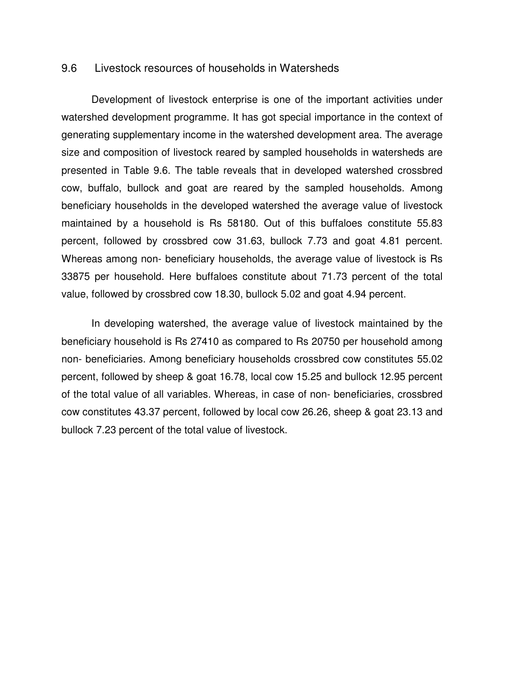#### 9.6 Livestock resources of households in Watersheds

Development of livestock enterprise is one of the important activities under watershed development programme. It has got special importance in the context of generating supplementary income in the watershed development area. The average size and composition of livestock reared by sampled households in watersheds are presented in Table 9.6. The table reveals that in developed watershed crossbred cow, buffalo, bullock and goat are reared by the sampled households. Among beneficiary households in the developed watershed the average value of livestock maintained by a household is Rs 58180. Out of this buffaloes constitute 55.83 percent, followed by crossbred cow 31.63, bullock 7.73 and goat 4.81 percent. Whereas among non- beneficiary households, the average value of livestock is Rs 33875 per household. Here buffaloes constitute about 71.73 percent of the total value, followed by crossbred cow 18.30, bullock 5.02 and goat 4.94 percent.

 In developing watershed, the average value of livestock maintained by the beneficiary household is Rs 27410 as compared to Rs 20750 per household among non- beneficiaries. Among beneficiary households crossbred cow constitutes 55.02 percent, followed by sheep & goat 16.78, local cow 15.25 and bullock 12.95 percent of the total value of all variables. Whereas, in case of non- beneficiaries, crossbred cow constitutes 43.37 percent, followed by local cow 26.26, sheep & goat 23.13 and bullock 7.23 percent of the total value of livestock.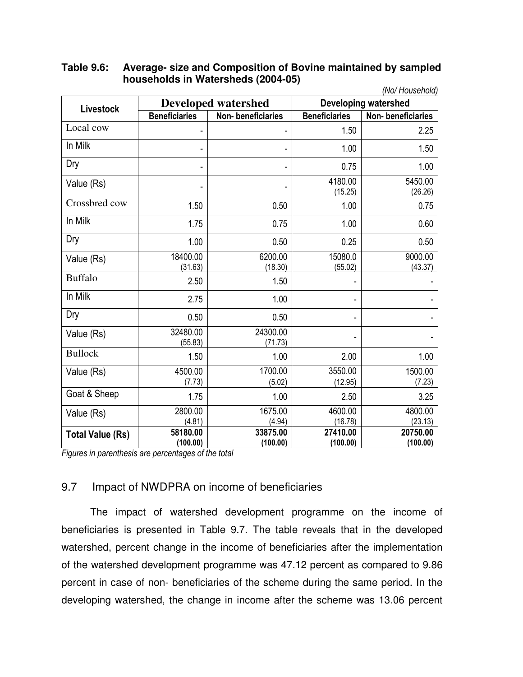| Table 9.6: | Average- size and Composition of Bovine maintained by sampled |
|------------|---------------------------------------------------------------|
|            | households in Watersheds (2004-05)                            |

| (No/ Household)         |                      |                            |                             |                      |  |  |  |  |
|-------------------------|----------------------|----------------------------|-----------------------------|----------------------|--|--|--|--|
| <b>Livestock</b>        |                      | <b>Developed watershed</b> | <b>Developing watershed</b> |                      |  |  |  |  |
|                         | <b>Beneficiaries</b> | <b>Non-beneficiaries</b>   | <b>Beneficiaries</b>        | Non-beneficiaries    |  |  |  |  |
| Local cow               |                      |                            | 1.50                        | 2.25                 |  |  |  |  |
| In Milk                 |                      | ۰                          | 1.00                        | 1.50                 |  |  |  |  |
| Dry                     |                      | ٠                          | 0.75                        | 1.00                 |  |  |  |  |
| Value (Rs)              |                      |                            | 4180.00<br>(15.25)          | 5450.00<br>(26.26)   |  |  |  |  |
| Crossbred cow           | 1.50                 | 0.50                       | 1.00                        | 0.75                 |  |  |  |  |
| In Milk                 | 1.75                 | 0.75                       | 1.00                        | 0.60                 |  |  |  |  |
| Dry                     | 1.00                 | 0.50                       | 0.25                        | 0.50                 |  |  |  |  |
| Value (Rs)              | 18400.00<br>(31.63)  | 6200.00<br>(18.30)         | 15080.0<br>(55.02)          | 9000.00<br>(43.37)   |  |  |  |  |
| <b>Buffalo</b>          | 2.50                 | 1.50                       |                             |                      |  |  |  |  |
| In Milk                 | 2.75                 | 1.00                       |                             |                      |  |  |  |  |
| Dry                     | 0.50                 | 0.50                       | ٠                           |                      |  |  |  |  |
| Value (Rs)              | 32480.00<br>(55.83)  | 24300.00<br>(71.73)        | ۰                           |                      |  |  |  |  |
| <b>Bullock</b>          | 1.50                 | 1.00                       | 2.00                        | 1.00                 |  |  |  |  |
| Value (Rs)              | 4500.00<br>(7.73)    | 1700.00<br>(5.02)          | 3550.00<br>(12.95)          | 1500.00<br>(7.23)    |  |  |  |  |
| Goat & Sheep            | 1.75                 | 1.00                       | 2.50                        | 3.25                 |  |  |  |  |
| Value (Rs)              | 2800.00<br>(4.81)    | 1675.00<br>(4.94)          | 4600.00<br>(16.78)          | 4800.00<br>(23.13)   |  |  |  |  |
| <b>Total Value (Rs)</b> | 58180.00<br>(100.00) | 33875.00<br>(100.00)       | 27410.00<br>(100.00)        | 20750.00<br>(100.00) |  |  |  |  |

*Figures in parenthesis are percentages of the total* 

# 9.7 Impact of NWDPRA on income of beneficiaries

The impact of watershed development programme on the income of beneficiaries is presented in Table 9.7. The table reveals that in the developed watershed, percent change in the income of beneficiaries after the implementation of the watershed development programme was 47.12 percent as compared to 9.86 percent in case of non- beneficiaries of the scheme during the same period. In the developing watershed, the change in income after the scheme was 13.06 percent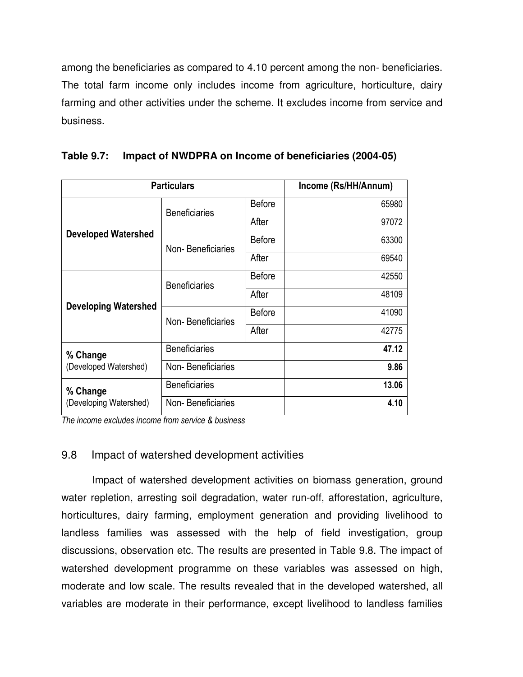among the beneficiaries as compared to 4.10 percent among the non- beneficiaries. The total farm income only includes income from agriculture, horticulture, dairy farming and other activities under the scheme. It excludes income from service and business.

| <b>Particulars</b>          | Income (Rs/HH/Annum) |               |       |
|-----------------------------|----------------------|---------------|-------|
|                             | <b>Beneficiaries</b> | <b>Before</b> | 65980 |
|                             |                      | After         | 97072 |
| <b>Developed Watershed</b>  | Non-Beneficiaries    | <b>Before</b> | 63300 |
|                             |                      | After         | 69540 |
|                             | <b>Beneficiaries</b> | <b>Before</b> | 42550 |
|                             |                      | After         | 48109 |
| <b>Developing Watershed</b> | Non-Beneficiaries    | <b>Before</b> | 41090 |
|                             |                      | After         | 42775 |
| % Change                    | <b>Beneficiaries</b> |               | 47.12 |
| (Developed Watershed)       | Non-Beneficiaries    |               | 9.86  |
| % Change                    | <b>Beneficiaries</b> |               | 13.06 |
| (Developing Watershed)      | Non-Beneficiaries    |               | 4.10  |

| Table 9.7: Impact of NWDPRA on Income of beneficiaries (2004-05) |  |
|------------------------------------------------------------------|--|
|                                                                  |  |

*The income excludes income from service & business*

# 9.8 Impact of watershed development activities

 Impact of watershed development activities on biomass generation, ground water repletion, arresting soil degradation, water run-off, afforestation, agriculture, horticultures, dairy farming, employment generation and providing livelihood to landless families was assessed with the help of field investigation, group discussions, observation etc. The results are presented in Table 9.8. The impact of watershed development programme on these variables was assessed on high, moderate and low scale. The results revealed that in the developed watershed, all variables are moderate in their performance, except livelihood to landless families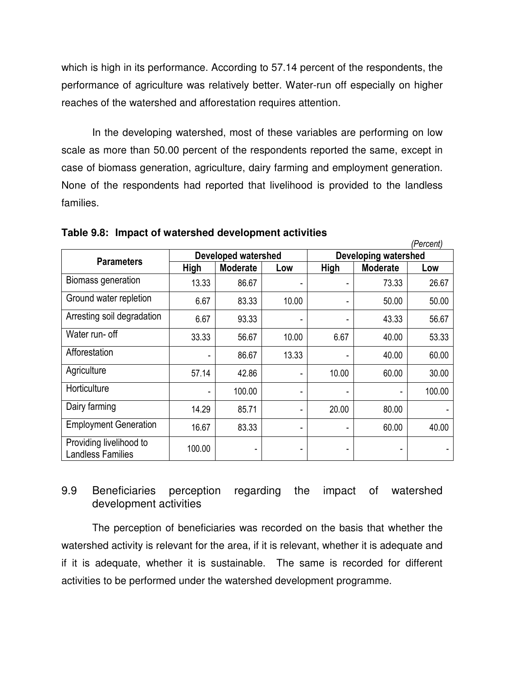which is high in its performance. According to 57.14 percent of the respondents, the performance of agriculture was relatively better. Water-run off especially on higher reaches of the watershed and afforestation requires attention.

 In the developing watershed, most of these variables are performing on low scale as more than 50.00 percent of the respondents reported the same, except in case of biomass generation, agriculture, dairy farming and employment generation. None of the respondents had reported that livelihood is provided to the landless families.

|                                                     |             |                            |       |                             |                 | (Percent) |  |  |
|-----------------------------------------------------|-------------|----------------------------|-------|-----------------------------|-----------------|-----------|--|--|
|                                                     |             | <b>Developed watershed</b> |       | <b>Developing watershed</b> |                 |           |  |  |
| <b>Parameters</b>                                   | <b>High</b> | <b>Moderate</b>            | Low   | High                        | <b>Moderate</b> | Low       |  |  |
| Biomass generation                                  | 13.33       | 86.67                      |       |                             | 73.33           | 26.67     |  |  |
| Ground water repletion                              | 6.67        | 83.33                      | 10.00 | ۰                           | 50.00           | 50.00     |  |  |
| Arresting soil degradation                          | 6.67        | 93.33                      |       | ٠                           | 43.33           | 56.67     |  |  |
| Water run- off                                      | 33.33       | 56.67                      | 10.00 | 6.67                        | 40.00           | 53.33     |  |  |
| Afforestation                                       | ٠           | 86.67                      | 13.33 | ۰                           | 40.00           | 60.00     |  |  |
| Agriculture                                         | 57.14       | 42.86                      | ٠     | 10.00                       | 60.00           | 30.00     |  |  |
| Horticulture                                        | ٠           | 100.00                     | ٠     | -                           | ٠               | 100.00    |  |  |
| Dairy farming                                       | 14.29       | 85.71                      | ٠     | 20.00                       | 80.00           |           |  |  |
| <b>Employment Generation</b>                        | 16.67       | 83.33                      | ٠     | ۰                           | 60.00           | 40.00     |  |  |
| Providing livelihood to<br><b>Landless Families</b> | 100.00      |                            |       |                             |                 |           |  |  |

**Table 9.8: Impact of watershed development activities** 

# 9.9 Beneficiaries perception regarding the impact of watershed development activities

 The perception of beneficiaries was recorded on the basis that whether the watershed activity is relevant for the area, if it is relevant, whether it is adequate and if it is adequate, whether it is sustainable. The same is recorded for different activities to be performed under the watershed development programme.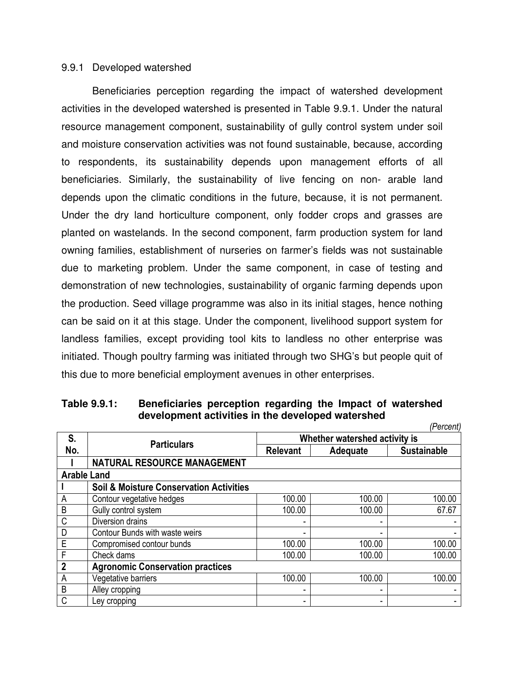#### 9.9.1 Developed watershed

 Beneficiaries perception regarding the impact of watershed development activities in the developed watershed is presented in Table 9.9.1. Under the natural resource management component, sustainability of gully control system under soil and moisture conservation activities was not found sustainable, because, according to respondents, its sustainability depends upon management efforts of all beneficiaries. Similarly, the sustainability of live fencing on non- arable land depends upon the climatic conditions in the future, because, it is not permanent. Under the dry land horticulture component, only fodder crops and grasses are planted on wastelands. In the second component, farm production system for land owning families, establishment of nurseries on farmer's fields was not sustainable due to marketing problem. Under the same component, in case of testing and demonstration of new technologies, sustainability of organic farming depends upon the production. Seed village programme was also in its initial stages, hence nothing can be said on it at this stage. Under the component, livelihood support system for landless families, except providing tool kits to landless no other enterprise was initiated. Though poultry farming was initiated through two SHG's but people quit of this due to more beneficial employment avenues in other enterprises.

|                |                                                    |                               |          | (Percent)          |  |  |  |  |  |  |
|----------------|----------------------------------------------------|-------------------------------|----------|--------------------|--|--|--|--|--|--|
| S.             | <b>Particulars</b>                                 | Whether watershed activity is |          |                    |  |  |  |  |  |  |
| No.            |                                                    | <b>Relevant</b>               | Adequate | <b>Sustainable</b> |  |  |  |  |  |  |
|                | <b>NATURAL RESOURCE MANAGEMENT</b>                 |                               |          |                    |  |  |  |  |  |  |
|                | <b>Arable Land</b>                                 |                               |          |                    |  |  |  |  |  |  |
|                | <b>Soil &amp; Moisture Conservation Activities</b> |                               |          |                    |  |  |  |  |  |  |
| A              | Contour vegetative hedges                          | 100.00                        | 100.00   | 100.00             |  |  |  |  |  |  |
| B              | Gully control system                               | 100.00                        | 100.00   | 67.67              |  |  |  |  |  |  |
| C              | Diversion drains                                   |                               |          |                    |  |  |  |  |  |  |
| D              | Contour Bunds with waste weirs                     |                               |          |                    |  |  |  |  |  |  |
| E              | Compromised contour bunds                          | 100.00                        | 100.00   | 100.00             |  |  |  |  |  |  |
| $\mathsf{F}$   | Check dams                                         | 100.00                        | 100.00   | 100.00             |  |  |  |  |  |  |
| $\overline{2}$ | <b>Agronomic Conservation practices</b>            |                               |          |                    |  |  |  |  |  |  |
| A              | Vegetative barriers                                | 100.00                        | 100.00   | 100.00             |  |  |  |  |  |  |
| B              | Alley cropping                                     | -                             |          |                    |  |  |  |  |  |  |
| C              | Ley cropping                                       |                               |          |                    |  |  |  |  |  |  |

**Table 9.9.1: Beneficiaries perception regarding the Impact of watershed development activities in the developed watershed**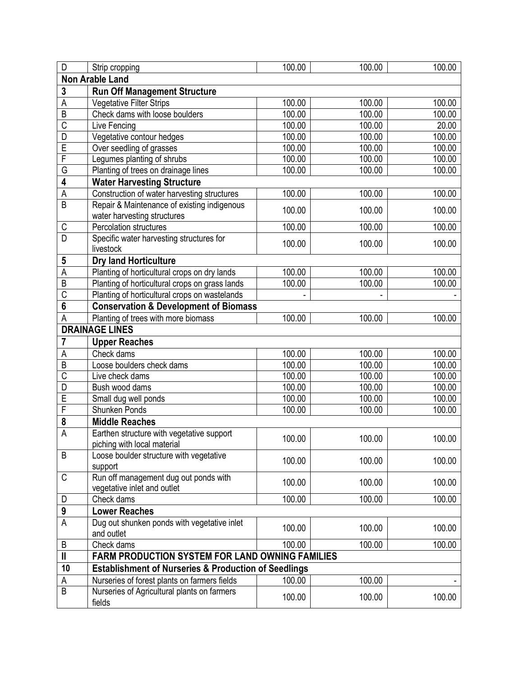| $\overline{\mathsf{D}}$ | Strip cropping                                                       | 100.00 | 100.00 | 100.00 |
|-------------------------|----------------------------------------------------------------------|--------|--------|--------|
|                         | <b>Non Arable Land</b>                                               |        |        |        |
| 3                       | <b>Run Off Management Structure</b>                                  |        |        |        |
| Α                       | Vegetative Filter Strips                                             | 100.00 | 100.00 | 100.00 |
| $\overline{B}$          | Check dams with loose boulders                                       | 100.00 | 100.00 | 100.00 |
| C                       | Live Fencing                                                         | 100.00 | 100.00 | 20.00  |
| D                       | Vegetative contour hedges                                            | 100.00 | 100.00 | 100.00 |
| E                       | Over seedling of grasses                                             | 100.00 | 100.00 | 100.00 |
| F                       | Legumes planting of shrubs                                           | 100.00 | 100.00 | 100.00 |
| G                       | Planting of trees on drainage lines                                  | 100.00 | 100.00 | 100.00 |
| 4                       | <b>Water Harvesting Structure</b>                                    |        |        |        |
| A                       | Construction of water harvesting structures                          | 100.00 | 100.00 | 100.00 |
| $\overline{B}$          | Repair & Maintenance of existing indigenous                          |        |        |        |
|                         | water harvesting structures                                          | 100.00 | 100.00 | 100.00 |
| С                       | Percolation structures                                               | 100.00 | 100.00 | 100.00 |
| $\overline{\mathsf{D}}$ | Specific water harvesting structures for                             | 100.00 | 100.00 | 100.00 |
|                         | livestock                                                            |        |        |        |
| 5                       | <b>Dry land Horticulture</b>                                         |        |        |        |
| A                       | Planting of horticultural crops on dry lands                         | 100.00 | 100.00 | 100.00 |
| $\overline{B}$          | Planting of horticultural crops on grass lands                       | 100.00 | 100.00 | 100.00 |
| $\overline{\text{C}}$   | Planting of horticultural crops on wastelands                        |        |        |        |
| 6                       | <b>Conservation &amp; Development of Biomass</b>                     |        |        |        |
| A                       | Planting of trees with more biomass                                  | 100.00 | 100.00 | 100.00 |
|                         | <b>DRAINAGE LINES</b>                                                |        |        |        |
| 7                       | <b>Upper Reaches</b>                                                 |        |        |        |
|                         |                                                                      |        |        |        |
|                         |                                                                      |        |        |        |
| Α                       | Check dams                                                           | 100.00 | 100.00 | 100.00 |
| B                       | Loose boulders check dams                                            | 100.00 | 100.00 | 100.00 |
| C                       | Live check dams                                                      | 100.00 | 100.00 | 100.00 |
| D                       | Bush wood dams                                                       | 100.00 | 100.00 | 100.00 |
| E                       | Small dug well ponds                                                 | 100.00 | 100.00 | 100.00 |
| F                       | Shunken Ponds                                                        | 100.00 | 100.00 | 100.00 |
| 8                       | <b>Middle Reaches</b>                                                |        |        |        |
| $\overline{A}$          | Earthen structure with vegetative support                            | 100.00 | 100.00 | 100.00 |
| B                       | piching with local material                                          |        |        |        |
|                         | Loose boulder structure with vegetative                              | 100.00 | 100.00 | 100.00 |
|                         | support                                                              |        |        |        |
| C                       | Run off management dug out ponds with<br>vegetative inlet and outlet | 100.00 | 100.00 | 100.00 |
| D                       | Check dams                                                           | 100.00 | 100.00 | 100.00 |
| 9                       | <b>Lower Reaches</b>                                                 |        |        |        |
| A                       |                                                                      |        |        |        |
|                         | Dug out shunken ponds with vegetative inlet<br>and outlet            | 100.00 | 100.00 | 100.00 |
| B                       | Check dams                                                           | 100.00 | 100.00 | 100.00 |
| $\mathbf{I}$            |                                                                      |        |        |        |
|                         | FARM PRODUCTION SYSTEM FOR LAND OWNING FAMILIES                      |        |        |        |
| 10                      | <b>Establishment of Nurseries &amp; Production of Seedlings</b>      |        |        |        |
| Α                       | Nurseries of forest plants on farmers fields                         | 100.00 | 100.00 |        |
| $\overline{B}$          | Nurseries of Agricultural plants on farmers<br>fields                | 100.00 | 100.00 | 100.00 |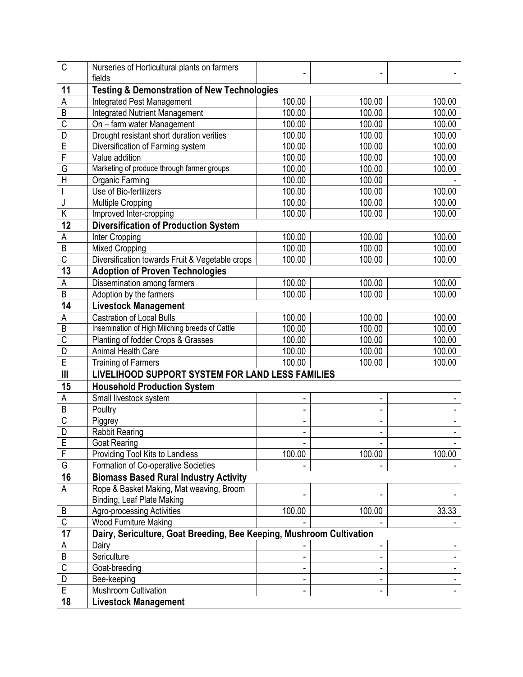| $\overline{\text{C}}$   | Nurseries of Horticultural plants on farmers<br>fields               |        |                |                              |
|-------------------------|----------------------------------------------------------------------|--------|----------------|------------------------------|
| 11                      | <b>Testing &amp; Demonstration of New Technologies</b>               |        |                |                              |
| A                       | <b>Integrated Pest Management</b>                                    | 100.00 | 100.00         | 100.00                       |
| $\overline{B}$          | <b>Integrated Nutrient Management</b>                                | 100.00 | 100.00         | 100.00                       |
| $\overline{\text{C}}$   | On - farm water Management                                           | 100.00 | 100.00         | 100.00                       |
| $\overline{\mathsf{D}}$ | Drought resistant short duration verities                            | 100.00 | 100.00         | 100.00                       |
| E                       | Diversification of Farming system                                    | 100.00 | 100.00         | 100.00                       |
| F                       | Value addition                                                       | 100.00 | 100.00         | 100.00                       |
| G                       | Marketing of produce through farmer groups                           | 100.00 | 100.00         | 100.00                       |
| H                       | <b>Organic Farming</b>                                               | 100.00 | 100.00         |                              |
|                         | Use of Bio-fertilizers                                               | 100.00 | 100.00         | 100.00                       |
| J                       | <b>Multiple Cropping</b>                                             | 100.00 | 100.00         | 100.00                       |
| Κ                       | Improved Inter-cropping                                              | 100.00 | 100.00         | 100.00                       |
| 12                      | <b>Diversification of Production System</b>                          |        |                |                              |
| А                       | Inter Cropping                                                       | 100.00 | 100.00         | 100.00                       |
| B                       | <b>Mixed Cropping</b>                                                | 100.00 | 100.00         | 100.00                       |
| $\overline{\mathsf{C}}$ | Diversification towards Fruit & Vegetable crops                      | 100.00 | 100.00         | 100.00                       |
| 13                      | <b>Adoption of Proven Technologies</b>                               |        |                |                              |
| А                       | Dissemination among farmers                                          | 100.00 | 100.00         | 100.00                       |
| $\overline{B}$          | Adoption by the farmers                                              | 100.00 | 100.00         | 100.00                       |
| 14                      | <b>Livestock Management</b>                                          |        |                |                              |
| Α                       | <b>Castration of Local Bulls</b>                                     | 100.00 | 100.00         | 100.00                       |
| B                       | Insemination of High Milching breeds of Cattle                       | 100.00 | 100.00         | 100.00                       |
| C                       | Planting of fodder Crops & Grasses                                   | 100.00 | 100.00         | 100.00                       |
| D                       | Animal Health Care                                                   | 100.00 | 100.00         | 100.00                       |
| E                       | <b>Training of Farmers</b>                                           | 100.00 | 100.00         | 100.00                       |
| III                     | LIVELIHOOD SUPPORT SYSTEM FOR LAND LESS FAMILIES                     |        |                |                              |
| 15                      | <b>Household Production System</b>                                   |        |                |                              |
| A                       | Small livestock system                                               |        |                |                              |
| $\overline{B}$          | Poultry                                                              |        |                |                              |
| C                       | Piggrey                                                              |        |                |                              |
| D                       | <b>Rabbit Rearing</b>                                                | -      | $\blacksquare$ | $\qquad \qquad \blacksquare$ |
| E                       | Goat Rearing                                                         |        |                |                              |
| F                       | Providing Tool Kits to Landless                                      | 100.00 | 100.00         | 100.00                       |
| G                       | Formation of Co-operative Societies                                  |        |                |                              |
| 16                      | <b>Biomass Based Rural Industry Activity</b>                         |        |                |                              |
| А                       | Rope & Basket Making, Mat weaving, Broom                             |        |                |                              |
|                         | Binding, Leaf Plate Making                                           |        |                |                              |
| B                       | <b>Agro-processing Activities</b>                                    | 100.00 | 100.00         | 33.33                        |
| $\overline{\mathsf{C}}$ | Wood Furniture Making                                                |        |                |                              |
| 17                      | Dairy, Sericulture, Goat Breeding, Bee Keeping, Mushroom Cultivation |        |                |                              |
| Α                       | Dairy                                                                |        |                |                              |
| B                       | Sericulture                                                          |        |                |                              |
| $\overline{C}$          | Goat-breeding                                                        |        |                |                              |
| D                       | Bee-keeping                                                          |        |                |                              |
| E                       | Mushroom Cultivation                                                 |        |                |                              |
| 18                      | <b>Livestock Management</b>                                          |        |                |                              |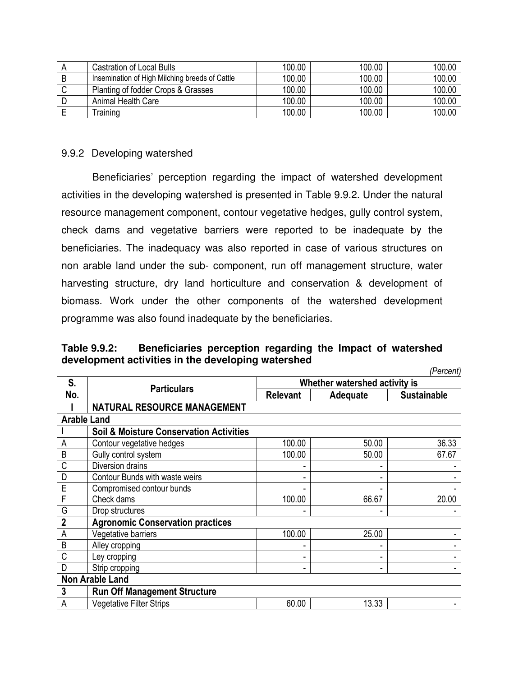|   | Castration of Local Bulls                      | 100.00 | 100.00 | 100.00 |
|---|------------------------------------------------|--------|--------|--------|
|   | Insemination of High Milching breeds of Cattle | 100.00 | 100.00 | 100.00 |
|   | Planting of fodder Crops & Grasses             | 100.00 | 100.00 | 100.00 |
| − | Animal Health Care                             | 100.00 | 100.00 | 100.00 |
|   | <b>Training</b>                                | 100.00 | 100.00 | 100.00 |

### 9.9.2 Developing watershed

 Beneficiaries' perception regarding the impact of watershed development activities in the developing watershed is presented in Table 9.9.2. Under the natural resource management component, contour vegetative hedges, gully control system, check dams and vegetative barriers were reported to be inadequate by the beneficiaries. The inadequacy was also reported in case of various structures on non arable land under the sub- component, run off management structure, water harvesting structure, dry land horticulture and conservation & development of biomass. Work under the other components of the watershed development programme was also found inadequate by the beneficiaries.

**Table 9.9.2: Beneficiaries perception regarding the Impact of watershed development activities in the developing watershed** 

|                    |                                                    |                 |                               | (Percent)          |
|--------------------|----------------------------------------------------|-----------------|-------------------------------|--------------------|
| S.                 |                                                    |                 | Whether watershed activity is |                    |
| No.                | <b>Particulars</b>                                 | <b>Relevant</b> | Adequate                      | <b>Sustainable</b> |
|                    | <b>NATURAL RESOURCE MANAGEMENT</b>                 |                 |                               |                    |
| <b>Arable Land</b> |                                                    |                 |                               |                    |
|                    | <b>Soil &amp; Moisture Conservation Activities</b> |                 |                               |                    |
| A                  | Contour vegetative hedges                          | 100.00          | 50.00                         | 36.33              |
| B                  | Gully control system                               | 100.00          | 50.00                         | 67.67              |
| C                  | Diversion drains                                   |                 |                               |                    |
| D                  | Contour Bunds with waste weirs                     |                 |                               |                    |
| E                  | Compromised contour bunds                          |                 |                               |                    |
| F                  | Check dams                                         | 100.00          | 66.67                         | 20.00              |
| G                  | Drop structures                                    |                 |                               |                    |
| $\overline{2}$     | <b>Agronomic Conservation practices</b>            |                 |                               |                    |
| Α                  | Vegetative barriers                                | 100.00          | 25.00                         |                    |
| B                  | Alley cropping                                     |                 |                               |                    |
| C                  | Ley cropping                                       |                 |                               |                    |
| D                  | Strip cropping                                     |                 |                               |                    |
|                    | <b>Non Arable Land</b>                             |                 |                               |                    |
| 3                  | <b>Run Off Management Structure</b>                |                 |                               |                    |
| A                  | <b>Vegetative Filter Strips</b>                    | 60.00           | 13.33                         |                    |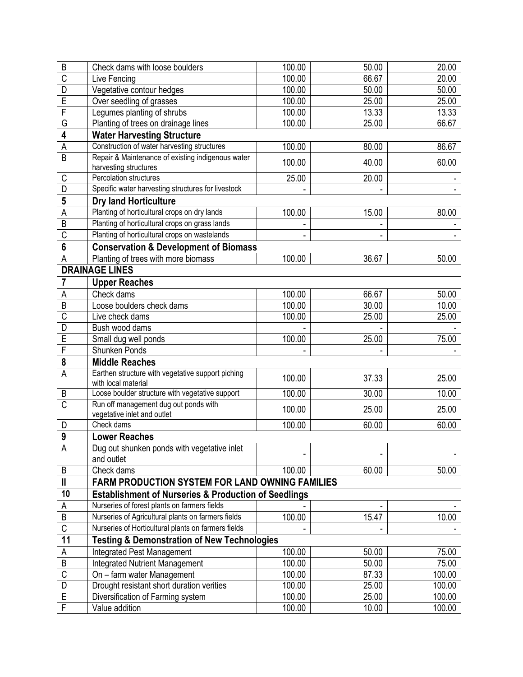| B                       | Check dams with loose boulders                                             | 100.00 | 50.00 | 20.00  |
|-------------------------|----------------------------------------------------------------------------|--------|-------|--------|
| $\overline{\text{C}}$   | Live Fencing                                                               | 100.00 | 66.67 | 20.00  |
| D                       | Vegetative contour hedges                                                  | 100.00 | 50.00 | 50.00  |
| Ē                       | Over seedling of grasses                                                   | 100.00 | 25.00 | 25.00  |
| F                       | Legumes planting of shrubs                                                 | 100.00 | 13.33 | 13.33  |
| G                       | Planting of trees on drainage lines                                        | 100.00 | 25.00 | 66.67  |
| 4                       | <b>Water Harvesting Structure</b>                                          |        |       |        |
| A                       | Construction of water harvesting structures                                | 100.00 | 80.00 | 86.67  |
| B                       | Repair & Maintenance of existing indigenous water<br>harvesting structures | 100.00 | 40.00 | 60.00  |
| C                       | Percolation structures                                                     | 25.00  | 20.00 |        |
| D                       | Specific water harvesting structures for livestock                         |        |       |        |
| 5                       | <b>Dry land Horticulture</b>                                               |        |       |        |
| A                       | Planting of horticultural crops on dry lands                               | 100.00 | 15.00 | 80.00  |
| B                       | Planting of horticultural crops on grass lands                             |        |       |        |
| $\overline{\text{C}}$   | Planting of horticultural crops on wastelands                              |        |       |        |
| $6\phantom{a}$          | <b>Conservation &amp; Development of Biomass</b>                           |        |       |        |
| Α                       | Planting of trees with more biomass                                        | 100.00 | 36.67 | 50.00  |
|                         | <b>DRAINAGE LINES</b>                                                      |        |       |        |
| 7                       | <b>Upper Reaches</b>                                                       |        |       |        |
| Α                       | Check dams                                                                 | 100.00 | 66.67 | 50.00  |
| $\overline{B}$          | Loose boulders check dams                                                  | 100.00 | 30.00 | 10.00  |
| C                       | Live check dams                                                            | 100.00 | 25.00 | 25.00  |
| D                       | Bush wood dams                                                             |        |       |        |
| E                       | Small dug well ponds                                                       | 100.00 | 25.00 | 75.00  |
| F                       | <b>Shunken Ponds</b>                                                       |        |       |        |
| 8                       | <b>Middle Reaches</b>                                                      |        |       |        |
|                         | Earthen structure with vegetative support piching                          |        |       |        |
| A                       | with local material                                                        | 100.00 | 37.33 | 25.00  |
| B                       | Loose boulder structure with vegetative support                            | 100.00 | 30.00 | 10.00  |
| $\overline{\text{C}}$   | Run off management dug out ponds with<br>vegetative inlet and outlet       | 100.00 | 25.00 | 25.00  |
| D                       | Check dams                                                                 | 100.00 | 60.00 | 60.00  |
| 9                       | <b>Lower Reaches</b>                                                       |        |       |        |
| Α                       | Dug out shunken ponds with vegetative inlet<br>and outlet                  |        |       |        |
| B                       | Check dams                                                                 | 100.00 | 60.00 | 50.00  |
| $\mathbf{I}$            | FARM PRODUCTION SYSTEM FOR LAND OWNING FAMILIES                            |        |       |        |
| 10                      | <b>Establishment of Nurseries &amp; Production of Seedlings</b>            |        |       |        |
| А                       | Nurseries of forest plants on farmers fields                               |        |       |        |
| B                       | Nurseries of Agricultural plants on farmers fields                         | 100.00 | 15.47 | 10.00  |
| $\overline{\mathsf{C}}$ | Nurseries of Horticultural plants on farmers fields                        |        |       |        |
| 11                      | <b>Testing &amp; Demonstration of New Technologies</b>                     |        |       |        |
| Α                       | <b>Integrated Pest Management</b>                                          | 100.00 | 50.00 | 75.00  |
| B                       | <b>Integrated Nutrient Management</b>                                      | 100.00 | 50.00 | 75.00  |
| $\overline{C}$          | On - farm water Management                                                 | 100.00 | 87.33 | 100.00 |
| D                       | Drought resistant short duration verities                                  | 100.00 | 25.00 | 100.00 |
| E                       | Diversification of Farming system                                          | 100.00 | 25.00 | 100.00 |
| F                       | Value addition                                                             | 100.00 | 10.00 | 100.00 |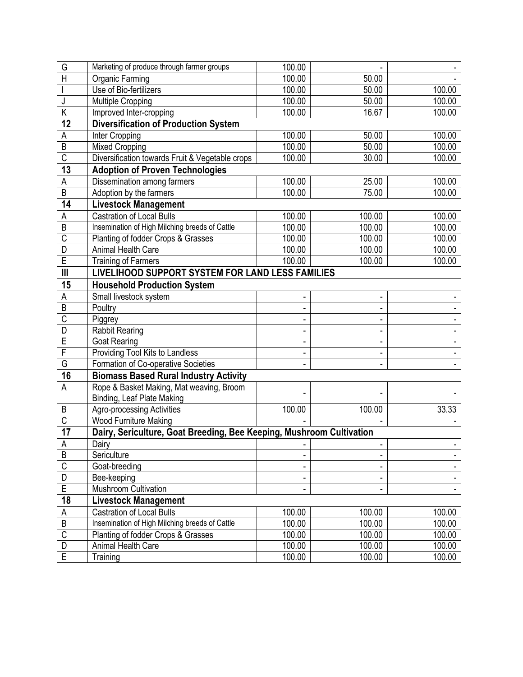| G                       | Marketing of produce through farmer groups                           | 100.00              |        |        |
|-------------------------|----------------------------------------------------------------------|---------------------|--------|--------|
| H                       | Organic Farming                                                      | 100.00              | 50.00  |        |
|                         | Use of Bio-fertilizers                                               | 100.00              | 50.00  | 100.00 |
| J                       | <b>Multiple Cropping</b>                                             | 100.00              | 50.00  | 100.00 |
| Κ                       | Improved Inter-cropping                                              | 100.00              | 16.67  | 100.00 |
| 12                      | <b>Diversification of Production System</b>                          |                     |        |        |
| Α                       | Inter Cropping                                                       | 100.00              | 50.00  | 100.00 |
| B                       | <b>Mixed Cropping</b>                                                | 100.00              | 50.00  | 100.00 |
| $\overline{\text{C}}$   | Diversification towards Fruit & Vegetable crops                      | 100.00              | 30.00  | 100.00 |
| 13                      | <b>Adoption of Proven Technologies</b>                               |                     |        |        |
| Α                       | Dissemination among farmers                                          | 100.00              | 25.00  | 100.00 |
| B                       | Adoption by the farmers                                              | 100.00              | 75.00  | 100.00 |
| 14                      | <b>Livestock Management</b>                                          |                     |        |        |
| Α                       | <b>Castration of Local Bulls</b>                                     | 100.00              | 100.00 | 100.00 |
| B                       | Insemination of High Milching breeds of Cattle                       | 100.00              | 100.00 | 100.00 |
| C                       | Planting of fodder Crops & Grasses                                   | $\overline{100.00}$ | 100.00 | 100.00 |
| D                       | <b>Animal Health Care</b>                                            | 100.00              | 100.00 | 100.00 |
| E                       | <b>Training of Farmers</b>                                           | 100.00              | 100.00 | 100.00 |
| $\mathbf{III}$          | LIVELIHOOD SUPPORT SYSTEM FOR LAND LESS FAMILIES                     |                     |        |        |
| 15                      | <b>Household Production System</b>                                   |                     |        |        |
| Α                       | Small livestock system                                               |                     |        |        |
| B                       | Poultry                                                              |                     |        |        |
| C                       | Piggrey                                                              |                     |        |        |
| D                       | <b>Rabbit Rearing</b>                                                |                     |        |        |
| E                       | <b>Goat Rearing</b>                                                  |                     |        |        |
| F                       | Providing Tool Kits to Landless                                      |                     |        |        |
| G                       | Formation of Co-operative Societies                                  |                     |        |        |
| 16                      | <b>Biomass Based Rural Industry Activity</b>                         |                     |        |        |
| A                       | Rope & Basket Making, Mat weaving, Broom                             |                     |        |        |
|                         | Binding, Leaf Plate Making                                           |                     |        |        |
| B                       | <b>Agro-processing Activities</b>                                    | 100.00              | 100.00 | 33.33  |
| $\overline{\mathsf{C}}$ | Wood Furniture Making                                                |                     |        |        |
| 17                      | Dairy, Sericulture, Goat Breeding, Bee Keeping, Mushroom Cultivation |                     |        |        |
| A                       | Dairy                                                                |                     |        |        |
| B                       | Sericulture                                                          |                     |        |        |
| $\overline{C}$          | Goat-breeding                                                        |                     |        |        |
| D                       | Bee-keeping                                                          |                     |        |        |
| E                       | Mushroom Cultivation                                                 |                     |        |        |
| 18                      | <b>Livestock Management</b>                                          |                     |        |        |
| Α                       | <b>Castration of Local Bulls</b>                                     | 100.00              | 100.00 | 100.00 |
| B                       | Insemination of High Milching breeds of Cattle                       | 100.00              | 100.00 | 100.00 |
| $\overline{\mathsf{C}}$ | Planting of fodder Crops & Grasses                                   | 100.00              | 100.00 | 100.00 |
| D                       | Animal Health Care                                                   | 100.00              | 100.00 | 100.00 |
| $\overline{E}$          | Training                                                             | 100.00              | 100.00 | 100.00 |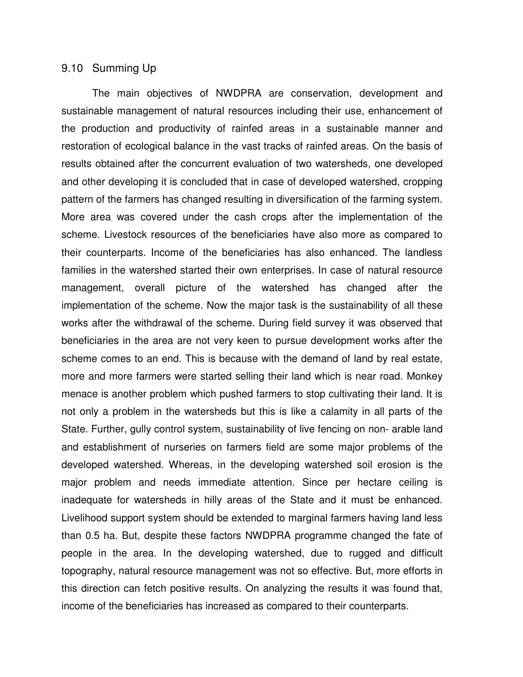#### 9.10 Summing Up

The main objectives of NWDPRA are conservation, development and sustainable management of natural resources including their use, enhancement of the production and productivity of rainfed areas in a sustainable manner and restoration of ecological balance in the vast tracks of rainfed areas. On the basis of results obtained after the concurrent evaluation of two watersheds, one developed and other developing it is concluded that in case of developed watershed, cropping pattern of the farmers has changed resulting in diversification of the farming system. More area was covered under the cash crops after the implementation of the scheme. Livestock resources of the beneficiaries have also more as compared to their counterparts. Income of the beneficiaries has also enhanced. The landless families in the watershed started their own enterprises. In case of natural resource management, overall picture of the watershed has changed after the implementation of the scheme. Now the major task is the sustainability of all these works after the withdrawal of the scheme. During field survey it was observed that beneficiaries in the area are not very keen to pursue development works after the scheme comes to an end. This is because with the demand of land by real estate, more and more farmers were started selling their land which is near road. Monkey menace is another problem which pushed farmers to stop cultivating their land. It is not only a problem in the watersheds but this is like a calamity in all parts of the State. Further, gully control system, sustainability of live fencing on non- arable land and establishment of nurseries on farmers field are some major problems of the developed watershed. Whereas, in the developing watershed soil erosion is the major problem and needs immediate attention. Since per hectare ceiling is inadequate for watersheds in hilly areas of the State and it must be enhanced. Livelihood support system should be extended to marginal farmers having land less than 0.5 ha. But, despite these factors NWDPRA programme changed the fate of people in the area. In the developing watershed, due to rugged and difficult topography, natural resource management was not so effective. But, more efforts in this direction can fetch positive results. On analyzing the results it was found that, income of the beneficiaries has increased as compared to their counterparts.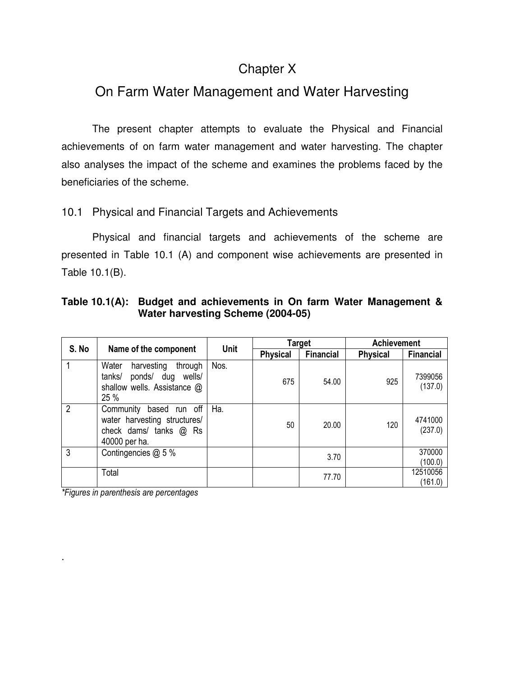# Chapter X

# On Farm Water Management and Water Harvesting

 The present chapter attempts to evaluate the Physical and Financial achievements of on farm water management and water harvesting. The chapter also analyses the impact of the scheme and examines the problems faced by the beneficiaries of the scheme.

# 10.1 Physical and Financial Targets and Achievements

 Physical and financial targets and achievements of the scheme are presented in Table 10.1 (A) and component wise achievements are presented in Table 10.1(B).

| Table 10.1(A): Budget and achievements in On farm Water Management & |
|----------------------------------------------------------------------|
| Water harvesting Scheme (2004-05)                                    |

| S. No          |                                                                                                         | <b>Unit</b> |                 | <b>Target</b>    | <b>Achievement</b> |                     |
|----------------|---------------------------------------------------------------------------------------------------------|-------------|-----------------|------------------|--------------------|---------------------|
|                | Name of the component                                                                                   |             | <b>Physical</b> | <b>Financial</b> | <b>Physical</b>    | <b>Financial</b>    |
|                | harvesting<br>Water<br>through<br>tanks/<br>ponds/ dug<br>wells/<br>shallow wells. Assistance @<br>25 % | Nos.        | 675             | 54.00            | 925                | 7399056<br>(137.0)  |
| $\overline{2}$ | Community based run off<br>water harvesting structures/<br>check dams/ tanks @ Rs<br>40000 per ha.      | Ha.         | 50              | 20.00            | 120                | 4741000<br>(237.0)  |
| 3              | Contingencies @ 5 %                                                                                     |             |                 | 3.70             |                    | 370000<br>(100.0)   |
|                | Total                                                                                                   |             |                 | 77.70            |                    | 12510056<br>(161.0) |

*\*Figures in parenthesis are percentages* 

.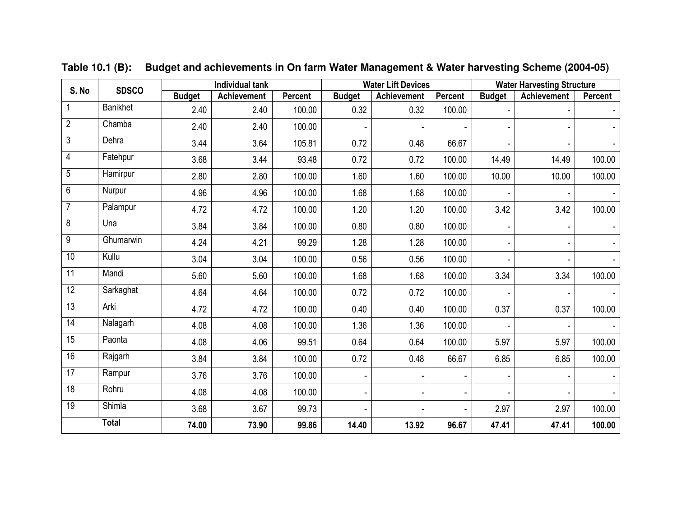| S. No           | <b>Individual tank</b><br><b>SDSCO</b> |               |             |         | <b>Water Lift Devices</b> |                              | <b>Water Harvesting Structure</b> |               |                          |         |
|-----------------|----------------------------------------|---------------|-------------|---------|---------------------------|------------------------------|-----------------------------------|---------------|--------------------------|---------|
|                 |                                        | <b>Budget</b> | Achievement | Percent | <b>Budget</b>             | <b>Achievement</b>           | Percent                           | <b>Budget</b> | Achievement              | Percent |
|                 | <b>Banikhet</b>                        | 2.40          | 2.40        | 100.00  | 0.32                      | 0.32                         | 100.00                            |               |                          |         |
| $\overline{2}$  | Chamba                                 | 2.40          | 2.40        | 100.00  |                           | $\qquad \qquad \blacksquare$ |                                   |               | $\overline{\phantom{0}}$ |         |
| 3               | Dehra                                  | 3.44          | 3.64        | 105.81  | 0.72                      | 0.48                         | 66.67                             |               |                          |         |
| 4               | Fatehpur                               | 3.68          | 3.44        | 93.48   | 0.72                      | 0.72                         | 100.00                            | 14.49         | 14.49                    | 100.00  |
| 5               | Hamirpur                               | 2.80          | 2.80        | 100.00  | 1.60                      | 1.60                         | 100.00                            | 10.00         | 10.00                    | 100.00  |
| $\overline{6}$  | Nurpur                                 | 4.96          | 4.96        | 100.00  | 1.68                      | 1.68                         | 100.00                            |               |                          |         |
| $\overline{7}$  | Palampur                               | 4.72          | 4.72        | 100.00  | 1.20                      | 1.20                         | 100.00                            | 3.42          | 3.42                     | 100.00  |
| $\overline{8}$  | Una                                    | 3.84          | 3.84        | 100.00  | 0.80                      | 0.80                         | 100.00                            |               | $\frac{1}{2}$            |         |
| 9               | Ghumarwin                              | 4.24          | 4.21        | 99.29   | 1.28                      | 1.28                         | 100.00                            |               | $\overline{\phantom{0}}$ |         |
| 10              | Kullu                                  | 3.04          | 3.04        | 100.00  | 0.56                      | 0.56                         | 100.00                            |               |                          |         |
| $\overline{11}$ | Mandi                                  | 5.60          | 5.60        | 100.00  | 1.68                      | 1.68                         | 100.00                            | 3.34          | 3.34                     | 100.00  |
| 12              | Sarkaghat                              | 4.64          | 4.64        | 100.00  | 0.72                      | 0.72                         | 100.00                            |               | $\frac{1}{2}$            |         |
| $\overline{13}$ | Arki                                   | 4.72          | 4.72        | 100.00  | 0.40                      | 0.40                         | 100.00                            | 0.37          | 0.37                     | 100.00  |
| 14              | Nalagarh                               | 4.08          | 4.08        | 100.00  | 1.36                      | 1.36                         | 100.00                            |               |                          |         |
| 15              | Paonta                                 | 4.08          | 4.06        | 99.51   | 0.64                      | 0.64                         | 100.00                            | 5.97          | 5.97                     | 100.00  |
| 16              | Rajgarh                                | 3.84          | 3.84        | 100.00  | 0.72                      | 0.48                         | 66.67                             | 6.85          | 6.85                     | 100.00  |
| $\overline{17}$ | Rampur                                 | 3.76          | 3.76        | 100.00  |                           | $\overline{\phantom{a}}$     |                                   |               | $\frac{1}{2}$            |         |
| $\overline{18}$ | Rohru                                  | 4.08          | 4.08        | 100.00  |                           | $\overline{\phantom{a}}$     | ä,                                |               | -                        |         |
| $\overline{19}$ | <b>Shimla</b>                          | 3.68          | 3.67        | 99.73   |                           | $\frac{1}{2}$                |                                   | 2.97          | 2.97                     | 100.00  |
|                 | <b>Total</b>                           | 74.00         | 73.90       | 99.86   | 14.40                     | 13.92                        | 96.67                             | 47.41         | 47.41                    | 100.00  |

**Table 10.1 (B): Budget and achievements in On farm Water Management & Water harvesting Scheme (2004-05)**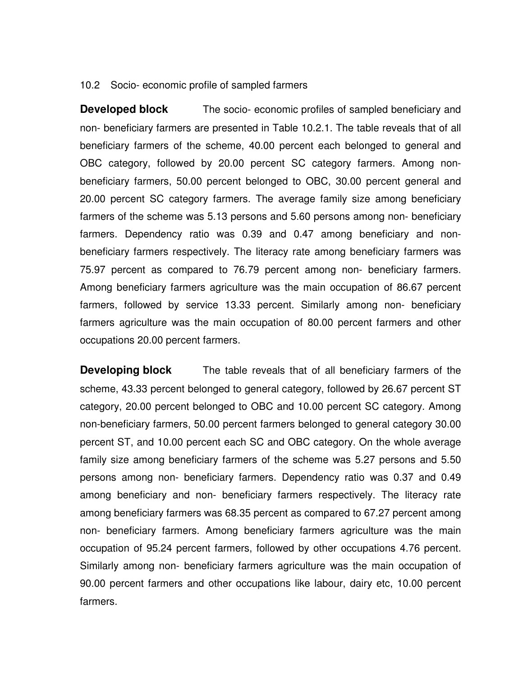#### 10.2 Socio- economic profile of sampled farmers

**Developed block** The socio- economic profiles of sampled beneficiary and non- beneficiary farmers are presented in Table 10.2.1. The table reveals that of all beneficiary farmers of the scheme, 40.00 percent each belonged to general and OBC category, followed by 20.00 percent SC category farmers. Among nonbeneficiary farmers, 50.00 percent belonged to OBC, 30.00 percent general and 20.00 percent SC category farmers. The average family size among beneficiary farmers of the scheme was 5.13 persons and 5.60 persons among non- beneficiary farmers. Dependency ratio was 0.39 and 0.47 among beneficiary and nonbeneficiary farmers respectively. The literacy rate among beneficiary farmers was 75.97 percent as compared to 76.79 percent among non- beneficiary farmers. Among beneficiary farmers agriculture was the main occupation of 86.67 percent farmers, followed by service 13.33 percent. Similarly among non- beneficiary farmers agriculture was the main occupation of 80.00 percent farmers and other occupations 20.00 percent farmers.

**Developing block** The table reveals that of all beneficiary farmers of the scheme, 43.33 percent belonged to general category, followed by 26.67 percent ST category, 20.00 percent belonged to OBC and 10.00 percent SC category. Among non-beneficiary farmers, 50.00 percent farmers belonged to general category 30.00 percent ST, and 10.00 percent each SC and OBC category. On the whole average family size among beneficiary farmers of the scheme was 5.27 persons and 5.50 persons among non- beneficiary farmers. Dependency ratio was 0.37 and 0.49 among beneficiary and non- beneficiary farmers respectively. The literacy rate among beneficiary farmers was 68.35 percent as compared to 67.27 percent among non- beneficiary farmers. Among beneficiary farmers agriculture was the main occupation of 95.24 percent farmers, followed by other occupations 4.76 percent. Similarly among non- beneficiary farmers agriculture was the main occupation of 90.00 percent farmers and other occupations like labour, dairy etc, 10.00 percent farmers.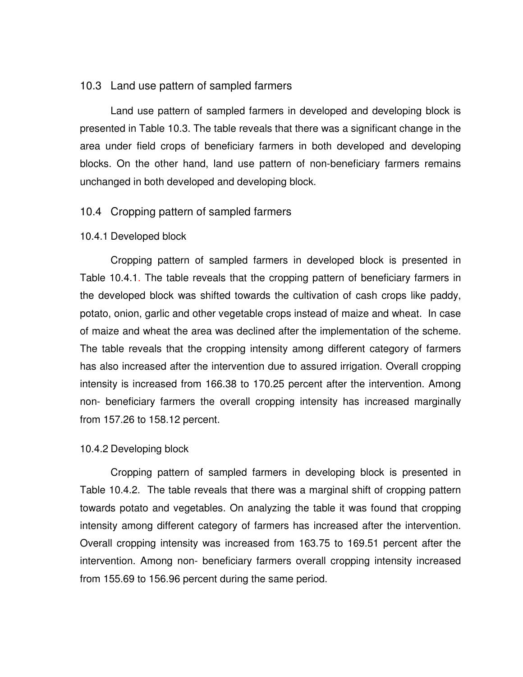#### 10.3 Land use pattern of sampled farmers

Land use pattern of sampled farmers in developed and developing block is presented in Table 10.3. The table reveals that there was a significant change in the area under field crops of beneficiary farmers in both developed and developing blocks. On the other hand, land use pattern of non-beneficiary farmers remains unchanged in both developed and developing block.

#### 10.4 Cropping pattern of sampled farmers

#### 10.4.1 Developed block

 Cropping pattern of sampled farmers in developed block is presented in Table 10.4.1. The table reveals that the cropping pattern of beneficiary farmers in the developed block was shifted towards the cultivation of cash crops like paddy, potato, onion, garlic and other vegetable crops instead of maize and wheat. In case of maize and wheat the area was declined after the implementation of the scheme. The table reveals that the cropping intensity among different category of farmers has also increased after the intervention due to assured irrigation. Overall cropping intensity is increased from 166.38 to 170.25 percent after the intervention. Among non- beneficiary farmers the overall cropping intensity has increased marginally from 157.26 to 158.12 percent.

#### 10.4.2 Developing block

Cropping pattern of sampled farmers in developing block is presented in Table 10.4.2. The table reveals that there was a marginal shift of cropping pattern towards potato and vegetables. On analyzing the table it was found that cropping intensity among different category of farmers has increased after the intervention. Overall cropping intensity was increased from 163.75 to 169.51 percent after the intervention. Among non- beneficiary farmers overall cropping intensity increased from 155.69 to 156.96 percent during the same period.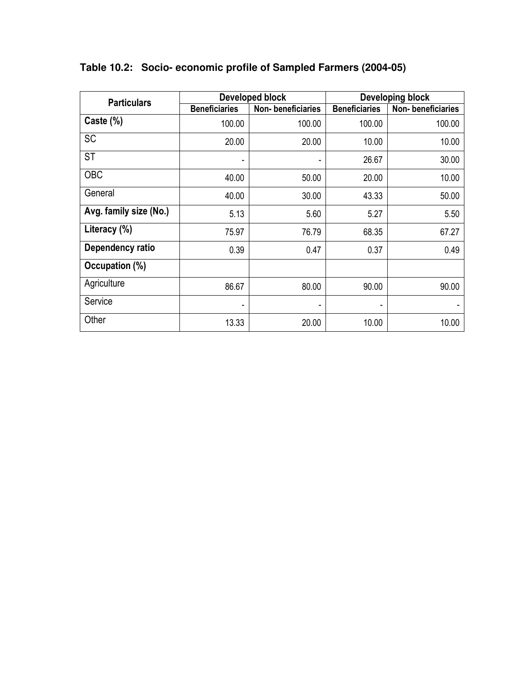| <b>Particulars</b>     |                      | Developed block   | <b>Developing block</b> |                   |  |  |
|------------------------|----------------------|-------------------|-------------------------|-------------------|--|--|
|                        | <b>Beneficiaries</b> | Non-beneficiaries | <b>Beneficiaries</b>    | Non-beneficiaries |  |  |
| Caste (%)              | 100.00               | 100.00            | 100.00                  | 100.00            |  |  |
| <b>SC</b>              | 20.00                | 20.00             | 10.00                   | 10.00             |  |  |
| ST                     |                      |                   | 26.67                   | 30.00             |  |  |
| <b>OBC</b>             | 40.00                | 50.00             | 20.00                   | 10.00             |  |  |
| General                | 40.00                | 30.00             | 43.33                   | 50.00             |  |  |
| Avg. family size (No.) | 5.13                 | 5.60              | 5.27                    | 5.50              |  |  |
| Literacy (%)           | 75.97                | 76.79             | 68.35                   | 67.27             |  |  |
| Dependency ratio       | 0.39                 | 0.47              | 0.37                    | 0.49              |  |  |
| Occupation (%)         |                      |                   |                         |                   |  |  |
| Agriculture            | 86.67                | 80.00             | 90.00                   | 90.00             |  |  |
| Service                |                      |                   | ٠                       |                   |  |  |
| Other                  | 13.33                | 20.00             | 10.00                   | 10.00             |  |  |

**Table 10.2: Socio- economic profile of Sampled Farmers (2004-05)**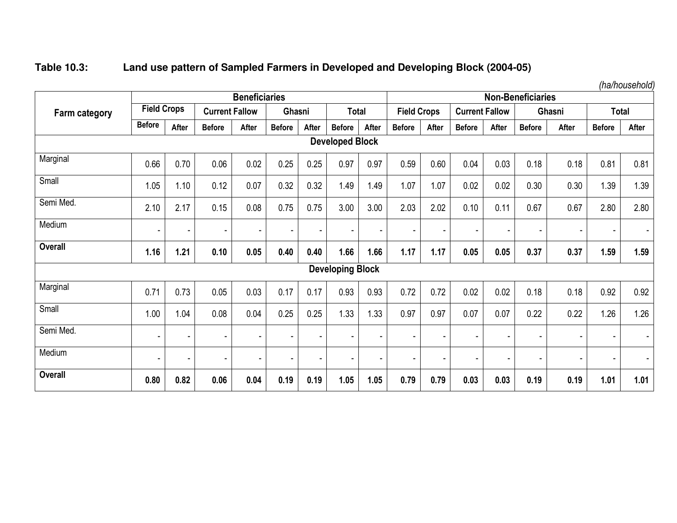# **Table 10.3: Land use pattern of Sampled Farmers in Developed and Developing Block (2004-05)**

|                |                    |                          |                       | <b>Beneficiaries</b> |                          |       |                         |       |                    |                |                          |       | <b>Non-Beneficiaries</b> |        |                          | ,,,,,,,,,,,,,,,, |
|----------------|--------------------|--------------------------|-----------------------|----------------------|--------------------------|-------|-------------------------|-------|--------------------|----------------|--------------------------|-------|--------------------------|--------|--------------------------|------------------|
| Farm category  | <b>Field Crops</b> |                          | <b>Current Fallow</b> |                      | Ghasni                   |       | <b>Total</b>            |       | <b>Field Crops</b> |                | <b>Current Fallow</b>    |       |                          | Ghasni | <b>Total</b>             |                  |
|                | <b>Before</b>      | After                    | <b>Before</b>         | After                | <b>Before</b>            | After | <b>Before</b>           | After | <b>Before</b>      | After          | <b>Before</b>            | After | <b>Before</b>            | After  | <b>Before</b>            | After            |
|                |                    |                          |                       |                      |                          |       | <b>Developed Block</b>  |       |                    |                |                          |       |                          |        |                          |                  |
| Marginal       | 0.66               | 0.70                     | 0.06                  | 0.02                 | 0.25                     | 0.25  | 0.97                    | 0.97  | 0.59               | 0.60           | 0.04                     | 0.03  | 0.18                     | 0.18   | 0.81                     | 0.81             |
| Small          | 1.05               | 1.10                     | 0.12                  | 0.07                 | 0.32                     | 0.32  | 1.49                    | 1.49  | 1.07               | 1.07           | 0.02                     | 0.02  | 0.30                     | 0.30   | 1.39                     | 1.39             |
| Semi Med.      | 2.10               | 2.17                     | 0.15                  | 0.08                 | 0.75                     | 0.75  | 3.00                    | 3.00  | 2.03               | 2.02           | 0.10                     | 0.11  | 0.67                     | 0.67   | 2.80                     | 2.80             |
| Medium         |                    | $\blacksquare$           | ٠                     |                      | $\blacksquare$           | ٠     |                         |       |                    | $\blacksquare$ | $\blacksquare$           |       |                          |        | $\overline{\phantom{a}}$ |                  |
| <b>Overall</b> | 1.16               | 1.21                     | 0.10                  | 0.05                 | 0.40                     | 0.40  | 1.66                    | 1.66  | 1.17               | 1.17           | 0.05                     | 0.05  | 0.37                     | 0.37   | 1.59                     | 1.59             |
|                |                    |                          |                       |                      |                          |       | <b>Developing Block</b> |       |                    |                |                          |       |                          |        |                          |                  |
| Marginal       | 0.71               | 0.73                     | 0.05                  | 0.03                 | 0.17                     | 0.17  | 0.93                    | 0.93  | 0.72               | 0.72           | 0.02                     | 0.02  | 0.18                     | 0.18   | 0.92                     | 0.92             |
| Small          | 1.00               | 1.04                     | 0.08                  | 0.04                 | 0.25                     | 0.25  | 1.33                    | 1.33  | 0.97               | 0.97           | 0.07                     | 0.07  | 0.22                     | 0.22   | 1.26                     | 1.26             |
| Semi Med.      |                    | $\overline{\phantom{a}}$ | ٠                     |                      | $\overline{\phantom{a}}$ | ٠     |                         |       |                    | ٠              |                          |       |                          | ٠      | $\blacksquare$           | ٠                |
| Medium         |                    | $\blacksquare$           | Ξ.                    |                      | $\blacksquare$           | ٠     |                         |       |                    |                | $\overline{\phantom{a}}$ |       |                          | ۰      | $\blacksquare$           | $\sim$           |
| Overall        | 0.80               | 0.82                     | 0.06                  | 0.04                 | 0.19                     | 0.19  | 1.05                    | 1.05  | 0.79               | 0.79           | 0.03                     | 0.03  | 0.19                     | 0.19   | 1.01                     | 1.01             |

*(ha/household)*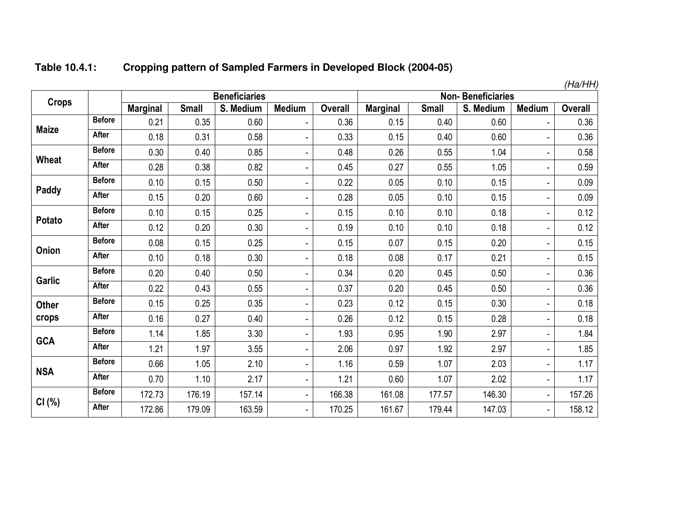| Table 10.4.1: | Cropping pattern of Sampled Farmers in Developed Block (2004-05) |
|---------------|------------------------------------------------------------------|
|---------------|------------------------------------------------------------------|

|               |               |                 |              |                      |                          |                |                 |              |                          |                | (Ha/HH)        |
|---------------|---------------|-----------------|--------------|----------------------|--------------------------|----------------|-----------------|--------------|--------------------------|----------------|----------------|
| <b>Crops</b>  |               |                 |              | <b>Beneficiaries</b> |                          |                |                 |              | <b>Non-Beneficiaries</b> |                |                |
|               |               | <b>Marginal</b> | <b>Small</b> | S. Medium            | <b>Medium</b>            | <b>Overall</b> | <b>Marginal</b> | <b>Small</b> | S. Medium                | <b>Medium</b>  | <b>Overall</b> |
| <b>Maize</b>  | <b>Before</b> | 0.21            | 0.35         | 0.60                 |                          | 0.36           | 0.15            | 0.40         | 0.60                     |                | 0.36           |
|               | After         | 0.18            | 0.31         | 0.58                 |                          | 0.33           | 0.15            | 0.40         | 0.60                     | ÷              | 0.36           |
|               | <b>Before</b> | 0.30            | 0.40         | 0.85                 | ٠                        | 0.48           | 0.26            | 0.55         | 1.04                     | ۰              | 0.58           |
| Wheat         | <b>After</b>  | 0.28            | 0.38         | 0.82                 |                          | 0.45           | 0.27            | 0.55         | 1.05                     | ÷,             | 0.59           |
|               | <b>Before</b> | 0.10            | 0.15         | 0.50                 |                          | 0.22           | 0.05            | 0.10         | 0.15                     | ۰              | 0.09           |
| Paddy         | After         | 0.15            | 0.20         | 0.60                 | $\blacksquare$           | 0.28           | 0.05            | 0.10         | 0.15                     | $\frac{1}{2}$  | 0.09           |
|               | <b>Before</b> | 0.10            | 0.15         | 0.25                 | ٠                        | 0.15           | 0.10            | 0.10         | 0.18                     | ä,             | 0.12           |
| Potato        | After         | 0.12            | 0.20         | 0.30                 |                          | 0.19           | 0.10            | 0.10         | 0.18                     | ٠              | 0.12           |
| Onion         | <b>Before</b> | 0.08            | 0.15         | 0.25                 | L,                       | 0.15           | 0.07            | 0.15         | 0.20                     | $\frac{1}{2}$  | 0.15           |
|               | <b>After</b>  | 0.10            | 0.18         | 0.30                 |                          | 0.18           | 0.08            | 0.17         | 0.21                     | ٠              | 0.15           |
| <b>Garlic</b> | <b>Before</b> | 0.20            | 0.40         | 0.50                 | ٠                        | 0.34           | 0.20            | 0.45         | 0.50                     | ٠              | 0.36           |
|               | After         | 0.22            | 0.43         | 0.55                 | L,                       | 0.37           | 0.20            | 0.45         | 0.50                     | ÷,             | 0.36           |
| <b>Other</b>  | <b>Before</b> | 0.15            | 0.25         | 0.35                 | ä,                       | 0.23           | 0.12            | 0.15         | 0.30                     | ٠              | 0.18           |
| crops         | After         | 0.16            | 0.27         | 0.40                 | $\overline{a}$           | 0.26           | 0.12            | 0.15         | 0.28                     | ÷,             | 0.18           |
|               | <b>Before</b> | 1.14            | 1.85         | 3.30                 | ٠                        | 1.93           | 0.95            | 1.90         | 2.97                     | ÷,             | 1.84           |
| <b>GCA</b>    | After         | 1.21            | 1.97         | 3.55                 | L,                       | 2.06           | 0.97            | 1.92         | 2.97                     |                | 1.85           |
|               | <b>Before</b> | 0.66            | 1.05         | 2.10                 | ٠                        | 1.16           | 0.59            | 1.07         | 2.03                     | ٠              | 1.17           |
| <b>NSA</b>    | After         | 0.70            | 1.10         | 2.17                 | L,                       | 1.21           | 0.60            | 1.07         | 2.02                     | $\blacksquare$ | 1.17           |
|               | <b>Before</b> | 172.73          | 176.19       | 157.14               | L.                       | 166.38         | 161.08          | 177.57       | 146.30                   | $\blacksquare$ | 157.26         |
| CI(%)         | After         | 172.86          | 179.09       | 163.59               | $\overline{\phantom{a}}$ | 170.25         | 161.67          | 179.44       | 147.03                   |                | 158.12         |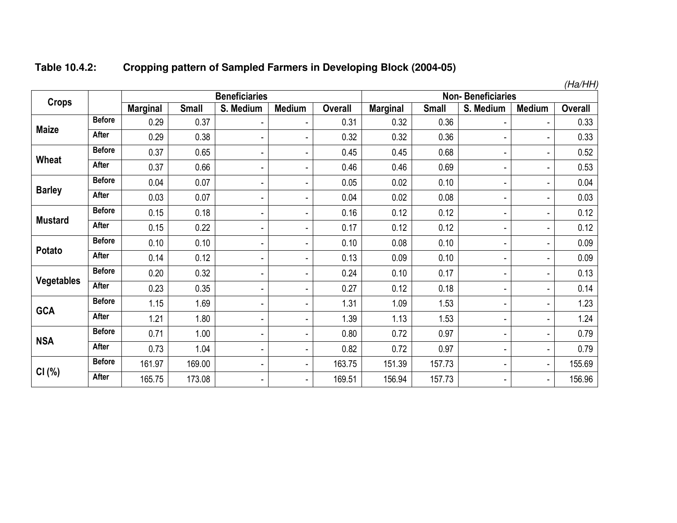|                   |               |                 |              |                          |                |                |                 |              |                          |               | (Ha/HH)        |
|-------------------|---------------|-----------------|--------------|--------------------------|----------------|----------------|-----------------|--------------|--------------------------|---------------|----------------|
| <b>Crops</b>      |               |                 |              | <b>Beneficiaries</b>     |                |                |                 |              | <b>Non-Beneficiaries</b> |               |                |
|                   |               | <b>Marginal</b> | <b>Small</b> | S. Medium                | <b>Medium</b>  | <b>Overall</b> | <b>Marginal</b> | <b>Small</b> | S. Medium                | <b>Medium</b> | <b>Overall</b> |
|                   | <b>Before</b> | 0.29            | 0.37         | $\blacksquare$           | ۰              | 0.31           | 0.32            | 0.36         | $\overline{\phantom{a}}$ | ۰             | 0.33           |
| <b>Maize</b>      | After         | 0.29            | 0.38         | $\blacksquare$           | -              | 0.32           | 0.32            | 0.36         | $\overline{\phantom{a}}$ | ٠             | 0.33           |
|                   | <b>Before</b> | 0.37            | 0.65         | $\blacksquare$           | $\overline{a}$ | 0.45           | 0.45            | 0.68         | $\blacksquare$           |               | 0.52           |
| <b>Wheat</b>      | After         | 0.37            | 0.66         | $\blacksquare$           | ۰              | 0.46           | 0.46            | 0.69         | $\overline{\phantom{a}}$ | ٠             | 0.53           |
|                   | <b>Before</b> | 0.04            | 0.07         | $\overline{\phantom{a}}$ | -              | 0.05           | 0.02            | 0.10         | $\overline{\phantom{a}}$ | ٠             | 0.04           |
| <b>Barley</b>     | After         | 0.03            | 0.07         | $\overline{\phantom{a}}$ | -              | 0.04           | 0.02            | 0.08         | $\blacksquare$           | ٠             | 0.03           |
|                   | <b>Before</b> | 0.15            | 0.18         | $\blacksquare$           | ۰              | 0.16           | 0.12            | 0.12         | $\overline{\phantom{a}}$ | ٠             | 0.12           |
| <b>Mustard</b>    | After         | 0.15            | 0.22         | $\overline{\phantom{a}}$ | -              | 0.17           | 0.12            | 0.12         | $\overline{\phantom{a}}$ | ٠             | 0.12           |
|                   | <b>Before</b> | 0.10            | 0.10         |                          | ۰              | 0.10           | 0.08            | 0.10         | $\blacksquare$           | ٠             | 0.09           |
| Potato            | After         | 0.14            | 0.12         | $\overline{\phantom{a}}$ | -              | 0.13           | 0.09            | 0.10         | $\blacksquare$           | ٠             | 0.09           |
|                   | <b>Before</b> | 0.20            | 0.32         | $\overline{\phantom{a}}$ | -              | 0.24           | 0.10            | 0.17         | $\blacksquare$           | ٠             | 0.13           |
| <b>Vegetables</b> | After         | 0.23            | 0.35         | $\overline{\phantom{a}}$ | -              | 0.27           | 0.12            | 0.18         | $\overline{\phantom{a}}$ | ٠             | 0.14           |
|                   | <b>Before</b> | 1.15            | 1.69         | $\overline{\phantom{a}}$ | -              | 1.31           | 1.09            | 1.53         | $\overline{\phantom{a}}$ | ۰             | 1.23           |
| <b>GCA</b>        | After         | 1.21            | 1.80         | $\overline{\phantom{a}}$ | -              | 1.39           | 1.13            | 1.53         | $\overline{\phantom{a}}$ | ٠             | 1.24           |
|                   | <b>Before</b> | 0.71            | 1.00         | $\overline{\phantom{a}}$ | -              | 0.80           | 0.72            | 0.97         | $\overline{\phantom{a}}$ | ٠             | 0.79           |
| <b>NSA</b>        | After         | 0.73            | 1.04         | $\blacksquare$           | ۰              | 0.82           | 0.72            | 0.97         | $\blacksquare$           | ٠             | 0.79           |
|                   | <b>Before</b> | 161.97          | 169.00       | $\overline{\phantom{a}}$ | -              | 163.75         | 151.39          | 157.73       | $\overline{\phantom{a}}$ | ٠             | 155.69         |
| CI(%)             | <b>After</b>  | 16575           | 173 08       |                          |                | 169.51         | 156.94          | 157 73       |                          |               | 156.96         |

<sup>r</sup> | 165.75 | 173.08 | - | - | 169.51 | 156.94 | 157.73 | - | - | 156.96 |

#### **Table 10.4.2:Cropping pattern of Sampled Farmers in Developing Block (2004-05)**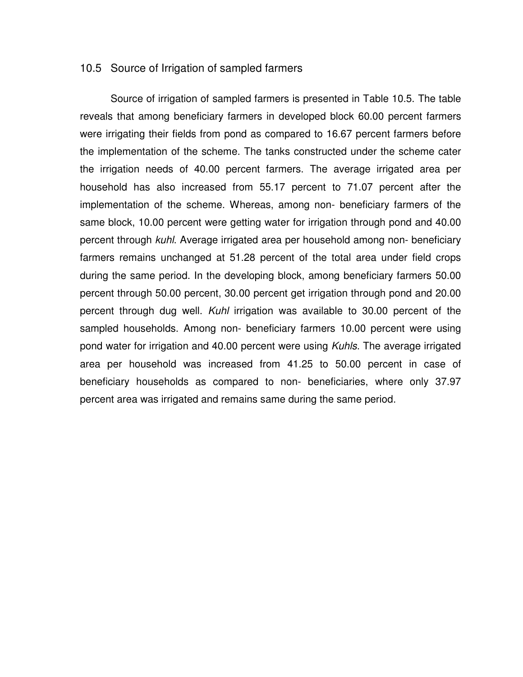#### 10.5 Source of Irrigation of sampled farmers

 Source of irrigation of sampled farmers is presented in Table 10.5. The table reveals that among beneficiary farmers in developed block 60.00 percent farmers were irrigating their fields from pond as compared to 16.67 percent farmers before the implementation of the scheme. The tanks constructed under the scheme cater the irrigation needs of 40.00 percent farmers. The average irrigated area per household has also increased from 55.17 percent to 71.07 percent after the implementation of the scheme. Whereas, among non- beneficiary farmers of the same block, 10.00 percent were getting water for irrigation through pond and 40.00 percent through kuhl. Average irrigated area per household among non- beneficiary farmers remains unchanged at 51.28 percent of the total area under field crops during the same period. In the developing block, among beneficiary farmers 50.00 percent through 50.00 percent, 30.00 percent get irrigation through pond and 20.00 percent through dug well. Kuhl irrigation was available to 30.00 percent of the sampled households. Among non- beneficiary farmers 10.00 percent were using pond water for irrigation and 40.00 percent were using Kuhls. The average irrigated area per household was increased from 41.25 to 50.00 percent in case of beneficiary households as compared to non- beneficiaries, where only 37.97 percent area was irrigated and remains same during the same period.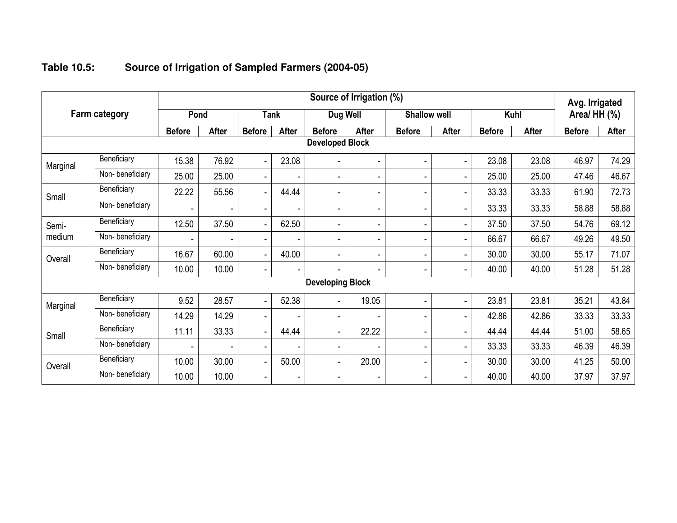|          |                      |               |              |                          |                          |                         | Source of Irrigation (%) |                          |                |               |              | Avg. Irrigated |              |
|----------|----------------------|---------------|--------------|--------------------------|--------------------------|-------------------------|--------------------------|--------------------------|----------------|---------------|--------------|----------------|--------------|
|          | <b>Farm category</b> | Pond          |              |                          | <b>Tank</b>              | Dug Well                |                          | <b>Shallow well</b>      |                |               | Kuhl         | Area/ HH (%)   |              |
|          |                      | <b>Before</b> | <b>After</b> | <b>Before</b>            | After                    | <b>Before</b>           | <b>After</b>             | <b>Before</b>            | <b>After</b>   | <b>Before</b> | <b>After</b> | <b>Before</b>  | <b>After</b> |
|          |                      |               |              |                          |                          | <b>Developed Block</b>  |                          |                          |                |               |              |                |              |
| Marginal | Beneficiary          | 15.38         | 76.92        |                          | 23.08                    | ٠                       | ٠                        | ٠                        | Ξ.             | 23.08         | 23.08        | 46.97          | 74.29        |
|          | Non-beneficiary      | 25.00         | 25.00        | ٠                        |                          | ٠                       | ۰                        | ٠                        | ٠              | 25.00         | 25.00        | 47.46          | 46.67        |
| Small    | Beneficiary          | 22.22         | 55.56        |                          | 44.44                    | ٠                       | -                        | $\overline{\phantom{a}}$ | ٠              | 33.33         | 33.33        | 61.90          | 72.73        |
|          | Non-beneficiary      |               |              | $\overline{\phantom{0}}$ | ٠                        | ٠                       | -                        | $\overline{\phantom{a}}$ | ٠              | 33.33         | 33.33        | 58.88          | 58.88        |
| Semi-    | Beneficiary          | 12.50         | 37.50        | ٠                        | 62.50                    | ٠                       | $\blacksquare$           | $\blacksquare$           | $\blacksquare$ | 37.50         | 37.50        | 54.76          | 69.12        |
| medium   | Non-beneficiary      |               |              |                          |                          | ۰                       | -                        | $\blacksquare$           | Ξ.             | 66.67         | 66.67        | 49.26          | 49.50        |
| Overall  | Beneficiary          | 16.67         | 60.00        |                          | 40.00                    | ٠                       | -                        | $\overline{\phantom{a}}$ |                | 30.00         | 30.00        | 55.17          | 71.07        |
|          | Non-beneficiary      | 10.00         | 10.00        |                          | $\overline{\phantom{a}}$ | ٠                       | $\overline{\phantom{a}}$ | $\blacksquare$           | Ξ.             | 40.00         | 40.00        | 51.28          | 51.28        |
|          |                      |               |              |                          |                          | <b>Developing Block</b> |                          |                          |                |               |              |                |              |
| Marginal | Beneficiary          | 9.52          | 28.57        |                          | 52.38                    | ٠                       | 19.05                    |                          | ٠              | 23.81         | 23.81        | 35.21          | 43.84        |
|          | Non-beneficiary      | 14.29         | 14.29        | ٠                        |                          | ٠                       | ٠                        | $\blacksquare$           | ۰              | 42.86         | 42.86        | 33.33          | 33.33        |
| Small    | Beneficiary          | 11.11         | 33.33        | $\overline{\phantom{0}}$ | 44.44                    | $\blacksquare$          | 22.22                    | $\blacksquare$           | ٠              | 44.44         | 44.44        | 51.00          | 58.65        |
|          | Non-beneficiary      |               |              |                          |                          | ۰                       |                          | $\blacksquare$           | ٠              | 33.33         | 33.33        | 46.39          | 46.39        |
| Overall  | Beneficiary          | 10.00         | 30.00        |                          | 50.00                    | $\blacksquare$          | 20.00                    | ٠                        | ٠              | 30.00         | 30.00        | 41.25          | 50.00        |
|          | Non-beneficiary      | 10.00         | 10.00        | ٠                        | $\overline{\phantom{a}}$ | ۰                       | -                        | $\overline{\phantom{a}}$ | ۰              | 40.00         | 40.00        | 37.97          | 37.97        |

#### **Table 10.5:Source of Irrigation of Sampled Farmers (2004-05)**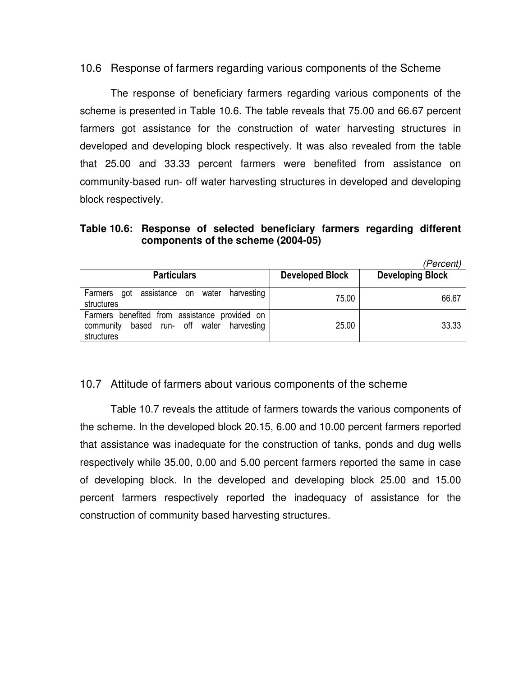10.6 Response of farmers regarding various components of the Scheme

 The response of beneficiary farmers regarding various components of the scheme is presented in Table 10.6. The table reveals that 75.00 and 66.67 percent farmers got assistance for the construction of water harvesting structures in developed and developing block respectively. It was also revealed from the table that 25.00 and 33.33 percent farmers were benefited from assistance on community-based run- off water harvesting structures in developed and developing block respectively.

## **Table 10.6: Response of selected beneficiary farmers regarding different components of the scheme (2004-05)**

(Percent)

| <b>Particulars</b>                                                                                          | <b>Developed Block</b> | ------<br><b>Developing Block</b> |
|-------------------------------------------------------------------------------------------------------------|------------------------|-----------------------------------|
| Farmers got assistance on water harvesting<br>structures                                                    | 75.00                  | 66.67                             |
| Farmers benefited from assistance provided on<br>based run- off water harvesting<br>community<br>structures | 25.00                  | 33.33                             |

# 10.7 Attitude of farmers about various components of the scheme

Table 10.7 reveals the attitude of farmers towards the various components of the scheme. In the developed block 20.15, 6.00 and 10.00 percent farmers reported that assistance was inadequate for the construction of tanks, ponds and dug wells respectively while 35.00, 0.00 and 5.00 percent farmers reported the same in case of developing block. In the developed and developing block 25.00 and 15.00 percent farmers respectively reported the inadequacy of assistance for the construction of community based harvesting structures.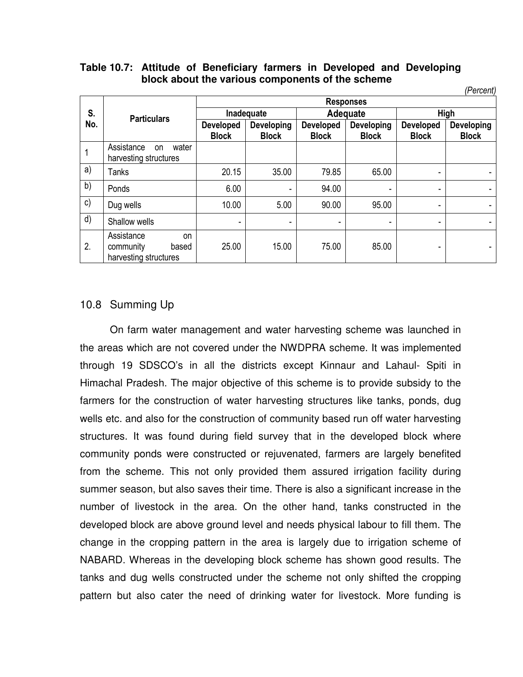|  | Table 10.7: Attitude of Beneficiary farmers in Developed and Developing |  |  |  |
|--|-------------------------------------------------------------------------|--|--|--|
|  | block about the various components of the scheme                        |  |  |  |

|     |                                                                 |                  |              |                  |                  |                  | (Percent)    |
|-----|-----------------------------------------------------------------|------------------|--------------|------------------|------------------|------------------|--------------|
|     |                                                                 |                  |              |                  | <b>Responses</b> |                  |              |
| S.  | <b>Particulars</b>                                              |                  | Inadequate   |                  | Adequate         |                  | High         |
| No. |                                                                 | <b>Developed</b> | Developing   | <b>Developed</b> | Developing       | <b>Developed</b> | Developing   |
|     |                                                                 | <b>Block</b>     | <b>Block</b> | <b>Block</b>     | <b>Block</b>     | <b>Block</b>     | <b>Block</b> |
|     | Assistance<br>water<br><b>on</b><br>harvesting structures       |                  |              |                  |                  |                  |              |
| a)  | Tanks                                                           | 20.15            | 35.00        | 79.85            | 65.00            | ۰                |              |
| b)  | Ponds                                                           | 6.00             | -            | 94.00            | ۰                | ٠                |              |
| c)  | Dug wells                                                       | 10.00            | 5.00         | 90.00            | 95.00            | -                | ۰            |
| d)  | Shallow wells                                                   | ۰                | -            | ۰                | ۰                | -                |              |
| 2.  | Assistance<br>on<br>community<br>based<br>harvesting structures | 25.00            | 15.00        | 75.00            | 85.00            | ۰                |              |

### 10.8 Summing Up

 On farm water management and water harvesting scheme was launched in the areas which are not covered under the NWDPRA scheme. It was implemented through 19 SDSCO's in all the districts except Kinnaur and Lahaul- Spiti in Himachal Pradesh. The major objective of this scheme is to provide subsidy to the farmers for the construction of water harvesting structures like tanks, ponds, dug wells etc. and also for the construction of community based run off water harvesting structures. It was found during field survey that in the developed block where community ponds were constructed or rejuvenated, farmers are largely benefited from the scheme. This not only provided them assured irrigation facility during summer season, but also saves their time. There is also a significant increase in the number of livestock in the area. On the other hand, tanks constructed in the developed block are above ground level and needs physical labour to fill them. The change in the cropping pattern in the area is largely due to irrigation scheme of NABARD. Whereas in the developing block scheme has shown good results. The tanks and dug wells constructed under the scheme not only shifted the cropping pattern but also cater the need of drinking water for livestock. More funding is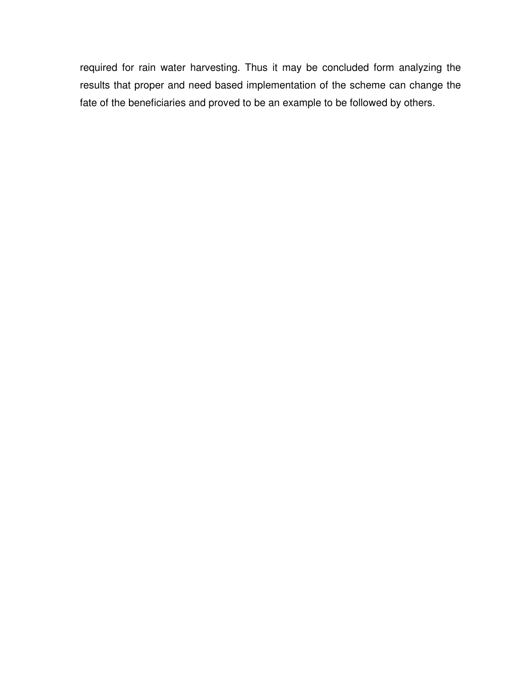required for rain water harvesting. Thus it may be concluded form analyzing the results that proper and need based implementation of the scheme can change the fate of the beneficiaries and proved to be an example to be followed by others.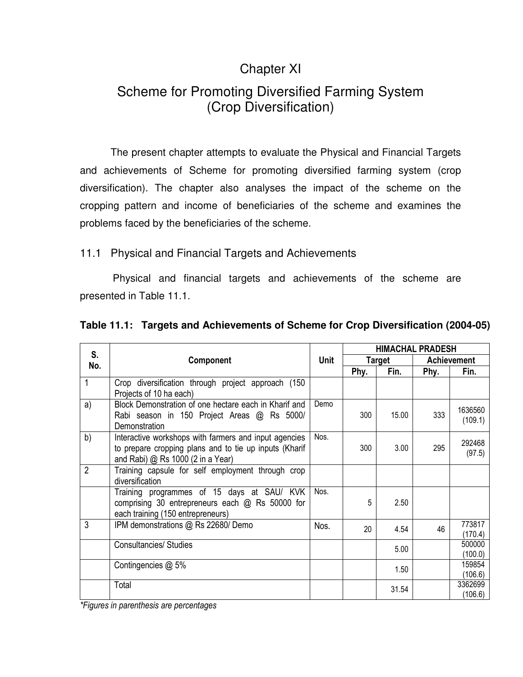# Chapter XI

# Scheme for Promoting Diversified Farming System (Crop Diversification)

 The present chapter attempts to evaluate the Physical and Financial Targets and achievements of Scheme for promoting diversified farming system (crop diversification). The chapter also analyses the impact of the scheme on the cropping pattern and income of beneficiaries of the scheme and examines the problems faced by the beneficiaries of the scheme.

# 11.1 Physical and Financial Targets and Achievements

 Physical and financial targets and achievements of the scheme are presented in Table 11.1.

|  |  | Table 11.1: Targets and Achievements of Scheme for Crop Diversification (2004-05) |  |  |  |  |
|--|--|-----------------------------------------------------------------------------------|--|--|--|--|
|--|--|-----------------------------------------------------------------------------------|--|--|--|--|

| S.             |                                                                                                                                                      |             |      |        | <b>HIMACHAL PRADESH</b> |                    |
|----------------|------------------------------------------------------------------------------------------------------------------------------------------------------|-------------|------|--------|-------------------------|--------------------|
| No.            | Component                                                                                                                                            | <b>Unit</b> |      | Target |                         | <b>Achievement</b> |
|                |                                                                                                                                                      |             | Phy. | Fin.   | Phy.                    | Fin.               |
| 1              | Crop diversification through project approach (150<br>Projects of 10 ha each)                                                                        |             |      |        |                         |                    |
| a)             | Block Demonstration of one hectare each in Kharif and<br>Rabi season in 150 Project Areas @ Rs 5000/<br>Demonstration                                | Demo        | 300  | 15.00  | 333                     | 1636560<br>(109.1) |
| b)             | Interactive workshops with farmers and input agencies<br>to prepare cropping plans and to tie up inputs (Kharif<br>and Rabi) @ Rs 1000 (2 in a Year) | Nos.        | 300  | 3.00   | 295                     | 292468<br>(97.5)   |
| $\overline{2}$ | Training capsule for self employment through crop<br>diversification                                                                                 |             |      |        |                         |                    |
|                | Training programmes of 15 days at SAU/ KVK<br>comprising 30 entrepreneurs each @ Rs 50000 for<br>each training (150 entrepreneurs)                   | Nos.        | 5    | 2.50   |                         |                    |
| 3              | IPM demonstrations @ Rs 22680/ Demo                                                                                                                  | Nos.        | 20   | 4.54   | 46                      | 773817<br>(170.4)  |
|                | <b>Consultancies/ Studies</b>                                                                                                                        |             |      | 5.00   |                         | 500000<br>(100.0)  |
|                | Contingencies $@$ 5%                                                                                                                                 |             |      | 1.50   |                         | 159854<br>(106.6)  |
|                | Total                                                                                                                                                |             |      | 31.54  |                         | 3362699<br>(106.6) |

*\*Figures in parenthesis are percentages*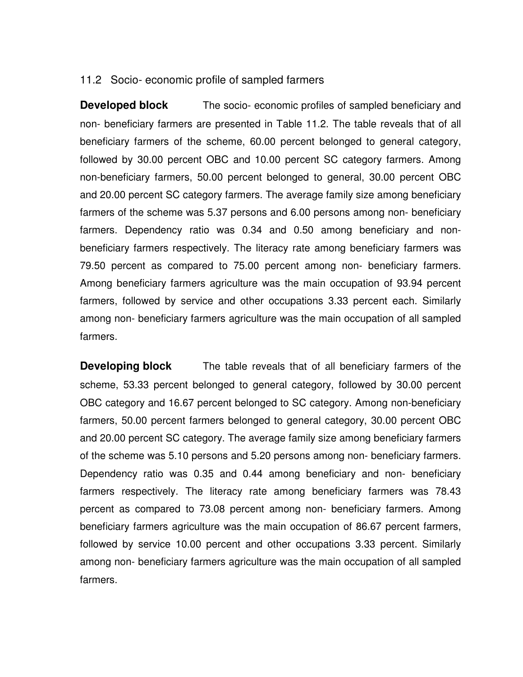### 11.2 Socio- economic profile of sampled farmers

**Developed block** The socio- economic profiles of sampled beneficiary and non- beneficiary farmers are presented in Table 11.2. The table reveals that of all beneficiary farmers of the scheme, 60.00 percent belonged to general category, followed by 30.00 percent OBC and 10.00 percent SC category farmers. Among non-beneficiary farmers, 50.00 percent belonged to general, 30.00 percent OBC and 20.00 percent SC category farmers. The average family size among beneficiary farmers of the scheme was 5.37 persons and 6.00 persons among non- beneficiary farmers. Dependency ratio was 0.34 and 0.50 among beneficiary and nonbeneficiary farmers respectively. The literacy rate among beneficiary farmers was 79.50 percent as compared to 75.00 percent among non- beneficiary farmers. Among beneficiary farmers agriculture was the main occupation of 93.94 percent farmers, followed by service and other occupations 3.33 percent each. Similarly among non- beneficiary farmers agriculture was the main occupation of all sampled farmers.

**Developing block** The table reveals that of all beneficiary farmers of the scheme, 53.33 percent belonged to general category, followed by 30.00 percent OBC category and 16.67 percent belonged to SC category. Among non-beneficiary farmers, 50.00 percent farmers belonged to general category, 30.00 percent OBC and 20.00 percent SC category. The average family size among beneficiary farmers of the scheme was 5.10 persons and 5.20 persons among non- beneficiary farmers. Dependency ratio was 0.35 and 0.44 among beneficiary and non- beneficiary farmers respectively. The literacy rate among beneficiary farmers was 78.43 percent as compared to 73.08 percent among non- beneficiary farmers. Among beneficiary farmers agriculture was the main occupation of 86.67 percent farmers, followed by service 10.00 percent and other occupations 3.33 percent. Similarly among non- beneficiary farmers agriculture was the main occupation of all sampled farmers.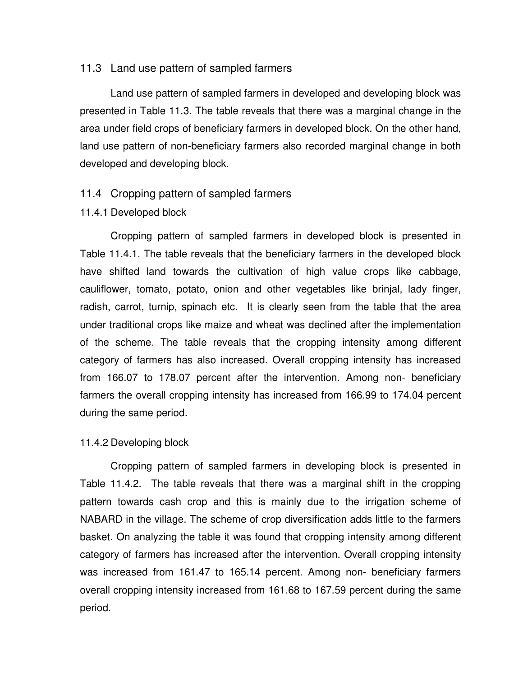#### 11.3 Land use pattern of sampled farmers

Land use pattern of sampled farmers in developed and developing block was presented in Table 11.3. The table reveals that there was a marginal change in the area under field crops of beneficiary farmers in developed block. On the other hand, land use pattern of non-beneficiary farmers also recorded marginal change in both developed and developing block.

#### 11.4 Cropping pattern of sampled farmers

#### 11.4.1 Developed block

Cropping pattern of sampled farmers in developed block is presented in Table 11.4.1. The table reveals that the beneficiary farmers in the developed block have shifted land towards the cultivation of high value crops like cabbage, cauliflower, tomato, potato, onion and other vegetables like brinjal, lady finger, radish, carrot, turnip, spinach etc. It is clearly seen from the table that the area under traditional crops like maize and wheat was declined after the implementation of the scheme. The table reveals that the cropping intensity among different category of farmers has also increased. Overall cropping intensity has increased from 166.07 to 178.07 percent after the intervention. Among non- beneficiary farmers the overall cropping intensity has increased from 166.99 to 174.04 percent during the same period.

#### 11.4.2 Developing block

Cropping pattern of sampled farmers in developing block is presented in Table 11.4.2. The table reveals that there was a marginal shift in the cropping pattern towards cash crop and this is mainly due to the irrigation scheme of NABARD in the village. The scheme of crop diversification adds little to the farmers basket. On analyzing the table it was found that cropping intensity among different category of farmers has increased after the intervention. Overall cropping intensity was increased from 161.47 to 165.14 percent. Among non- beneficiary farmers overall cropping intensity increased from 161.68 to 167.59 percent during the same period.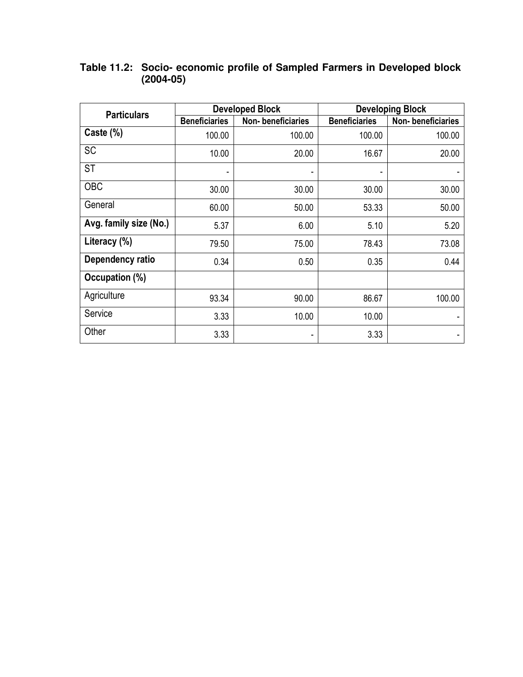| <b>Particulars</b>     |                      | <b>Developed Block</b> | <b>Developing Block</b> |                   |  |  |
|------------------------|----------------------|------------------------|-------------------------|-------------------|--|--|
|                        | <b>Beneficiaries</b> | Non-beneficiaries      | <b>Beneficiaries</b>    | Non-beneficiaries |  |  |
| Caste (%)              | 100.00               | 100.00                 | 100.00                  | 100.00            |  |  |
| <b>SC</b>              | 10.00                | 20.00                  | 16.67                   | 20.00             |  |  |
| <b>ST</b>              |                      |                        |                         |                   |  |  |
| OBC                    | 30.00                | 30.00                  | 30.00                   | 30.00             |  |  |
| General                | 60.00                | 50.00                  | 53.33                   | 50.00             |  |  |
| Avg. family size (No.) | 5.37                 | 6.00                   | 5.10                    | 5.20              |  |  |
| Literacy (%)           | 79.50                | 75.00                  | 78.43                   | 73.08             |  |  |
| Dependency ratio       | 0.34                 | 0.50                   | 0.35                    | 0.44              |  |  |
| Occupation (%)         |                      |                        |                         |                   |  |  |
| Agriculture            | 93.34                | 90.00                  | 86.67                   | 100.00            |  |  |
| Service                | 3.33                 | 10.00                  | 10.00                   |                   |  |  |
| Other                  | 3.33                 | ۰                      | 3.33                    |                   |  |  |

### **Table 11.2: Socio- economic profile of Sampled Farmers in Developed block (2004-05)**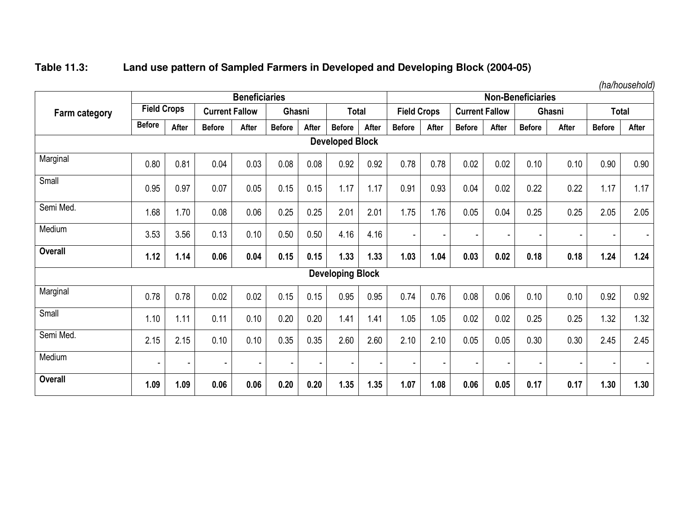# **Table 11.3: Land use pattern of Sampled Farmers in Developed and Developing Block (2004-05)**

|                      |                    | <b>Beneficiaries</b> |                       |                |                          |                |                          |       |                    | <b>Non-Beneficiaries</b> |                          |              |               |        |                |                |
|----------------------|--------------------|----------------------|-----------------------|----------------|--------------------------|----------------|--------------------------|-------|--------------------|--------------------------|--------------------------|--------------|---------------|--------|----------------|----------------|
| <b>Farm category</b> | <b>Field Crops</b> |                      | <b>Current Fallow</b> |                | Ghasni                   |                | <b>Total</b>             |       | <b>Field Crops</b> |                          | <b>Current Fallow</b>    |              |               | Ghasni |                | <b>Total</b>   |
|                      | <b>Before</b>      | After                | <b>Before</b>         | After          | <b>Before</b>            | After          | <b>Before</b>            | After | <b>Before</b>      | After                    | <b>Before</b>            | <b>After</b> | <b>Before</b> | After  | <b>Before</b>  | After          |
|                      |                    |                      |                       |                |                          |                | <b>Developed Block</b>   |       |                    |                          |                          |              |               |        |                |                |
| Marginal             | 0.80               | 0.81                 | 0.04                  | 0.03           | 0.08                     | 0.08           | 0.92                     | 0.92  | 0.78               | 0.78                     | 0.02                     | 0.02         | 0.10          | 0.10   | 0.90           | 0.90           |
| Small                | 0.95               | 0.97                 | 0.07                  | 0.05           | 0.15                     | 0.15           | 1.17                     | 1.17  | 0.91               | 0.93                     | 0.04                     | 0.02         | 0.22          | 0.22   | 1.17           | 1.17           |
| Semi Med.            | 1.68               | 1.70                 | 0.08                  | 0.06           | 0.25                     | 0.25           | 2.01                     | 2.01  | 1.75               | 1.76                     | 0.05                     | 0.04         | 0.25          | 0.25   | 2.05           | 2.05           |
| Medium               | 3.53               | 3.56                 | 0.13                  | 0.10           | 0.50                     | 0.50           | 4.16                     | 4.16  |                    |                          | $\overline{\phantom{a}}$ |              |               |        |                |                |
| <b>Overall</b>       | 1.12               | 1.14                 | 0.06                  | 0.04           | 0.15                     | 0.15           | 1.33                     | 1.33  | 1.03               | 1.04                     | 0.03                     | 0.02         | 0.18          | 0.18   | 1.24           | 1.24           |
|                      |                    |                      |                       |                |                          |                | <b>Developing Block</b>  |       |                    |                          |                          |              |               |        |                |                |
| Marginal             | 0.78               | 0.78                 | 0.02                  | 0.02           | 0.15                     | 0.15           | 0.95                     | 0.95  | 0.74               | 0.76                     | 0.08                     | 0.06         | 0.10          | 0.10   | 0.92           | 0.92           |
| Small                | 1.10               | 1.11                 | 0.11                  | 0.10           | 0.20                     | 0.20           | 1.41                     | 1.41  | 1.05               | 1.05                     | 0.02                     | 0.02         | 0.25          | 0.25   | 1.32           | 1.32           |
| Semi Med.            | 2.15               | 2.15                 | 0.10                  | 0.10           | 0.35                     | 0.35           | 2.60                     | 2.60  | 2.10               | 2.10                     | 0.05                     | 0.05         | 0.30          | 0.30   | 2.45           | 2.45           |
| Medium               |                    | $\blacksquare$       | $\blacksquare$        | $\blacksquare$ | $\overline{\phantom{a}}$ | $\blacksquare$ | $\overline{\phantom{a}}$ |       |                    |                          | $\overline{\phantom{a}}$ |              |               | ۰      | $\blacksquare$ | $\blacksquare$ |
| <b>Overall</b>       | 1.09               | 1.09                 | 0.06                  | 0.06           | 0.20                     | 0.20           | 1.35                     | 1.35  | 1.07               | 1.08                     | 0.06                     | 0.05         | 0.17          | 0.17   | 1.30           | 1.30           |

*(ha/household)*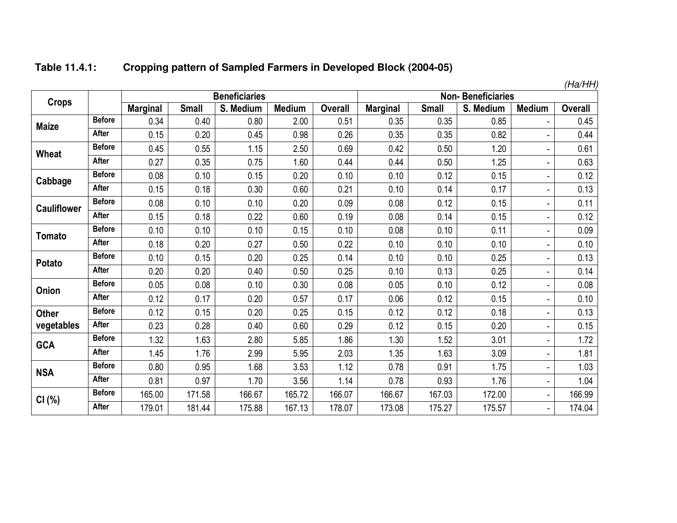#### **Table 11.4.1:Cropping pattern of Sampled Farmers in Developed Block (2004-05)**

|                    |               |                 |              |                      |               |                |                 |              |                          |                | (Ha/HH)        |
|--------------------|---------------|-----------------|--------------|----------------------|---------------|----------------|-----------------|--------------|--------------------------|----------------|----------------|
| <b>Crops</b>       |               |                 |              | <b>Beneficiaries</b> |               |                |                 |              | <b>Non-Beneficiaries</b> |                |                |
|                    |               | <b>Marginal</b> | <b>Small</b> | S. Medium            | <b>Medium</b> | <b>Overall</b> | <b>Marginal</b> | <b>Small</b> | S. Medium                | <b>Medium</b>  | <b>Overall</b> |
| <b>Maize</b>       | <b>Before</b> | 0.34            | 0.40         | 0.80                 | 2.00          | 0.51           | 0.35            | 0.35         | 0.85                     |                | 0.45           |
|                    | After         | 0.15            | 0.20         | 0.45                 | 0.98          | 0.26           | 0.35            | 0.35         | 0.82                     |                | 0.44           |
| <b>Wheat</b>       | <b>Before</b> | 0.45            | 0.55         | 1.15                 | 2.50          | 0.69           | 0.42            | 0.50         | 1.20                     | ÷              | 0.61           |
|                    | After         | 0.27            | 0.35         | 0.75                 | 1.60          | 0.44           | 0.44            | 0.50         | 1.25                     | ä,             | 0.63           |
| Cabbage            | <b>Before</b> | 0.08            | 0.10         | 0.15                 | 0.20          | 0.10           | 0.10            | 0.12         | 0.15                     |                | 0.12           |
|                    | After         | 0.15            | 0.18         | 0.30                 | 0.60          | 0.21           | 0.10            | 0.14         | 0.17                     |                | 0.13           |
| <b>Cauliflower</b> | <b>Before</b> | 0.08            | 0.10         | 0.10                 | 0.20          | 0.09           | 0.08            | 0.12         | 0.15                     |                | 0.11           |
|                    | <b>After</b>  | 0.15            | 0.18         | 0.22                 | 0.60          | 0.19           | 0.08            | 0.14         | 0.15                     |                | 0.12           |
| Tomato             | <b>Before</b> | 0.10            | 0.10         | 0.10                 | 0.15          | 0.10           | 0.08            | 0.10         | 0.11                     |                | 0.09           |
|                    | After         | 0.18            | 0.20         | 0.27                 | 0.50          | 0.22           | 0.10            | 0.10         | 0.10                     | ۰              | 0.10           |
| Potato             | <b>Before</b> | 0.10            | 0.15         | 0.20                 | 0.25          | 0.14           | 0.10            | 0.10         | 0.25                     | ۰              | 0.13           |
|                    | After         | 0.20            | 0.20         | 0.40                 | 0.50          | 0.25           | 0.10            | 0.13         | 0.25                     |                | 0.14           |
| Onion              | <b>Before</b> | 0.05            | 0.08         | 0.10                 | 0.30          | 0.08           | 0.05            | 0.10         | 0.12                     | ٠              | 0.08           |
|                    | After         | 0.12            | 0.17         | 0.20                 | 0.57          | 0.17           | 0.06            | 0.12         | 0.15                     |                | 0.10           |
| <b>Other</b>       | <b>Before</b> | 0.12            | 0.15         | 0.20                 | 0.25          | 0.15           | 0.12            | 0.12         | 0.18                     |                | 0.13           |
| vegetables         | After         | 0.23            | 0.28         | 0.40                 | 0.60          | 0.29           | 0.12            | 0.15         | 0.20                     |                | 0.15           |
| <b>GCA</b>         | <b>Before</b> | 1.32            | 1.63         | 2.80                 | 5.85          | 1.86           | 1.30            | 1.52         | 3.01                     |                | 1.72           |
|                    | After         | 1.45            | 1.76         | 2.99                 | 5.95          | 2.03           | 1.35            | 1.63         | 3.09                     |                | 1.81           |
| <b>NSA</b>         | <b>Before</b> | 0.80            | 0.95         | 1.68                 | 3.53          | 1.12           | 0.78            | 0.91         | 1.75                     | $\frac{1}{2}$  | 1.03           |
|                    | <b>After</b>  | 0.81            | 0.97         | 1.70                 | 3.56          | 1.14           | 0.78            | 0.93         | 1.76                     | $\blacksquare$ | 1.04           |
| CI(%)              | <b>Before</b> | 165.00          | 171.58       | 166.67               | 165.72        | 166.07         | 166.67          | 167.03       | 172.00                   | $\blacksquare$ | 166.99         |
|                    | After         | 179.01          | 181.44       | 175.88               | 167.13        | 178.07         | 173.08          | 175.27       | 175.57                   | $\blacksquare$ | 174.04         |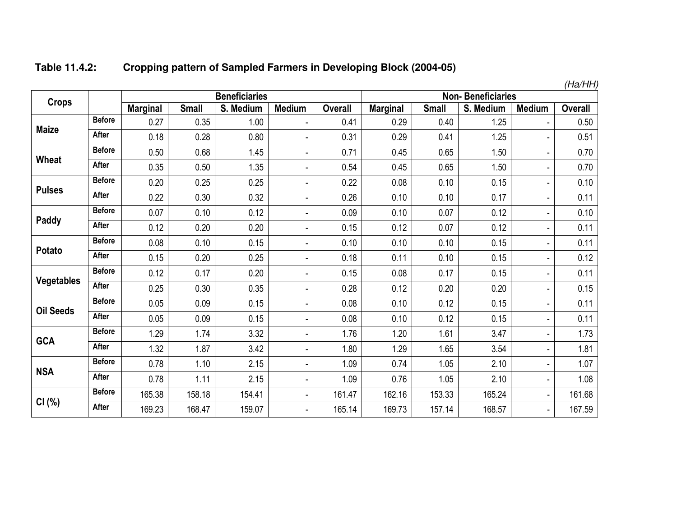|                   |               |                 |              |                      |                          |                |                 |              |                          |                | (Ha/HH)        |
|-------------------|---------------|-----------------|--------------|----------------------|--------------------------|----------------|-----------------|--------------|--------------------------|----------------|----------------|
| <b>Crops</b>      |               |                 |              | <b>Beneficiaries</b> |                          |                |                 |              | <b>Non-Beneficiaries</b> |                |                |
|                   |               | <b>Marginal</b> | <b>Small</b> | S. Medium            | <b>Medium</b>            | <b>Overall</b> | <b>Marginal</b> | <b>Small</b> | S. Medium                | <b>Medium</b>  | <b>Overall</b> |
|                   | <b>Before</b> | 0.27            | 0.35         | 1.00                 |                          | 0.41           | 0.29            | 0.40         | 1.25                     |                | 0.50           |
| <b>Maize</b>      | <b>After</b>  | 0.18            | 0.28         | 0.80                 | $\overline{\phantom{0}}$ | 0.31           | 0.29            | 0.41         | 1.25                     |                | 0.51           |
| Wheat             | <b>Before</b> | 0.50            | 0.68         | 1.45                 | $\overline{\phantom{0}}$ | 0.71           | 0.45            | 0.65         | 1.50                     | ٠              | 0.70           |
|                   | <b>After</b>  | 0.35            | 0.50         | 1.35                 | $\blacksquare$           | 0.54           | 0.45            | 0.65         | 1.50                     | ۰              | 0.70           |
|                   | <b>Before</b> | 0.20            | 0.25         | 0.25                 | $\overline{\phantom{0}}$ | 0.22           | 0.08            | 0.10         | 0.15                     | ۰              | 0.10           |
| <b>Pulses</b>     | After         | 0.22            | 0.30         | 0.32                 | -                        | 0.26           | 0.10            | 0.10         | 0.17                     | ٠              | 0.11           |
| Paddy             | <b>Before</b> | 0.07            | 0.10         | 0.12                 | $\blacksquare$           | 0.09           | 0.10            | 0.07         | 0.12                     |                | 0.10           |
|                   | After         | 0.12            | 0.20         | 0.20                 | $\overline{\phantom{0}}$ | 0.15           | 0.12            | 0.07         | 0.12                     | ٠              | 0.11           |
| Potato            | <b>Before</b> | 0.08            | 0.10         | 0.15                 | -                        | 0.10           | 0.10            | 0.10         | 0.15                     | ٠              | 0.11           |
|                   | After         | 0.15            | 0.20         | 0.25                 | $\blacksquare$           | 0.18           | 0.11            | 0.10         | 0.15                     | ۰              | 0.12           |
| <b>Vegetables</b> | <b>Before</b> | 0.12            | 0.17         | 0.20                 | $\blacksquare$           | 0.15           | 0.08            | 0.17         | 0.15                     | ۰              | 0.11           |
|                   | After         | 0.25            | 0.30         | 0.35                 | ۰                        | 0.28           | 0.12            | 0.20         | 0.20                     | $\blacksquare$ | 0.15           |
| <b>Oil Seeds</b>  | <b>Before</b> | 0.05            | 0.09         | 0.15                 | $\overline{\phantom{0}}$ | 0.08           | 0.10            | 0.12         | 0.15                     | ۰              | 0.11           |
|                   | <b>After</b>  | 0.05            | 0.09         | 0.15                 | $\overline{\phantom{0}}$ | 0.08           | 0.10            | 0.12         | 0.15                     | ٠              | 0.11           |
| <b>GCA</b>        | <b>Before</b> | 1.29            | 1.74         | 3.32                 | $\overline{\phantom{0}}$ | 1.76           | 1.20            | 1.61         | 3.47                     | $\blacksquare$ | 1.73           |
|                   | After         | 1.32            | 1.87         | 3.42                 | $\overline{\phantom{0}}$ | 1.80           | 1.29            | 1.65         | 3.54                     | ۰              | 1.81           |
| <b>NSA</b>        | <b>Before</b> | 0.78            | 1.10         | 2.15                 | $\overline{\phantom{0}}$ | 1.09           | 0.74            | 1.05         | 2.10                     | ٠              | 1.07           |
|                   | After         | 0.78            | 1.11         | 2.15                 | $\blacksquare$           | 1.09           | 0.76            | 1.05         | 2.10                     | $\blacksquare$ | 1.08           |
|                   | <b>Before</b> | 165.38          | 158.18       | 154.41               | -                        | 161.47         | 162.16          | 153.33       | 165.24                   | $\blacksquare$ | 161.68         |
| CI(%)             | After         | 169.23          | 168.47       | 159.07               | -                        | 165.14         | 169.73          | 157.14       | 168.57                   |                | 167.59         |

#### **Table 11.4.2:Cropping pattern of Sampled Farmers in Developing Block (2004-05)**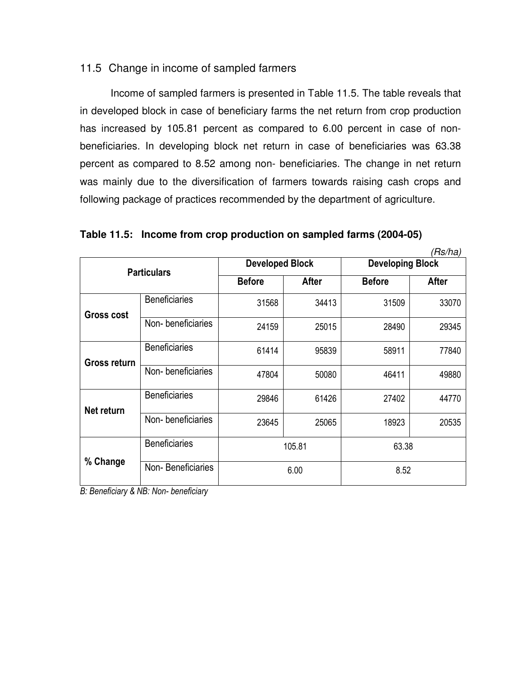# 11.5 Change in income of sampled farmers

 Income of sampled farmers is presented in Table 11.5. The table reveals that in developed block in case of beneficiary farms the net return from crop production has increased by 105.81 percent as compared to 6.00 percent in case of nonbeneficiaries. In developing block net return in case of beneficiaries was 63.38 percent as compared to 8.52 among non- beneficiaries. The change in net return was mainly due to the diversification of farmers towards raising cash crops and following package of practices recommended by the department of agriculture.

|  |  | Table 11.5: Income from crop production on sampled farms (2004-05) |  |  |  |
|--|--|--------------------------------------------------------------------|--|--|--|
|--|--|--------------------------------------------------------------------|--|--|--|

|                    |                      |                        |              |                         | (Rs/ha)      |  |
|--------------------|----------------------|------------------------|--------------|-------------------------|--------------|--|
| <b>Particulars</b> |                      | <b>Developed Block</b> |              | <b>Developing Block</b> |              |  |
|                    |                      | <b>Before</b>          | <b>After</b> | <b>Before</b>           | <b>After</b> |  |
| <b>Gross cost</b>  | <b>Beneficiaries</b> | 31568                  | 34413        | 31509                   | 33070        |  |
|                    | Non-beneficiaries    | 24159                  | 25015        | 28490                   | 29345        |  |
| Gross return       | <b>Beneficiaries</b> | 61414                  | 95839        | 58911                   | 77840        |  |
|                    | Non-beneficiaries    | 47804                  | 50080        | 46411                   | 49880        |  |
| Net return         | <b>Beneficiaries</b> | 29846                  | 61426        | 27402                   | 44770        |  |
|                    | Non-beneficiaries    | 23645                  | 25065        | 18923                   | 20535        |  |
| % Change           | <b>Beneficiaries</b> | 105.81                 |              | 63.38                   |              |  |
|                    | Non-Beneficiaries    |                        | 6.00         | 8.52                    |              |  |

*B: Beneficiary & NB: Non- beneficiary*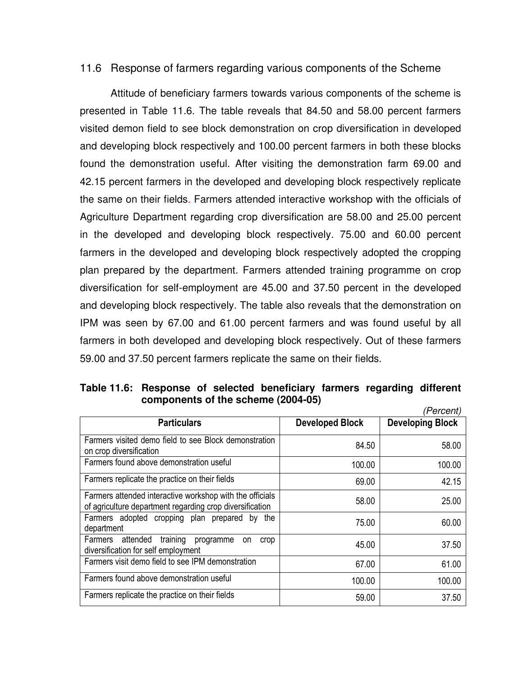### 11.6 Response of farmers regarding various components of the Scheme

 Attitude of beneficiary farmers towards various components of the scheme is presented in Table 11.6. The table reveals that 84.50 and 58.00 percent farmers visited demon field to see block demonstration on crop diversification in developed and developing block respectively and 100.00 percent farmers in both these blocks found the demonstration useful. After visiting the demonstration farm 69.00 and 42.15 percent farmers in the developed and developing block respectively replicate the same on their fields. Farmers attended interactive workshop with the officials of Agriculture Department regarding crop diversification are 58.00 and 25.00 percent in the developed and developing block respectively. 75.00 and 60.00 percent farmers in the developed and developing block respectively adopted the cropping plan prepared by the department. Farmers attended training programme on crop diversification for self-employment are 45.00 and 37.50 percent in the developed and developing block respectively. The table also reveals that the demonstration on IPM was seen by 67.00 and 61.00 percent farmers and was found useful by all farmers in both developed and developing block respectively. Out of these farmers 59.00 and 37.50 percent farmers replicate the same on their fields.

**Table 11.6: Response of selected beneficiary farmers regarding different components of the scheme (2004-05)**  (Percent)

|                                                                                                                      |                        | 11 GILGIIL <i>I</i>     |
|----------------------------------------------------------------------------------------------------------------------|------------------------|-------------------------|
| <b>Particulars</b>                                                                                                   | <b>Developed Block</b> | <b>Developing Block</b> |
| Farmers visited demo field to see Block demonstration<br>on crop diversification                                     | 84.50                  | 58.00                   |
| Farmers found above demonstration useful                                                                             | 100.00                 | 100.00                  |
| Farmers replicate the practice on their fields                                                                       | 69.00                  | 42.15                   |
| Farmers attended interactive workshop with the officials<br>of agriculture department regarding crop diversification | 58.00                  | 25.00                   |
| Farmers adopted cropping plan prepared by the<br>department                                                          | 75.00                  | 60.00                   |
| attended<br>training<br>Farmers<br>programme<br>crop<br>on<br>diversification for self employment                    | 45.00                  | 37.50                   |
| Farmers visit demo field to see IPM demonstration                                                                    | 67.00                  | 61.00                   |
| Farmers found above demonstration useful                                                                             | 100.00                 | 100.00                  |
| Farmers replicate the practice on their fields                                                                       | 59.00                  | 37.50                   |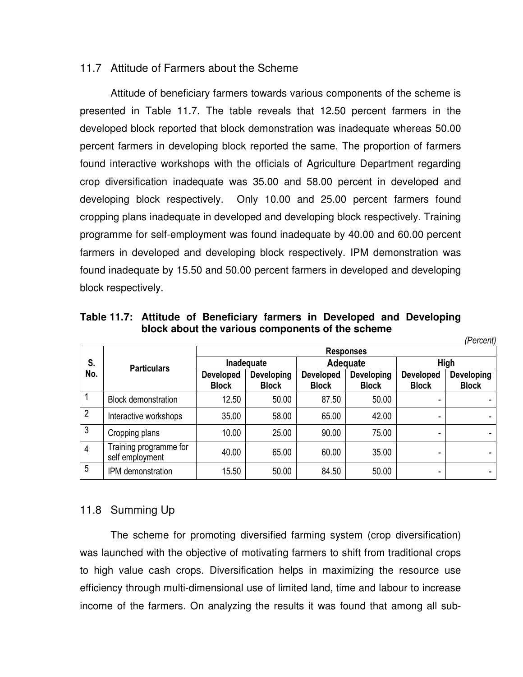### 11.7 Attitude of Farmers about the Scheme

 Attitude of beneficiary farmers towards various components of the scheme is presented in Table 11.7. The table reveals that 12.50 percent farmers in the developed block reported that block demonstration was inadequate whereas 50.00 percent farmers in developing block reported the same. The proportion of farmers found interactive workshops with the officials of Agriculture Department regarding crop diversification inadequate was 35.00 and 58.00 percent in developed and developing block respectively. Only 10.00 and 25.00 percent farmers found cropping plans inadequate in developed and developing block respectively. Training programme for self-employment was found inadequate by 40.00 and 60.00 percent farmers in developed and developing block respectively. IPM demonstration was found inadequate by 15.50 and 50.00 percent farmers in developed and developing block respectively.

|                |                                           | <b>Responses</b>                 |                            |                                  |                                   |                                  |                            |  |
|----------------|-------------------------------------------|----------------------------------|----------------------------|----------------------------------|-----------------------------------|----------------------------------|----------------------------|--|
| S.             | <b>Particulars</b>                        | Inadequate                       |                            | Adequate                         |                                   | <b>High</b>                      |                            |  |
| No.            |                                           | <b>Developed</b><br><b>Block</b> | Developing<br><b>Block</b> | <b>Developed</b><br><b>Block</b> | <b>Developing</b><br><b>Block</b> | <b>Developed</b><br><b>Block</b> | Developing<br><b>Block</b> |  |
|                | <b>Block demonstration</b>                | 12.50                            | 50.00                      | 87.50                            | 50.00                             |                                  |                            |  |
| $\overline{2}$ | Interactive workshops                     | 35.00                            | 58.00                      | 65.00                            | 42.00                             | ۰                                |                            |  |
| 3              | Cropping plans                            | 10.00                            | 25.00                      | 90.00                            | 75.00                             |                                  |                            |  |
| $\overline{4}$ | Training programme for<br>self employment | 40.00                            | 65.00                      | 60.00                            | 35.00                             |                                  |                            |  |
| 5              | IPM demonstration                         | 15.50                            | 50.00                      | 84.50                            | 50.00                             | -                                |                            |  |

*(Percent)* 

**Table 11.7: Attitude of Beneficiary farmers in Developed and Developing block about the various components of the scheme** 

# 11.8 Summing Up

 The scheme for promoting diversified farming system (crop diversification) was launched with the objective of motivating farmers to shift from traditional crops to high value cash crops. Diversification helps in maximizing the resource use efficiency through multi-dimensional use of limited land, time and labour to increase income of the farmers. On analyzing the results it was found that among all sub-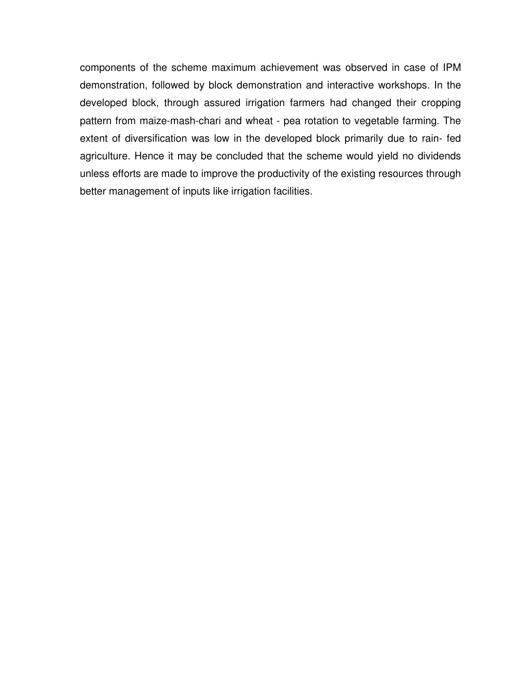components of the scheme maximum achievement was observed in case of IPM demonstration, followed by block demonstration and interactive workshops. In the developed block, through assured irrigation farmers had changed their cropping pattern from maize-mash-chari and wheat - pea rotation to vegetable farming. The extent of diversification was low in the developed block primarily due to rain- fed agriculture. Hence it may be concluded that the scheme would yield no dividends unless efforts are made to improve the productivity of the existing resources through better management of inputs like irrigation facilities.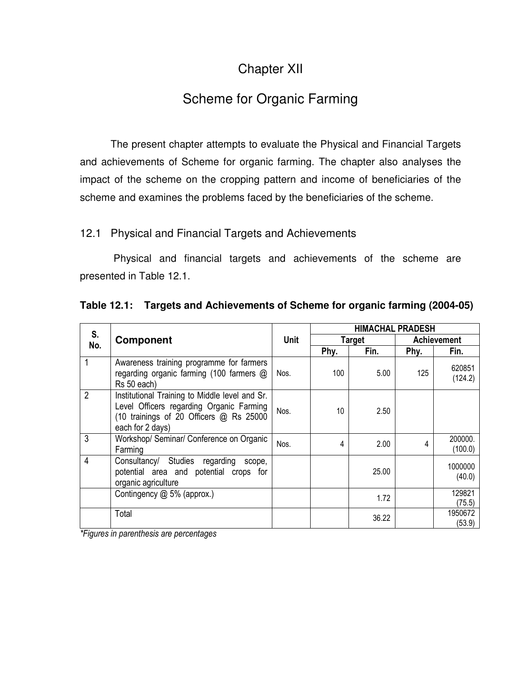# Chapter XII

# Scheme for Organic Farming

 The present chapter attempts to evaluate the Physical and Financial Targets and achievements of Scheme for organic farming. The chapter also analyses the impact of the scheme on the cropping pattern and income of beneficiaries of the scheme and examines the problems faced by the beneficiaries of the scheme.

# 12.1 Physical and Financial Targets and Achievements

 Physical and financial targets and achievements of the scheme are presented in Table 12.1.

| S.             | <b>Component</b>                                                                                                                                          |             | <b>HIMACHAL PRADESH</b> |       |             |                    |
|----------------|-----------------------------------------------------------------------------------------------------------------------------------------------------------|-------------|-------------------------|-------|-------------|--------------------|
| No.            |                                                                                                                                                           | <b>Unit</b> | <b>Target</b>           |       | Achievement |                    |
|                |                                                                                                                                                           |             | Phy.                    | Fin.  | Phy.        | Fin.               |
|                | Awareness training programme for farmers<br>regarding organic farming (100 farmers @<br>Rs 50 each)                                                       | Nos.        | 100                     | 5.00  | 125         | 620851<br>(124.2)  |
| $\overline{2}$ | Institutional Training to Middle level and Sr.<br>Level Officers regarding Organic Farming<br>(10 trainings of 20 Officers @ Rs 25000<br>each for 2 days) | Nos.        | 10                      | 2.50  |             |                    |
| 3              | Workshop/ Seminar/ Conference on Organic<br>Farming                                                                                                       | Nos.        | 4                       | 2.00  | 4           | 200000.<br>(100.0) |
| $\overline{4}$ | Consultancy/ Studies regarding<br>scope,<br>potential area and potential crops for<br>organic agriculture                                                 |             |                         | 25.00 |             | 1000000<br>(40.0)  |
|                | Contingency @ 5% (approx.)                                                                                                                                |             |                         | 1.72  |             | 129821<br>(75.5)   |
|                | Total                                                                                                                                                     |             |                         | 36.22 |             | 1950672<br>(53.9)  |

**Table 12.1: Targets and Achievements of Scheme for organic farming (2004-05)** 

*\*Figures in parenthesis are percentages*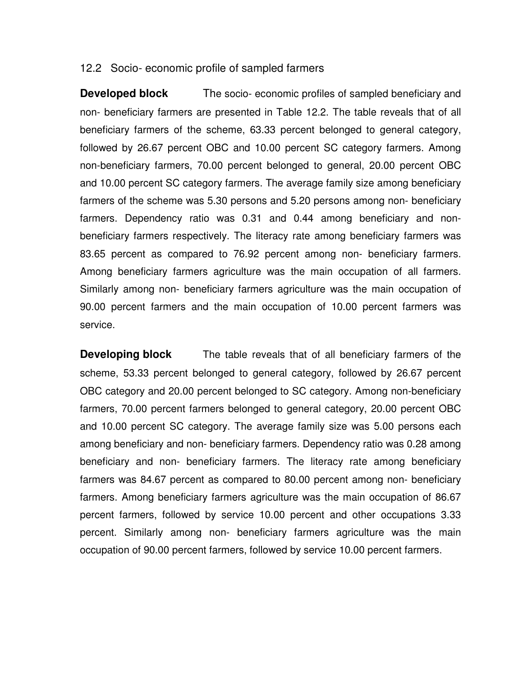#### 12.2 Socio- economic profile of sampled farmers

**Developed block** The socio- economic profiles of sampled beneficiary and non- beneficiary farmers are presented in Table 12.2. The table reveals that of all beneficiary farmers of the scheme, 63.33 percent belonged to general category, followed by 26.67 percent OBC and 10.00 percent SC category farmers. Among non-beneficiary farmers, 70.00 percent belonged to general, 20.00 percent OBC and 10.00 percent SC category farmers. The average family size among beneficiary farmers of the scheme was 5.30 persons and 5.20 persons among non- beneficiary farmers. Dependency ratio was 0.31 and 0.44 among beneficiary and nonbeneficiary farmers respectively. The literacy rate among beneficiary farmers was 83.65 percent as compared to 76.92 percent among non- beneficiary farmers. Among beneficiary farmers agriculture was the main occupation of all farmers. Similarly among non- beneficiary farmers agriculture was the main occupation of 90.00 percent farmers and the main occupation of 10.00 percent farmers was service.

**Developing block** The table reveals that of all beneficiary farmers of the scheme, 53.33 percent belonged to general category, followed by 26.67 percent OBC category and 20.00 percent belonged to SC category. Among non-beneficiary farmers, 70.00 percent farmers belonged to general category, 20.00 percent OBC and 10.00 percent SC category. The average family size was 5.00 persons each among beneficiary and non- beneficiary farmers. Dependency ratio was 0.28 among beneficiary and non- beneficiary farmers. The literacy rate among beneficiary farmers was 84.67 percent as compared to 80.00 percent among non- beneficiary farmers. Among beneficiary farmers agriculture was the main occupation of 86.67 percent farmers, followed by service 10.00 percent and other occupations 3.33 percent. Similarly among non- beneficiary farmers agriculture was the main occupation of 90.00 percent farmers, followed by service 10.00 percent farmers.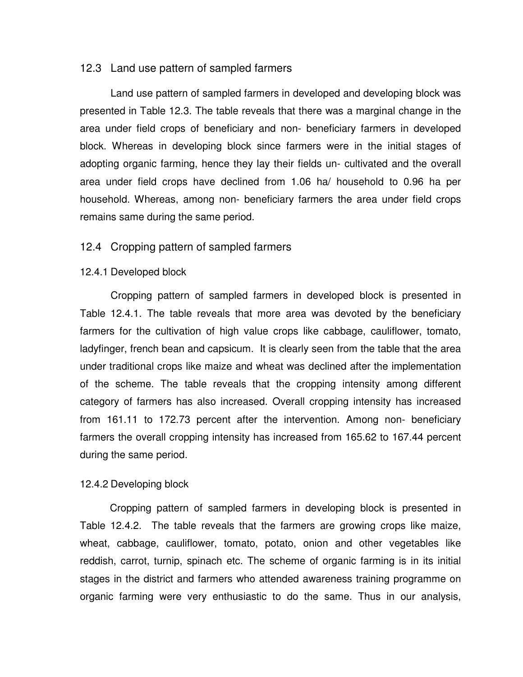#### 12.3 Land use pattern of sampled farmers

Land use pattern of sampled farmers in developed and developing block was presented in Table 12.3. The table reveals that there was a marginal change in the area under field crops of beneficiary and non- beneficiary farmers in developed block. Whereas in developing block since farmers were in the initial stages of adopting organic farming, hence they lay their fields un- cultivated and the overall area under field crops have declined from 1.06 ha/ household to 0.96 ha per household. Whereas, among non- beneficiary farmers the area under field crops remains same during the same period.

#### 12.4 Cropping pattern of sampled farmers

#### 12.4.1 Developed block

Cropping pattern of sampled farmers in developed block is presented in Table 12.4.1. The table reveals that more area was devoted by the beneficiary farmers for the cultivation of high value crops like cabbage, cauliflower, tomato, ladyfinger, french bean and capsicum. It is clearly seen from the table that the area under traditional crops like maize and wheat was declined after the implementation of the scheme. The table reveals that the cropping intensity among different category of farmers has also increased. Overall cropping intensity has increased from 161.11 to 172.73 percent after the intervention. Among non- beneficiary farmers the overall cropping intensity has increased from 165.62 to 167.44 percent during the same period.

#### 12.4.2 Developing block

 Cropping pattern of sampled farmers in developing block is presented in Table 12.4.2. The table reveals that the farmers are growing crops like maize, wheat, cabbage, cauliflower, tomato, potato, onion and other vegetables like reddish, carrot, turnip, spinach etc. The scheme of organic farming is in its initial stages in the district and farmers who attended awareness training programme on organic farming were very enthusiastic to do the same. Thus in our analysis,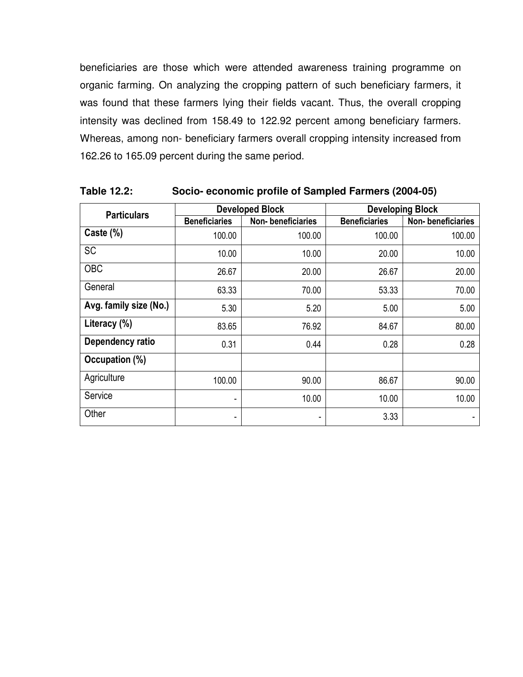beneficiaries are those which were attended awareness training programme on organic farming. On analyzing the cropping pattern of such beneficiary farmers, it was found that these farmers lying their fields vacant. Thus, the overall cropping intensity was declined from 158.49 to 122.92 percent among beneficiary farmers. Whereas, among non- beneficiary farmers overall cropping intensity increased from 162.26 to 165.09 percent during the same period.

| <b>Particulars</b>     |                      | <b>Developed Block</b> | <b>Developing Block</b> |                   |  |
|------------------------|----------------------|------------------------|-------------------------|-------------------|--|
|                        | <b>Beneficiaries</b> | Non-beneficiaries      | <b>Beneficiaries</b>    | Non-beneficiaries |  |
| Caste (%)              | 100.00               | 100.00                 | 100.00                  | 100.00            |  |
| <b>SC</b>              | 10.00                | 10.00                  | 20.00                   | 10.00             |  |
| <b>OBC</b>             | 26.67                | 20.00                  | 26.67                   | 20.00             |  |
| General                | 63.33                | 70.00                  | 53.33                   | 70.00             |  |
| Avg. family size (No.) | 5.30                 | 5.20                   | 5.00                    | 5.00              |  |
| Literacy (%)           | 83.65                | 76.92                  | 84.67                   | 80.00             |  |
| Dependency ratio       | 0.31                 | 0.44                   | 0.28                    | 0.28              |  |
| Occupation (%)         |                      |                        |                         |                   |  |
| Agriculture            | 100.00               | 90.00                  | 86.67                   | 90.00             |  |
| Service                |                      | 10.00                  | 10.00                   | 10.00             |  |
| Other                  | -                    |                        | 3.33                    |                   |  |

**Table 12.2: Socio- economic profile of Sampled Farmers (2004-05)**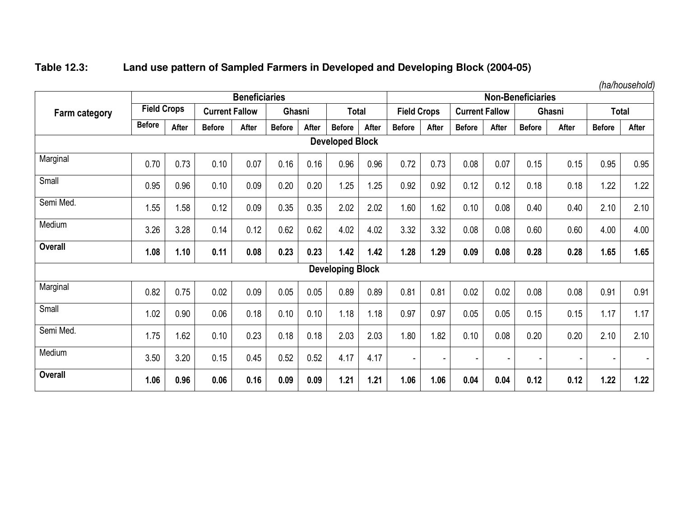# **Table 12.3: Land use pattern of Sampled Farmers in Developed and Developing Block (2004-05)**

**Farm category Beneficiaries Non-Beneficiaries Field Crops Current Fallow Ghasni Total Field Crops Current Fallow Ghasni Total Before**<sup>e</sup> | After | Before | After | Before | After | Before | After | Before | After | Before | After | Before | After **Developed Block**Marginal 0.70  $\,$  0.73  $\,$  0.10  $\,$  0.07  $\,$  0.16  $\,$  0.16  $\,$  0.16  $\,$  0.95  $\,$  0.07  $\,$  0.07  $\,$  0.15  $\,$  0.15  $\,$  0.95  $\,$  0.95  $\,$  0.95 Small 0.95 0.96 0.10 0.09 0.20 0.20 1.25 1.25 0.92 0.92 0.12 0.12 0.18 0.18 1.22 1.22 Semi Med. 1.55 1.58 0.12 0.09 0.35 0.35 2.02 2.02 1.60 1.62 0.10 0.08 0.40 0.40 2.10 2.10 Medium 3.26 3.28 0.14 0.12 0.62 0.62 4.02 4.02 3.32 3.32 0.08 0.08 0.60 0.60 4.00 4.00 **Overall 1.08 1.10 0.11 0.08 0.23 0.23 1.42 1.42 1.28 1.29 0.09 0.08 0.28 0.28 1.65 1.65 Developing Block**Marginal 0.82 0.75 0.02 0.09 0.05 0.05 0.89 0.89 0.81 0.81 0.02 0.02 0.08 0.08 0.91 0.91 **Small** 1.17 1.02 0.90 | 0.06 | 0.18 | 0.10 | 0.10 | 1.18 | 1.18 | 0.97 | 0.97 | 0.05 | 0.05 | 0.15 | 0.15 | 1.17 | Semi Med. 1.75 1.62 0.10 0.23 0.18 0.18 2.03 2.03 1.80 1.82 0.10 0.08 0.20 0.20 2.10 2.10 Medium 3.50 3.20 0.15 0.45 0.52 0.52 4.17 4.17 - - - - - - - - **Overall1.06 0.96 0.06 0.16 0.09 0.09 1.21 1.21 1.06 1.06 0.04 0.04 0.12 0.12 1.22 1.22** 

*(ha/household)*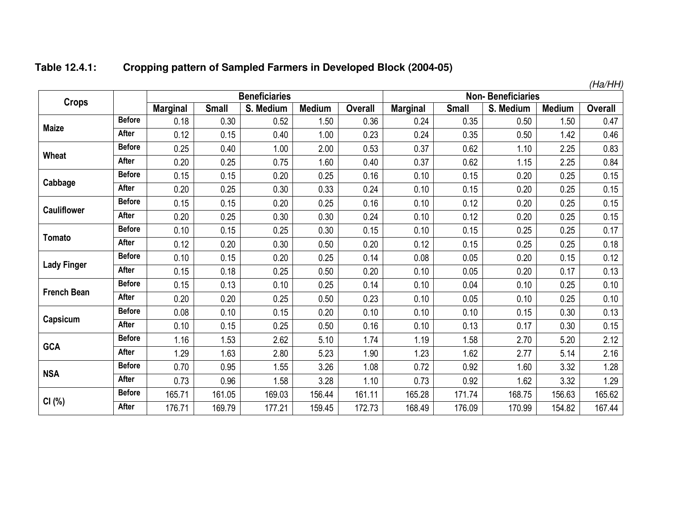|                    |               |                 |              |                      |               |                |                          |              |           |               | (Ha/HH)        |
|--------------------|---------------|-----------------|--------------|----------------------|---------------|----------------|--------------------------|--------------|-----------|---------------|----------------|
|                    |               |                 |              | <b>Beneficiaries</b> |               |                | <b>Non-Beneficiaries</b> |              |           |               |                |
| <b>Crops</b>       |               | <b>Marginal</b> | <b>Small</b> | S. Medium            | <b>Medium</b> | <b>Overall</b> | <b>Marginal</b>          | <b>Small</b> | S. Medium | <b>Medium</b> | <b>Overall</b> |
| <b>Maize</b>       | <b>Before</b> | 0.18            | 0.30         | 0.52                 | 1.50          | 0.36           | 0.24                     | 0.35         | 0.50      | 1.50          | 0.47           |
|                    | After         | 0.12            | 0.15         | 0.40                 | 1.00          | 0.23           | 0.24                     | 0.35         | 0.50      | 1.42          | 0.46           |
| Wheat              | <b>Before</b> | 0.25            | 0.40         | 1.00                 | 2.00          | 0.53           | 0.37                     | 0.62         | 1.10      | 2.25          | 0.83           |
|                    | <b>After</b>  | 0.20            | 0.25         | 0.75                 | 1.60          | 0.40           | 0.37                     | 0.62         | 1.15      | 2.25          | 0.84           |
|                    | <b>Before</b> | 0.15            | 0.15         | 0.20                 | 0.25          | 0.16           | 0.10                     | 0.15         | 0.20      | 0.25          | 0.15           |
| Cabbage            | After         | 0.20            | 0.25         | 0.30                 | 0.33          | 0.24           | 0.10                     | 0.15         | 0.20      | 0.25          | 0.15           |
|                    | <b>Before</b> | 0.15            | 0.15         | 0.20                 | 0.25          | 0.16           | 0.10                     | 0.12         | 0.20      | 0.25          | 0.15           |
| <b>Cauliflower</b> | <b>After</b>  | 0.20            | 0.25         | 0.30                 | 0.30          | 0.24           | 0.10                     | 0.12         | 0.20      | 0.25          | 0.15           |
|                    | <b>Before</b> | 0.10            | 0.15         | 0.25                 | 0.30          | 0.15           | 0.10                     | 0.15         | 0.25      | 0.25          | 0.17           |
| <b>Tomato</b>      | <b>After</b>  | 0.12            | 0.20         | 0.30                 | 0.50          | 0.20           | 0.12                     | 0.15         | 0.25      | 0.25          | 0.18           |
|                    | <b>Before</b> | 0.10            | 0.15         | 0.20                 | 0.25          | 0.14           | 0.08                     | 0.05         | 0.20      | 0.15          | 0.12           |
| <b>Lady Finger</b> | After         | 0.15            | 0.18         | 0.25                 | 0.50          | 0.20           | 0.10                     | 0.05         | 0.20      | 0.17          | 0.13           |
|                    | <b>Before</b> | 0.15            | 0.13         | 0.10                 | 0.25          | 0.14           | 0.10                     | 0.04         | 0.10      | 0.25          | 0.10           |
| <b>French Bean</b> | After         | 0.20            | 0.20         | 0.25                 | 0.50          | 0.23           | 0.10                     | 0.05         | 0.10      | 0.25          | 0.10           |
|                    | <b>Before</b> | 0.08            | 0.10         | 0.15                 | 0.20          | 0.10           | 0.10                     | 0.10         | 0.15      | 0.30          | 0.13           |
| Capsicum           | <b>After</b>  | 0.10            | 0.15         | 0.25                 | 0.50          | 0.16           | 0.10                     | 0.13         | 0.17      | 0.30          | 0.15           |
|                    | <b>Before</b> | 1.16            | 1.53         | 2.62                 | 5.10          | 1.74           | 1.19                     | 1.58         | 2.70      | 5.20          | 2.12           |
| <b>GCA</b>         | After         | 1.29            | 1.63         | 2.80                 | 5.23          | 1.90           | 1.23                     | 1.62         | 2.77      | 5.14          | 2.16           |
|                    | <b>Before</b> | 0.70            | 0.95         | 1.55                 | 3.26          | 1.08           | 0.72                     | 0.92         | 1.60      | 3.32          | 1.28           |
| <b>NSA</b>         | <b>After</b>  | 0.73            | 0.96         | 1.58                 | 3.28          | 1.10           | 0.73                     | 0.92         | 1.62      | 3.32          | 1.29           |
|                    | <b>Before</b> | 165.71          | 161.05       | 169.03               | 156.44        | 161.11         | 165.28                   | 171.74       | 168.75    | 156.63        | 165.62         |
| CI(%)              | <b>After</b>  | 176.71          | 169.79       | 177.21               | 159.45        | 172.73         | 168.49                   | 176.09       | 170.99    | 154.82        | 167.44         |

#### **Table 12.4.1:Cropping pattern of Sampled Farmers in Developed Block (2004-05)**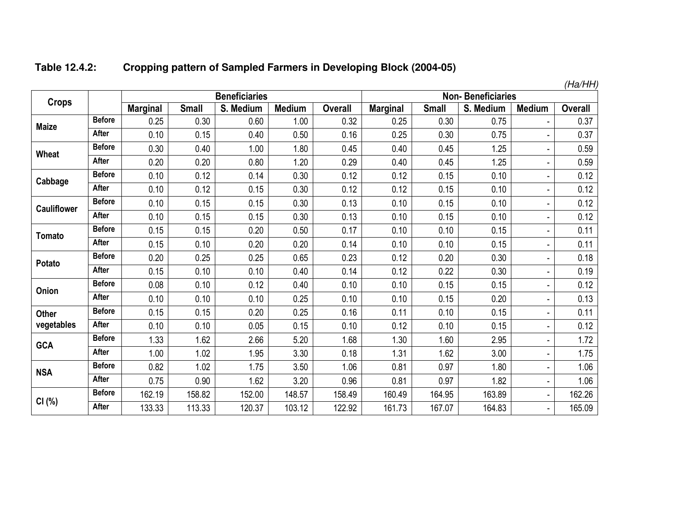| Table 12.4.2: | <b>Cropping pattern of Sampled Farmers in Developing Block (2004-05)</b> |
|---------------|--------------------------------------------------------------------------|
|---------------|--------------------------------------------------------------------------|

|                    |               |                 |              |                      |               |         |                          |              |           |                | (Ha/HH) |
|--------------------|---------------|-----------------|--------------|----------------------|---------------|---------|--------------------------|--------------|-----------|----------------|---------|
| <b>Crops</b>       |               |                 |              | <b>Beneficiaries</b> |               |         | <b>Non-Beneficiaries</b> |              |           |                |         |
|                    |               | <b>Marginal</b> | <b>Small</b> | S. Medium            | <b>Medium</b> | Overall | <b>Marginal</b>          | <b>Small</b> | S. Medium | <b>Medium</b>  | Overall |
| <b>Maize</b>       | <b>Before</b> | 0.25            | 0.30         | 0.60                 | 1.00          | 0.32    | 0.25                     | 0.30         | 0.75      |                | 0.37    |
|                    | After         | 0.10            | 0.15         | 0.40                 | 0.50          | 0.16    | 0.25                     | 0.30         | 0.75      |                | 0.37    |
| <b>Wheat</b>       | <b>Before</b> | 0.30            | 0.40         | 1.00                 | 1.80          | 0.45    | 0.40                     | 0.45         | 1.25      |                | 0.59    |
|                    | After         | 0.20            | 0.20         | 0.80                 | 1.20          | 0.29    | 0.40                     | 0.45         | 1.25      |                | 0.59    |
| Cabbage            | <b>Before</b> | 0.10            | 0.12         | 0.14                 | 0.30          | 0.12    | 0.12                     | 0.15         | 0.10      |                | 0.12    |
|                    | After         | 0.10            | 0.12         | 0.15                 | 0.30          | 0.12    | 0.12                     | 0.15         | 0.10      | ٠              | 0.12    |
| <b>Cauliflower</b> | <b>Before</b> | 0.10            | 0.15         | 0.15                 | 0.30          | 0.13    | 0.10                     | 0.15         | 0.10      |                | 0.12    |
|                    | After         | 0.10            | 0.15         | 0.15                 | 0.30          | 0.13    | 0.10                     | 0.15         | 0.10      |                | 0.12    |
| Tomato             | <b>Before</b> | 0.15            | 0.15         | 0.20                 | 0.50          | 0.17    | 0.10                     | 0.10         | 0.15      |                | 0.11    |
|                    | After         | 0.15            | 0.10         | 0.20                 | 0.20          | 0.14    | 0.10                     | 0.10         | 0.15      |                | 0.11    |
| Potato             | <b>Before</b> | 0.20            | 0.25         | 0.25                 | 0.65          | 0.23    | 0.12                     | 0.20         | 0.30      |                | 0.18    |
|                    | After         | 0.15            | 0.10         | 0.10                 | 0.40          | 0.14    | 0.12                     | 0.22         | 0.30      |                | 0.19    |
| Onion              | <b>Before</b> | 0.08            | 0.10         | 0.12                 | 0.40          | 0.10    | 0.10                     | 0.15         | 0.15      | ä,             | 0.12    |
|                    | After         | 0.10            | 0.10         | 0.10                 | 0.25          | 0.10    | 0.10                     | 0.15         | 0.20      |                | 0.13    |
| <b>Other</b>       | <b>Before</b> | 0.15            | 0.15         | 0.20                 | 0.25          | 0.16    | 0.11                     | 0.10         | 0.15      |                | 0.11    |
| vegetables         | After         | 0.10            | 0.10         | 0.05                 | 0.15          | 0.10    | 0.12                     | 0.10         | 0.15      |                | 0.12    |
| <b>GCA</b>         | <b>Before</b> | 1.33            | 1.62         | 2.66                 | 5.20          | 1.68    | 1.30                     | 1.60         | 2.95      | $\frac{1}{2}$  | 1.72    |
|                    | After         | 1.00            | 1.02         | 1.95                 | 3.30          | 0.18    | 1.31                     | 1.62         | 3.00      | ä,             | 1.75    |
| <b>NSA</b>         | <b>Before</b> | 0.82            | 1.02         | 1.75                 | 3.50          | 1.06    | 0.81                     | 0.97         | 1.80      | $\frac{1}{2}$  | 1.06    |
|                    | After         | 0.75            | 0.90         | 1.62                 | 3.20          | 0.96    | 0.81                     | 0.97         | 1.82      | ÷,             | 1.06    |
|                    | <b>Before</b> | 162.19          | 158.82       | 152.00               | 148.57        | 158.49  | 160.49                   | 164.95       | 163.89    | $\blacksquare$ | 162.26  |
| CI(%)              | After         | 133.33          | 113.33       | 120.37               | 103.12        | 122.92  | 161.73                   | 167.07       | 164.83    | $\blacksquare$ | 165.09  |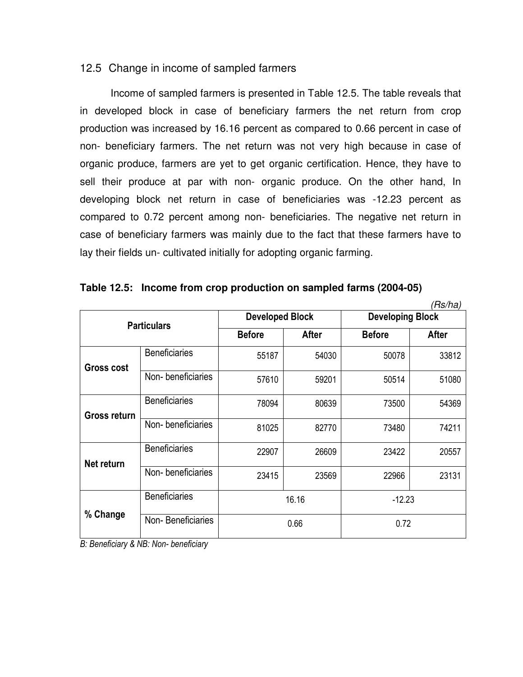## 12.5 Change in income of sampled farmers

 Income of sampled farmers is presented in Table 12.5. The table reveals that in developed block in case of beneficiary farmers the net return from crop production was increased by 16.16 percent as compared to 0.66 percent in case of non- beneficiary farmers. The net return was not very high because in case of organic produce, farmers are yet to get organic certification. Hence, they have to sell their produce at par with non- organic produce. On the other hand, In developing block net return in case of beneficiaries was -12.23 percent as compared to 0.72 percent among non- beneficiaries. The negative net return in case of beneficiary farmers was mainly due to the fact that these farmers have to lay their fields un- cultivated initially for adopting organic farming.

|                   |                      |                        |              |                         | (Rs/ha) |  |
|-------------------|----------------------|------------------------|--------------|-------------------------|---------|--|
|                   | <b>Particulars</b>   | <b>Developed Block</b> |              | <b>Developing Block</b> |         |  |
|                   |                      | <b>Before</b>          | <b>After</b> | <b>Before</b>           | After   |  |
| <b>Gross cost</b> | <b>Beneficiaries</b> | 55187                  | 54030        | 50078                   | 33812   |  |
|                   | Non-beneficiaries    | 57610                  | 59201        | 50514                   | 51080   |  |
| Gross return      | <b>Beneficiaries</b> | 78094                  | 80639        | 73500                   | 54369   |  |
|                   | Non-beneficiaries    | 81025                  | 82770        | 73480                   | 74211   |  |
| Net return        | <b>Beneficiaries</b> | 22907                  | 26609        | 23422                   | 20557   |  |
|                   | Non-beneficiaries    | 23415                  | 23569        | 22966                   | 23131   |  |
| % Change          | <b>Beneficiaries</b> |                        | 16.16        | $-12.23$                |         |  |
|                   | Non-Beneficiaries    |                        | 0.66         | 0.72                    |         |  |

|  | Table 12.5: Income from crop production on sampled farms (2004-05) |  |  |  |
|--|--------------------------------------------------------------------|--|--|--|
|--|--------------------------------------------------------------------|--|--|--|

*B: Beneficiary & NB: Non- beneficiary*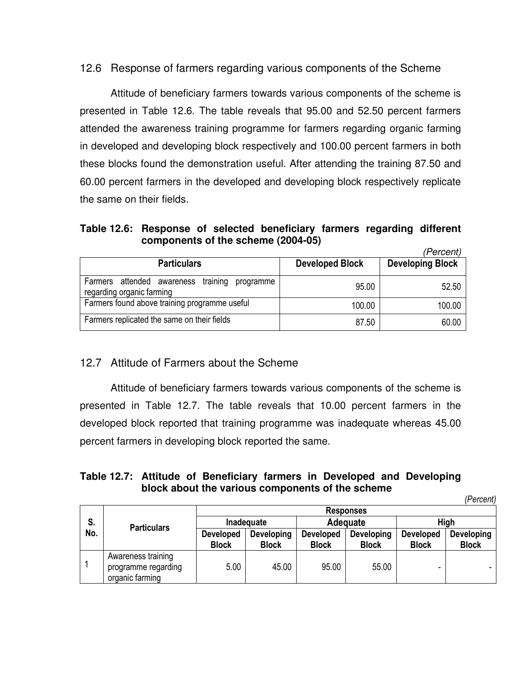# 12.6 Response of farmers regarding various components of the Scheme

 Attitude of beneficiary farmers towards various components of the scheme is presented in Table 12.6. The table reveals that 95.00 and 52.50 percent farmers attended the awareness training programme for farmers regarding organic farming in developed and developing block respectively and 100.00 percent farmers in both these blocks found the demonstration useful. After attending the training 87.50 and 60.00 percent farmers in the developed and developing block respectively replicate the same on their fields.

#### **Table 12.6: Response of selected beneficiary farmers regarding different components of the scheme (2004-05)**   $(Dorcont)$

|                                                                               |                        | rercenti                |
|-------------------------------------------------------------------------------|------------------------|-------------------------|
| <b>Particulars</b>                                                            | <b>Developed Block</b> | <b>Developing Block</b> |
| Farmers attended awareness training<br>programme<br>regarding organic farming | 95.00                  | 52.50                   |
| Farmers found above training programme useful                                 | 100.00                 | 100.00                  |
| Farmers replicated the same on their fields                                   | 87.50                  | 60.00                   |

# 12.7 Attitude of Farmers about the Scheme

 Attitude of beneficiary farmers towards various components of the scheme is presented in Table 12.7. The table reveals that 10.00 percent farmers in the developed block reported that training programme was inadequate whereas 45.00 percent farmers in developing block reported the same.

### **Table 12.7: Attitude of Beneficiary farmers in Developed and Developing block about the various components of the scheme**

*(Percent)* 

|     |                     |                  |              |                  | <b>Responses</b> |                  | <b>ULUU</b>  |
|-----|---------------------|------------------|--------------|------------------|------------------|------------------|--------------|
|     |                     |                  |              |                  |                  |                  |              |
| S.  | <b>Particulars</b>  | Inadequate       |              |                  | Adequate         | High             |              |
| No. |                     | <b>Developed</b> | Developing   | <b>Developed</b> | Developing       | <b>Developed</b> | Developing   |
|     |                     | <b>Block</b>     | <b>Block</b> | <b>Block</b>     | <b>Block</b>     | <b>Block</b>     | <b>Block</b> |
|     | Awareness training  |                  |              |                  |                  |                  |              |
|     | programme regarding | 5.00             | 45.00        | 95.00            | 55.00            |                  |              |
|     | organic farming     |                  |              |                  |                  |                  |              |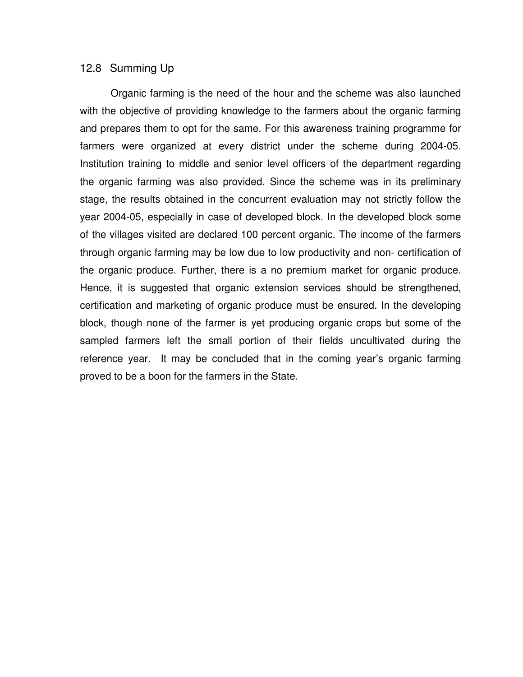#### 12.8 Summing Up

Organic farming is the need of the hour and the scheme was also launched with the objective of providing knowledge to the farmers about the organic farming and prepares them to opt for the same. For this awareness training programme for farmers were organized at every district under the scheme during 2004-05. Institution training to middle and senior level officers of the department regarding the organic farming was also provided. Since the scheme was in its preliminary stage, the results obtained in the concurrent evaluation may not strictly follow the year 2004-05, especially in case of developed block. In the developed block some of the villages visited are declared 100 percent organic. The income of the farmers through organic farming may be low due to low productivity and non- certification of the organic produce. Further, there is a no premium market for organic produce. Hence, it is suggested that organic extension services should be strengthened, certification and marketing of organic produce must be ensured. In the developing block, though none of the farmer is yet producing organic crops but some of the sampled farmers left the small portion of their fields uncultivated during the reference year. It may be concluded that in the coming year's organic farming proved to be a boon for the farmers in the State.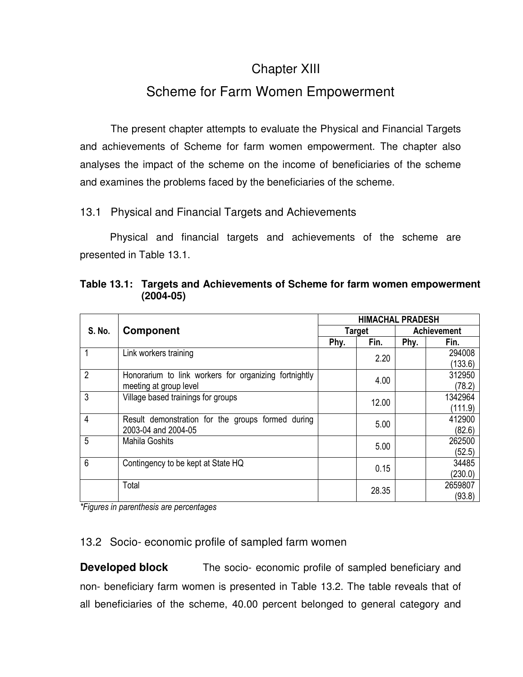# Chapter XIII

# Scheme for Farm Women Empowerment

 The present chapter attempts to evaluate the Physical and Financial Targets and achievements of Scheme for farm women empowerment. The chapter also analyses the impact of the scheme on the income of beneficiaries of the scheme and examines the problems faced by the beneficiaries of the scheme.

# 13.1 Physical and Financial Targets and Achievements

 Physical and financial targets and achievements of the scheme are presented in Table 13.1.

|                |                                                       |       | <b>HIMACHAL PRADESH</b> |                    |         |
|----------------|-------------------------------------------------------|-------|-------------------------|--------------------|---------|
| S. No.         | <b>Component</b>                                      |       | <b>Target</b>           | <b>Achievement</b> |         |
|                |                                                       | Phy.  | Fin.                    | Phy.               | Fin.    |
|                | Link workers training                                 |       | 2.20                    |                    | 294008  |
|                |                                                       |       |                         |                    | (133.6) |
| $\overline{2}$ | Honorarium to link workers for organizing fortnightly |       | 4.00                    |                    | 312950  |
|                | meeting at group level                                |       |                         |                    | (78.2)  |
| 3              | Village based trainings for groups                    |       | 12.00                   |                    | 1342964 |
|                |                                                       |       |                         |                    | (111.9) |
| $\overline{4}$ | Result demonstration for the groups formed during     |       | 5.00                    |                    | 412900  |
|                | 2003-04 and 2004-05                                   |       |                         |                    | (82.6)  |
| 5              | <b>Mahila Goshits</b>                                 |       | 5.00                    |                    | 262500  |
|                |                                                       |       |                         |                    | (52.5)  |
| 6              | Contingency to be kept at State HQ                    |       | 0.15                    |                    | 34485   |
|                |                                                       |       |                         |                    | (230.0) |
|                | Total                                                 |       |                         |                    | 2659807 |
|                |                                                       | 28.35 |                         |                    | (93.8)  |

**Table 13.1: Targets and Achievements of Scheme for farm women empowerment (2004-05)** 

*\*Figures in parenthesis are percentages* 

# 13.2 Socio- economic profile of sampled farm women

**Developed block** The socio-economic profile of sampled beneficiary and non- beneficiary farm women is presented in Table 13.2. The table reveals that of all beneficiaries of the scheme, 40.00 percent belonged to general category and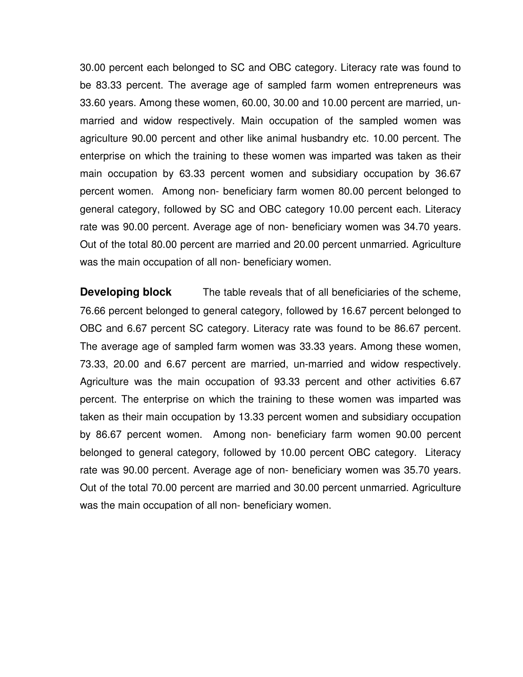30.00 percent each belonged to SC and OBC category. Literacy rate was found to be 83.33 percent. The average age of sampled farm women entrepreneurs was 33.60 years. Among these women, 60.00, 30.00 and 10.00 percent are married, unmarried and widow respectively. Main occupation of the sampled women was agriculture 90.00 percent and other like animal husbandry etc. 10.00 percent. The enterprise on which the training to these women was imparted was taken as their main occupation by 63.33 percent women and subsidiary occupation by 36.67 percent women. Among non- beneficiary farm women 80.00 percent belonged to general category, followed by SC and OBC category 10.00 percent each. Literacy rate was 90.00 percent. Average age of non- beneficiary women was 34.70 years. Out of the total 80.00 percent are married and 20.00 percent unmarried. Agriculture was the main occupation of all non- beneficiary women.

**Developing block** The table reveals that of all beneficiaries of the scheme, 76.66 percent belonged to general category, followed by 16.67 percent belonged to OBC and 6.67 percent SC category. Literacy rate was found to be 86.67 percent. The average age of sampled farm women was 33.33 years. Among these women, 73.33, 20.00 and 6.67 percent are married, un-married and widow respectively. Agriculture was the main occupation of 93.33 percent and other activities 6.67 percent. The enterprise on which the training to these women was imparted was taken as their main occupation by 13.33 percent women and subsidiary occupation by 86.67 percent women. Among non- beneficiary farm women 90.00 percent belonged to general category, followed by 10.00 percent OBC category. Literacy rate was 90.00 percent. Average age of non- beneficiary women was 35.70 years. Out of the total 70.00 percent are married and 30.00 percent unmarried. Agriculture was the main occupation of all non- beneficiary women.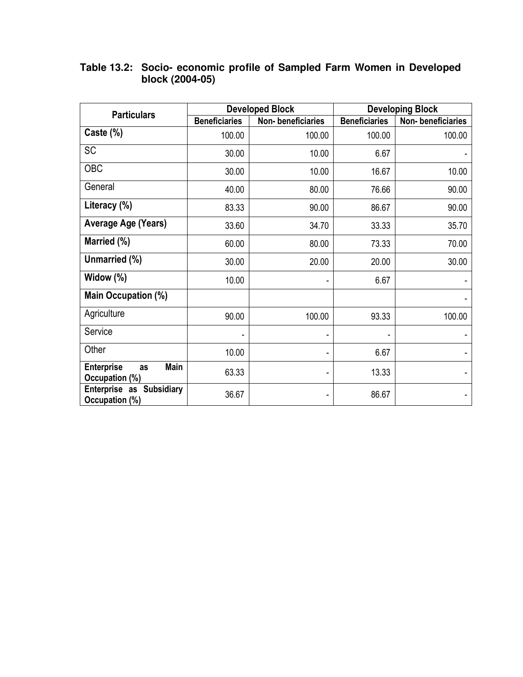| <b>Particulars</b>                                       |                      | <b>Developed Block</b> | <b>Developing Block</b> |                   |  |
|----------------------------------------------------------|----------------------|------------------------|-------------------------|-------------------|--|
|                                                          | <b>Beneficiaries</b> | Non-beneficiaries      | <b>Beneficiaries</b>    | Non-beneficiaries |  |
| Caste (%)                                                | 100.00               | 100.00                 | 100.00                  | 100.00            |  |
| <b>SC</b>                                                | 30.00                | 10.00                  | 6.67                    |                   |  |
| <b>OBC</b>                                               | 30.00                | 10.00                  | 16.67                   | 10.00             |  |
| General                                                  | 40.00                | 80.00                  | 76.66                   | 90.00             |  |
| Literacy (%)                                             | 83.33                | 90.00                  | 86.67                   | 90.00             |  |
| Average Age (Years)                                      | 33.60                | 34.70                  | 33.33                   | 35.70             |  |
| Married (%)                                              | 60.00                | 80.00                  | 73.33                   | 70.00             |  |
| Unmarried (%)                                            | 30.00                | 20.00                  | 20.00                   | 30.00             |  |
| Widow (%)                                                | 10.00                |                        | 6.67                    |                   |  |
| Main Occupation (%)                                      |                      |                        |                         |                   |  |
| Agriculture                                              | 90.00                | 100.00                 | 93.33                   | 100.00            |  |
| Service                                                  |                      |                        |                         |                   |  |
| Other                                                    | 10.00                |                        | 6.67                    |                   |  |
| <b>Enterprise</b><br><b>Main</b><br>as<br>Occupation (%) | 63.33                |                        | 13.33                   |                   |  |
| <b>Enterprise as Subsidiary</b><br>Occupation (%)        | 36.67                | ٠                      | 86.67                   |                   |  |

### **Table 13.2: Socio- economic profile of Sampled Farm Women in Developed block (2004-05)**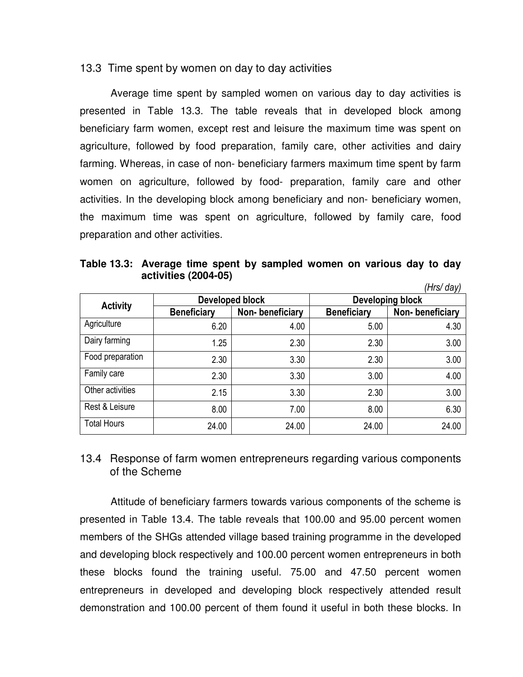#### 13.3 Time spent by women on day to day activities

 Average time spent by sampled women on various day to day activities is presented in Table 13.3. The table reveals that in developed block among beneficiary farm women, except rest and leisure the maximum time was spent on agriculture, followed by food preparation, family care, other activities and dairy farming. Whereas, in case of non- beneficiary farmers maximum time spent by farm women on agriculture, followed by food- preparation, family care and other activities. In the developing block among beneficiary and non- beneficiary women, the maximum time was spent on agriculture, followed by family care, food preparation and other activities.

**Table 13.3: Average time spent by sampled women on various day to day activities (2004-05)**  *(Hrs/ day)* 

|                    |                    |                 |                    | ITII SI UdVI    |  |
|--------------------|--------------------|-----------------|--------------------|-----------------|--|
|                    |                    | Developed block | Developing block   |                 |  |
| <b>Activity</b>    | <b>Beneficiary</b> | Non-beneficiary | <b>Beneficiary</b> | Non-beneficiary |  |
| Agriculture        | 6.20               | 4.00            | 5.00               | 4.30            |  |
| Dairy farming      | 1.25               | 2.30            | 2.30               | 3.00            |  |
| Food preparation   | 2.30               | 3.30            | 2.30               | 3.00            |  |
| Family care        | 2.30               | 3.30            | 3.00               | 4.00            |  |
| Other activities   | 2.15               | 3.30            | 2.30               | 3.00            |  |
| Rest & Leisure     | 8.00               | 7.00            | 8.00               | 6.30            |  |
| <b>Total Hours</b> | 24.00              | 24.00           | 24.00              | 24.00           |  |

# 13.4 Response of farm women entrepreneurs regarding various components of the Scheme

Attitude of beneficiary farmers towards various components of the scheme is presented in Table 13.4. The table reveals that 100.00 and 95.00 percent women members of the SHGs attended village based training programme in the developed and developing block respectively and 100.00 percent women entrepreneurs in both these blocks found the training useful. 75.00 and 47.50 percent women entrepreneurs in developed and developing block respectively attended result demonstration and 100.00 percent of them found it useful in both these blocks. In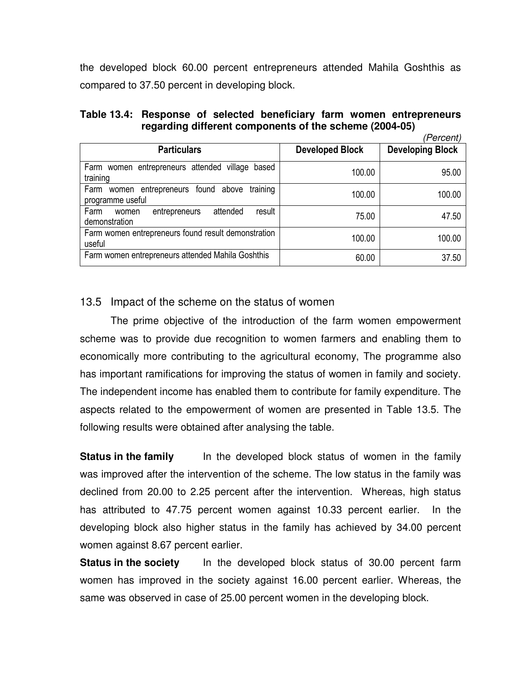the developed block 60.00 percent entrepreneurs attended Mahila Goshthis as compared to 37.50 percent in developing block.

|  |  | Table 13.4: Response of selected beneficiary farm women entrepreneurs |  |                                |
|--|--|-----------------------------------------------------------------------|--|--------------------------------|
|  |  | regarding different components of the scheme (2004-05)                |  |                                |
|  |  |                                                                       |  | $(Da \cdot a \cdot a \cdot b)$ |

|                                                                               |                        | rercenti                |
|-------------------------------------------------------------------------------|------------------------|-------------------------|
| <b>Particulars</b>                                                            | <b>Developed Block</b> | <b>Developing Block</b> |
| Farm women entrepreneurs attended village based<br>training                   | 100.00                 | 95.00                   |
| training<br>Farm<br>entrepreneurs found<br>above<br>women<br>programme useful | 100.00                 | 100.00                  |
| attended<br>Farm<br>result<br>entrepreneurs<br>women<br>demonstration         | 75.00                  | 47.50                   |
| Farm women entrepreneurs found result demonstration<br>useful                 | 100.00                 | 100.00                  |
| Farm women entrepreneurs attended Mahila Goshthis                             | 60.00                  | 37.50                   |

# 13.5 Impact of the scheme on the status of women

 The prime objective of the introduction of the farm women empowerment scheme was to provide due recognition to women farmers and enabling them to economically more contributing to the agricultural economy, The programme also has important ramifications for improving the status of women in family and society. The independent income has enabled them to contribute for family expenditure. The aspects related to the empowerment of women are presented in Table 13.5. The following results were obtained after analysing the table.

**Status in the family** In the developed block status of women in the family was improved after the intervention of the scheme. The low status in the family was declined from 20.00 to 2.25 percent after the intervention. Whereas, high status has attributed to 47.75 percent women against 10.33 percent earlier. In the developing block also higher status in the family has achieved by 34.00 percent women against 8.67 percent earlier.

**Status in the society** In the developed block status of 30.00 percent farm women has improved in the society against 16.00 percent earlier. Whereas, the same was observed in case of 25.00 percent women in the developing block.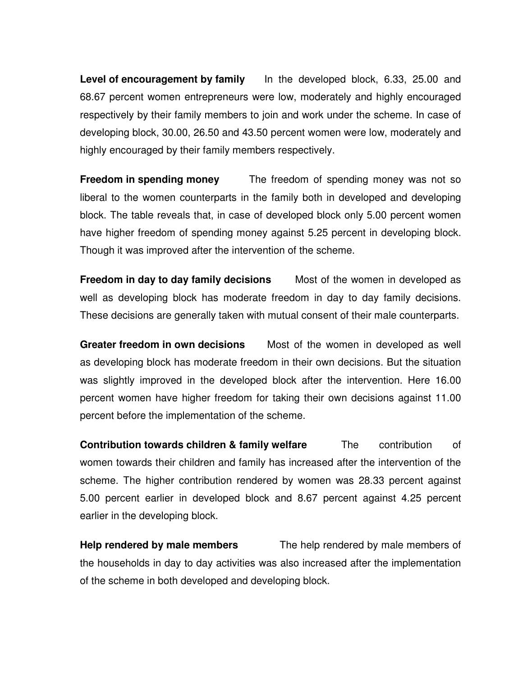**Level of encouragement by family** In the developed block, 6.33, 25.00 and 68.67 percent women entrepreneurs were low, moderately and highly encouraged respectively by their family members to join and work under the scheme. In case of developing block, 30.00, 26.50 and 43.50 percent women were low, moderately and highly encouraged by their family members respectively.

**Freedom in spending money** The freedom of spending money was not so liberal to the women counterparts in the family both in developed and developing block. The table reveals that, in case of developed block only 5.00 percent women have higher freedom of spending money against 5.25 percent in developing block. Though it was improved after the intervention of the scheme.

**Freedom in day to day family decisions** Most of the women in developed as well as developing block has moderate freedom in day to day family decisions. These decisions are generally taken with mutual consent of their male counterparts.

**Greater freedom in own decisions** Most of the women in developed as well as developing block has moderate freedom in their own decisions. But the situation was slightly improved in the developed block after the intervention. Here 16.00 percent women have higher freedom for taking their own decisions against 11.00 percent before the implementation of the scheme.

**Contribution towards children & family welfare** The contribution of women towards their children and family has increased after the intervention of the scheme. The higher contribution rendered by women was 28.33 percent against 5.00 percent earlier in developed block and 8.67 percent against 4.25 percent earlier in the developing block.

**Help rendered by male members** The help rendered by male members of the households in day to day activities was also increased after the implementation of the scheme in both developed and developing block.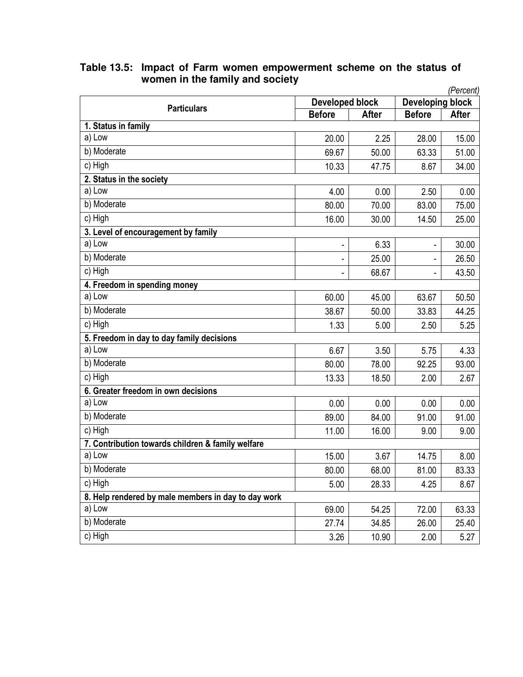| <b>Developing block</b><br>Developed block<br><b>Particulars</b><br><b>After</b><br><b>Before</b><br><b>After</b><br><b>Before</b><br>1. Status in family<br>a) Low<br>20.00<br>2.25<br>28.00<br>15.00<br>b) Moderate<br>69.67<br>50.00<br>63.33<br>51.00<br>c) High<br>10.33<br>34.00<br>47.75<br>8.67<br>2. Status in the society<br>a) Low<br>2.50<br>4.00<br>0.00<br>0.00<br>b) Moderate<br>80.00<br>70.00<br>83.00<br>75.00<br>c) High<br>16.00<br>30.00<br>14.50<br>25.00<br>3. Level of encouragement by family<br>a) Low<br>6.33<br>30.00<br>$\blacksquare$<br>b) Moderate<br>25.00<br>26.50<br>$\blacksquare$<br>c) High<br>68.67<br>43.50<br>-<br>4. Freedom in spending money<br>a) Low<br>60.00<br>45.00<br>63.67<br>50.50<br>b) Moderate<br>38.67<br>44.25<br>50.00<br>33.83<br>c) High<br>1.33<br>5.00<br>5.25<br>2.50<br>5. Freedom in day to day family decisions<br>a) Low<br>6.67<br>5.75<br>3.50<br>4.33<br>b) Moderate<br>80.00<br>78.00<br>92.25<br>93.00<br>$\overline{c}$ ) High<br>13.33<br>18.50<br>2.00<br>2.67<br>6. Greater freedom in own decisions<br>a) Low<br>0.00<br>0.00<br>0.00<br>0.00<br>b) Moderate<br>89.00<br>84.00<br>91.00<br>91.00 |  |  |  |  |  |  |  |  |
|-------------------------------------------------------------------------------------------------------------------------------------------------------------------------------------------------------------------------------------------------------------------------------------------------------------------------------------------------------------------------------------------------------------------------------------------------------------------------------------------------------------------------------------------------------------------------------------------------------------------------------------------------------------------------------------------------------------------------------------------------------------------------------------------------------------------------------------------------------------------------------------------------------------------------------------------------------------------------------------------------------------------------------------------------------------------------------------------------------------------------------------------------------------------------------|--|--|--|--|--|--|--|--|
|                                                                                                                                                                                                                                                                                                                                                                                                                                                                                                                                                                                                                                                                                                                                                                                                                                                                                                                                                                                                                                                                                                                                                                               |  |  |  |  |  |  |  |  |
|                                                                                                                                                                                                                                                                                                                                                                                                                                                                                                                                                                                                                                                                                                                                                                                                                                                                                                                                                                                                                                                                                                                                                                               |  |  |  |  |  |  |  |  |
|                                                                                                                                                                                                                                                                                                                                                                                                                                                                                                                                                                                                                                                                                                                                                                                                                                                                                                                                                                                                                                                                                                                                                                               |  |  |  |  |  |  |  |  |
|                                                                                                                                                                                                                                                                                                                                                                                                                                                                                                                                                                                                                                                                                                                                                                                                                                                                                                                                                                                                                                                                                                                                                                               |  |  |  |  |  |  |  |  |
|                                                                                                                                                                                                                                                                                                                                                                                                                                                                                                                                                                                                                                                                                                                                                                                                                                                                                                                                                                                                                                                                                                                                                                               |  |  |  |  |  |  |  |  |
|                                                                                                                                                                                                                                                                                                                                                                                                                                                                                                                                                                                                                                                                                                                                                                                                                                                                                                                                                                                                                                                                                                                                                                               |  |  |  |  |  |  |  |  |
|                                                                                                                                                                                                                                                                                                                                                                                                                                                                                                                                                                                                                                                                                                                                                                                                                                                                                                                                                                                                                                                                                                                                                                               |  |  |  |  |  |  |  |  |
|                                                                                                                                                                                                                                                                                                                                                                                                                                                                                                                                                                                                                                                                                                                                                                                                                                                                                                                                                                                                                                                                                                                                                                               |  |  |  |  |  |  |  |  |
|                                                                                                                                                                                                                                                                                                                                                                                                                                                                                                                                                                                                                                                                                                                                                                                                                                                                                                                                                                                                                                                                                                                                                                               |  |  |  |  |  |  |  |  |
|                                                                                                                                                                                                                                                                                                                                                                                                                                                                                                                                                                                                                                                                                                                                                                                                                                                                                                                                                                                                                                                                                                                                                                               |  |  |  |  |  |  |  |  |
|                                                                                                                                                                                                                                                                                                                                                                                                                                                                                                                                                                                                                                                                                                                                                                                                                                                                                                                                                                                                                                                                                                                                                                               |  |  |  |  |  |  |  |  |
|                                                                                                                                                                                                                                                                                                                                                                                                                                                                                                                                                                                                                                                                                                                                                                                                                                                                                                                                                                                                                                                                                                                                                                               |  |  |  |  |  |  |  |  |
|                                                                                                                                                                                                                                                                                                                                                                                                                                                                                                                                                                                                                                                                                                                                                                                                                                                                                                                                                                                                                                                                                                                                                                               |  |  |  |  |  |  |  |  |
|                                                                                                                                                                                                                                                                                                                                                                                                                                                                                                                                                                                                                                                                                                                                                                                                                                                                                                                                                                                                                                                                                                                                                                               |  |  |  |  |  |  |  |  |
|                                                                                                                                                                                                                                                                                                                                                                                                                                                                                                                                                                                                                                                                                                                                                                                                                                                                                                                                                                                                                                                                                                                                                                               |  |  |  |  |  |  |  |  |
|                                                                                                                                                                                                                                                                                                                                                                                                                                                                                                                                                                                                                                                                                                                                                                                                                                                                                                                                                                                                                                                                                                                                                                               |  |  |  |  |  |  |  |  |
|                                                                                                                                                                                                                                                                                                                                                                                                                                                                                                                                                                                                                                                                                                                                                                                                                                                                                                                                                                                                                                                                                                                                                                               |  |  |  |  |  |  |  |  |
|                                                                                                                                                                                                                                                                                                                                                                                                                                                                                                                                                                                                                                                                                                                                                                                                                                                                                                                                                                                                                                                                                                                                                                               |  |  |  |  |  |  |  |  |
|                                                                                                                                                                                                                                                                                                                                                                                                                                                                                                                                                                                                                                                                                                                                                                                                                                                                                                                                                                                                                                                                                                                                                                               |  |  |  |  |  |  |  |  |
|                                                                                                                                                                                                                                                                                                                                                                                                                                                                                                                                                                                                                                                                                                                                                                                                                                                                                                                                                                                                                                                                                                                                                                               |  |  |  |  |  |  |  |  |
|                                                                                                                                                                                                                                                                                                                                                                                                                                                                                                                                                                                                                                                                                                                                                                                                                                                                                                                                                                                                                                                                                                                                                                               |  |  |  |  |  |  |  |  |
|                                                                                                                                                                                                                                                                                                                                                                                                                                                                                                                                                                                                                                                                                                                                                                                                                                                                                                                                                                                                                                                                                                                                                                               |  |  |  |  |  |  |  |  |
|                                                                                                                                                                                                                                                                                                                                                                                                                                                                                                                                                                                                                                                                                                                                                                                                                                                                                                                                                                                                                                                                                                                                                                               |  |  |  |  |  |  |  |  |
|                                                                                                                                                                                                                                                                                                                                                                                                                                                                                                                                                                                                                                                                                                                                                                                                                                                                                                                                                                                                                                                                                                                                                                               |  |  |  |  |  |  |  |  |
|                                                                                                                                                                                                                                                                                                                                                                                                                                                                                                                                                                                                                                                                                                                                                                                                                                                                                                                                                                                                                                                                                                                                                                               |  |  |  |  |  |  |  |  |
| c) High<br>11.00<br>16.00<br>9.00<br>9.00                                                                                                                                                                                                                                                                                                                                                                                                                                                                                                                                                                                                                                                                                                                                                                                                                                                                                                                                                                                                                                                                                                                                     |  |  |  |  |  |  |  |  |
| 7. Contribution towards children & family welfare                                                                                                                                                                                                                                                                                                                                                                                                                                                                                                                                                                                                                                                                                                                                                                                                                                                                                                                                                                                                                                                                                                                             |  |  |  |  |  |  |  |  |
| a) Low<br>15.00<br>3.67<br>14.75<br>8.00                                                                                                                                                                                                                                                                                                                                                                                                                                                                                                                                                                                                                                                                                                                                                                                                                                                                                                                                                                                                                                                                                                                                      |  |  |  |  |  |  |  |  |
| b) Moderate<br>68.00<br>83.33<br>80.00<br>81.00                                                                                                                                                                                                                                                                                                                                                                                                                                                                                                                                                                                                                                                                                                                                                                                                                                                                                                                                                                                                                                                                                                                               |  |  |  |  |  |  |  |  |
| c) High<br>28.33<br>5.00<br>8.67<br>4.25                                                                                                                                                                                                                                                                                                                                                                                                                                                                                                                                                                                                                                                                                                                                                                                                                                                                                                                                                                                                                                                                                                                                      |  |  |  |  |  |  |  |  |
| 8. Help rendered by male members in day to day work                                                                                                                                                                                                                                                                                                                                                                                                                                                                                                                                                                                                                                                                                                                                                                                                                                                                                                                                                                                                                                                                                                                           |  |  |  |  |  |  |  |  |
| a) Low<br>72.00<br>69.00<br>54.25<br>63.33                                                                                                                                                                                                                                                                                                                                                                                                                                                                                                                                                                                                                                                                                                                                                                                                                                                                                                                                                                                                                                                                                                                                    |  |  |  |  |  |  |  |  |
| b) Moderate<br>34.85<br>27.74<br>26.00<br>25.40                                                                                                                                                                                                                                                                                                                                                                                                                                                                                                                                                                                                                                                                                                                                                                                                                                                                                                                                                                                                                                                                                                                               |  |  |  |  |  |  |  |  |
| c) High<br>10.90<br>3.26<br>2.00<br>5.27                                                                                                                                                                                                                                                                                                                                                                                                                                                                                                                                                                                                                                                                                                                                                                                                                                                                                                                                                                                                                                                                                                                                      |  |  |  |  |  |  |  |  |

#### **Table 13.5: Impact of Farm women empowerment scheme on the status of women in the family and society**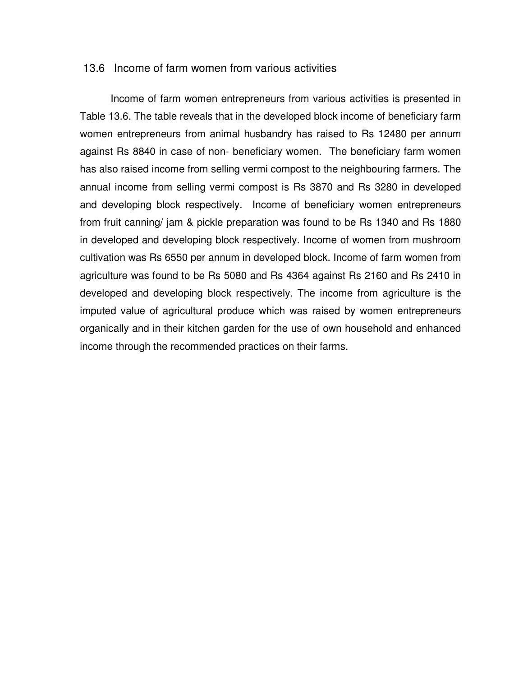#### 13.6 Income of farm women from various activities

 Income of farm women entrepreneurs from various activities is presented in Table 13.6. The table reveals that in the developed block income of beneficiary farm women entrepreneurs from animal husbandry has raised to Rs 12480 per annum against Rs 8840 in case of non- beneficiary women. The beneficiary farm women has also raised income from selling vermi compost to the neighbouring farmers. The annual income from selling vermi compost is Rs 3870 and Rs 3280 in developed and developing block respectively. Income of beneficiary women entrepreneurs from fruit canning/ jam & pickle preparation was found to be Rs 1340 and Rs 1880 in developed and developing block respectively. Income of women from mushroom cultivation was Rs 6550 per annum in developed block. Income of farm women from agriculture was found to be Rs 5080 and Rs 4364 against Rs 2160 and Rs 2410 in developed and developing block respectively. The income from agriculture is the imputed value of agricultural produce which was raised by women entrepreneurs organically and in their kitchen garden for the use of own household and enhanced income through the recommended practices on their farms.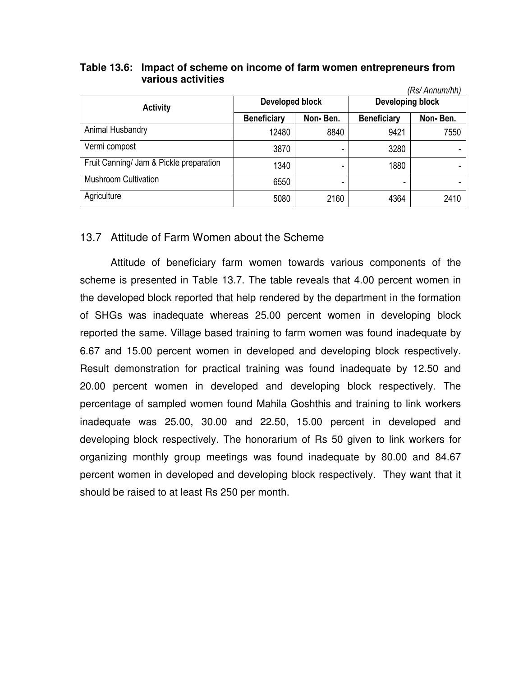#### **Table 13.6: Impact of scheme on income of farm women entrepreneurs from various activities**

|                                         |                        |          |                    | (Rs/ Annum/hh) |  |
|-----------------------------------------|------------------------|----------|--------------------|----------------|--|
| <b>Activity</b>                         | <b>Developed block</b> |          | Developing block   |                |  |
|                                         | <b>Beneficiary</b>     | Non-Ben. | <b>Beneficiary</b> | Non-Ben.       |  |
| Animal Husbandry                        | 12480                  | 8840     | 9421               | 7550           |  |
| Vermi compost                           | 3870                   |          | 3280               |                |  |
| Fruit Canning/ Jam & Pickle preparation | 1340                   |          | 1880               |                |  |
| <b>Mushroom Cultivation</b>             | 6550                   | -        |                    |                |  |
| Agriculture                             | 5080                   | 2160     | 4364               | 2410           |  |

# 13.7 Attitude of Farm Women about the Scheme

 Attitude of beneficiary farm women towards various components of the scheme is presented in Table 13.7. The table reveals that 4.00 percent women in the developed block reported that help rendered by the department in the formation of SHGs was inadequate whereas 25.00 percent women in developing block reported the same. Village based training to farm women was found inadequate by 6.67 and 15.00 percent women in developed and developing block respectively. Result demonstration for practical training was found inadequate by 12.50 and 20.00 percent women in developed and developing block respectively. The percentage of sampled women found Mahila Goshthis and training to link workers inadequate was 25.00, 30.00 and 22.50, 15.00 percent in developed and developing block respectively. The honorarium of Rs 50 given to link workers for organizing monthly group meetings was found inadequate by 80.00 and 84.67 percent women in developed and developing block respectively. They want that it should be raised to at least Rs 250 per month.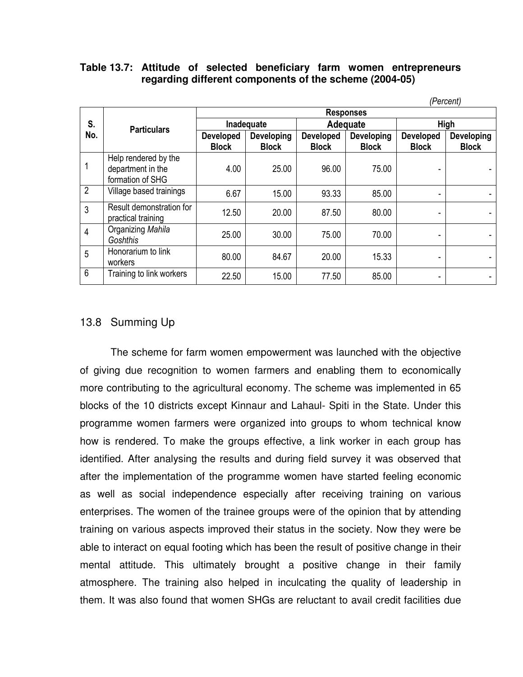#### **Table 13.7: Attitude of selected beneficiary farm women entrepreneurs regarding different components of the scheme (2004-05)**

|                |                                                               | (Percent)                        |                                   |                                  |                            |                                  |                                   |  |  |
|----------------|---------------------------------------------------------------|----------------------------------|-----------------------------------|----------------------------------|----------------------------|----------------------------------|-----------------------------------|--|--|
|                | <b>Particulars</b>                                            | <b>Responses</b>                 |                                   |                                  |                            |                                  |                                   |  |  |
| S.<br>No.      |                                                               | Inadequate                       |                                   | Adequate                         |                            | High                             |                                   |  |  |
|                |                                                               | <b>Developed</b><br><b>Block</b> | <b>Developing</b><br><b>Block</b> | <b>Developed</b><br><b>Block</b> | Developing<br><b>Block</b> | <b>Developed</b><br><b>Block</b> | <b>Developing</b><br><b>Block</b> |  |  |
|                | Help rendered by the<br>department in the<br>formation of SHG | 4.00                             | 25.00                             | 96.00                            | 75.00                      |                                  |                                   |  |  |
| $\overline{2}$ | Village based trainings                                       | 6.67                             | 15.00                             | 93.33                            | 85.00                      |                                  |                                   |  |  |
| 3              | Result demonstration for<br>practical training                | 12.50                            | 20.00                             | 87.50                            | 80.00                      |                                  |                                   |  |  |
| $\overline{4}$ | Organizing Mahila<br>Goshthis                                 | 25.00                            | 30.00                             | 75.00                            | 70.00                      |                                  |                                   |  |  |
| 5              | Honorarium to link<br>workers                                 | 80.00                            | 84.67                             | 20.00                            | 15.33                      |                                  |                                   |  |  |
| 6              | Training to link workers                                      | 22.50                            | 15.00                             | 77.50                            | 85.00                      |                                  |                                   |  |  |

#### 13.8 Summing Up

The scheme for farm women empowerment was launched with the objective of giving due recognition to women farmers and enabling them to economically more contributing to the agricultural economy. The scheme was implemented in 65 blocks of the 10 districts except Kinnaur and Lahaul- Spiti in the State. Under this programme women farmers were organized into groups to whom technical know how is rendered. To make the groups effective, a link worker in each group has identified. After analysing the results and during field survey it was observed that after the implementation of the programme women have started feeling economic as well as social independence especially after receiving training on various enterprises. The women of the trainee groups were of the opinion that by attending training on various aspects improved their status in the society. Now they were be able to interact on equal footing which has been the result of positive change in their mental attitude. This ultimately brought a positive change in their family atmosphere. The training also helped in inculcating the quality of leadership in them. It was also found that women SHGs are reluctant to avail credit facilities due